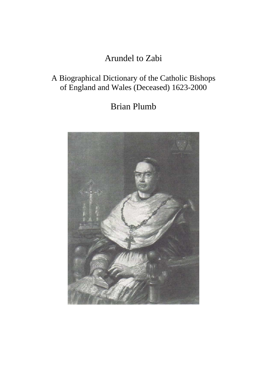# Arundel to Zabi

## A Biographical Dictionary of the Catholic Bishops of England and Wales (Deceased) 1623-2000

# Brian Plumb

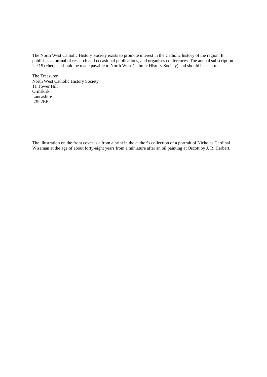The North West Catholic History Society exists to promote interest in the Catholic history of the region. It publishes a journal of research and occasional publications, and organises conferences. The annual subscription is £15 (cheques should be made payable to North West Catholic History Society) and should be sent to

The Treasurer North West Catholic History Society 11 Tower Hill Ormskirk Lancashire L39 2EE

The illustration on the front cover is a from a print in the author's collection of a portrait of Nicholas Cardinal Wiseman at the age of about forty-eight years from a miniature after an oil painting at Oscott by J. R. Herbert.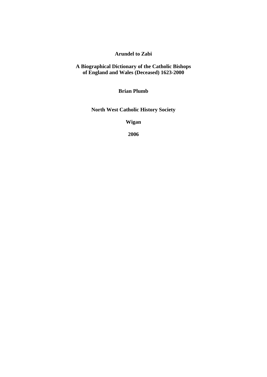## **Arundel to Zabi**

### **A Biographical Dictionary of the Catholic Bishops of England and Wales (Deceased) 1623-2000**

**Brian Plumb** 

**North West Catholic History Society** 

**Wigan** 

**2006**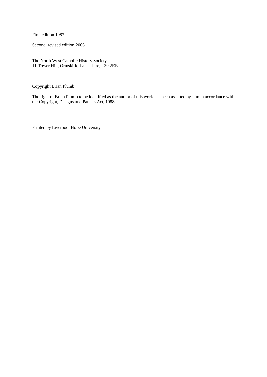First edition 1987

Second, revised edition 2006

The North West Catholic History Society 11 Tower Hill, Ormskirk, Lancashire, L39 2EE.

Copyright Brian Plumb

The right of Brian Plumb to be identified as the author of this work has been asserted by him in accordance with the Copyright, Designs and Patents Act, 1988.

Printed by Liverpool Hope University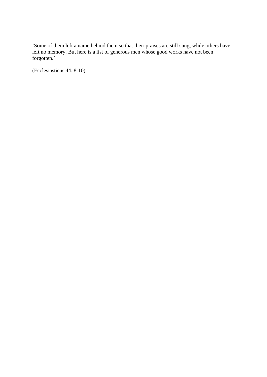'Some of them left a name behind them so that their praises are still sung, while others have left no memory. But here is a list of generous men whose good works have not been forgotten.'

(Ecclesiasticus 44. 8-10)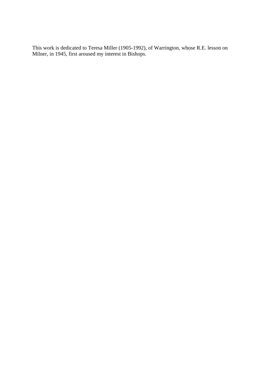This work is dedicated to Teresa Miller (1905-1992), of Warrington, whose R.E. lesson on Milner, in 1945, first aroused my interest in Bishops.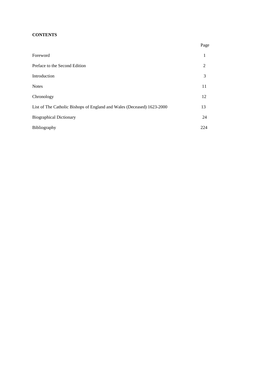## **CONTENTS**

|                                                                        | Page |
|------------------------------------------------------------------------|------|
| Foreword                                                               | 1    |
| Preface to the Second Edition                                          | 2    |
| Introduction                                                           | 3    |
| <b>Notes</b>                                                           | 11   |
| Chronology                                                             | 12   |
| List of The Catholic Bishops of England and Wales (Deceased) 1623-2000 | 13   |
| <b>Biographical Dictionary</b>                                         | 24   |
| Bibliography                                                           | 224  |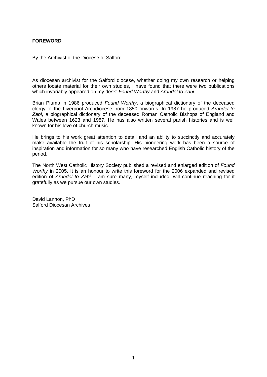## **FOREWORD**

By the Archivist of the Diocese of Salford.

As diocesan archivist for the Salford diocese, whether doing my own research or helping others locate material for their own studies, I have found that there were two publications which invariably appeared on my desk: *Found Worthy* and *Arundel to Zabi*.

Brian Plumb in 1986 produced *Found Worthy*, a biographical dictionary of the deceased clergy of the Liverpool Archdiocese from 1850 onwards. In 1987 he produced *Arundel to Zabi*, a biographical dictionary of the deceased Roman Catholic Bishops of England and Wales between 1623 and 1987. He has also written several parish histories and is well known for his love of church music.

He brings to his work great attention to detail and an ability to succinctly and accurately make available the fruit of his scholarship. His pioneering work has been a source of inspiration and information for so many who have researched English Catholic history of the period.

The North West Catholic History Society published a revised and enlarged edition of *Found Worthy* in 2005. It is an honour to write this foreword for the 2006 expanded and revised edition of *Arundel to Zabi*. I am sure many, myself included, will continue reaching for it gratefully as we pursue our own studies.

David Lannon, PhD Salford Diocesan Archives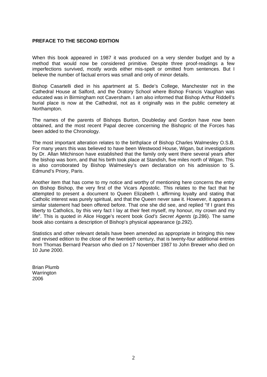### **PREFACE TO THE SECOND EDITION**

When this book appeared in 1987 it was produced on a very slender budget and by a method that would now be considered primitive. Despite three proof-readings a few imperfections survived, mostly words either mis-spelt or omitted from sentences. But I believe the number of factual errors was small and only of minor details.

Bishop Casartelli died in his apartment at S. Bede's College, Manchester not in the Cathedral House at Salford, and the Oratory School where Bishop Francis Vaughan was educated was in Birmingham not Caversham. I am also informed that Bishop Arthur Riddell's burial place is now at the Cathedral, not as it originally was in the public cemetery at Northampton.

The names of the parents of Bishops Burton, Doubleday and Gordon have now been obtained, and the most recent Papal decree concerning the Bishopric of the Forces has been added to the Chronology.

The most important alteration relates to the birthplace of Bishop Charles Walmesley O.S.B. For many years this was believed to have been Westwood House, Wigan, but investigations by Dr. Allan Mitchinson have established that the family only went there several years after the bishop was born, and that his birth took place at Standish, five miles north of Wigan. This is also corroborated by Bishop Walmesley's own declaration on his admission to S. Edmund's Priory, Paris.

Another item that has come to my notice and worthy of mentioning here concerns the entry on Bishop Bishop, the very first of the Vicars Apostolic. This relates to the fact that he attempted to present a document to Queen Elizabeth I, affirming loyalty and stating that Catholic interest was purely spiritual, and that the Queen never saw it. However, it appears a similar statement had been offered before. That one she did see, and replied "If I grant this liberty to Catholics, by this very fact I lay at their feet myself, my honour, my crown and my life". This is quoted in Alice Hogge's recent book *God's Secret Agents* (p.286). The same book also contains a description of Bishop's physical appearance (p.292).

Statistics and other relevant details have been amended as appropriate in bringing this new and revised edition to the close of the twentieth century, that is twenty-four additional entries from Thomas Bernard Pearson who died on 17 November 1987 to John Brewer who died on 10 June 2000.

Brian Plumb Warrington 2006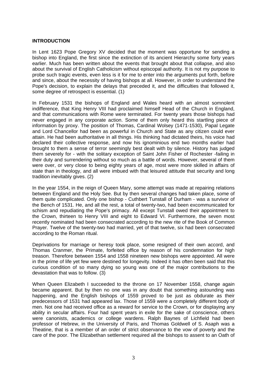### **INTRODUCTION**

In Lent 1623 Pope Gregory XV decided that the moment was opportune for sending a bishop into England, the first since the extinction of its ancient Hierarchy some forty years earlier. Much has been written about the events that brought about that collapse, and also about the survival of English Catholicism without episcopal authority. It is not my purpose to probe such tragic events, even less is it for me to enter into the arguments put forth, before and since, about the necessity of having bishops at all. However, in order to understand the Pope's decision, to explain the delays that preceded it, and the difficulties that followed it, some degree of retrospect is essential. (1)

In February 1531 the bishops of England and Wales heard with an almost somnolent indifference, that King Henry VIII had proclaimed himself Head of the Church in England, and that communications with Rome were terminated. For twenty years those bishops had never engaged in any corporate action. Some of them only heard this startling piece of information by proxy. The position of Thomas, Cardinal Wolsey (1471-1530), Papal Legate and Lord Chancellor had been as powerful in Church and State as any citizen could ever attain. He had been authoritative in all things. His thinking had dictated theirs, his voice had declared their collective response, and now his ignominious end two months earlier had brought to them a sense of terror seemingly best dealt with by silence. History has judged them severely for - with the solitary exception of Saint John Fisher of Rochester -failing in their duty and surrendering without so much as a battle of words. However, several of them were over, or very close to being eighty years of age, most were more skilled in affairs of state than in theology, and all were imbued with that leisured attitude that security and long tradition inevitably gives. (2)

In the year 1554, in the reign of Queen Mary, some attempt was made at repairing relations between England and the Holy See. But by then several changes had taken place, some of them quite complicated. Only one bishop - Cuthbert Tunstall of Durham - was a survivor of the Bench of 1531. He, and all the rest, a total of twenty-two, had been excommunicated for schism and repudiating the Pope's primacy. All except Tunstall owed their appointment to the Crown, thirteen to Henry VIII and eight to Edward VI. Furthermore, the seven most recently nominated had been consecrated according to the new rite of the Book of Common Prayer. Twelve of the twenty-two had married, yet of that twelve, six had been consecrated according to the Roman ritual.

Deprivations for marriage or heresy took place, some resigned of their own accord, and Thomas Cranmer, the Primate, forfeited office by reason of his condemnation for high treason. Therefore between 1554 and 1558 nineteen new bishops were appointed. All were in the prime of life yet few were destined for longevity. Indeed it has often been said that this curious condition of so many dying so young was one of the major contributions to the devastation that was to follow. (3)

When Queen Elizabeth I succeeded to the throne on 17 November 1558, change again became apparent. But by then no one was in any doubt that something astounding was happening, and the English bishops of 1559 proved to be just as obdurate as their predecessors of 1531 had appeared lax. Those of 1559 were a completely different body of men. Not one had received office as a reward for service to the Crown, or for displaying any ability in secular affairs. Four had spent years in exile for the sake of conscience, others were canonists, academics or college wardens. Ralph Baynes of Lichfield had been professor of Hebrew, in the University of Paris, and Thomas Goldwell of S. Asaph was a Theatine, that is a member of an order of strict observance to the vow of poverty and the care of the poor. The Elizabethan settlement required all the bishops to assent to an Oath of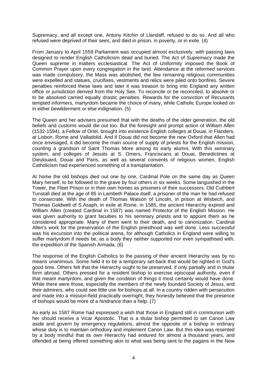Supremacy, and all except one, Antony Kitchin of Llandaff, refused to do so. And all who refused were deprived of their sees, and died in prison, in poverty, or in exile. (4)

From January to April 1559 Parliament was occupied almost exclusively, with passing laws designed to render English Catholicism dead and buried. The Act of Supremacy made the Queen supreme in matters ecclesiastical. The Act of Uniformity imposed the Book of Common Prayer upon every congregation in the land. Attendance at the reformed services was made compulsory, the Mass was abolished, the few remaining religious communities were expelled and statues, crucifixes, vestments and relics were piled onto bonfires. Severe penalties reinforced these laws and later it was treason to bring into England any written office or jurisdiction derived from the Holy See. To reconcile or be reconciled, to absolve or to be absolved carried equally drastic penalties. Rewards for the conviction of Recusants tempted informers, martyrdom became the choice of many, while Catholic Europe looked on in either bewilderment or else indignation. (5)

The Queen and her advisers presumed that with the deaths of the older generation, the old beliefs and customs would die out too. But the foresight and prompt action of William Allen (1532-1594), a Fellow of Oriel, brought into existence English colleges at Douai, in Flanders, at Lisbon, Rome and Valladolid. And if Douai did not become the new Oxford that Allen had once envisaged, it did become the main source of supply of priests for the English mission, counting a grandson of Saint Thomas More among its early alumni. With this seminary system, and colleges of Jesuits at S. Omers, Franciscans at Douai, Benedictines at Dieulouard, Douai and Paris, as well as several convents of religious women, English Catholicism had experienced something of a transplantation.

At home the old bishops died out one by one, Cardinal Pole on the same day as Queen Mary herself, to be followed to the grave by four others in six weeks. Some languished in the Tower, the Fleet Prison or in their own homes as prisoners of their successors. Old Cuthbert Tunstall died at the age of 85 in Lambeth Palace itself, a prisoner of the man he had refused to consecrate. With the death of Thomas Watson of Lincoln, in prison at Wisbech, and Thomas Goldwell of S.Asaph, in exile at Rome, in 1585, the ancient Hierarchy expired and William Allen (created Cardinal in 1587) was named Protector of the English Mission. He was given authority to grant faculties to his seminary priests and to appoint them as he considered appropriate. Many of them went to their death, and to canonization. Cardinal Allen's work for the preservation of the English priesthood was well done. Less successful was his excursion into the political arena, for although Catholics in England were willing to suffer martyrdom if needs be, as a body they neither supported nor even sympathised with, the expedition of the Spanish Armada. (6)

The response of the English Catholics to the passing of their ancient Hierarchy was by no means unanimous. Some held it to be a temporary set-back that would be righted in God's good time. Others felt that the Hierarchy ought to be preserved, if only partially and in titular form abroad. Others pressed for a resident bishop to exercise episcopal authority, even if that meant martyrdom, and given the condition of things it most certainly would have done. While there were those, especially the members of the newly founded Society of Jesus, and their admirers, who could see little use for bishops at all. In a country ridden with persecution and made into a mission-field practically overnight, they honestly believed that the presence of bishops would be more of a hindrance than a help. (7)

As early as 1587 Rome had expressed a wish that those in England still in communion with her should receive a Vicar Apostolic. That is a titular bishop permitted to set Canon Law aside and govern by emergency regulations, almost the opposite of a bishop in ordinary whose duty is to maintain orthodoxy and implement Canon Law. But this idea was resented by a body mindful that its own Hierarchy had endured for almost a thousand years, and offended at being offered something akin to what was being sent to the pagans in the New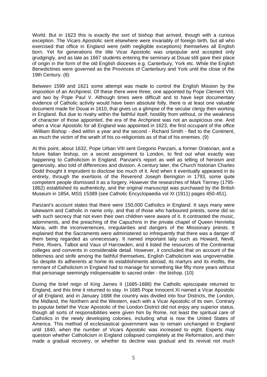World. But in 1623 this is exactly the sort of bishop that arrived, though with a curious exception. The Vicars Apostolic sent elsewhere were invariably of foreign birth, but all who exercised that office in England were (with negligible exceptions) themselves all English born. Yet for generations the title Vicar Apostolic was unpopular and accepted only grudgingly, and as late as 1667 students entering the seminary at Douai still gave their place of origin in the form of the old English dioceses e.g. Canterbury, York etc. While the English Benedictines were governed as the Provinces of Canterbury and York until the close of the 19th Century. (8)

Between 1599 and 1621 some attempt was made to control the English Mission by the imposition of an Archpriest. Of these there were three, one appointed by Pope Clement VIII, and two by Pope Paul V. Although times were difficult and to have kept documentary evidence of Catholic activity would have been absolute folly, there is at least one valuable document made for Douai in 1610, that gives us a glimpse of the secular clergy then working in England. But due to rivalry within the faithful itself, hostility from without, or the weakness of character of those appointed, the era of the Archpriest was not an auspicious one. And when a Vicar Apostolic for all England was appointed in 1623, the first occupant of the office -William Bishop - died within a year and the second - Richard Smith - fled to the Continent, as much the victim of the wrath of his co-religionists as of that of his enemies. (9)

At this point, about 1632, Pope Urban VIII sent Gregorio Panzani, a former Oratorian, and a future Italian bishop, on a secret assignment to London, to find out what exactly was happening to Catholicism in England. Panzani's report as well as telling of heroism and generosity, also told of differences and division. A century later, the Church historian Charles Dodd thought it imprudent to disclose too much of it. And when it eventually appeared in its entirety, through the exertions of the Reverend Joseph Berington in 1793, some quite competent people dismissed it as a forgery. However the researches of Mark Tierney (1795- 1862) established its authenticity, and the original manuscript was purchased by the British Museum in 1854, MSS 15389 (see Catholic Encyclopaedia vol XI (1911) pages 450-451).

Panzani's account states that there were 150,000 Catholics in England. It says many were lukewarm and Catholic in name only, and that of those who harboured priests, some did so with such secrecy that not even their own children were aware of it. It contrasted the music, adornments, and the preaching of the Capuchins in the private chapel of Queen Henrietta Maria, with the inconveniences, irregularities and dangers of the Missionary priests. It explained that the Sacraments were administered so infrequently that there was a danger of them being regarded as unnecessary. It named important laity such as Howard, Nevill, Petre, Rivers, Talbot and Vaux of Harrowden, and it listed the resources of the Continental colleges and convents in considerable detail. However, it concluded that on account of the bitterness and strife among the faithful themselves, English Catholicism was ungovernable. So despite its adherents at home its establishments abroad, its martyrs and its misfits, the remnant of Catholicism in England had to manage for something like fifty more years without that personage seemingly indispensable to sacred order - the bishop. (10)

During the brief reign of King James II (1685-1688) the Catholic episcopate returned to England, and this time it returned to stay. In 1685 Pope Innocent XI named a Vicar Apostolic of all England, and in January 1688 the country was divided into four Districts, the London, the Midland, the Northern and the Western, each with a Vicar Apostolic of its own. Contrary to popular belief the Vicar Apostolic of the London District did not enjoy any superior status, though all sorts of responsibilities were given him by Rome, not least the spiritual care of Catholics in the newly developing colonies, including what is now the United States of America. This method of ecclesiastical government was to remain unchanged in England until 1840, when the number of Vicars Apostolic was increased to eight. Experts may question whether Catholicism in England collapsed completely at the Reformation, and then made a gradual recovery, or whether its decline was gradual and its revival not much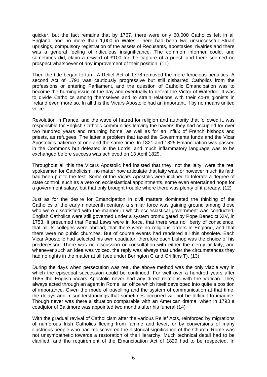quicker, but the fact remains that by 1767, there were only 60,000 Catholics left in all England, and no more than 1,000 in Wales. There had been two unsuccessful Stuart uprisings, compulsory registration of the assets of Recusants, apostasies, rivalries and there was a general feeling of ridiculous insignificance. The common informer could, and sometimes did, claim a reward of £100 for the capture of a priest, and there seemed no prospect whatsoever of any improvement of their position. (11)

Then the tide began to turn. A Relief Act of 1778 removed the more ferocious penalties. A second Act of 1791 was cautiously progressive but still disbarred Catholics from the professions or entering Parliament, and the question of Catholic Emancipation was to become the burning issue of the day and eventually to defeat the Victor of Waterloo. It was to divide Catholics among themselves and to strain relations with their co-religionists in Ireland even more so. In all this the Vicars Apostolic had an important, if by no means united voice.

Revolution in France, and the wave of hatred for religion and authority that followed it, was responsible for English Catholic communities leaving the havens they had occupied for over two hundred years and returning home, as well as for an influx of French bishops and priests, as refugees. The latter a problem that taxed the Governments funds and the Vicar Apostolic's patience at one and the same time. In 1821 and 1825 Emancipation was passed in the Commons but defeated in the Lords, and much inflammatory language was to be exchanged before success was achieved on 13 April 1829.

Throughout all this the Vicars Apostolic had insisted that they, not the laity, were the real spokesmen for Catholicism, no matter how articulate that laity was, or however much its faith had been put to the test. Some of the Vicars Apostolic were inclined to tolerate a degree of state control, such as a veto on ecclesiastical appointments, some even entertained hope for a government salary, but that only brought trouble where there was plenty of it already. (12)

Just as for the desire for Emancipation in civil matters dominated the thinking of the Catholics of the early nineteenth century, a similar force was gaining ground among those who were dissatisfied with the manner in which ecclesiastical government was conducted. English Catholics were still governed under a system promulgated by Pope Benedict XIV, in 1753. It presumed that Penal Laws were in force, that there was no liberty of conscience, that all its colleges were abroad, that there were no religious orders in England, and that there were no public churches. But of course events had rendered all this obsolete. Each Vicar Apostolic had selected his own coadjutor, therefore each bishop was the choice of his predecessor. There was no discussion or consultation with either the clergy or laity, and whenever such an idea was voiced, the reply was always that under the circumstances they had no rights in the matter at all (see under Berington C and Griffiths T). (13)

During the days when persecution was real, the above method was the only viable way in which the episcopal succession could be continued. For well over a hundred years after 1685 the English Vicars Apostolic never had any direct relations with the Vatican. They always acted through an agent in Rome, an office which itself developed into quite a position of importance. Given the mode of travelling and the system of communication at that time, the delays and misunderstandings that sometimes occurred will not be difficult to imagine. Though never was there a situation comparable with an American drama, when in 1793 a coadjutor of Baltimore was appointed two months after his funeral (14)

With the gradual revival of Catholicism after the various Relief Acts, reinforced by migrations of numerous Irish Catholics fleeing from famine and fever, or by conversions of many illustrious people who had rediscovered the historical significance of the Church, Rome was not unsympathetic towards a restoration of the Hierarchy. Much technical detail had to be clarified, and the requirement of the Emancipation Act of 1829 had to be respected. In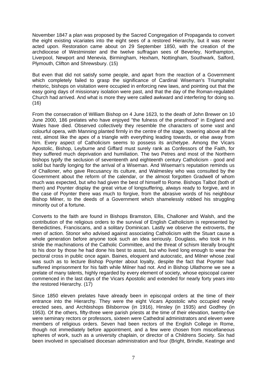November 1847 a plan was proposed by the Sacred Congregation of Propaganda to convert the eight existing vicariates into the eight sees of a restored Hierarchy, but it was never acted upon. Restoration came about on 29 September 1850, with the creation of the archdiocese of Westminster and the twelve suffragan sees of Beverley, Northampton, Liverpool, Newport and Menevia, Birmingham, Hexham, Nottingham, Southwark, Salford, Plymouth, Clifton and Shrewsbury. (15)

But even that did not satisfy some people, and apart from the reaction of a Government which completely failed to grasp the significance of Cardinal Wiseman's Triumphalist rhetoric, bishops on visitation were occupied in enforcing new laws, and pointing out that the easy going days of missionary isolation were past, and that the day of the Roman-regulated Church had arrived. And what is more they were called awkward and interfering for doing so. (16)

From the consecration of William Bishop on 4 June 1623, to the death of John Brewer on 10 June 2000, 186 prelates who have enjoyed "the fulness of the priesthood" in England and Wales have died. Observed collectively they resemble the characters of some vast and colourful opera, with Manning planted firmly in the centre of the stage, towering above all the rest, almost like the apex of a triangle with everything leading towards, or else away from him. Every aspect of Catholicism seems to possess its archetype. Among the Vicars Apostolic, Bishop, Leyburne and Giffard must surely rank as Confessors of the Faith, for they suffered much deprivation and humiliation. The two Petres and most of the Northern bishops typify the seclusion of seventeenth and eighteenth century Catholicism - good and solid but hardly longing for the arrival of a Wiseman. And Wiseman's reputation reminds us of Challoner, who gave Recusancy its culture, and Walmesley who was consulted by the Government about the reform of the calendar, or the almost forgotten Gradwell of whom much was expected, but who had given the best of himself to Rome. Bishops Talbot (both of them) and Poynter display the great virtue of longsuffering, always ready to forgive, and in the case of Poynter there was much to forgive, from the abrasive words of his neighbour Bishop Milner, to the deeds of a Government which shamelessly robbed his struggling minority out of a fortune.

Converts to the faith are found in Bishops Bramston, Ellis, Challoner and Walsh, and the contribution of the religious orders to the survival of English Catholicism is represented by Benedictines, Franciscans, and a solitary Dominican. Lastly we observe the extroverts, the men of action. Stonor who advised against associating Catholicism with the Stuart cause a whole generation before anyone took such an idea seriously. Douglass, who took in his stride the machinations of the Catholic Committee, and the threat of schism literally brought to his door by those he had done his best to assist, but who lived long enough to wear the pectoral cross in public once again. Baines, eloquent and autocratic, and Milner whose zeal was such as to lecture Bishop Poynter about loyalty, despite the fact that Poynter had suffered imprisonment for his faith while Milner had not. And in Bishop Ullathorne we see a prelate of many talents, highly regarded by every element of society, whose episcopal career commenced in the last days of the Vicars Apostolic and extended for nearly forty years into the restored Hierarchy. (17)

Since 1850 eleven prelates have already been in episcopal orders at the time of their entrance into the Hierarchy. They were the eight Vicars Apostolic who occupied newly erected sees, and Archbishops Bilsborrow (in 1916), Hinsley (in 1935) and Godfrey (in 1953). Of the others, fifty-three were parish priests at the time of their elevation, twenty-five were seminary rectors or professors, sixteen were Cathedral administrators and eleven were members of religious orders. Seven had been rectors of the English College in Rome, though not immediately before appointment, and a few were chosen from miscellaneous spheres of work, such as a university chaplain, or director of a Childrens Society. Six had been involved in specialised diocesan administration and four (Bright, Brindle, Keatinge and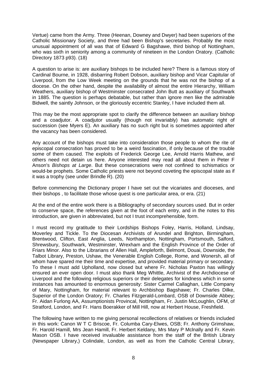Vertue) came from the Army. Three (Heenan, Downey and Dwyer) had been superiors of the Catholic Missionary Society, and three had been Bishop's secretaries. Probably the most unusual appointment of all was that of Edward G Bagshawe, third bishop of Nottingham, who was sixth in seniority among a community of nineteen in the London Oratory. (Catholic Directory 1873 p93). (18)

A question to arise is: are auxiliary bishops to be included here? There is a famous story of Cardinal Bourne, in 1928, disbarring Robert Dobson, auxiliary bishop and Vicar Capitular of Liverpool, from the Low Week meeting on the grounds that he was not the bishop of a diocese. On the other hand, despite the availability of almost the entire Hierarchy, William Weathers, auxiliary bishop of Westminster consecrated John Butt as auxiliary of Southwark in 1885. The question is perhaps debatable, but rather than ignore men like the admirable Bidwell, the saintly Johnson, or the gloriously eccentric Stanley, I have included them all.

This may be the most appropriate spot to clarify the difference between an auxiliary bishop and a coadjutor. A coadjutor usually (though not invariably) has automatic right of succession (see Myers E). An auxiliary has no such right but is sometimes appointed after the vacancy has been considered.

Any account of the bishops must take into consideration those people to whom the rite of episcopal consecration has proved to be a weird fascination, if only because of the trouble some of them caused. The exploits of Frederick George Lee, Arnold Harris Mathew, and others need not detain us here. Anyone interested may read all about them in Peter F Anson's *Bishops at Large*. But these consecrations were not confined to schismatics or would-be prophets. Some Catholic priests were not beyond coveting the episcopal state as if it was a trophy (see under Brindle R). (20)

Before commencing the Dictionary proper I have set out the vicariates and dioceses, and their bishops , to facilitate those whose quest is one particular area, or era. (21)

At the end of the entire work there is a Bibliography of secondary sources used. But in order to conserve space, the references given at the foot of each entry, and in the notes to this introduction, are given in abbreviated, but not I trust incomprehensible, form.

I must record my gratitude to their Lordships Bishops Foley, Harris, Holland, Lindsay, Moverley and Tickle. To the Diocesan Archivists of Arundel and Brighton, Birmingham, Brentwood, Clifton, East Anglia, Leeds, Northampton, Nottingham, Portsmouth, Salford, Shrewsbury, Southwark, Westminster, Wrexham and the English Province of the Order of Friars Minor. Also to the Librarians of Allen Hall, Ampleforth, Belmont, Douai, Downside, the Talbot Library, Preston, Ushaw, the Venerable English College, Rome, and Wonersh, all of whom have spared me their time and expertise, and provided material primary or secondary. To these I must add Upholland, now closed but where Fr. Nicholas Paxton has willingly ensured an ever open door. I must also thank Meg Whittle, Archivist of the Archdiocese of Liverpool and the following religious superiors or their delegates for kindness which in some instances has amounted to enormous generosity: Sister Carmel Callaghan, Little Company of Mary, Nottingham, for material relevant to Archbishop Bagshawe; Fr. Charles Dilke, Superior of the London Oratory; Fr. Charles Fitzgerald-Lombard, OSB of Downside Abbey; Fr. Aidan Furlong AA, Assumptionists Provincal, Nottingham, Fr. Justin McLoughlin, OFM, of Stratford, London, and Fr. Hans Boerakker of Mill Hill, now at Herbert House, Freshfield.

The following have written to me giving personal recollections of relatives or friends included in this work: Canon W T C Briscoe, Fr. Columba Cary-Elwes, OSB; Fr. Anthony Grimshaw, Fr. Harold Hamill, Mrs Jean Hamill, Fr. Herbert Keldany, Mrs Mary P Mclnally and Fr. Kevin Mason OSB. I have received invaluable assistance from the staff of the British Library (Newspaper Library,) Colindale, London, as well as from the Catholic Central Library,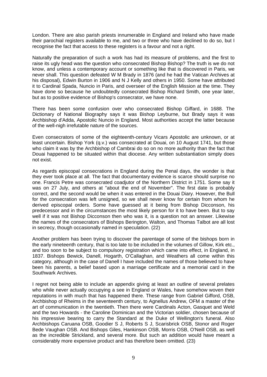London. There are also parish priests innumerable in England and Ireland who have made their parochial registers available to me, and two or three who have declined to do so, but I recognise the fact that access to these registers is a favour and not a right.

Naturally the preparation of such a work has had its measure of problems, and the first to raise its ugly head was the question who consecrated Bishop Bishop? The truth is we do not know, and unless a contemporary account or something like that is discovered in Paris, we never shall. This question defeated W M Brady in 1876 (and he had the Vatican Archives at his disposal), Edwin Burton in 1906 and N J Kelly and others in 1950. Some have attributed it to Cardinal Spada, Nuncio in Paris, and overseer of the English Mission at the time. They have done so because he undoubtedly consecrated Bishop Richard Smith, one year later, but as to positive evidence of Bishop's consecrator, we have none.

There has been some confusion over who consecrated Bishop Giffard, in 1688. The Dictionary of National Biography says it was Bishop Leyburne, but Brady says it was Archbishop d'Adda, Apostolic Nuncio in England. Most authorities accept the latter because of the well-nigh irrefutable nature of the sources.

Even consecrators of some of the eighteenth-century Vicars Apostolic are unknown, or at least uncertain. Bishop York (q.v.) was consecrated at Douai, on 10 August 1741, but those who claim it was by the Archbishop of Cambrai do so on no more authority than the fact that Douai happened to be situated within that diocese. Any written substantiation simply does not exist.

As regards episcopal consecrations in England during the Penal days, the wonder is that they ever took place at all. The fact that documentary evidence is scarce should surprise no one. Francis Petre was consecrated coadjutor of the Northern District in 1751. Some say it was on 27 July, and others at "about the end of November". The first date is probably correct, and the second would be when it was entered in the Douai Diary. However, the Bull for the consecration was left unsigned, so we shall never know for certain from whom he derived episcopal orders. Some have guessed at it being from Bishop Dicconson, his predecessor and in the circumstances the most likely person for it to have been. But to say well if it was not Bishop Dicconson then who was it, is a question not an answer. Likewise the names of the consecrators of Bishops Berington, Walton, and Thomas Talbot are all lost in secrecy, though occasionally named in speculation. (22)

Another problem has been trying to discover the parentage of some of the bishops born in the early nineteenth century, that is too late to be included in the volumes of Gillow, Kirk etc., and too soon to be subject to compulsory registration which came into effect, in England, in 1837. Bishops Bewick, Danell, Hogarth, O'Callaghan, and Weathers all come within this category, although in the case of Danell I have included the names of those believed to have been his parents, a belief based upon a marriage certificate and a memorial card in the Southwark Archives.

I regret not being able to include an appendix giving at least an outline of several prelates who while never actually occupying a see in England or Wales, have somehow woven their reputations in with much that has happened there. These range from Gabriel Gifford, OSB, Archbishop of Rheims in the seventeenth century, to Agnellus Andrew, OFM a master of the art of communication in the twentieth. Then there were Cardinals Acton, Gasquet and Weld and the two Howards - the Caroline Dominican and the Victorian soldier, chosen because of his impressive bearing to carry the Standard at the Duke of Wellington's funeral. Also Archbishops Caruana OSB, Goodier S J, Roberts S J, Scarisbrick OSB, Stonor and Roger Bede Vaughan OSB. And Bishops Giles, Hankinson OSB, Morris OSB, O'Neill OSB, as well as the incredible Strickland, and several more. But such an addition would have meant a considerably more expensive product and has therefore been omitted. (23)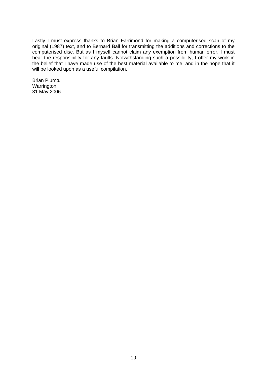Lastly I must express thanks to Brian Farrimond for making a computerised scan of my original (1987) text, and to Bernard Ball for transmitting the additions and corrections to the computerised disc. But as I myself cannot claim any exemption from human error, I must bear the responsibility for any faults. Notwithstanding such a possibility, I offer my work in the belief that I have made use of the best material available to me, and in the hope that it will be looked upon as a useful compilation.

Brian Plumb. Warrington 31 May 2006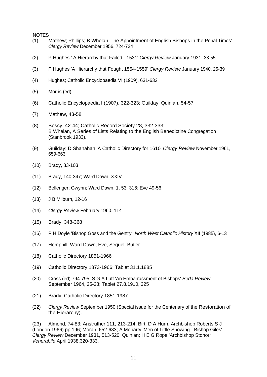NOTES

- (1) Mathew; Phillips; B Whelan 'The Appointment of English Bishops in the Penal Times' *Clergy Review* December 1956, 724-734
- (2) P Hughes ' A Hierarchy that Failed 1531' *Clergy Review* January 1931, 38-55
- (3) P Hughes 'A Hierarchy that Fought 1554-1559' *Clergy Review* January 1940, 25-39
- (4) Hughes; Catholic Encyclopaedia VI (1909), 631-632
- (5) Morris (ed)
- (6) Catholic Encyclopaedia I (1907), 322-323; Guilday; Quinlan, 54-57
- (7) Mathew, 43-58
- (8) Bossy, 42-44; Catholic Record Society 28, 332-333; B Whelan, A Series of Lists Relating to the English Benedictine Congregation (Stanbrook 1933).
- (9) Guilday; D Shanahan 'A Catholic Directory for 1610' *Clergy Review* November 1961, 659-663
- (10) Brady, 83-103
- (11) Brady, 140-347; Ward Dawn, XXIV
- (12) Bellenger; Gwynn; Ward Dawn, 1, 53, 316; Eve 49-56
- (13) J B Milburn, 12-16
- (14) *Clergy Review* February 1960, 114
- (15) Brady, 348-368
- (16) P H Doyle 'Bishop Goss and the Gentry ' *North West Catholic History* XII (1985), 6-13
- (17) Hemphill; Ward Dawn, Eve, Sequel; Butler
- (18) Catholic Directory 1851-1966
- (19) Catholic Directory 1873-1966; Tablet 31.1.1885
- (20) Cross (ed) 794-795; S G A Luff 'An Embarrassment of Bishops' *Beda Review* September 1964, 25-28; Tablet 27.8.1910, 325
- (21) Brady; Catholic Directory 1851-1987
- (22) *Clergy Review* September 1950 (Special issue for the Centenary of the Restoration of the Hierarchy).

(23) Almond, 74-83; Anstruther 111, 213-214; Birt; D A Hurn, Archbishop Roberts S J (London 1966) pp 196; Moran, 652-683; A Moriarty 'Men of Little Showing - Bishop Giles' *Clergy Review* December 1931, 513-520; Quinlan; H E G Rope 'Archbishop Stonor ' *Venerabile* April 1938,320-333.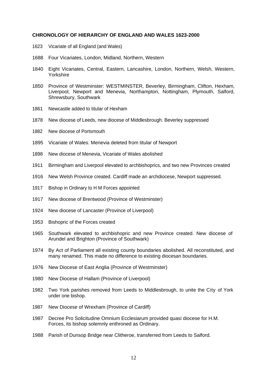#### **CHRONOLOGY OF HIERARCHY OF ENGLAND AND WALES 1623-2000**

- 1623 Vicariate of all England (and Wales)
- 1688 Four Vicariates, London, Midland, Northern, Western
- 1840 Eight Vicariates, Central, Eastern, Lancashire, London, Northern, Welsh, Western, Yorkshire
- 1850 Province of Westminster: WESTMINSTER, Beverley, Birmingham, Clifton, Hexham, Liverpool, Newport and Menevia, Northampton, Nottingham, Plymouth, Salford, Shrewsbury, Southwark
- 1861 Newcastle added to titular of Hexham
- 1878 New diocese of Leeds, new diocese of Middlesbrough. Beverley suppressed
- 1882 New diocese of Portsmouth
- 1895 Vicariate of Wales. Menevia deleted from titular of Newport
- 1898 New diocese of Menevia, Vicariate of Wales abolished
- 1911 Birmingham and Liverpool elevated to archbishoprics, and two new Provinces created
- 1916 New Welsh Province created. Cardiff made an archdiocese, Newport suppressed.
- 1917 Bishop in Ordinary to H M Forces appointed
- 1917 New diocese of Brentwood (Province of Westminster)
- 1924 New diocese of Lancaster (Province of Liverpool)
- 1953 Bishopric of the Forces created
- 1965 Southwark elevated to archbishopric and new Province created. New diocese of Arundel and Brighton (Province of Southwark)
- 1974 By Act of Parliament all existing county boundaries abolished. All reconstituted, and many renamed. This made no difference to existing diocesan boundaries.
- 1976 New Diocese of East Anglia (Province of Westminster)
- 1980 New Diocese of Hallam (Province of Liverpool)
- 1982 Two York parishes removed from Leeds to Middlesbrough, to unite the City of York under one bishop.
- 1987 New Diocese of Wrexham (Province of Cardiff)
- 1987 Decree Pro Solicitudine Omnium Ecclesiarum provided quasi diocese for H.M. Forces, its bishop solemnly enthroned as Ordinary.
- 1988 Parish of Dunsop Bridge near Clitheroe, transferred from Leeds to Salford.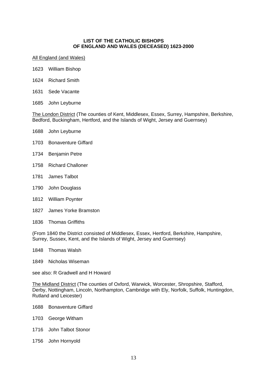#### **LIST OF THE CATHOLIC BISHOPS OF ENGLAND AND WALES (DECEASED) 1623-2000**

#### All England (and Wales)

- 1623 William Bishop
- 1624 Richard Smith
- 1631 Sede Vacante
- 1685 John Leyburne

The London District (The counties of Kent, Middlesex, Essex, Surrey, Hampshire, Berkshire, Bedford, Buckingham, Hertford, and the Islands of Wight, Jersey and Guernsey)

- 1688 John Leyburne
- 1703 Bonaventure Giffard
- 1734 Benjamin Petre
- 1758 Richard Challoner
- 1781 James Talbot
- 1790 John Douglass
- 1812 William Poynter
- 1827 James Yorke Bramston
- 1836 Thomas Griffiths

(From 1840 the District consisted of Middlesex, Essex, Hertford, Berkshire, Hampshire, Surrey, Sussex, Kent, and the Islands of Wight, Jersey and Guernsey)

- 1848 Thomas Walsh
- 1849 Nicholas Wiseman

see also: R Gradwell and H Howard

The Midland District (The counties of Oxford, Warwick, Worcester, Shropshire, Stafford, Derby, Nottingham, Lincoln, Northampton, Cambridge with Ely, Norfolk, Suffolk, Huntingdon, Rutland and Leicester)

- 1688 Bonaventure Giffard
- 1703 George Witham
- 1716 John Talbot Stonor
- 1756 John Hornyold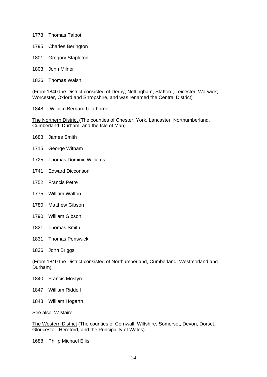- 1778 Thomas Talbot
- 1795 Charles Berington
- 1801 Gregory Stapleton
- 1803 John Milner
- 1826 Thomas Walsh

(From 1840 the District consisted of Derby, Nottingham, Stafford, Leicester, Warwick, Worcester, Oxford and Shropshire, and was renamed the Central District)

1848 William Bernard Ullathorne

The Northern District (The counties of Chester, York, Lancaster, Northumberland, Cumberland, Durham, and the Isle of Man)

| James Smith |
|-------------|
|             |

- 1715 George Witham
- 1725 Thomas Dominic Williams
- 1741 Edward Dicconson
- 1752 Francis Petre
- 1775 William Walton
- 1780 Matthew Gibson
- 1790 William Gibson
- 1821 Thomas Smith
- 1831 Thomas Penswick
- 1836 John Briggs

(From 1840 the District consisted of Northumberland, Cumberland, Westmorland and Durham)

- 1840 Francis Mostyn
- 1847 William RiddelI
- 1848 William Hogarth
- See also: W Maire

The Western District (The counties of Cornwall, Wiltshire, Somerset, Devon, Dorset, Gloucester, Hereford, and the Principality of Wales).

1688 Philip Michael Ellis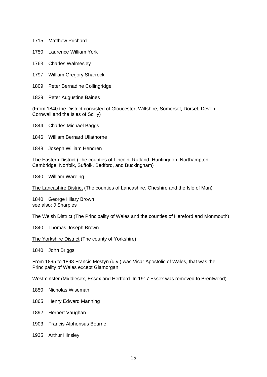- 1715 Matthew Prichard
- 1750 Laurence William York
- 1763 Charles Walmesley
- 1797 William Gregory Sharrock
- 1809 Peter Bernadine Collingridge
- 1829 Peter Augustine Baines

(From 1840 the District consisted of Gloucester, Wiltshire, Somerset, Dorset, Devon, Cornwall and the Isles of Scilly)

- 1844 Charles Michael Baggs
- 1846 William Bernard Ullathorne
- 1848 Joseph William Hendren

The Eastern District (The counties of Lincoln, Rutland, Huntingdon, Northampton, Cambridge, Norfolk, Suffolk, Bedford, and Buckingham)

1840 William Wareing

The Lancashire District (The counties of Lancashire, Cheshire and the Isle of Man)

1840 George Hilary Brown see also: J Sharples

The Welsh District (The Principality of Wales and the counties of Hereford and Monmouth)

1840 Thomas Joseph Brown

The Yorkshire District (The county of Yorkshire)

1840 John Briggs

From 1895 to 1898 Francis Mostyn (q.v.) was Vicar Apostolic of Wales, that was the Principality of Wales except Glamorgan.

Westminster (Middlesex, Essex and Hertford. In 1917 Essex was removed to Brentwood)

- 1850 Nicholas Wiseman
- 1865 Henry Edward Manning
- 1892 Herbert Vaughan
- 1903 Francis Alphonsus Bourne
- 1935 Arthur Hinsley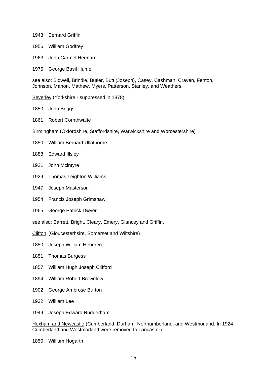- 1943 Bernard Griffin
- 1956 William Godfrey
- 1963 John Carmel Heenan
- 1976 George Basil Hume

see also: Bidwell, Brindle, Butler, Butt (Joseph), Casey, Cashman, Craven, Fenton, Johnson, Mahon, Mathew, Myers, Patterson, Stanley, and Weathers

Beverley (Yorkshire - suppressed in 1878)

- 1850 John Briggs
- 1861 Robert Cornthwaite
- Birmingham (Oxfordshire, Staffordshire, Warwickshire and Worcestershire)
- 1850 William Bernard Ullathorne
- 1888 Edward Illsley
- 1921 John Mclntyre
- 1929 Thomas Leighton Williams
- 1947 Joseph Masterson
- 1954 Francis Joseph Grimshaw
- 1965 George Patrick Dwyer
- see also: Barrett, Bright, Cleary, Emery, Glancey and Griffin.
- Clifton (Gloucesterhsire, Somerset and Wiltshire)
- 1850 Joseph William Hendren
- 1851 Thomas Burgess
- 1857 William Hugh Joseph Clifford
- 1894 William Robert Brownlow
- 1902 George Ambrose Burton
- 1932 William Lee
- 1949 Joseph Edward Rudderham

Hexham and Newcastle (Cumberland, Durham, Northumberland, and Westmorland. In 1924 Cumberland and Westmorland were removed to Lancaster)

1850 William Hogarth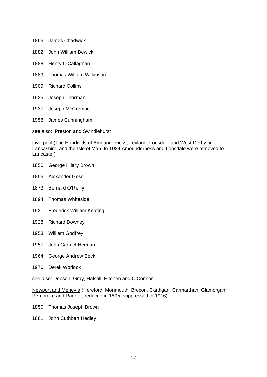- 1866 James Chadwick
- 1882 John William Bewick
- 1888 Henry O'Callaghan
- 1889 Thomas William Wilkinson
- 1909 Richard Collins
- 1925 Joseph Thorman
- 1937 Joseph McCormack
- 1958 James Cunningham

see also: Preston and Swindlehurst

Liverpool (The Hundreds of Amounderness, Leyland, Lonsdale and West Derby, in Lancashire, and the Isle of Man. In 1924 Amounderness and Lonsdale were removed to Lancaster)

- 1850 George Hilary Brown
- 1856 Alexander Goss
- 1873 Bernard O'Reilly
- 1894 Thomas Whiteside
- 1921 Frederick William Keating
- 1928 Richard Downey
- 1953 William Godfrey
- 1957 John Carmel Heenan
- 1964 George Andrew Beck
- 1976 Derek Worlock

see also: Dobson, Gray, Halsall, Hitchen and O'Connor

Newport and Menevia (Hereford, Monmouth, Brecon, Cardigan, Carmarthan, Glamorgan, Pembroke and Radnor, reduced in 1895, suppressed in 1916)

- 1850 Thomas Joseph Brown
- 1881 John Cuthbert Hedley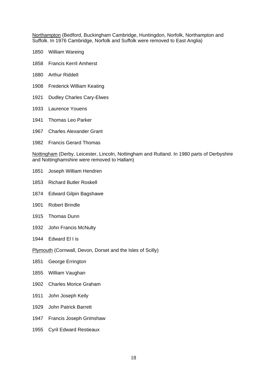Northampton (Bedford, Buckingham Cambridge, Huntingdon, Norfolk, Northampton and Suffolk. In 1976 Cambridge, Norfolk and Suffolk were removed to East Anglia)

- 1850 William Wareing
- 1858 Francis Kerril Amherst
- 1880 Arthur RiddelI
- 1908 Frederick William Keating
- 1921 Dudley Charles Cary-Elwes
- 1933 Laurence Youens
- 1941 Thomas Leo Parker
- 1967 Charles Alexander Grant
- 1982 Francis Gerard Thomas

Nottingham (Derby, Leicester, Lincoln, Nottingham and Rutland. In 1980 parts of Derbyshire and Nottinghamshire were removed to Hallam)

- 1851 Joseph William Hendren
- 1853 Richard Butler Roskell
- 1874 Edward Gilpin Bagshawe
- 1901 Robert Brindle
- 1915 Thomas Dunn
- 1932 John Francis McNulty
- 1944 Edward El I is

Plymouth (Cornwall, Devon, Dorset and the Isles of Scilly)

- 1851 George Errington
- 1855 William Vaughan
- 1902 Charles Morice Graham
- 1911 John Joseph Keily
- 1929 John Patrick Barrett
- 1947 Francis Joseph Grimshaw
- 1955 Cyril Edward Restieaux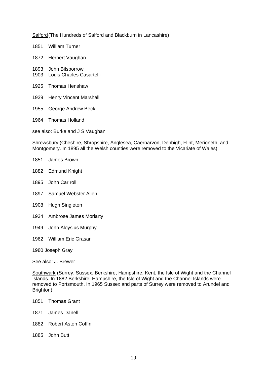Salford (The Hundreds of Salford and Blackburn in Lancashire)

- 1851 William Turner
- 1872 Herbert Vaughan
- 1893 John Bilsborrow
- 1903 Louis Charles Casartelli
- 1925 Thomas Henshaw
- 1939 Henry Vincent Marshall
- 1955 George Andrew Beck
- 1964 Thomas Holland

see also: Burke and J S Vaughan

Shrewsbury (Cheshire, Shropshire, Anglesea, Caernarvon, Denbigh, Flint, Merioneth, and Montgomery. In 1895 all the Welsh counties were removed to the Vicariate of Wales)

- 1851 James Brown
- 1882 Edmund Knight
- 1895 John Car roll
- 1897 Samuel Webster Alien
- 1908 Hugh Singleton
- 1934 Ambrose James Moriarty
- 1949 John Aloysius Murphy
- 1962 William Eric Grasar
- 1980 Joseph Gray

See also: J. Brewer

Southwark (Surrey, Sussex, Berkshire, Hampshire, Kent, the Isle of Wight and the Channel Islands. In 1882 Berkshire, Hampshire, the Isle of Wight and the Channel Islands were removed to Portsmouth. In 1965 Sussex and parts of Surrey were removed to Arundel and Brighton)

- 1851 Thomas Grant
- 1871 James Danell
- 1882 Robert Aston Coffin
- 1885 John Butt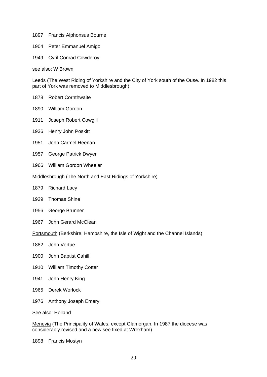- 1897 Francis Alphonsus Bourne
- 1904 Peter Emmanuel Amigo
- 1949 Cyril Conrad Cowderoy

see also: W Brown

Leeds (The West Riding of Yorkshire and the City of York south of the Ouse. In 1982 this part of York was removed to Middlesbrough)

- 1878 Robert Cornthwaite
- 1890 William Gordon
- 1911 Joseph Robert Cowgill
- 1936 Henry John Poskitt
- 1951 John Carmel Heenan
- 1957 George Patrick Dwyer
- 1966 William Gordon Wheeler
- Middlesbrough (The North and East Ridings of Yorkshire)
- 1879 Richard Lacy
- 1929 Thomas Shine
- 1956 George Brunner
- 1967 John Gerard McClean

Portsmouth (Berkshire, Hampshire, the Isle of Wight and the Channel Islands)

- 1882 John Vertue
- 1900 John Baptist Cahill
- 1910 William Timothy Cotter
- 1941 John Henry King
- 1965 Derek Worlock
- 1976 Anthony Joseph Emery

See also: Holland

Menevia (The Principality of Wales, except Glamorgan. In 1987 the diocese was considerably revised and a new see fixed at Wrexham)

1898 Francis Mostyn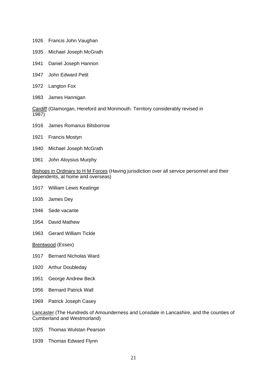- 1926 Francis John Vaughan
- 1935 Michael Joseph McGrath
- 1941 Daniel Joseph Hannon
- 1947 John Edward Petit
- 1972 Langton Fox
- 1983 James Hannigan

Cardiff (Glamorgan, Hereford and Monmouth. Territory considerably revised in 1987)

- 1916 James Romanus Bilsborrow
- 1921 Francis Mostyn
- 1940 Michael Joseph McGrath
- 1961 John Aloysius Murphy

Bishops in Ordinary to H M Forces (Having jurisdiction over all service personnel and their dependents, at home and overseas)

- 1917 William Lewis Keatinge
- 1935 James Dey
- 1946 Sede vacante
- 1954 David Mathew
- 1963 Gerard William Tickle

Brentwood (Essex)

- 1917 Bernard Nicholas Ward
- 1920 Arthur Doubleday
- 1951 George Andrew Beck
- 1956 Bernard Patrick Wall
- 1969 Patrick Joseph Casey

Lancaster (The Hundreds of Amounderness and Lonsdale in Lancashire, and the counties of Cumberland and Westmorland)

- 1925 Thomas Wulstan Pearson
- 1939 Thomas Edward Flynn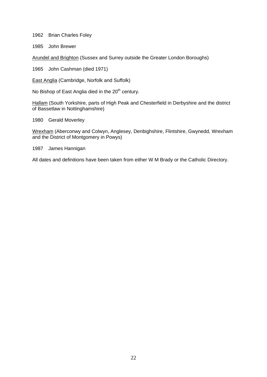1962 Brian Charles Foley

1985 John Brewer

Arundel and Brighton (Sussex and Surrey outside the Greater London Boroughs)

1965 John Cashman (died 1971)

East Anglia (Cambridge, Norfolk and Suffolk)

No Bishop of East Anglia died in the  $20<sup>th</sup>$  century.

Hallam (South Yorkshire, parts of High Peak and Chesterfield in Derbyshire and the district of Bassetlaw in Nottinghamshire)

1980 Gerald Moverley

Wrexham (Aberconwy and Colwyn, Anglesey, Denbighshire, Flintshire, Gwynedd, Wrexham and the District of Montgomery in Powys)

1987 James Hannigan

All dates and definitions have been taken from either W M Brady or the Catholic Directory.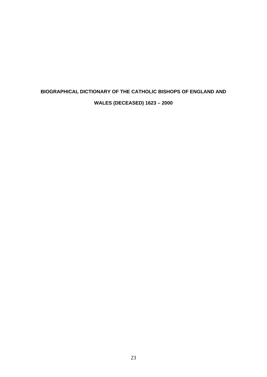## **BIOGRAPHICAL DICTIONARY OF THE CATHOLIC BISHOPS OF ENGLAND AND WALES (DECEASED) 1623 – 2000**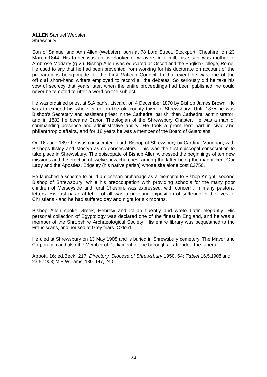#### **ALLEN** Samuel Webster Shrewsbury

Son of Samuel and Ann Allen (Webster), born at 78 Lord Street, Stockport, Cheshire, on 23 March 1844. His father was an overlooker of weavers in a mill, his sister was mother of Ambrose Moriarty (q.v.). Bishop Allen was educated at Oscott and the English College, Rome. He used to say that he had been prevented from working for his doctorate on account of the preparations being made for the First Vatican Council. In that event he was one of the official short-hand writers employed to record all the debates. So seriously did he take his vow of secrecy that years later, when the entire proceedings had been published, he could never be tempted to utter a word on the subject.

He was ordained priest at S.AIban's, Liscard, on 4 December 1870 by Bishop James Brown. He was to expend his whole career in the old county town of Shrewsbury. Until 1875 he was Bishop's Secretary and assistant priest in the Cathedral parish, then Cathedral administrator, and in 1882 he became Canon Theologian of the Shrewsbury Chapter. He was a man of commanding presence and administrative ability. He took a prominent part in civic and philanthropic affairs, and for 18 years he was a member of the Board of Guardians.

On 16 June 1897 he was consecrated fourth Bishop of Shrewsbury by Cardinal Vaughan, with Bishops Illsley and Mostyn as co-consecrators. This was the first episcopal consecration to take place in Shrewsbury. The episcopate of Bishop Allen witnessed the beginnings of ten new missions and the erection of twelve new churches, among the latter being the magnificent Our Lady and the Apostles, Edgeley (his native parish) whose site alone cost £2750.

He launched a scheme to build a diocesan orphanage as a memorial to Bishop Knight, second Bishop of Shrewsbury, while his preoccupation with providing schools for the many poor children of Merseyside and rural Cheshire was expressed, with concern, in many pastoral letters. His last pastoral letter of all was a profound exposition of suffering in the lives of Christians - and he had suffered day and night for six months.

Bishop Allen spoke Greek, Hebrew and Italian fluently and wrote Latin elegantly. His personal collection of Egyptology was declared one of the finest in England, and he was a member of the Shropshire Archaeological Society. His entire library was bequeathed to the Franciscans, and housed at Grey friars, Oxford.

He died at Shrewsbury on 13 May 1908 and is buried in Shrewsbury cemetery. The Mayor and Corporation and also the Member of Parliament for the borough all attended the funeral.

Abbott, 16; ed.Beck, 217; *Directory, Diocese of Shrewsbury* 1950, 64; *Tablet* 16.5.1908 and 23 5 1908; M E Williams, 130, 147, 240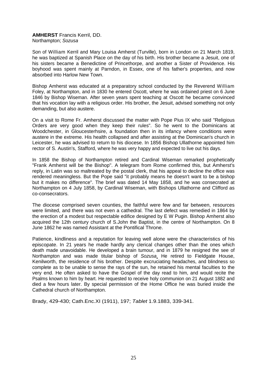#### **AMHERST** Francis Kerril, DD. Northampton; *Sozusa*

Son of William Kerril and Mary Louisa Amherst (Turville), born in London on 21 March 1819, he was baptized at Spanish Place on the day of his birth. His brother became a Jesuit, one of his sisters became a Benedictine of Princethorpe, and another a Sister of Providence. His boyhood was spent mainly at Parndon, in Essex, one of his father's properties, and now absorbed into Harlow New Town.

Bishop Amherst was educated at a preparatory school conducted by the Reverend William Foley, at Northampton, and in 1830 he entered Oscott, where he was ordained priest on 6 June 1846 by Bishop Wiseman. After seven years spent teaching at Oscott he became convinced that his vocation lay with a religious order. His brother, the Jesuit, advised something not only demanding, but also austere.

On a visit to Rome Fr. Amherst discussed the matter with Pope Pius IX who said "Religious Orders are very good when they keep their rules". So he went to the Dominicans at Woodchester, in Gloucesterhsire, a foundation then in its infancy where conditions were austere in the extreme. His health collapsed and after assisting at the Dominican's church in Leicester, he was advised to return to his diocese. In 1856 Bishop Ullathorne appointed him rector of S. Austin's, Stafford, where he was very happy and expected to live out his days.

In 1858 the Bishop of Northampton retired and Cardinal Wiseman remarked prophetically "Frank Amherst will be the Bishop". A telegram from Rome confirmed this, but Amherst's reply, in Latin was so maltreated by the postal clerk, that his appeal to decline the office was rendered meaningless. But the Pope said "it probably means he doesn't want to be a bishop but it makes no difference". The brief was dated 14 May 1858, and he was consecrated at Northampton on 4 July 1858, by Cardinal Wiseman, with Bishops Ullathorne and Clifford as co-consecrators.

The diocese comprised seven counties, the faithful were few and far between, resources were limited, and there was not even a cathedral. The last defect was remedied in 1864 by the erection of a modest but respectable edifice designed by E W Pugin. Bishop Amherst also acquired the 12th century church of S.John the Baptist, in the centre of Northampton. On 8 June 1862 he was named Assistant at the Pontifical Throne.

Patience, kindliness and a reputation for leaving well alone were the characteristics of his episcopate. In 21 years he made hardly any clerical changes other than the ones which death made unavoidable. He developed a brain tumour, and in 1879 he resigned the see of Northampton and was made titular bishop of *Sozusa*. He retired to Fieldgate House, Kenilworth, the residence of his brother. Despite excruciating headaches, and blindness so complete as to be unable to sense the rays of the sun, he retained his mental faculties to the very end. He often asked to have the Gospel of the day read to him, and would recite the Psalms known to him by heart. He requested to receive holy communion on 21 August 1882 and died a few hours later. By special permission of the Home Office he was buried inside the Cathedral church of Northampton.

Brady, 429-430; Cath.Enc.XI (1911), 197; *Tablet* 1.9.1883, 339-341.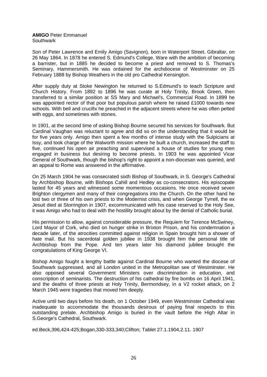#### **AMIGO** Peter Emmanuel Southwark

Son of Peter Lawrence and Emily Amigo (Savignon), born in Waterport Street, Gibraltar, on 26 May 1864. In 1878 he entered S. Edmund's College, Ware with the ambition of becoming a barrister, but in 1885 he decided to become a priest and removed to S. Thomas's Seminary, Hammersmith. He was ordained for the archdiocese of Westminster on 25 February 1888 by Bishop Weathers in the old pro Cathedral Kensington.

After supply duty at Stoke Newington he returned to S.Edmund's to teach Scripture and Church History. From 1892 to 1896 he was curate at Holy Trinity, Brook Green, then transferred to a similar position at SS Mary and Michael's, Commercial Road. In 1899 he was appointed rector of that poor but populous parish where he raised £1000 towards new schools. With bell and crucifix he preached in the adjacent streets where he was often pelted with eggs, and sometimes with stones.

In 1901, at the second time of asking Bishop Bourne secured his services for Southwark. But Cardinal Vaughan was reluctant to agree and did so on the understanding that it would be for five years only. Amigo then spent a few months of intense study with the Sulpicians at Issy, and took charge of the Walworth mission where he built a church, increased the staff to five, continued his open air preaching and supervised a house of studies for young men engaged in business but desiring to become priests. In 1903 he was appointed Vicar General of Southwark, though the bishop's right to appoint a non-diocesan was queried, and an appeal to Rome was answered in the affirmative.

On 25 March 1904 he was consecrated sixth Bishop of Southwark, in S. George's Cathedral by Archbishop Bourne, with Bishops Cahill and Hedley as co-consecrators. His episcopate lasted for 45 years and witnessed some momentous occasions. He once received seven Brighton clergymen and many of their congregations into the Church. On the other hand he lost two or three of his own priests to the Modernist crisis, and when George Tyrrell, the ex Jesuit died at Storrington in 1907, excommunicated with his case reserved to the Holy See, it was Amigo who had to deal with the hostility brought about by the denial of Catholic burial.

His permission to allow, against considerable pressure, the Requiem for Terence McSwiney, Lord Mayor of Cork, who died on hunger strike in Brixton Prison, and his condemnation a decade later, of the atrocities committed against religion in Spain brought him a shower of hate mail. But his sacerdotal golden jubilee in 1938 brought him the personal title of Archbishop from the Pope. And ten years later his diamond jubilee brought the congratulations of King George VI.

Bishop Amigo fought a lengthy battle against Cardinal Bourne who wanted the diocese of Southwark suppressed, and all London united in the Metropolitan see of Westminster. He also opposed several Government Ministers over discrimination in education, and conscription of seminarists. The destruction of his cathedral by fire bombs on 16 April 1941, and the deaths of three priests at Holy Trinity, Bermondsey, in a V2 rocket attack, on 2 March 1945 were tragedies that moved him deeply.

Active until two days before his death, on 1 October 1949, even Westminster Cathedral was inadequate to accommodate the thousands desirous of paying final respects to this outstanding prelate. Archbishop Amigo is buried in the vault before the High Altar in S.George's Cathedral, Southwark.

ed.Beck,396,424-425;Bogan,330-333,340;Clifton; Tablet 27.1.1904,2.11. 1907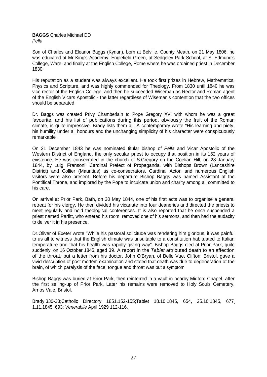## **BAGGS** Charles Michael DD *Pella*

Son of Charles and Eleanor Baggs (Kynan), born at Belville, County Meath, on 21 May 1806, he was educated at Mr King's Academy, Englefield Green, at Sedgeley Park School, at S. Edmund's College, Ware, and finally at the English College, Rome where he was ordained priest in December 1830.

His reputation as a student was always excellent. He took first prizes in Hebrew, Mathematics, Physics and Scripture, and was highly commended for Theology. From 1830 until 1840 he was vice-rector of the English College, and then he succeeded Wiseman as Rector and Roman agent of the English Vicars Apostolic - the latter regardless of Wiseman's contention that the two offices should be separated.

Dr. Baggs was created Privy Chamberlain to Pope Gregory XVI with whom he was a great favourite, and his list of publications during this period, obviously the fruit of the Roman climate, is quite impressive. Brady lists them all. A contemporary wrote "His learning and piety, his humility under all honours and the unchanging simplicity of his character were conspicuously remarkable".

On 21 December 1843 he was nominated titular bishop of *Pella* and Vicar Apostolic of the Western District of England, the only secular priest to occupy that position in its 162 years of existence. He was consecrated in the church of S.Gregory on the Coelian Hill, on 28 January 1844, by Luigi Fransoni, Cardinal Prefect of Propaganda, with Bishops Brown (Lancashire District) and Collier (Mauritius) as co-consecrators. Cardinal Acton and numerous English visitors were also present. Before his departure Bishop Baggs was named Assistant at the Pontifical Throne, and implored by the Pope to inculcate union and charity among all committed to his care.

On arrival at Prior Park, Bath, on 30 May 1844, one of his first acts was to organise a general retreat for his clergy. He then divided his vicariate into four deaneries and directed the priests to meet regularly and hold theological conferences. It is also reported that he once suspended a priest named Parfitt, who entered his room, removed one of his sermons, and then had the audacity to deliver it in his presence.

Dr.Oliver of Exeter wrote "While his pastoral solicitude was rendering him glorious, it was painful to us all to witness that the English climate was unsuitable to a constitution habituated to Italian temperature and that his health was rapidly giving way". Bishop Baggs died at Prior Park, quite suddenly, on 16 October 1845, aged 39. A report in the *Tablet* attributed death to an affection of the throat, but a letter from his doctor, John O'Bryan, of Belle Vue, Clifton, Bristol, gave a vivid description of post mortem examination and stated that death was due to degeneration of the brain, of which paralysis of the face, tongue and throat was but a symptom.

Bishop Baggs was buried at Prior Park, then reinterred in a vault in nearby Midford Chapel, after the first selling-up of Prior Park. Later his remains were removed to Holy Souls Cemetery, Arnos Vale, Bristol.

Brady, 330-33; Catholic Directory 1851.152-155; Tablet 18.10.1845, 654, 25.10.1845, 677, 1.11.1845, 693; *Venerabile* April 1929 112-116.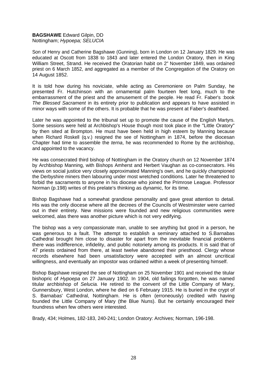# **BAGSHAWE** Edward Gilpin, DD Nottingham; *Hypoepa; SELUCIA*

Son of Henry and Catherine Bagshawe (Gunning), born in London on 12 January 1829. He was educated at Oscott from 1838 to 1843 and later entered the London Oratory, then in King William Street, Strand. He received the Oratorian habit on 2" November 1849, was ordained priest on 6 March 1852, and aggregated as a member of the Congregation of the Oratory on 14 August 1852.

It is told how during his noviciate, while acting as Ceremoniere on Palm Sunday, he presented Fr. Hutchinson with an ornamental palm fourteen feet long, much to the embarrassment of the priest and the amusement of the people. He read Fr. Faber's :book *The Blessed Sacrament* in its entirety prior to publication and appears to have assisted in minor ways with some of the others. It is probable that he was present at Faber's deathbed.

Later he was appointed to the tribunal set up to promote the cause of the English Martyrs. Some sessions were held at Archbishop's House though most took place in the "Little Oratory" by then sited at Brompton. He must have been held in high esteem by Manning because when Richard Roskell (q.v.) resigned the see of Nottingham in 1874, before the diocesan Chapter had time to assemble the *terna*, he was recommended to Rome by the archbishop, and appointed to the vacancy.

He was consecrated third bishop of Nottingham in the Oratory church on 12 November 1874 by Archbishop Manning, with Bishops Amherst and Herbert Vaughan as co-consecrators. His views on social justice very closely approximated Manning's own, and he quickly championed the Derbyshire miners then labouring under most wretched conditions. Later he threatened to forbid the sacraments to anyone in his diocese who joined the Primrose League. Professor Norman (p.198) writes of this prelate's thinking as dynamic, for its time.

Bishop Bagshawe had a somewhat grandiose personality and gave great attention to detail. His was the only diocese where all the decrees of the Councils of Westminster were carried out in their entirety. New missions were founded and new religious communities were welcomed, alas there was another picture which is not very edifying.

The bishop was a very compassionate man, unable to see anything but good in a person, he was generous to a fault. The attempt to establish a seminary attached to S.Barnabas Cathedral brought him close to disaster for apart from the inevitable financial problems there was indifference, infidelity, and public notoriety among its products. It is said that of 47 priests ordained from there, at least twelve abandoned their priesthood. Clergy whose records elsewhere had been unsatisfactory were accepted with an almost uncritical willingness, and eventually an impostor was ordained within a week of presenting himself.

Bishop Bagshawe resigned the see of Nottingham on 25 November 1901 and received the titular bishopric of *Hypoepa* on 27 January 1902. In 1904, old failings forgotten, he was named titular archbishop of *Selucia.* He retired to the convent of the Little Company of Mary, Gunnersbury, West London, where he died on 6 February 1915. He is buried in the crypt of S. Barnabas' Cathedral, Nottingham. He is often (erroneously) credited with having founded the Little Company of Mary (the Blue Nuns). But he certainly encouraged their foundress when few others were interested.

Brady, 434; Holmes, 182-183, 240-241; London Oratory: Archives; Norman, 196-198.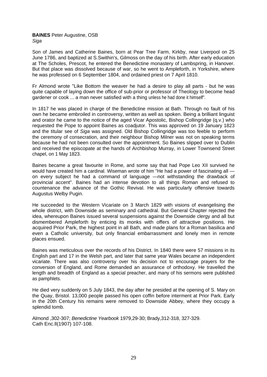# **BAINES** Peter Augustine, OSB *Siga*

Son of James and Catherine Baines, born at Pear Tree Farm, Kirkby, near Liverpool on 25 June 1786, and baptized at S.Swithin's, Gilmoss on the day of his birth. After early education at The Scholes, Prescot, he entered the Benedictine monastery of Lambspring, in Hanover. But that place was dissolved because of war, so he went to Ampleforth, in Yorkshire, where he was professed on 6 September 1804, and ordained priest on 7 April 1810.

Fr Almond wrote "Like Bottom the weaver he had a desire to play all parts - but he was quite capable of laying down the office of sub-prior or professor of Theology to become head gardener or cook ... a man never satisfied with a thing unless he had done it himself".

In 1817 he was placed in charge of the Benedictine mission at Bath. Through no fault of his own he became embroiled in controversy, written as well as spoken. Being a brilliant linguist and orator he came to the notice of the aged Vicar Apostolic, Bishop Collingridge (q.v.) who requested the Pope to appoint Baines as coadjutor. This was approved on 19 January 1823 and the titular see of *Siga* was assigned. Old Bishop Collingridge was too feeble to perform the ceremony of consecration, and their neighbour Bishop Milner was not on speaking terms because he had not been consulted over the appointment. So Baines slipped over to Dublin and received the episcopate at the hands of Archbishop Murray, in Lower Townsend Street chapel, on 1 May 1823.

Baines became a great favourite in Rome, and some say that had Pope Leo XII survived he would have created him a cardinal. Wiseman wrote of him "He had a power of fascinating all on every subject he had a command of language —not withstanding the drawback of provincial accent". Baines had an intense devotion to all things Roman and refused to countenance the advance of the Gothic Revival. He was particularly offensive towards Augustus Welby Pugin.

He succeeded to the Western Vicariate on 3 March 1829 with visions of evangelising the whole district, with Downside as seminary and cathedral. But General Chapter rejected the idea, whereupon Baines issued several suspensions against the Downside clergy and all but dismembered Ampleforth by enticing its monks with offers of attractive positions. He acquired Prior Park, the highest point in all Bath, and made plans for a Roman basilica and even a Catholic university, but only financial embarrassment and lonely men in remote places ensued.

Baines was meticulous over the records of his District. In 1840 there were 57 missions in its English part and 17 in the Welsh part, and later that same year Wales became an independent vicariate. There was also controversy over his decision not to encourage prayers for the conversion of England, and Rome demanded an assurance of orthodoxy. He travelled the length and breadth of England as a special preacher, and many of his sermons were published as pamphlets.

He died very suddenly on 5 July 1843, the day after he presided at the opening of S. Mary on the Quay, Bristol. 13,000 people passed his open coffin before interment at Prior Park. Early in the 20th Century his remains were removed to Downside Abbey, where they occupy a splendid tomb.

Almond ,302-307; *Benedictine Yearbook* 1979,29-30; Brady,312-318, 327-329. Cath Enc.ll(1907) 107-108.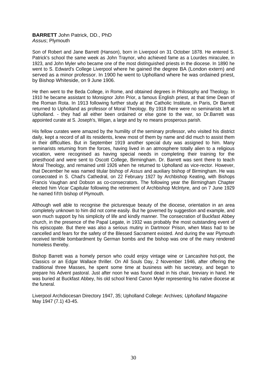# **BARRETT** John Patrick, DD., PhD *Assus*; Plymouth

Son of Robert and Jane Barrett (Hanson), born in Liverpool on 31 October 1878. He entered S. Patrick's school the same week as John Traynor, who achieved fame as a Lourdes miraculee, in 1923, and John Myler who became one of the most distinguished priests in the diocese. In 1890 he went to S. Edward's College Liverpool where he gained the degree BA (London extern) and served as a minor professor. In 1900 he went to Upholland where he was ordained priest, by Bishop Whiteside, on 9 June 1906.

He then went to the Beda College, in Rome, and obtained degrees in Philosophy and Theology. In 1910 he became assistant to Monsignor John Prior, a famous English priest, at that time Dean of the Roman Rota. In 1913 following further study at the Catholic Institute, in Paris, Dr Barrett returned to Upholland as professor of Moral Theology. By 1918 there were no seminarists left at Upholland. - they had all either been ordained or else gone to the war, so Dr.Barrett was appointed curate at S. Joseph's, Wigan, a large and by no means prosperous parish.

His fellow curates were amazed by the humility of the seminary professor, who visited his district daily, kept a record of all its residents, knew most of them by name and did much to assist them in their difficulties. But in September 1919 another special duty was assigned to him. Many seminarists returning from the forces, having lived in an atmosphere totally alien to a religious vocation, were recognised as having special needs in completing their training for the priesthood and were sent to Oscott College, Birmingham. Dr. Barrett was sent there to teach Moral Theology, and remained until 1926 when he returned to Upholland as vice-rector. However, that December he was named titular bishop of *Assus* and auxiliary bishop of Birmingham. He was consecrated in S. Chad's Cathedral, on 22 February 1927 by Archbishop Keating, with Bishops Francis Vaughan and Dobson as co-consecrators. The following year the Birmingham Chapter elected him Vicar Capitular following the retirement of Archbishop Mclntyre, and on 7 June 1929 he named fifth bishop of Plymouth.

Although well able to recognise the picturesque beauty of the diocese, orientation in an area completely unknown to him did not come easily. But he governed by suggestion and example, and won much support by his simplicity of life and kindly manner. The consecration of Buckfast Abbey church, in the presence of the Papal Legate, in 1932 was probably the most outstanding event of his episcopate. But there was also a serious mutiny in Dartmoor Prison, when Mass had to be cancelled and fears for the safety of the Blessed Sacrament existed. And during the war Plymouth received terrible bombardment by German bombs and the bishop was one of the many rendered homeless thereby.

Bishop Barrett was a homely person who could enjoy vintage wine or Lancashire hot-pot, the Classics or an Edgar Wallace thriller. On All Souls Day, 2 November 1946, after offering the traditional three Masses, he spent some time at business with his secretary, and began to prepare his Advent pastoral. Just after noon he was found dead in his chair, breviary in hand. He was buried at Buckfast Abbey, his old school friend Canon Myler representing his native diocese at the funeral.

Liverpool Archdiocesan Directory 1947, 35; Upholland College: Archives; *Upholland Magazine* May 1947 (7.1) 43-45.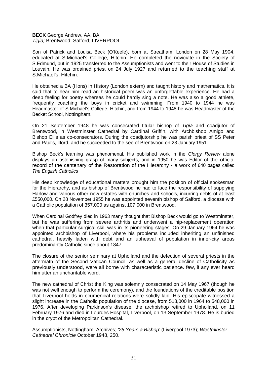# **BECK** George Andrew, AA, BA *Tigia;* Brentwood; Salford; LIVERPOOL

Son of Patrick and Louisa Beck (O'Keefe), born at Streatham, London on 28 May 1904, educated at S.Michael's College, Hitchin. He completed the noviciate in the Society of S.Edmund, but in 1925 transferred to the Assumptionists and went to their House of Studies in Louvain. He was ordained priest on 24 July 1927 and returned to the teaching staff at S.Michael's, Hitchin.

He obtained a BA (Hons) in History (London extern) and taught history and mathematics. It is said that to hear him read an historical poem was an unforgettable experience. He had a deep feeling for poetry whereas he could hardly sing a note. He was also a good athlete, frequently coaching the boys in cricket and swimming. From 1940 to 1944 he was Headmaster of S.Michael's College, Hitchin, and from 1944 to 1948 he was Headmaster of the Becket School, Nottingham.

On 21 September 1948 he was consecrated titular bishop of *Tigia* and coadjutor of Brentwood, in Westminster Cathedral by Cardinal Griffin, with Archbishop Amigo and Bishop Ellis as co-consecrators. During the coadjutorship he was parish priest of SS Peter and Paul's, llford, and he succeeded to the see of Brentwood on 23 January 1951.

Bishop Beck's learning was phenomenal. His published work in the *Clergy Review* alone displays an astonishing grasp of many subjects, and in 1950 he was Editor of the official record of the centenary of the Restoration of the Hierarchy - a work of 640 pages called *The English Catholics*

His deep knowledge of educational matters brought him the position of official spokesman for the Hierarchy, and as bishop of Brentwood he had to face the responsibility of supplying Harlow and various other new estates with churches and schools, incurring debts of at least £550,000. On 28 November 1955 he was appointed seventh bishop of Salford, a diocese with a Catholic population of 357,000 as against 107,000 in Brentwood.

When Cardinal Godfrey died in 1963 many thought that Bishop Beck would go to Westminster, but he was suffering from severe arthritis and underwent a hip-replacement operation when that particular surgical skill was in its pioneering stages. On 29 January 1964 he was appointed archbishop of Liverpool, where his problems included inheriting an unfinished cathedral, heavily laden with debt and an upheaval of population in inner-city areas predominantly Catholic since about 1847.

The closure of the senior seminary at Upholland and the defection of several priests in the aftermath of the Second Vatican Council, as well as a general decline of Catholicity as previously understood, were all borne with characteristic patience. few, if any ever heard him utter an uncharitable word.

The new cathedral of Christ the King was solemnly consecrated on 14 May 1967 (though he was not well enough to perform the ceremony), and the foundations of the creditable position that Liverpool holds in ecumenical relations were solidly laid. His episcopate witnessed a slight increase in the Catholic population of the diocese, from 518,000 in 1964 to 548,000 in 1976. After developing Parkinson's disease, the archbishop retired to Upholland, on 11 February 1976 and died in Lourdes Hospital, Liverpool, on 13 September 1978. He is buried in the crypt of the Metropolitan Cathedral.

Assumptionists, Nottingham: Archives; *'25 Years a Bishop'* (Liverpool 1973); *Westminster Cathedral Chronicle* October 1948, 250.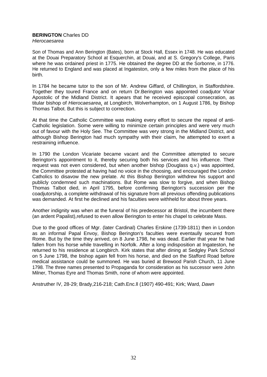#### **BERINGTON** Charles DD *Hierocaesarea*

Son of Thomas and Ann Berington (Bates), born at Stock Hall, Essex in 1748. He was educated at the Douai Preparatory School at Esquerchin, at Douai, and at S. Gregory's College, Paris where he was ordained priest in 1775. He obtained the degree DD at the Sorbonne, in 1776. He returned to England and was placed at Ingateston, only a few miles from the place of his birth.

In 1784 he became tutor to the son of Mr. Andrew Giffard, of Chillington, in Staffordshire. Together they toured France and on return Dr.Berington was appointed coadjutor Vicar Apostolic of the Midland District. It apears that he received episcopal consecration, as titular bishop of *Hierocaesarea*, at Longbirch, Wolverhampton, on 1 August 1786, by Bishop Thomas Talbot. But this is subject to correction.

At that time the Catholic Committee was making every effort to secure the repeal of anti-Catholic legislation. Some were willing to minimize certain principles and were very much out of favour with the Holy See. The Committee was very strong in the Midland District, and although Bishop Berington had much sympathy with their claim, he attempted to exert a restraining influence.

In 1790 the London Vicariate became vacant and the Committee attempted to secure Berington's appointment to it, thereby securing both his services and his influence. Their request was not even considered, but when another bishop (Douglass q.v.) was appointed, the Committee protested at having had no voice in the choosing, and encouraged the London Catholics to disavow the new prelate. At this Bishop Berington withdrew his support and publicly condemned such machinations. But Rome was slow to forgive, and when Bishop Thomas Talbot died, in April 1795, before confirming Berington's succession per the coadjutorship, a complete withdrawal of his signature from all previous offending publications was demanded. At first he declined and his faculties were withheld for about three years.

Another indignity was when at the funeral of his predecessor at Bristol, the incumbent there (an ardent Papalist),refused to even allow Berington to enter his chapel to celebrate Mass.

Due to the good offices of Mgr. (later Cardinal) Charles Erskine (1739-1811) then in London as an informal Papal Envoy, Bishop Berington's faculties were eventaully secured from Rome. But by the time they arrived, on 8 June 1798, he was dead. Earlier that year he had fallen from his horse while travelling in Norfolk. After a long indisposition at Ingateston, he returned to his residence at Longbirch. Kirk states that after dining at Sedgley Park School on 5 June 1798, the bishop again fell from his horse, and died on the Stafford Road before medical assistance could be summoned. He was buried at Brewood Parish Church, 11 June 1798. The three names presented to Propaganda for consideration as his successor were John Milner, Thomas Eyre and Thomas Smith, none of whom were appointed.

Anstruther IV, 28-29; Brady,216-218; Cath.Enc.ll (1907) 490-491; Kirk; Ward, *Dawn*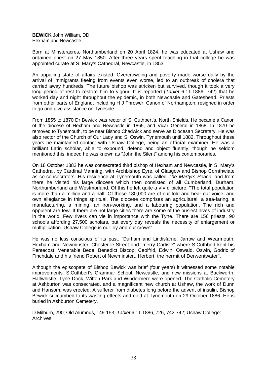**BEWICK** John William, DD Hexham and Newcastle

Born at Minsteracres, Northumberland on 20 April 1824, he was educated at Ushaw and ordained priest on 27 May 1850. After three years spent teaching in that college he was appointed curate at S. Mary's Cathedral, Newcastle, in 1853.

An appalling state of affairs existed. Overcrowding and poverty made worse daily by the arrival of immigrants fleeing from events even worse, led to an outbreak of cholera that carried away hundreds. The future bishop was stricken but survived, though it took a very long period of rest to restore him to vigour. It is reported (*Tablet* 6.11.1886, 742) that he worked day and night throughout the epidemic, in both Newcastle and Gateshead. Priests from other parts of England, including H J Thrower, Canon of Northampton, resigned in order to go and give assistance on Tyneside.

From 1855 to 1870 Dr Bewick was rector of S. Cuthbert's, North Shields. He became a Canon of the diocese of Hexham and Newcastle in 1865, and Vicar General in 1868. In 1870 he removed to Tynemouth, to be near Bishop Chadwick and serve as Diocesan Secretary. He was also rector of the Church of Our Lady and S. Oswin, Tynemouth until 1882. Throughout these years he maintained contact with Ushaw College, being an official examiner. He was a brilliant Latin scholar, able to expound, defend and object fluently, though he seldom mentioned this, indeed he was known as "John the Silent" among his contemporaries.

On 18 October 1882 he was consecrated third bishop of Hexham and Newcastle, in S. Mary's Cathedral, by Cardinal Manning, with Archbishop Eyre, of Glasgow and Bishop Cornthwiate as co-consecrators. His residence at Tynemouth was called *The Martyrs Peace*, and from there he visited his large diocese which then consisted of all Cumberland, Durham, Northumberland and Westmorland. Of this he left quite a vivid picture. "The total population is more than a million and a half. Of these 180,000 are of our fold and hear our voice, and own allegiance in things spiritual. The diocese comprises an agricultural, a sea-faring, a manufacturing, a mining, an iron-working, and a labouring population. The rich and oppulent are few. If there are not large cities there are some of the busiest hives of industry in the world. Few rivers can vie in importance with the Tyne. There are 156 priests, 90 schools affording 27,500 scholars, but every day reveals the necessity of enlargement or multiplication. Ushaw College is our joy and our crown".

He was no less conscious of its past. "Durham and Lindisfarne, Jarrow and Wearmouth, Hexham and Newminster, Chester-le-Street and "merry Carlisle" where S.Cuthbert kept his Pentecost. Venerable Bede, Benedict Biscop, Ceolfrid, Edwin, Oswald, Oswin, Godric of Finchdale and his friend Robert of Newminster...Herbert, the hermit of Derwentwater".

Although the episcopate of Bishop Bewick was brief (four years) it witnessed some notable improvements. S.Cuthbert's Grammar School, Newcastle, and new missions at Backworth, Haltwhistle, Tyne Dock, Witton Park and Windermere were opened. The Catholic Cemetery at Ashburton was consecrated, and a magnificent new church at Ushaw, the work of Dunn and Hansom, was erected. A sufferer from diabetes long before the advent of insulin, Bishop Bewick succumbed to its wasting effects and died at Tynemouth on 29 October 1886. He is buried in Ashburton Cemetery.

D.Milburn, 290; Old Alumnus, 149-153; *Tablet* 6.11.1886, 726, 742-742; Ushaw College: Archives.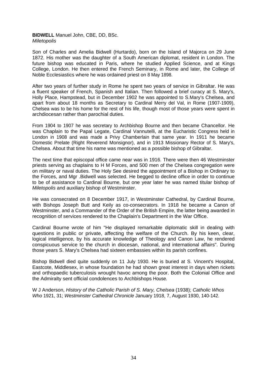# **BIDWELL** Manuel John, CBE, DD, BSc. *Miletopolis*

Son of Charles and Amelia Bidwell (Hurtardo), born on the Island of Majorca on 29 June 1872. His mother was the daughter of a South American diplomat, resident in London. The future bishop was educated in Paris, where he studied Applied Science, and at Kings College, London. He then entered the French Seminary, in Rome and later, the College of Noble Ecclesiastics where he was ordained priest on 8 May 1898.

After two years of further study in Rome he spent two years of service in Gibraltar. He was a fluent speaker of French, Spanish and Italian. Then followed a brief curacy at S. Mary's, Holly Place, Hampstead, but in December 1902 he was appointed to S.Mary's Chelsea, and apart from about 18 months as Secretary to Cardinal Merry del Val, in Rome (1907-1909), Chelsea was to be his home for the rest of his life, though most of those years were spent in archdiocesan rather than parochial duties.

From 1904 to 1907 he was secretary to Archbishop Bourne and then became Chancellor. He was Chaplain to the Papal Legate, Cardinal Vannutelli, at the Eucharistic Congress held in London in 1908 and was made a Privy Chamberlain that same year. In 1911 he became Domestic Prelate (Right Reverend Monsignor), and in 1913 Missionary Rector of S. Mary's, Chelsea. About that time his name was mentioned as a possible bishop of Gibraltar.

The next time that episcopal office came near was in 1916. There were then 46 Westminster priests serving as chaplains to H M Forces, and 500 men of the Chelsea congregation were on military or naval duties. The Holy See desired the appointment of a Bishop in Ordinary to the Forces, and Mgr .Bidwell was selected. He begged to decline office in order to continue to be of assistance to Cardinal Bourne, but one year later he was named titular bishop of *Miletopolis* and auxiliary bishop of Westminster.

He was consecrated on 8 December 1917, in Westminster Cathedral, by Cardinal Bourne, with Bishops Joseph Butt and Keily as co-consecrators. In 1918 he became a Canon of Westminster, and a Commander of the Order of the British Empire, the latter being awarded in recognition of services rendered to the Chaplain's Department in the War Office.

Cardinal Bourne wrote of him "He displayed remarkable diplomatic skill in dealing with questions in public or private, affecting the welfare of the Church. By his keen, clear, logical intelligence, by his accurate knowledge of Theology and Canon Law, he rendered conspicuous service to the church in diocesan, national, and international affairs". During those years S. Mary's Chelsea had sixteen embassies within its parish confines.

Bishop Bidwell died quite suddenly on 11 July 1930. He is buried at S. Vincent's Hospital, Eastcote, Middlesex, in whose foundation he had shown great interest in days when rickets and orthopaedic tuberculosis wrought havoc among the poor. Both the Colonial Office and the Admiralty sent official condolences to Archbishops House.

W J Anderson, *History of the Catholic Parish of S. Mary, Chelsea* (1938); *Catholic Whos Who* 1921, 31; *Westminster Cathedral Chronicle* January 1918, 7, August 1930, 140-142.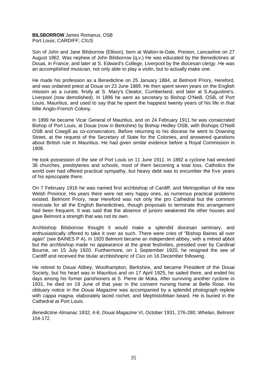# **BILSBORROW** James Romanus, OSB Port Louis; CARDIFF; *CIUS*

Son of John and Jane Bilsborrow (Ellison), born at Walton-Ie-Dale, Preston, Lancashire on 27 August 1862. Was nephew of John Bilsborrow (q.v.) He was educated by the Benedictines at Douai, in France, and later at S. Edward's College, Liverpool by the diocesan clergy. He was an accomplished musician, not only able to play a violin, but to actually make one.

He made his profession as a Benedictine on 25 January 1884, at Belmont Priory, Hereford, and was ordained priest at Douai on 23 June 1889. He then spent seven years on the English mission as a curate, firstly at S. Mary's Cleator, Cumberland, and later at S.Augustine's, Liverpool (now demolished). In 1896 he went as secretary to Bishop O'Neill, OSB, of Port Louis, Mauritius, and used to say that he spent the happiest twenty years of his life in that little Anglo-French Colony.

In 1899 he became Vicar General of Mauritius, and on 24 February 1911 he was consecrated Bishop of Port Louis, at Douai (now in Berkshire) by Bishop Hedley OSB, with Bishops O'Neill OSB and Cowgill as co-consecrators. Before returning to his diocese he went to Downing Street, at the request of the Secretary of State for the Colonies, and answered questions about British rule in Mauritius. He had given similar evidence before a Royal Commission in 1908.

He took possession of the see of Port Louis on 11 June 1911. In 1892 a cyclone had wrecked 36 churches, presbyteries and schools, most of them becoming a total loss. Catholics the world over had offered practical sympathy, but heavy debt was to encumber the five years of his episcopate there.

On 7 February 1916 he was named first archbishop of Cardiff, and Metropolitan of the new Welsh Province. His years there were not very happy ones, as numerous practical problems existed. Belmont Priory, near Hereford was not only the pro Cathedral but the common noviciate for all the English Benedictines, though proposals to terminate this arrangement had been frequent. It was said that the absence of juniors weakened the other houses and gave Belmont a strength that was not its own.

Archbishop Bilsborrow thought it would make a splendid diocesan seminary, and enthusiastically offered to take it over as such. There were cries of "Bishop Baines all over again" (see BAINES P A). In 1920 Belmont became an independent abbey, with a mitred abbot but the archbishop made no appearance at the great festivities, presided over by Cardinal Bourne, on 15 July 1920. Furthermore, on 1 September 1920, he resigned the see of Cardiff and received the titular archbishopric of *Cius* on 16 December following.

He retired to Douai Abbey, Woolhampton, Berkshire, and became President of the Douai Society, but his heart was in Mauritius and on 17 April 1925, he sailed there, and ended his days among his former parishioners at S. Pierre de Moka. After surviving another cyclone in 1931, he died on 19 June of that year in the convent nursing home at Belle Rose. His obituary notice in the *Douai Magazine* was accompanied by a splendid photograph replete with *cappa magna,* elaborately laced rochet, and Mephistofelian beard. He is buried in the Cathedral at Port Louis.

*Benedictine Almanac* 1932, 4-6; *Douai Magazine* VI, October 1931, 276-280; Whelan, Belmont 154-172.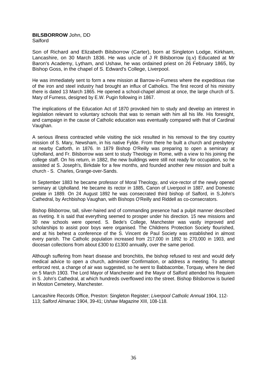## **BILSBORROW** John, DD Salford

Son of Richard and Elizabeth Bilsborrow (Carter), born at Singleton Lodge, Kirkham, Lancashire, on 30 March 1836. He was uncle of J R Bilsborrow (q.v) Educated at Mr Baron's Academy, Lytham, and Ushaw, he was ordained priest on 26 February 1865, by Bishop Goss, in the chapel of S. Edward's College, Liverpool.

He was immediately sent to form a new mission at Barrow-in-Furness where the expeditious rise of the iron and steel industry had brought an influx of Catholics. The first record of his ministry there is dated 13 March 1865. He opened a school-chapel almost at once, the large church of S. Mary of Furness, designed by E.W. Pugin following in 1867.

The implications of the Education Act of 1870 provoked him to study and develop an interest in legislation relevant to voluntary schools that was to remain with him all his life. His foresight, and campaign in the cause of Catholic education was eventually compared with that of Cardinal Vaughan.

A serious illness contracted while visiting the sick resulted in his removal to the tiny country mission of S. Mary, Newsham, in his native Fylde. From there he built a church and presbytery at nearby Catforth, in 1876. In 1879 Bishop O'Reilly was preparing to open a seminary at Upholland, and Fr. Bilsborrow was sent to study Theology in Rome, with a view to his joining the college staff. On his return, in 1882, the new buildings were still not ready for occupation, so he assisted at S. Joseph's, Birkdale for a few months, and founded another new mission and built a church - S. Charles, Grange-over-Sands.

In September 1883 he became professor of Moral Theology, and vice-rector of the newly opened seminary at Upholland. He became its rector in 1885, Canon of Liverpool in 1887, and Domestic prelate in 1889. On 24 August 1892 he was consecrated third bishop of Salford, in S.John's Cathedral, by Archbishop Vaughan, with Bishops O'Reilly and Riddell as co-consecrators.

Bishop Bilsborrow, tall, silver-haired and of commanding presence had a pulpit manner described as riveting. It is said that everything seemed to prosper under his direction. 15 new missions and 30 new schools were opened. S. Bede's College, Manchester was vastly improved and scholarships to assist poor boys were organised. The Childrens Protection Society flourished, and at his behest a conference of the S. Vincent de Paul Society was established in almost every parish. The Catholic population increased from 217,000 in 1892 to 270,000 in 1903, and diocesan collections from about £300 to £1300 annually, over the same period.

Although suffering from heart disease and bronchitis, the bishop refused to rest and would defy medical advice to open a church, administer Confirmation, or address a meeting. To attempt enforced rest, a change of air was suggested, so he went to Babbacombe, Torquay, where he died on 5 March 1903. The Lord Mayor of Manchester and the Mayor of Salford attended his Requiem in S. John's Cathedral, at which hundreds overflowed into the street. Bishop Bilsborrow is buried in Moston Cemetery, Manchester.

Lancashire Records Office, Preston: Singleton Register; *Liverpool Catholic Annu*a*l* 1904, 112- 113; *Salford Almanac* 1904, 39-41; *Ushaw Magazine* XIII, 108-118.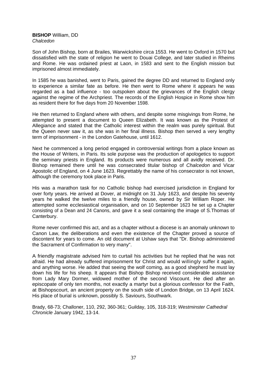#### **BISHOP** William, DD *Chalcedon*

Son of John Bishop, born at Brailes, Warwickshire circa 1553. He went to Oxford in 1570 but dissatisfied with the state of religion he went to Douai College, and later studied in Rheims and Rome. He was ordained priest at Laon, in 1583 and sent to the English mission but imprisoned almost immediately.

In 1585 he was banished, went to Paris, gained the degree DD and returned to England only to experience a similar fate as before. He then went to Rome where it appears he was regarded as a bad influence - too outspoken about the grievances of the English clergy against the regime of the Archpriest. The records of the English Hospice in Rome show him as resident there for five days from 20 November 1598.

He then returned to England where with others, and despite some misgivings from Rome, he attempted to present a document to Queen Elizabeth. It was known as the Protest of Allegiance and stated that the Catholic interest within the realm was purely spiritual. But the Queen never saw it, as she was in her final illness. Bishop then served a very lengthy term of imprisonment - in the London Gatehouse, until 1612.

Next he commenced a long period engaged in controversial writings from a place known as the House of Writers, in Paris. Its sole purpose was the production of apologetics to support the seminary priests in England. Its products were numerous and all avidly received. Dr. Bishop remained there until he was consecrated titular bishop of *Chalcedon* and Vicar Apostolic of England, on 4 June 1623. Regrettably the name of his consecrator is not known, although the ceremony took place in Paris.

His was a marathon task for no Catholic bishop had exercised jurisdiction in England for over forty years. He arrived at Dover, at midnight on 31 July 1623, and despite his seventy years he walked the twelve miles to a friendly house, owned by Sir William Roper. He attempted some ecclesiastical organisation, and on 10 September 1623 he set up a Chapter consisting of a Dean and 24 Canons, and gave it a seal containing the image of S.Thomas of Canterbury.

Rome never confirmed this act, and as a chapter without a diocese is an anomaly unknown to Canon Law, the deliberations and even the existence of the Chapter proved a source of discontent for years to come. An old document at Ushaw says that "Dr. Bishop administered the Sacrament of Confirmation to very many".

A friendly magistrate advised him to curtail his activities but he replied that he was not afraid. He had already suffered imprisonment for Christ and would willingly suffer it again, and anything worse. He added that seeing the wolf coming, as a good shepherd he must lay down his life for his sheep. It appears that Bishop Bishop received considerable assistance from Lady Mary Dormer, widowed mother of the second Viscount. He died after an episcopate of only ten months, not exactly a martyr but a glorious confessor for the Faith, at Bishopscourt, an ancient property on the south side of London Bridge, on 13 April 1624. His place of burial is unknown, possibly S. Saviours, Southwark.

Brady, 68-73; Challoner, 110, 292, 360-361; Guilday, 105, 318-319; *Westminster Cathedral Chronicle* January 1942, 13-14.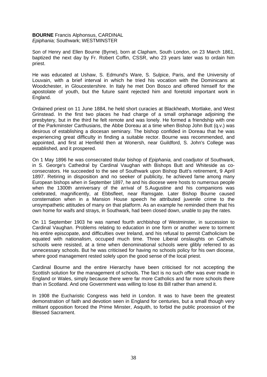# **BOURNE** Francis Alphonsus, CARDINAL *Epiphania;* Southwark; WESTMINSTER

Son of Henry and Ellen Bourne (Byrne), born at Clapham, South London, on 23 March 1861, baptized the next day by Fr. Robert Coffin, CSSR, who 23 years later was to ordain him priest.

He was educated at Ushaw, S. Edmund's Ware, S. Sulpice, Paris, and the University of Louvain, with a brief interval in which he tried his vocation with the Dominicans at Woodchester, in Gloucestershire. In Italy he met Don Bosco and offered himself for the apostolate of youth, but the future saint rejected him and foretold important work in England.

Ordained priest on 11 June 1884, he held short curacies at Blackheath, Mortlake, and West Grinstead. In the first two places he had charge of a small orphanage adjoining the presbytery, but in the third he felt remote and was lonely. He formed a friendship with one of the Parkminster Carthusians, the Abbe Doreau at a time when Bishop John Butt (q.v.) was desirous of establishing a diocesan seminary. The bishop confided in Doreau that he was experiencing great difficulty in finding a suitable rector. Bourne was recommended, and appointed, and first at Henfield then at Wonersh, near Guildford, S. John's College was established, and it prospered.

On 1 May 1896 he was consecrated titular bishop of *Epiphania,* and coadjutor of Southwark, in S. George's Cathedral by Cardinal Vaughan with Bishops Butt and Whiteside as coconsecrators. He succeeded to the see of Southwark upon Bishop Butt's retirement, 9 April 1897. Retiring in disposition and no seeker of publicity, he achieved fame among many European bishops when in September 1897, he and his diocese were hosts to numerous people when the 1300th anniversary of the arrival of S.Augustine and his companions was celebrated, magnificently, at Ebbsfleet, near Ramsgate. Later Bishop Bourne caused consternation when in a Mansion House speech he attributed juvenile crime to the unsympathetic attitudes of many on that platform. As an example he reminded them that his own home for waifs and strays, in Southwark, had been closed down, unable to pay the rates.

On 11 September 1903 he was named fourth archbishop of Westminster, in succession to Cardinal Vaughan. Problems relating to education in one form or another were to torment his entire episcopate, and difficulties over Ireland, and his refusal to permit Catholicism be equated with nationalism, occuped much time. Three Liberal onslaughts on Catholic schools were resisted, at a time when denominational schools were glibly referred to as unnecessary schools. But he was criticised for having no schools policy for his own diocese, where good management rested solely upon the good sense of the local priest.

Cardinal Bourne and the entire Hierarchy have been criticised for not accepting the Scottish solution for the management of schools. The fact is no such offer was ever made in England or Wales, simply because there were far more Catholics and far more schools there than in Scotland. And one Government was willing to lose its Bill rather than amend it.

In 1908 the Eucharistic Congress was held in London. It was to have been the greatest demonstration of faith and devotion seen in England for centuries, but a small though very militant opposition forced the Prime Minster, Asquith, to forbid the public procession of the Blessed Sacrament.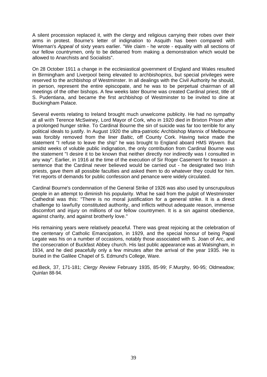A silent procession replaced it, with the clergy and religious carrying their robes over their arms in protest. Bourne's letter of indignation to Asquith has been compared with Wiseman's *Appeal* of sixty years earlier. "We claim - he wrote - equality with all sections of our fellow countrymen, only to be debarred from making a demonstration which would be allowed to Anarchists and Socialists".

On 28 October 1911 a change in the ecclesiastical government of England and Wales resulted in Birmingham and Liverpool being elevated to archbishoprics, but special privileges were reserved to the archbishop of Westminster. In all dealings with the Civil Authority he should, in person, represent the entire episcopate, and he was to be perpetual chairman of all meetings of the other bishops. A few weeks later Bourne was created Cardinal priest, title of S. Pudentiana, and became the first archbishop of Westminster to be invited to dine at Buckingham Palace.

Several events relating to Ireland brought much unwelcome publicity. He had no sympathy at all with Terence McSwiney, Lord Mayor of Cork, who in 1920 died in Brixton Prison after a prolonged hunger strike. To Cardinal Bourne the sin of suicide was far too terrible for any political ideals to justify. In August 1920 the ultra-patriotic Archbishop Mannix of Melbourne was forcibly removed from the liner *Baltic,* off County Cork. Having twice made the statement "I refuse to leave the ship" he was brought to England aboard HMS *Wyvern.* But amidst weeks of voluble public indignation, the only contribution from Cardinal Bourne was the statement "I desire it to be known that neither directly nor indirectly was I consulted in any way". Earlier, in 1916 at the time of the execution of Sir Roger Casement for treason - a sentence that the Cardinal never believed would be carried out - he designated two Irish priests, gave them all possible faculties and asked them to do whatever they could for him. Yet reports of demands for public confession and penance were widely circulated.

Cardinal Bourne's condemnation of the General Strike of 1926 was also used by unscrupulous people in an attempt to diminish his popularity. What he said from the pulpit of Westminster Cathedral was this: "There is no moral justification for a general strike. It is a direct challenge to lawfully constituted authority, and inflicts without adequate reason, immense discomfort and injury on millions of our fellow countrymen. It is a sin against obedience, against charity, and against brotherly love."

His remaining years were relatively peaceful. There was great rejoicing at the celebration of the centenary of Catholic Emancipation, in 1929, and the special honour of being Papal Legate was his on a number of occasions, notably those associated with S. Joan of Arc, and the consecration of Buckfast Abbey church. His last public appearance was at Walsingham, in 1934, and he died peacefully only a few minutes after the arrival of the year 1935. He is buried in the Galilee Chapel of S. Edmund's College, Ware.

ed.Beck, 37, 171-181; *Clergy Review* February 1935, 85-99; F.Murphy, 90-95; Oldmeadow; Quinlan 88-94.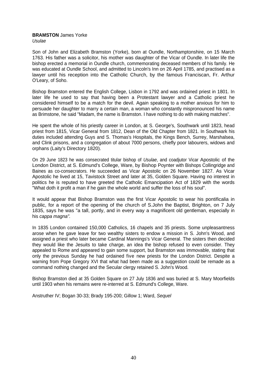#### **BRAMSTON** James Yorke *Usulae*

Son of John and Elizabeth Bramston (Yorke), born at Oundle, Northamptonshire, on 15 March 1763. His father was a solicitor, his mother was daughter of the Vicar of Oundle. In later life the bishop erected a memorial in Oundle church, commemorating deceased members of his family. He was educated at Oundle School, and admitted to Lincoln's Inn on 26 April 1785, and practised as a lawyer until his reception into the Catholic Church, by the famous Franciscan, Fr. Arthur O'Leary, of Soho.

Bishop Bramston entered the English College, Lisbon in 1792 and was ordained priest in 1801. In later life he used to say that having been a Protestant lawyer and a Catholic priest he considered himself to be a match for the devil. Again speaking to a mother anxious for him to persuade her daughter to marry a certain man, a woman who constantly mispronounced his name as Brimstone, he said "Madam, the name is Bramston. I have nothing to do with making matches".

He spent the whole of his priestly career in London, at S. George's, Southwark until 1823, head priest from 1815, Vicar General from 1812, Dean of the Old Chapter from 1821. In Southwark his duties included attending Guys and S. Thomas's Hospitals, the Kings Bench, Surrey, Marshalsea, and Clink prisons, and a congregation of about 7000 persons, chiefly poor labourers, widows and orphans (Laity's Directory 1820).

On 29 June 1823 he was consecrated titular bishop of *Usulae*, and coadjutor Vicar Apostolic of the London District, at S. Edmund's College, Ware, by Bishop Poynter with Bishops Collingridge and Baines as co-consecrators. He succeeded as Vicar Apostolic on 26 November 1827. As Vicar Apostolic he lived at 15, Tavistock Street and later at 35, Golden Square. Having no interest in politics he is reputed to have greeted the Catholic Emancipation Act of 1829 with the words "What doth it profit a man if he gain the whole world and suffer the loss of his soul".

It would appear that Bishop Bramston was the first Vicar Apostolic to wear his pontificalia in public, for a report of the opening of the church of S.John the Baptist, Brighton, on 7 July 1835, says he was "a tall, portly, and in every way a magnificent old gentleman, especially in his *cappa magna".*

In 1835 London contained 150,000 Catholics, 16 chapels and 35 priests. Some unpleasantness arose when he gave leave for two wealthy sisters to endow a mission in S. John's Wood, and assigned a priest who later became Cardinal Mannings's Vicar General. The sisters then decided they would like the Jesuits to take charge, an idea the bishop refused to even consider. They appealed to Rome and appeared to gain some support, but Bramston was immovable, stating that only the previous Sunday he had ordained five new priests for the London District. Despite a warning from Pope Gregory XVI that what had been made as a suggestion could be remade as a command nothing changed and the Secular clergy retained S. John's Wood.

Bishop Bramston died at 35 Golden Square on 27 July 1836 and was buried at S. Mary Moorfields until 1903 when his remains were re-interred at S. Edmund's College, Ware.

Anstruther IV; Bogan 30-33; Brady 195-200; Gillow 1; Ward, *Sequel*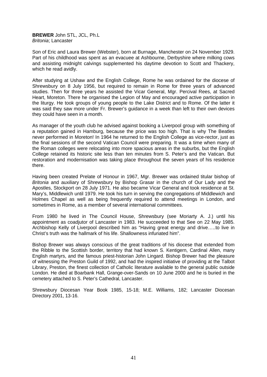**BREWER** John STL, JCL, Ph.L *Britonia*; Lancaster

Son of Eric and Laura Brewer (Webster), born at Burnage, Manchester on 24 November 1929. Part of his childhood was spent as an evacuee at Ashbourne, Derbyshire where milking cows and assisting midnight calvings supplemented his daytime devotion to Scott and Thackery, which he read avidly.

After studying at Ushaw and the English College, Rome he was ordained for the diocese of Shrewsbury on 8 July 1956, but required to remain in Rome for three years of advanced studies. Then for three years he assisted the Vicar General, Mgr. Percival Rees, at Sacred Heart, Moreton. There he organised the Legion of May and encouraged active participation in the liturgy. He took groups of young people to the Lake District and to Rome. Of the latter it was said they saw more under Fr. Brewer's guidance in a week than left to their own devices they could have seen in a month.

As manager of the youth club he advised against booking a Liverpool group with something of a reputation gained in Hamburg, because the price was too high. That is why The Beatles never performed in Moreton! In 1964 he returned to the English College as vice-rector, just as the final sessions of the second Vatican Council were preparing. It was a time when many of the Roman colleges were relocating into more spacious areas in the suburbs, but the English College retained its historic site less than ten minutes from S. Peter's and the Vatican. But restoration and modernisation was taking place throughout the seven years of his residence there.

Having been created Prelate of Honour in 1967, Mgr. Brewer was ordained titular bishop of *Britonia* and auxiliary of Shrewsbury by Bishop Grasar in the church of Our Lady and the Apostles, Stockport on 28 July 1971. He also became Vicar General and took residence at St. Mary's, Middlewich until 1979. He took his turn in serving the congregations of Middlewich and Holmes Chapel as well as being frequently required to attend meetings in London, and sometimes in Rome, as a member of several international committees.

From 1980 he lived in The Council House, Shrewsbury (see Moriarty A. J.) until his appointment as coadjutor of Lancaster in 1983. He succeeded to that See on 22 May 1985. Archbishop Kelly of Liverpool described him as "Having great energy and drive…..to live in Christ's truth was the hallmark of his life. Shallowness infuriated him".

Bishop Brewer was always conscious of the great traditions of his diocese that extended from the Ribble to the Scottish border, territory that had known S. Kentigern, Cardinal Allen, many English martyrs, and the famous priest-historian John Lingard. Bishop Brewer had the pleasure of witnessing the Preston Guild of 1992, and had the inspired initiative of providing at the Talbot Library, Preston, the finest collection of Catholic literature available to the general public outside London. He died at Boarbank Hall, Grange-over-Sands on 10 June 2000 and he is buried in the cemetery attached to S. Peter's Cathedral, Lancaster.

Shrewsbury Diocesan Year Book 1985, 15-18; M.E. Williams, 182; Lancaster Diocesan Directory 2001, 13-16.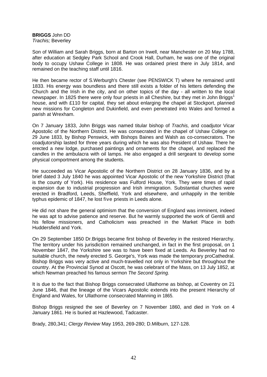**BRIGGS** John DD *Trachis;* Beverley

Son of William and Sarah Briggs, born at Barton on Irwell, near Manchester on 20 May 1788, after education at Sedgley Park School and Crook Hall, Durham, he was one of the original body to occupy Ushaw College in 1808. He was ordained priest there in July 1814, and remained on the teaching staff until 1816.

He then became rector of S.Werburgh's Chester (see PENSWICK T) where he remained until 1833. His energy was boundless and there still exists a folder of his letters defending the Church and the Irish in the city, and on other topics of the day - all written to the local newspaper. In 1825 there were only four priests in all Cheshire, but they met in John Briggs<sup>1</sup> house, and with £110 for capital, they set about enlarging the chapel at Stockport, planned new missions for Congleton and Dukinfield, and even penetrated into Wales and formed a parish at Wrexham.

On 7 January 1833, John Briggs was named titular bishop of *Trachis,* and coadjutor Vicar Apostolic of the Northern District. He was consecrated in the chapel of Ushaw College on 29 June 1833, by Bishop Penswick, with Bishops Baines and Walsh as co-consecrators. The coadjutorship lasted for three years during which he was also President of Ushaw. There he erected a new lodge, purchased paintings and ornaments for the chapel, and replaced the candles in the ambulacra with oil lamps. He also engaged a drill sergeant to develop some physical comportment among the students.

He succeeded as Vicar Apostolic of the Northern District on 28 January 1836, and by a brief dated 3 July 1840 he was appointed Vicar Apostolic of the new Yorkshire District (that is the county of York). His residence was Fulford House, York. They were times of rapid expansion due to industrial progression and Irish immigration. Substantial churches were erected in Bradford, Leeds, Sheffield, York and elsewhere, and unhappily in the terrible typhus epidemic of 1847, he lost five priests in Leeds alone.

He did not share the general optimism that the conversion of England was imminent, indeed he was apt to advise patience and reserve. But he warmly supported the work of Gentili and his fellow missioners, and Catholicism was preached in the Market Place in both Huddersfield and York.

On 29 September 1850 Dr.Briggs became first bishop of Beverley in the restored Hierarchy. The territory under his jurisdiction remained unchanged, in fact in the first proposal, on 1 November 1847, the Yorkshire see was to have been fixed at Leeds. As Beverley had no suitable church, the newly erected S. George's, York was made the temporary proCathedral. Bishop Briggs was very active and much-travelled not only in Yorkshire but throughout the country. At the Provincial Synod at Oscott, he was celebrant of the Mass, on 13 July 1852, at which Newman preached his famous sermon *The Second Spring.*

It is due to the fact that Bishop Briggs consecrated Ullathorne as bishop, at Coventry on 21 June 1846, that the lineage of the Vicars Apostolic extends into the present Hierarchy of England and Wales, for Ullathorne consecrated Manning in 1865.

Bishop Briggs resigned the see of Beverley on 7 November 1860, and died in York on 4 January 1861. He is buried at Hazlewood, Tadcaster.

Brady, 280,341; *Clergy Review* May 1953, 269-280; D.Milburn, 127-128.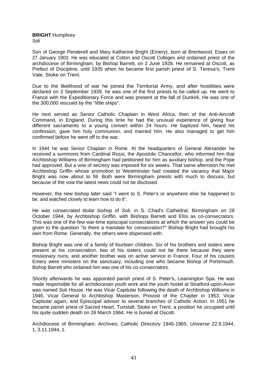**BRIGHT** Humphrey *Soli* 

Son of George Penderell and Mary Katherine Bright (Emery), born at Brentwood, Essex on 27 January 1903. He was educated at Cotton and Oscott Colleges and ordained priest of the archdiocese of Birmingham, by Bishop Barrett, on 2 June 1928. He remained at Oscott, as Prefect of Discipline, until 1935 when he became first parish priest of S. Teresa's, Trent Vale, Stoke on Trent.

Due to the likelihood of war he joined the Territorial Army, and after hostilities were declared on 3 September 1939, he was one of the first priests to be called up. He went to France with the Expeditionary Force and was present at the fall of Dunkirk. He was one of the 300,000 rescued by the "little ships".

He next served as Senior Catholic Chaplain in West Africa, then of the Anti-Aircraft Command, in England. During this time he had the unusual experience of giving four different sacraments to a young convert within 24 hours. He baptized him, heard his confession, gave him holy communion, and married him. He also managed to get him confirmed before he went off to the war.

In 1944 he was Senior Chaplain in Rome. At the headquarters of General Alexander he received a summons from Cardinal Rossi, the Apostolic Chancellor, who informed him that Archbishop Williams of Birmingham had petitioned for him as auxiliary bishop, and the Pope had approved. But a vow of secrecy was imposed for six weeks. That same afternoon he met Archbishop Griffin whose promotion to Westminster had created the vacancy that Major Bright was now about to fill. Both were Birmingham priests with much to discuss, but because of the vow the latest news could not be disclosed.

However, the new bishop later said "I went to S. Peter's or anywhere else he happened to be, and watched closely to learn how to do it".

He was consecrated titular bishop of *Soli,* in S. Chad's Cathedral, Birmingham on 28 October 1944, by Archbishop Griffin, with Bishops Barrett and ElIis as co-consecrators. This was one of the few war-time episcopal consecrations at which the answer yes could be given to the question "Is there a mandate for consecration?" Bishop Bright had brought his own from Rome. Generally, the others were dispensed with.

Bishop Bright was one of a family of fourteen children. Six of his brothers and sisters were present at his consecration, two of his sisters could not be there because they were missionary nuns, and another brother was on active service in France. Four of his cousins Emery were ministers on the sanctuary, including one who became Bishop of Portsmouth. Bishop Barrett who ordained him was one of his co-consecrators.

Shortly afterwards he was appointed parish priest of S. Peter's, Leamington Spa. He was made responsible for all archdiocesan youth work and the youth hostel at Stratford-upon-Avon was named Soli House. He was Vicar Capitular following the death of Archbishop Williams in 1946, Vicar General to Archbishop Masterson, Provost of the Chapter in 1953, Vicar Capitular again, and Episcopal adviser to several branches of Catholic Action. In 1951 he became parish priest of Sacred Heart, Tunstall, Stoke on Trent, a position he occupied until his quite sudden death on 26 March 1964. He is buried at Oscott.

Archdiocese of Birmingham; Archives; *Catholic Directory* 1945-1965; *Universe* 22.9.1944, 1, 3.11.1944, 1.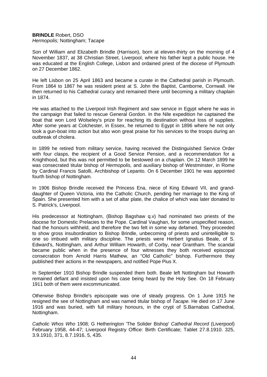# **BRINDLE** Robert, DSO *Hermopolis;* Nottingham; Tacape

Son of William and Elizabeth Brindle (Harrison), born at eleven-thirty on the morning of 4 November 1837, at 38 Christian Street, Liverpool, where his father kept a public house. He was educated at the English College, Lisbon and ordained priest of the diocese of Plymouth on 27 December 1862.

He left Lisbon on 25 April 1863 and became a curate in the Cathedral parish in Plymouth. From 1864 to 1867 he was resident priest at S. John the Baptist, Camborne, Cornwall. He then returned to his Cathedral curacy and remained there until becoming a military chaplain in 1874.

He was attached to the Liverpool Irish Regiment and saw service in Egypt where he was in the campaign that failed to rescue General Gordon. In the Nile expedition he captained the boat that won Lord Wolseley's prize for reaching its destination without loss of supplies. After some years at Colchester, in Essex, he returned to Egypt in 1896 where he not only took a gun-boat into action but also won great praise for his services to the troops during an outbreak of cholera.

In 1899 he retired from military service, having received the Distinguished Service Order with four clasps, the recipient of a Good Service Pension, and a recommendation for a Knighthood, but this was not permitted to be bestowed on a chaplain. On 12 March 1899 he was consecrated titular bishop of *Hermopolis,* and auxiliary bishop of Westminster, in Rome by Cardinal Francis Satolli, Archbishop of Lepanto. On 6 December 1901 he was appointed fourth bishop of Nottingham.

In 1906 Bishop Brindle received the Princess Ena, niece of King Edward VII, and granddaughter of Queen Victoria, into the Catholic Church, pending her marriage to the King of Spain. She presented him with a set of altar plate, the chalice of which was later donated to S. Patrick's, Liverpool.

His predecessor at Nottingham, (Bishop Bagshaw q.v) had nominated two priests of the diocese for Domestic Prelacies to the Pope. Cardinal Vaughan, for some unspecified reason, had the honours withheld, and therefore the two felt in some way defamed. They proceeded to show gross insubordination to Bishop Brindle, unbecoming of priests and unintelligible to one so imbued with military discipline. The priests were Herbert Ignatius Beale, of S. Edward's, Nottingham, and Arthur William Howarth, of Corby, near Grantham. The scandal became public when in the presence of four witnesses they both received episcopal consecration from Arnold Harris Mathew, an "Old Catholic" bishop. Furthermore they published their actions in the newspapers, and notified Pope Pius X.

In September 1910 Bishop Brindle suspended them both. Beale left Nottingham but Howarth remained defiant and insisted upon his case being heard by the Holy See. On 18 February 1911 both of them were excommunicated.

Otherwise Bishop Brindle's episcopate was one of steady progress. On 1 June 1915 he resigned the see of Nottingham and was named titular bishop of *Tacape.* He died on 17 June 1916 and was buried, with full military honours, in the crypt of S.Barnabas Cathedral, Nottingham.

*Catholic Whos Who* 1908; G Hetherington 'The Solider Bishop' *Cathedral Record* (Liverpool) February 1958, 44-47; Liverpool Registry Office: Birth Certificate; Tablet 27.8.1910. 325, 3.9.1910, 371, 8.7.1916, 5, 435.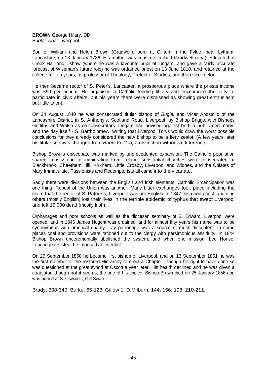**BROWN** George Hilary, DD *Bugla; Tloa;* Liverpool

Son of William and Helen Brown (Gradwell), born at Clifton in the Fylde, near Lytham, Lancashire, on 13 January 1786. His mother was cousin of Robert Gradwell (q.v.). Educated at Crook Hall and Ushaw (where he was a favourite pupil of Lingard, and gave a fairly accurate forecast of Wiseman's future role) he was ordained priest on 13 June 1810, and retained at the college for ten years, as professor of Theology, Prefect of Studies, and then vice-rector.

He then became rector of S. Peter's, Lancaster, a prosperous place where the priests income was £90 per annum. He organised a Catholic lending library and encouraged the laity to participate in civic affairs, but his years there were dismissed as showing great enthusiasm but little talent.

On 24 August 1840 he was consecrated titular bishop of *Bugia,* and Vicar Apostolic of the Lancashire District, in S. Anthony's, Scotland Road, Liverpool, by Bishop Briggs, with Bishops Griffiths and Walsh as co-consecrators. Lingard had advised against both a public ceremony, and the day itself - S. Bartholomew, writing that Liverpool Torys would draw the worst possible conclusions for they already considered the new bishop to be a fiery zealot. (A few years later his titular see was changed from *Bugia* to *Tloa,* a distinction without a difference).

Bishop Brown's episcopate was marked by unprecedented expansion. The Catholic population soared, mostly due to immigration from Ireland, substantial churches were consecrated at Blackbrook, Cheetham Hill, Kirkham, Little Crosby, Liverpool and Widnes, and the Oblates of Mary Immaculate, Passionists and Redemptorists all came into the vicariate.

Sadly there were divisions between the English and Irish elements. Catholic Emancipation was one thing. Repeal of the Union was another. Many bitter exchanges took place including the claim that the rector of S. Patrick's, Liverpool was pro English. In 1847 this good priest, and nine others (mostly English) lost their lives in the terrible epidemic of typhus that swept Liverpool and left 15,000 dead (mostly Irish).

Orphanages and poor schools as well as the diocesan seminary of S. Edward, Liverpool were opened, and in 1846 James Nugent was ordained, and for almost fifty years his name was to be synonymous with practical charity. Lay patronage was a source of much discontent. In some places coal and provisions were rationed out to the clergy with parsimonious assiduity. In 1844 Bishop Brown unceremonially abolished the system, and when one mission, Lee House, Longridge resisted, he imposed an interdict.

On 29 September 1850 he became first bishop of Liverpool, and on 13 September 1851 he was the first member of the restored Hierarchy to erect a Chapter - though his right to have done so was questioned at the great synod at Oscott a year later. His health declined and he was given a coadjutor, though not it seems, the one of his choice. Bishop Brown died on 25 January 1856 and was buried at S. Oswald's, Old Swan.

Brady, 338-340; Burke, 65-123; Gillow 1; D.Milburn, 144, 156, 198, 210-211.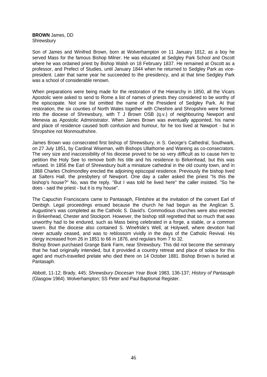**BROWN** James, DD **Shrewsbury** 

Son of James and Winifred Brown, born at Wolverhampton on 11 January 1812, as a boy he served Mass for the famous Bishop Milner. He was educated at Sedgley Park School and Oscott where he was ordained priest by Bishop Walsh on 18 February 1837. He remained at Oscott as a professor, and Prefect of Studies, until January 1844 when he returned to Sedgley Park as vicepresident. Later that same year he succeeded to the presidency, and at that time Sedgley Park was a school of considerable renown.

When preparations were being made for the restoration of the Hierarchy in 1850, all the Vicars Apostolic were asked to send to Rome a list of names of priests they considered to be worthy of the episcopate. Not one list omitted the name of the President of Sedgley Park. At that restoration, the six counties of North Wales together with Cheshire and Shropshire were formed into the diocese of Shrewsbury, with T J Brown OSB (q.v.) of neighbouring Newport and Menevia as Apostolic Administrator. When James Brown was eventually appointed, his name and place of residence caused both confusion and humour, for he too lived at Newport - but in Shropshire not Monmouthshire.

James Brown was consecrated first bishop of Shrewsbury, in S. George's Cathedral, Southwark, on 27 July 1851, by Cardinal Wiseman, with Bishops Ullathorne and Wareing as co-consecrators. The very size and inaccessibility of his diocese proved to be so very difficult as to cause him to petition the Holy See to remove both his title and his residence to Birkenhead, but this was refused. In 1856 the Earl of Shrewsbury built a miniature cathedral in the old county town, and in 1868 Charles Cholmondley erected the adjoining episcopal residence. Previously the bishop lived at Salters Hall, the presbytery of Newport. One day a caller asked the priest "Is this the bishop's house?" No, was the reply. "But I was told he lived here" the caller insisted. "So he does - said the priest - but it is my house".

The Capuchin Franciscans came to Pantasaph, Flintshire at the invitation of the convert Earl of Denbigh. Legal proceedings ensued because the church he had begun as the Anglican S. Augustine's was completed as the Catholic S. David's. Commodious churches were also erected in Birkenhead, Chester and Stockport. However, the bishop still regretted that so much that was unworthy had to be endured, such as Mass being celebrated in a forge, a stable, or a common tavern. But the diocese also contained S. Winefride's Well, at Holywell, where devotion had never actually ceased, and was to reblossom vividly in the days of the Catholic Revival. His clergy increased from 26 in 1851 to 66 in 1876, and regulars from 7 to 32.

Bishop Brown purchased Grange Bank Farm, near Shrewsbury. This did not become the seminary that he had originally intended, but it provided a country retreat and place of solace for this aged and much-travelled prelate who died there on 14 October 1881. Bishop Brown is buried at Pantasaph.

Abbott, 11-12; Brady, 445; *Shrewsbury Diocesan Year Book* 1983, 136-137; *History of Pantasaph* (Glasgow 1964). Wolverhampton; SS Peter and Paul Baptismal Register.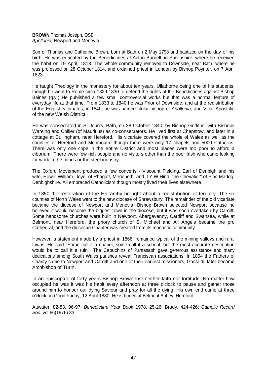# **BROWN** Thomas Joseph, OSB *Apollonia;* Newport and Menevia

Son of Thomas and Catherine Brown, born at Bath on 2 May 1798 and baptized on the day of his birth. He was educated by the Benedictines at Acton Burnell, in Shropshire, where he received the habit on 19 April, 1813. The whole community removed to Downside, near Bath, where he was professed on 28 October 1814, and ordained priest in London by Bishop Poynter, on 7 April 1823.

He taught Theology in the monastery for about ten years, Ullathorne being one of his students, though he went to Rome circa 1829-1830 to defend the rights of the Benedictines against Bishop Baines (q.v.) He published a few small controversial works but that was a normal feature of everyday life at that time. From 1833 to 1840 he was Prior of Downside, and at the redistribution of the English vicariates, in 1840, he was named titular bishop of *Apollonia,* and Vicar Apostolic of the new Welsh District.

He was consecrated in S. John's, Bath, on 28 October 1840, by Bishop Griffiths, with Bishops Wareing and Collier (of Mauritius) as co-consecrators. He lived first at Chepstow, and later in a cottage at Bullingham, near Hereford. His vicariate covered the whole of Wales as well as the counties of Hereford and Monmouth, though there were only 17 chapels and 5000 Catholics. There was only one cope in the entire District and most places were too poor to afford a ciborium. There were few rich people and no visitors other than the poor Irish who came looking for work in the mines or the steel industry.

The Oxford Movement produced a few converts - Viscount Fielding, Earl of Denbigh and his wife, Howel William Lloyd, of Rhagatt, Merioneth, and J Y W Hind "the Chevalier" of Plas Madog, Denbighshire. All embraced Catholicism though mostly lived their lives elsewhere.

In 1850 the restoration of the Hierarchy brought about a redistribution of territory. The six counties of North Wales went to the new diocese of Shrewsbury. The remainder of the old vicariate became the diocese of Newport and Menevia. Bishop Brown selected Newport because he believed it would become the biggest town in the diocese, but it was soon overtaken by Cardiff. Some handsome churches were built in Newport, Abergavenny, Cardiff and Swansea, while at Belmont, near Hereford, the priory church of S. Michael and All Angels became the pro Cathedral, and the diocesan Chapter was created from its monastic community.

However, a statement made by a priest in 1866, remained typical of the mining valleys and rural towns. He said "Some call it a chapel, some call it a school, but the most accurate description would be to call it a ruin". The Capuchins of Pantasaph gave generous assistance and many dedications among South Wales parishes reveal Franciscan associations. In 1854 the Fathers of Charity came to Newport and Cardiff and one of their earliest missioners, Gastaldi, later became Archbishop of Turin.

In an episcopate of forty years Bishop Brown lost neither faith nor fortitude. No matter how occupied he was it was his habit every afternoon at three o'clock to pause and gather those around him to honour our dying Saviour and pray for all the dying. His own end came at three o'clock on Good Friday, 12 April 1880. He is buried at Belmont Abbey, Hereford.

Attwater, 82-83, 96-97; *Benedictine Year Book* 1978, 25-26; Brady, 424-426; *Catholic Record Soc.* vol 66(1976) 83.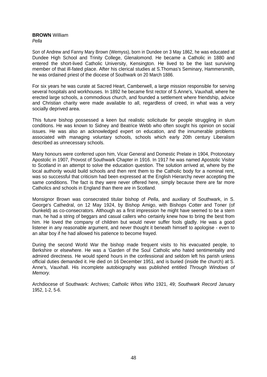#### **BROWN** William *Pella*

Son of Andrew and Fanny Mary Brown (Wemyss), born in Dundee on 3 May 1862, he was educated at Dundee High School and Trinity College, Glenalomond. He became a Catholic in 1880 and entered the short-lived Catholic University, Kensington. He lived to be the last surviving member of that ill-fated place. After his clerical studies at S.Thomas's Seminary, Hammersmith, he was ordained priest of the diocese of Southwark on 20 March 1886.

For six years he was curate at Sacred Heart, Camberwell, a large mission responsible for serving several hospitals and workhouses. In 1892 he became first rector of S.Anne's, Vauxhall, where he erected large schools, a commodious church, and founded a settlement where friendship, advice and Christian charity were made available to all, regardless of creed, in what was a very socially deprived area.

This future bishop possessed a keen but realistic solicitude for people struggling in slum conditions. He was known to Sidney and Beatrice Webb who often sought his opinion on social issues. He was also an acknowledged expert on education, and the innumerable problems associated with managing voluntary schools, schools which early 20th century Liberalism described as unnecessary schools.

Many honours were conferred upon him, Vicar General and Domestic Prelate in 1904, Protonotary Apostolic in 1907, Provost of Southwark Chapter in 1916. In 1917 he was named Apostolic Visitor to Scotland in an attempt to solve the education question. The solution arrived at, where by the local authority would build schools and then rent them to the Catholic body for a nominal rent, was so successful that criticism had been expressed at the English Hierarchy never accepting the same conditions. The fact is they were never offered here, simply because there are far more Catholics and schools in England than there are in Scotland.

Monsignor Brown was consecrated titular bishop of *Pella*, and auxiliary of Southwark, in S. George's Cathedral, on 12 May 1924, by Bishop Amigo, with Bishops Cotter and Toner (of Dunkeld) as co-consecrators. Although as a first impression he might have seemed to be a stern man, he had a string of beggars and casual callers who certainly knew how to bring the best from him. He loved the company of children but would never suffer fools gladly. He was a good listener in any reasonable argument, and never thought it beneath himself to apologise - even to an altar boy if he had allowed his patience to become frayed.

During the second World War the bishop made frequent visits to his evacuated people, to Berkshire or elsewhere. He was a 'Garden of the Soul' Catholic who hated sentimentality and admired directness. He would spend hours in the confessional and seldom left his parish unless official duties demanded it. He died on 16 December 1951, and is buried (inside the church) at S. Anne's, Vauxhall. His incomplete autobiography was published entitled *Through Windows of Memory.* 

Archdiocese of Southwark: Archives; *Catholic Whos Who* 1921, 49; *Southwark Record* January 1952, 1-2, 5-6.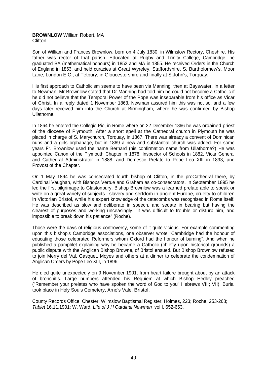# **BROWNLOW** William Robert, MA **Clifton**

Son of William and Frances Brownlow, born on 4 July 1830, in Wilmslow Rectory, Cheshire. His father was rector of that parish. Educated at Rugby and Trinity College, Cambridge, he graduated BA (mathematical honours) in 1852 and MA in 1855. He received Orders in the Church of England in 1853, and held curacies at Great Wyreley, Staffordshire, S. Bartholomew's, Moor Lane, London E.C., at Tetbury, in Gloucestershire and finally at S.John's, Torquay.

His first approach to Catholicism seems to have been via Manning, then at Bayswater. In a letter to Newman, Mr Brownlow stated that Dr Manning had told him he could not become a Catholic if he did not believe that the Temporal Power of the Pope was inseparable from his office as Vicar of Christ. In a reply dated 1 November 1863, Newman assured him this was not so, and a few days later received him into the Church at Birmingham, where he was confirmed by Bishop Ullathorne.

In 1864 he entered the Collegio Pio, in Rome where on 22 December 1866 he was ordained priest of the diocese of Plymouth. After a short spell at the Cathedral church in Plymouth he was placed in charge of S. Marychurch, Torquay, in 1867. There was already a convent of Dominican nuns and a girls orphanage, but in 1869 a new and substantial church was added. For some years Fr. Brownlow used the name Bernard (his confirmation name from Ullathorne?) He was appointed Canon of the Plymouth Chapter in 1878, Inspector of Schools in 1882, Vicar General and Cathedral Administrator in 1888, and Domestic Prelate to Pope Leo XIII in 1893, and Provost of the Chapter.

On 1 May 1894 he was consecrated fourth bishop of Clifton, in the proCathedral there, by Cardinal Vaughan, with Bishops Vertue and Graham as co-consecrators. In September 1895 he led the first pilgrimage to Glastonbury. Bishop Brownlow was a learned prelate able to speak or write on a great variety of subjects - slavery and serfdom in ancient Europe, cruelty to children in Victorian Bristol, while his expert knowledge of the catacombs was recognised in Rome itself. He was described as slow and deliberate in speech, and sedate in bearing but having the clearest of purposes and working unceasingly. "It was difficult to trouble or disturb him, and impossible to break down his patience" (Roche).

Those were the days of religious controversy, some of it quite vicious. For example commenting upon this bishop's Cambridge associations, one observer wrote "Cambridge had the honour of educating those celebrated Reformers whom Oxford had the honour of burning". And when he published a pamphlet explaining why he became a Catholic (chiefly upon historical grounds) a public dispute with the Anglican Bishop Browne, of Bristol ensued. But Bishop Brownlow refused to join Merry del Val, Gasquet, Moyes and others at a dinner to celebrate the condemnation of Anglican Orders by Pope Leo XIII, in 1896.

He died quite unexpectedly on 9 November 1901, from heart failure brought about by an attack of bronchitis. Large numbers attended his Requiem at which Bishop Hedley preached ("Remember your prelates who have spoken the word of God to you" Hebrews VIII; VII). Burial took place in Holy Souls Cemetery, Arno's Vale, Bristol.

County Records Office, Chester: Wilmslow Baptismal Register; Holmes, 223; Roche, 253-268; *Tablet* 16.11.1901; W. Ward, *Life of J H Cardinal Newman* vol I, 652-653.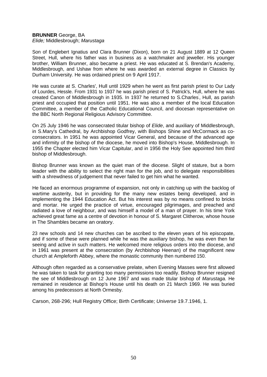# **BRUNNER** George, BA

*Elide;* Middlesbrough; *Marustaga*

Son of Englebert Ignatius and Clara Brunner (Dixon), born on 21 August 1889 at 12 Queen Street, Hull, where his father was in business as a watchmaker and jeweller. His younger brother, William Brunner, also became a priest. He was educated at S. Brendan's Academy, Middlesbrough, and Ushaw from where he was awarded an external degree in Classics by Durham University. He was ordained priest on 9 April 1917.

He was curate at S. Charles', Hull until 1929 when he went as first parish priest to Our Lady of Lourdes, Hessle. From 1931 to 1937 he was parish priest of S. Patrick's, Hull, where he was created Canon of Middlesbrough in 1935. In 1937 he returned to S.Charles' , Hull, as parish priest and occupied that position until 1951. He was also a member of the local Education Committee, a member of the Catholic Educational Council, and diocesan representative on the BBC North Regional Religious Advisory Committee.

On 25 July 1946 he was consecrated titular bishop of *Elide*, and auxiliary of Middlesbrough, in S.Mary's Cathedral, by Archbishop Godfrey, with Bishops Shine and McCormack as coconsecrators. In 1951 he was appointed Vicar General, and because of the advanced age and infirmity of the bishop of the diocese, he moved into Bishop's House, Middlesbrough. In 1955 the Chapter elected him Vicar Capitular, and in 1956 the Holy See appointed him third bishop of Middlesbrough.

Bishop Brunner was known as the quiet man of the diocese. Slight of stature, but a born leader with the ability to select the right man for the job, and to delegate responsibilities with a shrewdness of judgement that never failed to get him what he wanted.

He faced an enormous programme of expansion, not only in catching up with the backlog of wartime austerity, but in providing for the many new estates being developed, and in implementing the 1944 Education Act. But his interest was by no means confined to bricks and mortar. He urged the practice of virtue, encouraged pilgrimages, and preached and radiated a love of neighbour, and was himself a model of a man of prayer. In his time York achieved great fame as a centre of devotion in honour of S. Margaret Clitherow, whose house in The Shambles became an oratory.

23 new schools and 14 new churches can be ascribed to the eleven years of his episcopate, and if some of these were planned while he was the auxiliary bishop, he was even then far seeing and active in such matters. He welcomed more religious orders into the diocese, and in 1961 was present at the consecration (by Archbishop Heenan) of the magnificent new church at Ampleforth Abbey, where the monastic community then numbered 150.

Although often regarded as a conservative prelate, when Evening Masses were first allowed he was taken to task for granting too many permissions too readily. Bishop Brunner resigned the see of Middlesbrough on 12 June 1967 and was made titular bishop of *Marustaga.* He remained in residence at Bishop's House until his death on 21 March 1969. He was buried among his predecessors at North Ormesby.

Carson, 268-296; Hull Registry Office; Birth Certificate; *Universe* 19.7.1946, 1.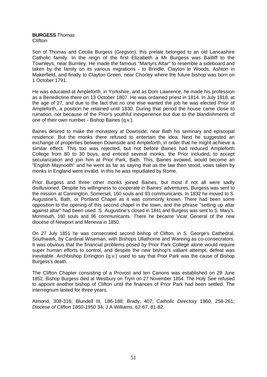#### **BURGESS** Thomas **Clifton**

Son of Thomas and Cecilia Burgess (Gregson), this prelate belonged to an old Lancashire Catholic family. In the reign of the first Elizabeth a Mr Burgess was Bailliff to the Townleys, near Burnley. He made the famous "Martyrs Altar" to resemble a sideboard and taken by the family on its various migrations - to Brindle, Clayton le Woods, Ashton in Makerfield, and finally to Clayton Green, near Chorley where the future bishop was born on 1 October 1791.

He was educated at Ampleforth, in Yorkshire, and as Dom Lawrence, he made his profession as a Benedictine there on 13 October 1807. He was ordained priest in 1814. In July 1818, at the age of 27, and due to the fact that no one else wanted the job he was elected Prior of Ampleforth, a position he retained until 1830. During that period the house came close to ruination, not because of the Prior's youthful inexperience but due to the blandishments of one of their own number - Bishop Baines (q.v.).

Baines desired to make the monastery at Downside, near Bath his seminary and episcopal residence. But the monks there refused to entertain the idea. Next he suggested an exchange of properties between Downside and Ampleforth, in order that he might achieve a similar effect. This too was rejected, but not before Baines had reduced Ampleforth College from 80 to 30 boys, and enticed several monks, the Prior included, to accept secularization and join him at Prior Park, Bath. This, Baines avowed, would become an "English Maynooth" and he went as far as saying that as the law then stood, vows taken by monks in England were invalid. In this he was repudiated by Rome.

Prior Burgess and three other monks joined Baines, but most if not all were sadly disillusioned. Despite his willingness to cooperate in Baines' adventures, Burgess was sent to the mission at Cannington, Somerset, 160 souls and 93 communicants. In 1832 he moved to S. Augustine's, Bath, or Portland Chapel as it was commonly known. There had been some opposition to the opening of this second chapel in the town, and the phrase "setting up altar against altar" had been used. S. Augustine's closed in 1841 and Burgess was sent to S. Mary's, Monmouth, 160 souls and 96 communicants. There he became Vicar General of the new diocese of Newport and Menevia in 1850.

On 27 July 1851 he was consecrated second bishop of Clifton, in S. George's Cathedral, Southwark, by Cardinal Wiseman, with Bishops Ullathorne and Wareing as co-consecrators. It was obvious that the financial problems posed by Prior Park College alone would require super human efforts to control, and despite the new bishop's valiant attempt, defeat was inevitable. Archbishop Errington (q.v.) used to say that Prior Park was the cause of Bishop Burgess's death.

The Clifton Chapter consisting of a Provost and ten Canons was established on 28 June 1852. Bishop Burgess died at Westbury on Trym on 27 November 1854. The Holy See refused to appoint another bishop of Clifton until the finances of Prior Park had been settled. The interregnum lasted for three years.

Almond, 308-316; Blundell III, 186-188; Brady, 407; *Catholic Directory* 1860, 258-261; *Diocese of Clifton 1850-1950* 34; J A Williams, 62-67, 81-82.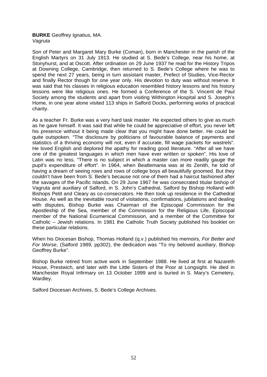# **BURKE** Geoffrey Ignatius, MA. *Vagruta*

Son of Peter and Margaret Mary Burke (Coman), born in Manchester in the parish of the English Martyrs on 31 July 1913. He studied at S. Bede's College, near his home, at Stonyhurst, and at Oscott. After ordination on 29 June 1937 he read for the History Tripos at Downing College, Cambridge, then returned to S. Bede's College where he was to spend the next 27 years, being in turn assistant master, Prefect of Studies, Vice-Rector and finally Rector though for one year only. His devotion to duty was without reserve. It was said that his classes in religious education resembled history lessons and his history lessons were like religious ones. He formed a Conference of the S. Vincent de Paul Society among the students and apart from visiting Withington Hospital and S. Joseph's Home, in one year alone visited 113 ships in Salford Docks, performing works of practical charity.

As a teacher Fr. Burke was a very hard task master. He expected others to give as much as he gave himself. It was said that while he could be appreciative of effort, you never left his presence without it being made clear that you might have done better. He could be quite outspoken. "The disclosure by politicians of favourable balance of payments and statistics of a thriving economy will not, even if accurate, fill wage packets for wastrels". He loved English and deplored the apathy for reading good literature. "After all we have one of the greatest languages in which men have ever written or spoken". His love of Latin was no less. "There is no subject in which a master can more readily gauge the pupil's expenditure of effort". In 1964, when Beatlemania was at its Zenith, he told of having a dream of seeing rows and rows of college boys all beautifully groomed. But they couldn't have been from S. Bede's because not one of them had a haircut fashioned after the savages of the Pacific Islands. On 29 June 1967 he was consecrated titular bishop of Vagruta and auxiliary of Salford, in S. John's Cathedral, Salford by Bishop Holland with Bishops Petit and Cleary as co-consecrators. He then took up residence in the Cathedral House. As well as the inevitable round of visitations, confirmations, jubilations and dealing with disputes, Bishop Burke was Chairman of the Episcopal Commission for the Apostleship of the Sea, member of the Commission for the Religious Life, Episcopal member of the National Ecumenical Commission, and a member of the Committee for Catholic – Jewish relations. In 1981 the Catholic Truth Society published his booklet on these particular relations.

When his Diocesan Bishop, Thomas Holland (q.v.) published his memoirs, *For Better and For Worse*, (Salford 1989, pp302), the dedication was "To my beloved auxiliary, Bishop Geoffrey Burke".

Bishop Burke retired from active work in September 1988. He lived at first at Nazareth House, Prestwich, and later with the Little Sisters of the Poor at Longsight. He died in Manchester Royal Infirmary on 13 October 1999 and is buried in S. Mary's Cemetery, Wardley.

Salford Diocesan Archives, S. Bede's College Archives.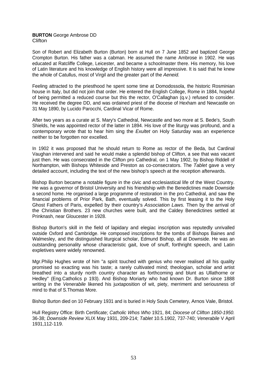## **BURTON** George Ambrose DD **Clifton**

Son of Robert and Elizabeth Burton (Burton) born at Hull on 7 June 1852 and baptized George Crompton Burton. His father was a cabman. He assumed the name Ambrose in 1902. He was educated at Ratcliffe College, Leicester, and became a schoolmaster there. His memory, his love of Latin literature and his knowledge of English history were all impressive. It is said that he knew the whole of Catullus, most of Virgil and the greater part of the *Aeneid.*

Feeling attracted to the priesthood he spent some time at Domodossola, the historic Rosminian house in Italy, but did not join that order. He entered the English College, Rome in 1884, hopeful of being permitted a reduced course but this the rector, O'Callaghan (q.v.) refused to consider. He received the degree DD, and was ordained priest of the diocese of Hexham and Newcastle on 31 May 1890, by Lucido Parocchi, Cardinal Vicar of Rome.

After two years as a curate at S. Mary's Cathedral, Newcastle and two more at S. Bede's, South Shields, he was appointed rector of the latter in 1894. His love of the liturgy was profound, and a contemporary wrote that to hear him sing the *Exultet* on Holy Saturday was an experience neither to be forgotten nor excelled.

In 1902 it was proposed that he should return to Rome as rector of the Beda, but Cardinal Vaughan intervened and said he would make a splendid bishop of Clifton, a see that was vacant just then. He was consecrated in the Clifton pro Cathedral, on 1 May 1902, by Bishop Riddell of Northampton, with Bishops Whiteside and Preston as co-consecrators. The *Tablet* gave a very detailed account, including the text of the new bishop's speech at the reception afterwards.

Bishop Burton became a notable figure in the civic and ecclesiastical life of the West Country. He was a governor of Bristol University and his friendship with the Benedictines made Downside a second home. He organised a large programme of restoration in the pro Cathedral, and saw the financial problems of Prior Park, Bath, eventually solved. This by first leasing it to the Holy Ghost Fathers of Paris, expelled by their country's *Association Laws.* Then by the arrival of the Christian Brothers. 23 new churches were built, and the Caldey Benedictines settled at Prinknash, near Gloucester in 1928.

Bishop Burton's skill in the field of lapidary and elegiac inscription was reputedly unrivalled outside Oxford and Cambridge. He composed inscriptions for the tombs of Bishops Baines and Walmesley, and the distinguished liturgical scholar, Edmund Bishop, all at Downside. He was an outstanding personality whose characteristic gait, love of snuff, forthright speech, and Latin expletives were widely renowned.

Mgr.Philip Hughes wrote of him "a spirit touched with genius who never realised all his quality promised so exacting was his taste; a rarely cultivated mind; theologian, scholar and artist breathed into a sturdy north country character as forthcoming and blunt as Ullathorne or Hedley" (Eng.Catholics p 193). And Bishop Moriarty who had known Dr. Burton since 1888 writing in the *Venerabile* likened his juxtaposition of wit, piety, merriment and seriousness of mind to that of S.Thomas More.

Bishop Burton died on 10 February 1931 and is buried in Holy Souls Cemetery, Arnos Vale, Bristol.

Hull Registry Office: Birth Certificate; *Catholic Whos Who* 1921, 84; *Diocese of Clifton 1850-1950.* 36-38; *Downside Review* XLIX May 1931, 209-214; *Tablet* 10.5.1902, 737-740; *Venerabile* V April 1931,112-119.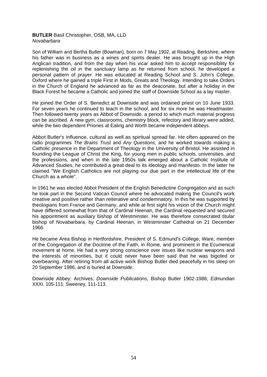## **BUTLER** Basil Christopher, OSB, MA, LLD *Novabarbara*

Son of William and Bertha Butler (Bowman), born on 7 May 1902, at Reading, Berkshire, where his father was in business as a wines and spirits dealer. He was brought up in the High Anglican tradition, and from the day when his vicar asked him to accept responsibility for replenishing the oil in the sanctuary lamp as he returned from school, he developed a personal pattern of prayer. He was educated at Reading School and S. John's College, Oxford where he gained a triple First in Mods, Greats and Theology. Intending to take Orders in the Church of England he advanced as far as the deaconate, but after a holiday in the Black Forest he became a Catholic and joined the staff of Downside School as a lay master.

He joined the Order of S. Benedict at Downside and was ordained priest on 10 June 1933. For seven years he continued to teach in the school, and for six more he was Headmaster. Then followed twenty years as Abbot of Downside, a period to which much material progress can be ascribed. A new gym, classrooms, chemistry block, refectory and library were added, while the two dependent Priories at Ealing and Worth became independent abbeys.

Abbot Butler's influence, cultural as well as spiritual spread far. He often appeared on the radio programmes *The Brains Trust* and *Any Questions,* and he worked towards making a Catholic presence in the Department of Theology in the University of Bristol. He assisted in founding the League of Christ the King, for young men in public schools, universities, and the professions, and when in the late 1950s talk emerged about a Catholic Institute of Advanced Studies, he contributed a great deal to its ideology and manifesto. In the latter he claimed "We English Catholics are not playing our due part in the intellectual life of the Church as a whole".

In 1961 he was elected Abbot President of the English Benedictine Congregation and as such he took part in the Second Vatican Council where he advocated making the Council's work creative and positive rather than reiterative and condemnatory. In this he was supported by theologians from France and Germany, and while at first sight his vision of the Church might have differed somewhat from that of Cardinal Heenan, the Cardinal requested and secured his appointment as auxiliary bishop of Westminster. He was therefore consecrated titular bishop of *Novabarbara,* by Cardinal Heenan, in Westminster Cathedral on 21 December 1966.

He became Area Bishop in Hertfordshire, President of S. Edmund's College, Ware, member of the Congregation of the Doctrine of the Faith, in Rome, and prominent in the Ecumenical movement at home. He had a very strong conscience over issues like nuclear weapons and the interests of minorities, but it could never have been said that he was bigoted or overbearing. After retiring from all active work Bishop Butler died peacefully in his sleep on 20 September 1986, and is buried at Downside.

Downside Abbey: Archives; *Downside Publications,* Bishop Butler 1902-1986; *Edmundian* XXXI. 105-111; Sweeney, 111-113.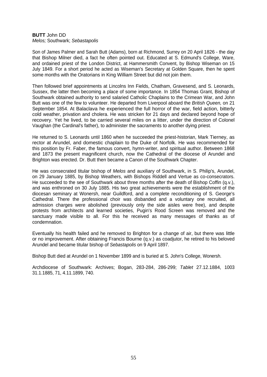## **BUTT** John DD *Melos;* Southwark; *Sebastapolis*

Son of James Palmer and Sarah Butt (Adams), born at Richmond, Surrey on 20 April 1826 - the day that Bishop Milner died, a fact he often pointed out. Educated at S. Edmund's College, Ware, and ordained priest of the London District, at Hammersmith Convent, by Bishop Wiseman on 15 July 1849. For a short period he acted as Wiseman's Secretary at Golden Square, then he spent some months with the Oratorians in King William Street but did not join them.

Then followed brief appointments at Lincolns Inn Fields, Chatham, Gravesend, and S. Leonards, Sussex, the latter then becoming a place of some importance. In 1854 Thomas Grant, Bishop of Southwark obtained authority to send salaried Catholic Chaplains to the Crimean War, and John Butt was one of the few to volunteer. He departed from Liverpool aboard the *British Queen,* on 21 September 1854. At Balaclava he experienced the full horror of the war, field action, bitterly cold weather, privation and cholera. He was stricken for 21 days and declared beyond hope of recovery. Yet he lived, to be carried several miles on a litter, under the direction of Colonel Vaughan (the Cardinal's father), to administer the sacraments to another dying priest.

He returned to S. Leonards until 1860 when he succeeded the priest-historian, Mark Tierney, as rector at Arundel, and domestic chaplain to the Duke of Norfolk. He was recommended for this position by Fr. Faber, the famous convert, hymn-writer, and spiritual author. Between 1868 and 1873 the present magnificent church, now the Cathedral of the diocese of Arundel and Brighton was erected. Dr. Butt then became a Canon of the Southwark Chapter.

He was consecrated titular bishop of *Melos* and auxiliary of Southwark, in S. Philip's, Arundel, on 29 January 1885, by Bishop Weathers, with Bishops Riddell and Vertue as co-consecrators. He succeeded to the see of Southwark about three months after the death of Bishop Coffin (q.v.), and was enthroned on 30 July 1885. His two great achievements were the establishment of the diocesan seminary at Wonersh, near Guildford, and a complete reconditioning of S. George's Cathedral. There the professional choir was disbanded and a voluntary one recruited, all admission charges were abolished (previously only the side aisles were free), and despite protests from architects and learned societies, Pugin's Rood Screen was removed and the sanctuary made visible to all. For this he received as many messages of thanks as of condemnation.

Eventually his health failed and he removed to Brighton for a change of air, but there was little or no improvement. After obtaining Francis Bourne (q.v.) as coadjutor, he retired to his beloved Arundel and became titular bishop of *Sebastapolis* on 9 April 1897.

Bishop Butt died at Arundel on 1 November 1899 and is buried at S. John's College, Wonersh.

Archdiocese of Southwark: Archives; Bogan, 283-284, 286-299; *Tablet* 27.12.1884, 1003 31.1.1885, 71, 4.11.1899, 740.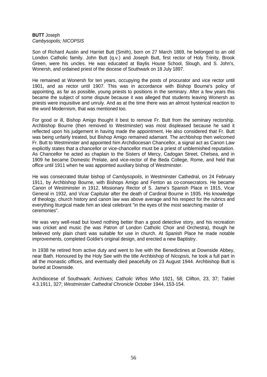## **BUTT** Joseph *Cambysopolis; NICOPSIS*

Son of Richard Austin and Harriet Butt (Smith), born on 27 March 1869, he belonged to an old London Catholic family. John Butt (q.v.) and Joseph Butt, first rector of Holy Trinity, Brook Green, were his uncles. He was educated at Baylis House School, Slough, and S. John's, Wonersh, and ordained priest of the diocese of Southwark on 18 July 1897.

He remained at Wonersh for ten years, occupying the posts of procurator and vice rector until 1901, and as rector until 1907. This was in accordance with Bishop Bourne's policy of appointing, as far as possible, young priests to positions in the seminary. After a few years this became the subject of some dispute because it was alleged that students leaving Wonersh as priests were inquisitive and unruly. And as at the time there was an almost hysterical reaction to the word Modernism, that was mentioned too.

For good or ill, Bishop Amigo thought it best to remove Fr. Butt from the seminary rectorship. Archbishop Bourne (then removed to Westminster) was most displeased because he said it reflected upon his judgement in having made the appointment. He also considered that Fr. Butt was being unfairly treated, but Bishop Amigo remained adamant. The archbishop then welcomed Fr. Butt to Westminster and appointed him Archdiocesan Chancellor, a signal act as Canon Law explicitly states that a chancellor or vice-chancellor must be a priest of unblemished reputation. As Chancellor he acted as chaplain to the Sisters of Mercy, Cadogan Street, Chelsea, and in 1909 he became Domestic Prelate, and vice-rector of the Beda College, Rome, and held that office until 1911 when he was appointed auxiliary bishop of Westminster.

He was consecrated titular bishop of *Cambysopolis*, in Westminster Cathedral, on 24 February 1911, by Archbishop Bourne, with Bishops Amigo and Fenton as co-consecrators. He became Canon of Westminster in 1912, Missionary Rector of S. Jame's Spanish Place in 1915, Vicar General in 1932, and Vicar Capitular after the death of Cardinal Bourne in 1935. His knowledge of theology, church history and canon law was above average and his respect for the rubrics and everything liturgical made him an ideal celebrant "in the eyes of the most searching master of ceremonies".

He was very well-read but loved nothing better than a good detective story, and his recreation was cricket and music (he was Patron of London Catholic Choir and Orchestra), though he believed only plain chant was suitable for use in church. At Spanish Place he made notable improvements, completed Goldie's original design, and erected a new Baptistry.

In 1938 he retired from active duty and went to live with the Benedictines at Downside Abbey, near Bath. Honoured by the Holy See with the title Archbishop of *Nicopsis*, he took a full part in all the monastic offices, and eventually died peacefully on 23 August 1944. Archbishop Butt is buried at Downside.

Archdiocese of Southwark: Archives; *Catholic Whos Who* 1921, 58; Clifton, 23, 37; Tablet 4.3.1911, 327; *Westminster Cathedral Chronicle* October 1944, 153-154.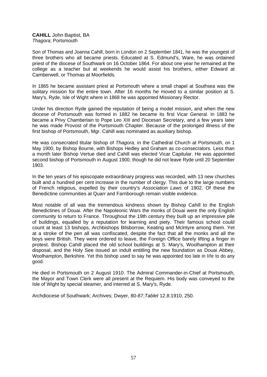**CAHILL** John Baptist, BA *Thagora*; Portsmouth

Son of Thomas and Joanna Cahill, born in London on 2 September 1841, he was the youngest of three brothers who all became priests. Educated at S. Edmund's, Ware, he was ordained priest of the diocese of Southwark on 16 October 1864. For about one year he remained at the college as a teacher but at weekends he would assist his brothers, either Edward at Camberwell, or Thomas at Moorfields.

In 1865 he became assistant priest at Portsmouth where a small chapel at Southsea was the solitary mission for the entire town. After 16 months he moved to a similar position at S. Mary's, Ryde, Isle of Wight where in 1868 he was appointed Missionary Rector.

Under his direction Ryde gained the reputation of being a model mission, and when the new diocese of Portsmouth was formed in 1882 he became its first Vicar General. In 1883 he became a Privy Chamberlain to Pope Leo XIII and Diocesan Secretary, and a few years later he was made Provost of the Portsmouth Chapter. Because of the prolonged illness of the first bishop of Portsmouth, Mgr. Cahill was nominated as auxiliary bishop.

He was consecrated titular bishop of *Thagora,* in the Cathedral Church at Portsmouth, on 1 May 1900, by Bishop Bourne, with Bishops Hedley and Graham as co-consecrators. Less than a month later Bishop Vertue died and Cahill was elected Vicar Capitular. He was appointed second bishop of Portsmouth in August 1900, though he did not leave Ryde until 20 September 1903.

In the ten years of his episcopate extraordinary progress was recorded, with 13 new churches built and a hundred per cent increase in the number of clergy. This due to the large numbers of French religious, expelled by their country's *Association Laws* of 1902. Of these the Benedictine communities at Quarr and Farnborough remain visible evidence.

Most notable of all was the tremendous kindness shown by Bishop Cahill to the English Benedictines of Douai. After the Napoleonic Wars the monks of Douai were the only English community to return to France. Throughout the 19th century they built up an impressive pile of buildings, equalled by a reputation for learning and piety. Their famous school could count at least 13 bishops, Archbishops Bilsborrow, Keating and Mclntyre among them. Yet at a stroke of the pen all was confiscated, despite the fact that all the monks and all the boys were British. They were ordered to leave, the Foreign Office barely lifting a finger in protest. Bishop Cahill placed the old school buildings at S. Mary's, Woolhampton at their disposal, and the Holy See issued an indult entitling the new foundation as Douai Abbey, Woolhampton, Berkshire. Yet this bishop used to say he was appointed too late in life to do any good.

He died in Portsmouth on 2 August 1910. The Admiral Commander-in-Chief at Portsmouth, the Mayor and Town Clerk were all present at the Requiem. His body was conveyed to the Isle of Wight by special steamer, and interred at S. Mary's, Ryde.

Archdiocese of Southwark; Archives; Dwyer, 80-87;*Tablet* 12.8.1910, 250.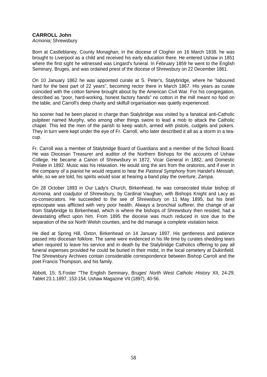# **CARROLL John**

*Acmonia;* Shrewsbury

Born at Castleblaney, County Monaghan, in the diocese of Clogher on 16 March 1838. he was brought to Liverpool as a child and received his early education there. He entered Ushaw in 1851 where the first sight he witnessed was Lingard's funeral. In February 1859 he went to the English Seminary, Bruges, and was ordained priest of the diocese of Shrewsbury on 22 December 1861.

On 10 January 1862 he was appointed curate at S. Peter's, Stalybridge, where he "laboured hard for the best part of 22 years", becoming rector there in March 1867. His years as curate coincided with the cotton famine brought about by the American Civil War. For his congregation, described as "poor, hard-working, honest factory hands" no cotton in the mill meant no food on the table, and Carroll's deep charity and skilfull organisation was quietly experienced.

No sooner had he been placed in charge than Stalybridge was visited by a fanatical anti-Catholic pulpiteer named Murphy, who among other things swore to lead a mob to attack the Catholic chapel. This led the men of the parish to keep watch, armed with pistols, cudgels and pokers. They in turn were kept under the eye of Fr. Carroll, who later described it all as a storm in a teacup.

Fr. Carroll was a member of Stalybridge Board of Guardians and a member of the School Board. He was Diocesan Treasurer and auditor of the Northern Bishops for the accounts of Ushaw College. He became a Canon of Shrewsbury in 1872, Vicar General in 1882, and Domestic Prelate in 1892. Music was his relaxation. He would sing the airs from the oratorios, and if ever in the company of a pianist he would request to hear the *Pastoral Symphony* from Handel's *Messiah,* while, so we are told, his spirits would soar at hearing a band play the overture, *Zampa.*

On 28 October 1893 in Our Lady's Church, Birkenhead, he was consecrated titular bishop of *Acmonia,* and coadjutor of Shrewsbury, by Cardinal Vaughan, with Bishops Knight and Lacy as co-consecrators. He succeeded to the see of Shrewsbury on 11 May 1895, but his brief episcopate was afflicted with very poor health. Always a bronchial sufferer, the change of air from Stalybridge to Birkenhead, which is where the bishops of Shrewsbury then resided, had a devastating effect upon him. From 1895 the diocese was much reduced in size due to the separation of the six North Welsh counties, and he did manage a complete visitation twice.

He died at Spring Hill, Oxton, Birkenhead on 14 January 1897. His gentleness and patience passed into diocesan folklore. The same were evidenced in his life time by curates shedding tears when required to leave his service and in death by the Stalybridge Catholics offering to pay all funeral expenses provided he could be buried in their midst, in the local cemetery at Dukinfield. The Shrewsbury Archives contain considerable correspondence between Bishop CarrolI and the poet Francis Thompson, and his family.

Abbott, 15; S.Foster "The English Seminary, Bruges' *North West Catholic History* XII, 24-29; Tablet 23.1.1897, 153-154; Ushaw Magazine VII (1897), 40-56.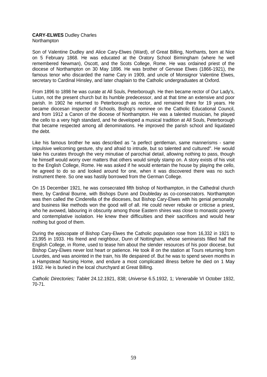## **CARY-ELWES** Dudley Charles **Northampton**

Son of Valentine Dudley and Alice Cary-Elwes (Ward), of Great Billing, Northants, born at Nice on 5 February 1868. He was educated at the Oratory School Birmingham (where he well remembered Newman), Oscott, and the Scots College, Rome. He was ordained priest of the diocese of Northampton on 30 May 1896. He was brother of Gervase Elwes (1866-1921), the famous tenor who discarded the name Cary in 1909, and uncle of Monsignor Valentine Elwes, secretary to Cardinal Hinsley, and later chaplain to the Catholic undergraduates at Oxford.

From 1896 to 1898 he was curate at All Souls, Peterborough. He then became rector of Our Lady's, Luton, not the present church but its humble predecessor, and at that time an extensive and poor parish. In 1902 he returned to Peterborough as rector, and remained there for 19 years. He became diocesan inspector of Schools, Bishop's nominee on the Catholic Educational Council, and from 1912 a Canon of the diocese of Northampton. He was a talented musician, he played the cello to a very high standard, and he developed a musical tradition at All Souls, Peterborough that became respected among all denominations. He improved the parish school and liquidated the debt.

Like his famous brother he was described as "a perfect gentleman, same mannerisms - same impulsive welcoming gesture, shy and afraid to intrude, but so talented and cultured". He would take his curates through the very minutiae of parochial detail, allowing nothing to pass, though he himself would worry over matters that others would simply stamp on. A story exists of his visit to the English College, Rome. He was asked if he would entertain the house by playing the cello, he agreed to do so and looked around for one, when it was discovered there was no such instrument there. So one was hastily borrowed from the German College.

On 15 December 1921, he was consecrated fifth bishop of Northampton, in the Cathedral church there, by Cardinal Bourne, with Bishops Dunn and Doubleday as co-consecrators. Northampton was then called the Cinderella of the dioceses, but Bishop Cary-Elwes with his genial personality and business like methods won the good will of all. He could never rebuke or criticise a priest, who he avowed, labouring in obscurity among those Eastern shires was close to monastic poverty and contemplative isolation. He knew their difficulties and their sacrifices and would hear nothing but good of them.

During the episcopate of Bishop Cary-Elwes the Catholic population rose from 16,332 in 1921 to 23,995 in 1933. His friend and neighbour, Dunn of Nottingham, whose seminarists filled half the English College, in Rome, used to tease him about the slender resources of his poor diocese, but Bishop Cary-Elwes never lost heart or patience. He took ill on the station at Tours returning from Lourdes, and was anointed in the train, his life despaired of. But he was to spend seven months in a Hampstead Nursing Home, and endure a most complicated illness before he died on 1 May 1932. He is buried in the local churchyard at Great Billing.

*Catholic Directories; Tablet* 24.12.1921, 838; *Universe* 6.5.1932, 1; *Venerabile* VI October 1932, 70-71.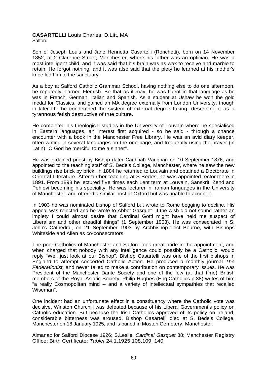# **CASARTELLI** Louis Charles, D.Litt, MA **Salford**

Son of Joseph Louis and Jane Henrietta Casartelli (Ronchetti), born on 14 November 1852, at 2 Clarence Street, Manchester, where his father was an optician. He was a most intelligent child, and it was said that his brain was as wax to receive and marble to retain. He forgot nothing, and it was also said that the piety he learned at his mother's knee led him to the sanctuary.

As a boy at Salford Catholic Grammar School, having nothing else to do one afternoon, he reputedly learned Flemish. Be that as it may, he was fluent in that language as he was in French, German, Italian and Spanish. As a student at Ushaw he won the gold medal for Classics, and gained an MA degree externally from London University, though in later life he condemned the system of external degree taking, describing it as a tyrannous fetish destructive of true culture.

He completed his theological studies in the University of Louvain where he specialised in Eastern languages, an interest first acquired - so he said - through a chance encounter with a book in the Manchester Free Library. He was an avid diary keeper, often writing in several languages on the one page, and frequently using the prayer (in Latin) "O God be merciful to me a sinner".

He was ordained priest by Bishop (later Cardinal) Vaughan on 10 September 1876, and appointed to the teaching staff of S. Bede's College, Manchester, where he saw the new buildings rise brick by brick. In 1884 he returned to Louvain and obtained a Doctorate in Oriental Literature. After further teaching at S.Bedes, he was appointed rector there in 1891. From 1898 he lectured five times each Lent term at Louvain, Sanskrit, Zend and Pehlevi becoming his speciality. He was lecturer in Iranian languages in the University of Manchester, and offered a similar post at Oxford but was unable to accept it.

In 1903 he was nominated bishop of Salford but wrote to Rome begging to decline. His appeal was rejected and he wrote to Abbot Gasquet "If the wish did not sound rather an impiety I could almost desire that Cardinal Gotti might have held me suspect of Liberalism and other dreadful things" (1 September 1903). He was consecrated in S. John's Cathedral, on 21 September 1903 by Archbishop-elect Bourne, with Bishops Whiteside and Allen as co-consecrators.

The poor Catholics of Manchester and Salford took great pride in the appointment, and when charged that nobody with any intelligence could possibly be a Catholic, would reply "Well just look at our Bishop". Bishop Casartelli was one of the first bishops in England to attempt concerted Catholic Action. He produced a monthly journal *The Federationist,* and never failed to make a contribution on contemporary issues. He was President of the Manchester Dante Society and one of the few (at that time) British members of the Royal Asiatic Society. Philip Hughes (Eng.Catholics p.38) writes of him "a really Cosmopolitan mind -- and a variety of intellectual sympathies that recalled Wiseman".

One incident had an unfortunate effect in a constituency where the Catholic vote was decisive, Winston Churchill was defeated because of his Liberal Government's policy on Catholic education. But because the Irish Catholics approved of its policy on Ireland, considerable bitterness was aroused. Bishop Casartelli died at S. Bede's College, Manchester on 18 January 1925, and is buried in Moston Cemetery, Manchester.

Almanac for Salford Diocese 1926; S.Leslie, *Cardinal Gasquet* 88; Manchester Registry Office; Birth Certificate: *Tablet* 24.1.1925 108,109, 140.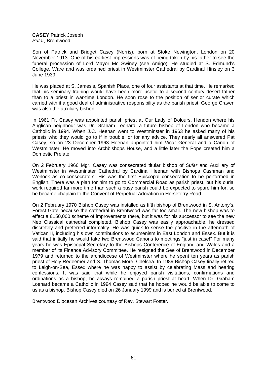**CASEY** Patrick Joseph *Sufar;* Brentwood

Son of Patrick and Bridget Casey (Norris), born at Stoke Newington, London on 20 November 1913. One of his earliest impressions was of being taken by his father to see the funeral procession of Lord Mayor Mc Swiney (see Amigo). He studied at S. Edmund's College, Ware and was ordained priest in Westminster Cathedral by Cardinal Hinsley on 3 June 1939.

He was placed at S. James's, Spanish Place, one of four assistants at that time. He remarked that his seminary training would have been more useful to a second century desert father than to a priest in war-time London. He soon rose to the position of senior curate which carried with it a good deal of administrative responsibility as the parish priest, George Craven was also the auxiliary bishop.

In 1961 Fr. Casey was appointed parish priest at Our Lady of Dolours, Hendon where his Anglican neighbour was Dr. Graham Leonard, a future bishop of London who became a Catholic in 1994. When J.C. Heenan went to Westminster in 1963 he asked many of his priests who they would go to if in trouble, or for any advice. They nearly all answered Pat Casey, so on 23 December 1963 Heenan appointed him Vicar General and a Canon of Westminster. He moved into Archbishops House, and a little later the Pope created him a Domestic Prelate.

On 2 February 1966 Mgr. Casey was consecrated titular bishop of *Sufar* and Auxiliary of Westminster in Westminster Cathedral by Cardinal Heenan with Bishops Cashman and Worlock as co-consecrators. His was the first Episcopal consecration to be performed in English. There was a plan for him to go to Commercial Road as parish priest, but his curial work required far more time than such a busy parish could be expected to spare him for, so he became chaplain to the Convent of Perpetual Adoration in Horseferry Road.

On 2 February 1970 Bishop Casey was installed as fifth bishop of Brentwood in S. Antony's, Forest Gate because the cathedral in Brentwood was far too small. The new bishop was to effect a £150,000 scheme of improvements there, but it was for his successor to see the new Neo Classical cathedral completed. Bishop Casey was easily approachable, he dressed discretely and preferred informality. He was quick to sense the positive in the aftermath of Vatican II, including his own contributions to ecumenism in East London and Essex. But it is said that initially he would take two Brentwood Canons to meetings "just in case!" For many years he was Episcopal Secretary to the Bishops Conference of England and Wales and a member of its Finance Advisory Committee. He resigned the See of Brentwood in December 1979 and returned to the archdiocese of Westminster where he spent ten years as parish priest of Holy Redeemer and S. Thomas More, Chelsea. In 1989 Bishop Casey finally retired to Leigh-on-Sea, Essex where he was happy to assist by celebrating Mass and hearing confessions. It was said that while he enjoyed parish visitations, confirmations and ordinations as a bishop, he always remained a parish priest at heart. When Dr. Graham Loenard became a Catholic in 1994 Casey said that he hoped he would be able to come to us as a bishop. Bishop Casey died on 26 January 1999 and is buried at Brentwood.

Brentwood Diocesan Archives courtesy of Rev. Stewart Foster.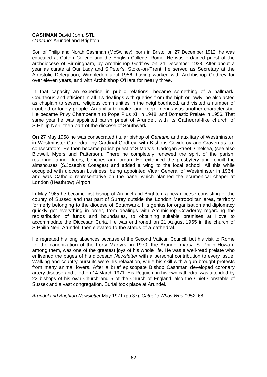# **CASHMAN** David John, STL *Cantano;* Arundel and Brighton

Son of Philip and Norah Cashman (McSwiney), born in Bristol on 27 December 1912, he was educated at Cotton College and the English College, Rome. He was ordained priest of the archdiocese of Birmingham, by Archbishop Godfrey on 24 December 1938. After about a year as curate at Our Lady and S.Peter's, Stoke-on-Trent, he served as Secretary at the Apostolic Delegation, Wimbledon until 1956, having worked with Archbishop Godfrey for over eleven years, and with Archbishop O'Hara for nearly three.

In that capacity an expertise in public relations, became something of a hallmark. Courteous and efficient in all his dealings with queries from the high or lowly, he also acted as chaplain to several religious communities in the neighbourhood, and visited a number of troubled or lonely people. An ability to make, and keep, friends was another characteristic. He became Privy Chamberlain to Pope Pius XII in 1948, and Domestic Prelate in 1956. That same year he was appointed parish priest of Arundel, with its Cathedral-like church of S.Philip Neri, then part of the diocese of Southwark.

On 27 May 1958 he was consecrated titular bishop of *Cantano* and auxiliary of Westminster, in Westminster Cathedral, by Cardinal Godfrey, with Bishops Cowderoy and Craven as coconsecrators. He then became parish priest of S.Mary's, Cadogan Street, Chelsea, (see also Bidwell, Myers and Patterson). There he completely renewed the spirit of the parish, restoring fabric, floors, benches and organ. He extended the presbytery and rebuilt the almshouses (S.Joseph's Cottages) and added a wing to the local school. All this while occupied with diocesan business, being appointed Vicar General of Westminster in 1964, and was Catholic representative on the panel which planned the ecumenical chapel at London (Heathrow) Airport.

In May 1965 he became first bishop of Arundel and Brighton, a new diocese consisting of the county of Sussex and that part of Surrey outside the London Metropolitan area, territory formerly belonging to the diocese of Southwark. His genius for organisation and diplomacy quickly got everything in order, from dealings with Archbishop Cowderoy regarding the redistribution of funds and boundaries, to obtaining suitable premises at Hove to accommodate the Diocesan Curia. He was enthroned on 21 August 1965 in the church of S.Philip Neri, Arundel, then elevated to the status of a cathedral.

He regretted his long absences because of the Second Vatican Council, but his visit to Rome for the canonization of the Forty Martyrs, in 1970, the Arundel martyr S. Philip Howard among them, was one of the greatest joys of his whole life. He was a well-read prelate who enlivened the pages of his diocesan *Newsletter* with a personal contribution to every issue. Walking and country pursuits were his relaxation, while his skill with a gun brought protests from many animal lovers. After a brief episcopate Bishop Cashman developed coronary artery disease and died on 14 March 1971. His Requiem in his own cathedral was attended by 22 bishops of his own Church and 5 of the Church of England, also the Chief Constable of Sussex and a vast congregation. Burial took place at Arundel.

*Arundel and Brighton Newsletter* May 1971 (pp 37); *Catholic Whos Who 1952.* 68.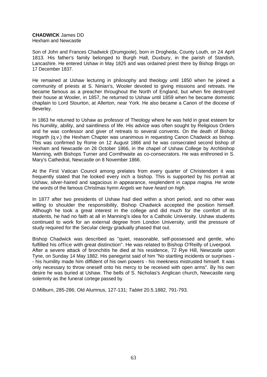# **CHADWICK** James DD

Hexham and Newcastle

Son of John and Frances Chadwick (Drumgoole), born in Drogheda, County Louth, on 24 April 1813. His father's family belonged to Burgh Hall, Duxbury, in the parish of Standish, Lancashire. He entered Ushaw in May 1825 and was ordained priest there by Bishop Briggs on 17 December 1837.

He remained at Ushaw lecturing in philosophy and theology until 1850 when he joined a community of priests at S. Ninian's, Wooler devoted to giving missions and retreats. He became famous as a preacher throughout the North of England, but when fire destroyed their house at Wooler, in 1857, he returned to Ushaw until 1859 when he became domestic chaplain to Lord Stourton, at Allerton, near York. He also became a Canon of the diocese of Beverley.

In 1863 he returned to Ushaw as professor of Theology where he was held in great esteem for his humility, ability, and saintliness of life. His advice was often sought by Religious Orders and he was confessor and giver of retreats to several convents. On the death of Bishop Hogarth (q.v.) the Hexham Chapter was unanimous in requesting Canon Chadwick as bishop. This was confirmed by Rome on 12 August 1866 and he was consecrated second bishop of Hexham and Newcastle on 28 October 1866, in the chapel of Ushaw College by Archbishop Manning, with Bishops Turner and Cornthwaite as co-consecrators. He was enthroned in S. Mary's Cathedral, Newcastle on 8 November 1866.

At the First Vatican Council among prelates from every quarter of Christendom it was frequently stated that he looked every inch a bishop. This is supported by his portrait at Ushaw, silver-haired and sagacious in appearance, resplendent in *cappa magna.* He wrote the words of the famous Christmas hymn *Angels we have heard on high.*

In 1877 after two presidents of Ushaw had died within a short period, and no other was willing to shoulder the responsibility, Bishop Chadwick accepted the position himself. Although he took a great interest in the college and did much for the comfort of its students, he had no faith at all in Manning's idea for a Catholic University. Ushaw students continued to work for an external degree from London University, until the pressure of study required for the Secular clergy gradually phased that out.

Bishop Chadwick was described as "quiet, reasonable, self-possessed and gentle, who fulfilled his office with great distinction". He was related to Bishop O'Reilly of Liverpool. After a severe attack of bronchitis he died at his residence, 72 Rye Hill, Newcastle upon Tyne, on Sunday 14 May 1882. His panegyrist said of him "No startling incidents or surprises - - his humility made him diffident of his own powers - his meekness mistrusted himself. It was only necessary to throw oneself onto his mercy to be received with open arms". By his own desire he was buried at Ushaw. The bells of S. Nicholas's Anglican church, Newcastle rang solemnly as the funeral cortege passed by.

D.Milburn, 285-286; Old Alumnus, 127-131; *Tablet* 20.5.1882, 791-793.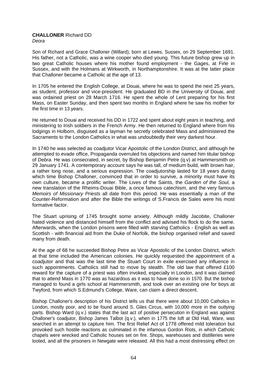#### **CHALLONER** Richard DD *Deora*

Son of Richard and Grace Challoner (Willard), born at Lewes, Sussex, on 29 September 1691. His father, not a Catholic, was a wine cooper who died young. This future bishop grew up in two great Catholic houses where his mother found employment - the Gages, at Firle in Sussex, and with the Holmans at Wirkworth, in Northamptonshire. It was at the latter place that Challoner became a Catholic at the age of 13.

In 1705 he entered the English College, at Douai, where he was to spend the next 25 years, as student, professor and vice-president. He graduated BD in the University of Douai, and was ordained priest on 28 March 1716. He spent the whole of Lent preparing for his first Mass, on Easter Sunday, and then spent two months in England where he saw his mother for the first time in 13 years.

He returned to Douai and received his DD in 1722 and spent about eight years in teaching, and ministering to Irish soldiers in the French Army. He then returned to England where from his lodgings in Holborn, disguised as a layman he secretly celebrated Mass and administered the Sacraments to the London Catholics in what was undoubtedly their very darkest hour.

In 1740 he was selected as coadjutor Vicar Apostolic of the London District, and although he attempted to evade office, Propaganda overruled his objections and named him titular bishop of *Debra.* He was consecrated, in secret, by Bishop Benjamin Petre (q.v) at Hammersmith on 29 January 1741. A contemporary account says he was tall, of medium build, with brown hair, a rather long nose, and a serious expression. The coadjutorship lasted for 18 years during which time Bishop Challoner, convinced that in order to survive, a minority must have its own culture, became a prolific writer. The Lives of the Saints, the *Garden of the Soul,* a new translation of the Rheims-Douai Bible, a once famous catechism, and the very famous *Memoirs of Missionary Priests* all date from this period. He was essentially a man of the Counter-Reformation and after the Bible the writings of S.Francis de Sales were his most formative factor.

The Stuart uprising of 1745 brought some anxiety. Although mildly Jacobite, Challoner hated violence and distanced himself from the conflict and advised his flock to do the same. Afterwards, when the London prisons were filled with starving Catholics - English as well as Scottish - with financial aid from the Duke of Norfolk, the bishop organised relief and saved many from death.

At the age of 68 he succeeded Bishop Petre as Vicar Apostolic of the London District, which at that time included the American colonies. He quickly requested the appointment of a coadjutor and that was the last time the Stuart Court in exile exercised any influence in such appointments. Catholics still had to move by stealth. The old law that offered £100 reward for the capture of a priest was often invoked, especially in London, and it was claimed that to attend Mass in 1770 was as hazardous as it was to have done so in 1570. But the bishop managed to found a girls school at Hammersmith, and took over an existing one for boys at Twyford, from which S.Edmund's College, Ware, can claim a direct descent.

Bishop Challoner's description of his District tells us that there were about 10,000 Catholics in London, mostly poor, and to be found around S. Giles Circus, with 10,000 more in the outlying parts. Bishop Ward (q.v.) states that the last act of positive persecution in England was against Challoner's coadjutor, Bishop James Talbot (q.v.), when in 1775 the loft at Old Hall, Ware, was searched in an attempt to capture him. The first Relief Act of 1778 offered mild toleration but provoked such hostile reactions as culminated in the infamous Gordon Riots, in which Catholic chapels were wrecked and Catholic houses set on fire. Shops, warehouses and distilleries were looted, and all the prisoners in Newgate were released. All this had a most distressing effect on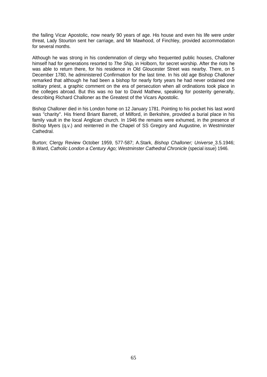the failing Vicar Apostolic, now nearly 90 years of age. His house and even his life were under threat, Lady Stourton sent her carriage, and Mr Mawhood, of Finchley, provided accommodation for several months.

Although he was strong in his condemnation of clergy who frequented public houses, Challoner himself had for generations resorted to *The Ship,* in Holborn, for secret worship. After the riots he was able to return there, for his residence in Old Gloucester Street was nearby. There, on 5 December 1780, he administered Confirmation for the last time. In his old age Bishop Challoner remarked that although he had been a bishop for nearly forty years he had never ordained one solitary priest, a graphic comment on the era of persecution when all ordinations took place in the colleges abroad. But this was no bar to David Mathew, speaking for posterity generally, describing Richard Challoner as the Greatest of the Vicars Apostolic.

Bishop Challoner died in his London home on 12 January 1781. Pointing to his pocket his last word was "charity". His friend Briant Barrett, of Milford, in Berkshire, provided a burial place in his family vault in the local Anglican church. In 1946 the remains were exhumed, in the presence of Bishop Myers (q.v.) and reinterred in the Chapel of SS Gregory and Augustine, in Westminster **Cathedral** 

Burton; Clergy Review October 1959, 577-587; A.Stark, *Bishop Challoner; Universe* 3.5.1946; B.Ward, *Catholic London a Century Ago; Westminster Cathedral Chronicle* (special issue) 1946.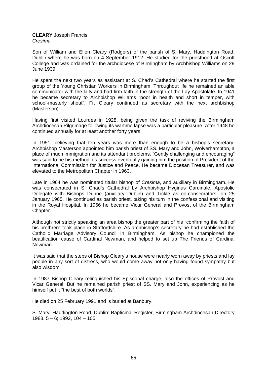### **CLEARY** Joseph Francis *Cresima*

Son of William and Ellen Cleary (Rodgers) of the parish of S. Mary, Haddington Road, Dublin where he was born on 4 September 1912. He studied for the priesthood at Oscott College and was ordained for the archdiocese of Birmingham by Archbishop Williams on 29 June 1939.

He spent the next two years as assistant at S. Chad's Cathedral where he started the first group of the Young Christian Workers in Birmingham. Throughout life he remained an able communicator with the laity and had firm faith in the strength of the Lay Apostolate. In 1941 he became secretary to Archbishop Williams "poor in health and short in temper, with school-masterly shout". Fr. Cleary continued as secretary with the next archbishop (Masterson).

Having first visited Lourdes in 1928, being given the task of reviving the Birmingham Archdiocesan Pilgrimage following its wartime lapse was a particular pleasure. After 1948 he continued annually for at least another forty years.

In 1951, believing that ten years was more than enough to be a bishop's secretary, Archbishop Masterson appointed him parish priest of SS. Mary and John, Wolverhampton, a place of much immigration and its attendant problems. "Gently challenging and encouraging" was said to be his method, its success eventually gaining him the position of President of the International Commission for Justice and Peace. He became Diocesan Treasurer, and was elevated to the Metropolitan Chapter in 1963.

Late in 1964 he was nominated titular bishop of *Cresima*, and auxiliary in Birmingham. He was consecrated in S. Chad's Cathedral by Archbishop Hyginus Cardinale, Apostolic Delegate with Bishops Dunne (auxiliary Dublin) and Tickle as co-consecrators, on 25 January 1965. He continued as parish priest, taking his turn in the confessional and visiting in the Royal Hospital. In 1966 he became Vicar General and Provost of the Birmingham Chapter.

Although not strictly speaking an area bishop the greater part of his "confirming the faith of his brethren" took place in Staffordshire. As archbishop's secretary he had established the Catholic Marriage Advisory Council in Birmingham. As bishop he championed the beatification cause of Cardinal Newman, and helped to set up The Friends of Cardinal Newman.

It was said that the steps of Bishop Cleary's house were nearly worn away by priests and lay people in any sort of distress, who would come away not only having found sympathy but also wisdom.

In 1987 Bishop Cleary relinquished his Episcopal charge, also the offices of Provost and Vicar General. But he remained parish priest of SS. Mary and John, experiencing as he himself put it "the best of both worlds".

He died on 25 February 1991 and is buried at Banbury.

S. Mary, Haddington Road, Dublin: Baptismal Register, Birmingham Archdiocesan Directory 1988, 5 – 6; 1992, 104 – 105.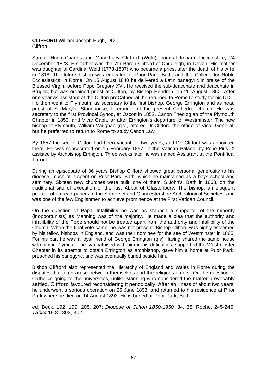# **CLIFFORD** William Joseph Hugh, DD **Clifton**

Son of Hugh Charles and Mary Lucy Clifford (Weld), born at Irnham, Lincolnshire, 24 December 1823. His father was the 7th Baron Clifford of Chudleigh, in Devon. His mother was daughter of Cardinal Weld (1773-1837) who became a priest after the death of his wife in 1818. The future bishop was educated at Prior Park, Bath, and the College for Noble Ecclesiastics, in Rome. On 15 August 1840 he delivered a Latin panegyric in praise of the Blessed Virgin, before Pope Gregory XVI. He received the sub-deaconate and deaconate in Bruges, but was ordained priest at Clifton, by Bishop Hendren, on 25 August 1850. After one year as assistant at the Clifton proCathedral, he returned to Rome to study for his DD. He then went to Plymouth, as secretary to the first bishop, George Errington and as head priest of S. Mary's, Stonehouse, forerunner of the present Cathedral church. He was secretary to the first Provincal Synod, at Oscott in 1852, Canon Theologian of the Plymouth Chapter in 1853, and Vicar Capitular after Errington's departure for Westminster. The new bishop of Plymouth, William Vaughan (q.v.) offered Dr.Clifford the office of Vicar General, but he preferred to return to Rome to study Canon Law.

By 1857 the see of Clifton had been vacant for two years, and Dr. Clifford was appointed there. He was consecrated on 15 February 1857, in the Vatican Palace, by Pope Pius IX assisted by Archbishop Errington. Three weeks later he was named Assistant at the Pontifical Throne.

During an episcopate of 36 years Bishop Clifford showed great personal generosity to his diocese, much of it spent on Prior Park, Bath, which he maintained as a boys school and seminary. Sixteen new churches were built, one of them, S.John's, Bath in 1863, on the traditional site of execution of the last Abbot of Glastonbury. The bishop, an eloquent prelate, often read papers to the Somerset and Gloucestershire Archeological Societies, and was one of the few Englishmen to achieve prominence at the First Vatican Council.

On the question of Papal Infallibility he was as staunch a supporter of the minority (inopportunists) as Manning was of the majority. He made a plea that the authority and infallibility of the Pope should not be treated apart from the authority and infallibility of the Church. When the final vote came, he was not present. Bishop Clifford was highly esteemed by his fellow bishops in England, and was their nominee for the see of Westminster in 1865. For his part he was a loyal friend of George Errington (q.v) Having shared the same house with him in Plymouth, he sympathised with him in his difficulties, supported the Westminster Chapter in its attempt to obtain Errington as archbishop, gave him a home at Prior Park, preached his panegyric, and was eventually buried beside him.

Bishop Clifford also represented the Hierarchy of England and Wales in Rome during the disputes that often arose between themselves and the religious orders. On the question of Catholics going to the universities, unlike Manning who considered the matter irrevocably settled, Clifford favoured reconsidering it periodically. After an illness of about two years, he underwent a serious operation on 26 June 1893, and returned to his residence at Prior Park where he died on 14 August 1893. He is buried at Prior Park, Bath.

ed. Beck, 192, 199, 205, 207; *Diocese of Clifton 1850-1950.* 34, 35; Roche, 245-246; *Tablet* 19.8.1893, 302.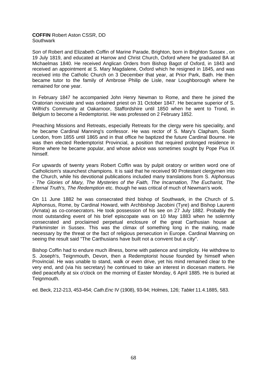### **COFFIN** Robert Aston CSSR, DD **Southwark**

Son of Robert and Elizabeth Coffin of Marine Parade, Brighton, born in Brighton Sussex , on 19 July 1819, and educated at Harrow and Christ Church, Oxford where he graduated BA at Michaelmas 1840. He received Anglican Orders from Bishop Bagot of Oxford, in 1843 and received an appointment at S. Mary Magdalene, Oxford which he resigned in 1845, and was received into the Catholic Church on 3 December that year, at Prior Park, Bath. He then became tutor to the family of Ambrose Philip de Lisle, near Loughborough where he remained for one year.

In February 1847 he accompanied John Henry Newman to Rome, and there he joined the Oratorian noviciate and was ordained priest on 31 October 1847. He became superior of S. Wilfrid's Community at Oakamoor, Staffordshire until 1850 when he went to Trond, in Belgium to become a Redemptorist. He was professed on 2 February 1852.

Preaching Missions and Retreats, especially Retreats for the clergy were his speciality, and he became Cardinal Manning's confessor. He was rector of S. Mary's Clapham, South London, from 1855 until 1865 and in that office he baptized the future Cardinal Bourne. He was then elected Redemptorist Provincial, a position that required prolonged residence in Rome where he became popular, and whose advice was sometimes sought by Pope Pius IX himself.

For upwards of twenty years Robert Coffin was by pulpit oratory or written word one of Catholicism's staunchest champions. It is said that he received 90 Protestant clergymen into the Church, while his devotional publications included many translations from S. AIphonsus - *The Glories of Mary, The Mysteries of the Faith, The Incarnation, The Eucharist, The Eternal Truth's, The Redemption* etc. though he was critical of much of Newman's work.

On 11 June 1882 he was consecrated third bishop of Southwark, in the Church of S. AIphonsus, Rome, by Cardinal Howard, with Archbishop Jacobini (Tyre) and Bishop Laurenti (Arnata) as co-consecrators. He took possession of his see on 27 July 1882. Probably the most outstanding event of his brief episcopate was on 10 May 1883 when he solemnly consecrated and proclaimed perpetual enclosure of the great Carthusian house at Parkminster in Sussex. This was the climax of something long in the making, made necessary by the threat or the fact of religious persecution in Europe. Cardinal Manning on seeing the result said "The Carthusians have built not a convent but a city".

Bishop Coffin had to endure much illness, borne with patience and simplicity. He withdrew to S. Joseph's, Teignmouth, Devon, then a Redemptorist house founded by himself when Provincial. He was unable to stand, walk or even drive, yet his mind remained clear to the very end, and (via his secretary) he continued to take an interest in diocesan matters. He died peacefully at six o'clock on the morning of Easter Monday, 6 April 1885. He is buried at Teignmouth.

ed. Beck, 212-213, 453-454; *Cath.Enc* IV (1908), 93-94; Holmes, 126; *Tablet* 11.4.1885, 583.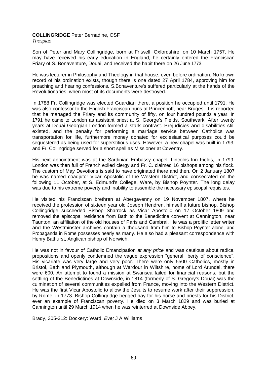# **COLLINGRIDGE** Peter Bernadine, OSF

*Thespiae* 

Son of Peter and Mary Collingridge, born at Fritwell, Oxfordshire, on 10 March 1757. He may have received his early education in England, he certainly entered the Franciscan Friary of S. Bonaventure, Douai, and received the habit there on 26 June 1773.

He was lecturer in Philosophy and Theology in that house, even before ordination. No known record of his ordination exists, though there is one dated 27 April 1784, approving him for preaching and hearing confessions. S.Bonaventure's suffered particularly at the hands of the Revolutionaries, when most of its documents were destroyed.

In 1788 Fr. Collingridge was elected Guardian there, a position he occupied until 1791. He was also confessor to the English Franciscan nuns at Princenhoff, near Bruges. It is reported that he managed the Friary and its community of fifty, on four hundred pounds a year. In 1791 he came to London as assistant priest at S. George's Fields, Southwark. After twenty years at Douai Georgian London formed a stark contrast. Prejudicies and disabilities still existed, and the penalty for performing a marriage service between Catholics was transportation for life, furthermore money donated for ecclesiastical purposes could be sequestered as being used for superstitious uses. However, a new chapel was built in 1793, and Fr. Collingridge served for a short spell as Missioner at Coventry.

His next appointment was at the Sardinian Embassy chapel, Lincolns Inn Fields, in 1799. London was then full of French exiled clergy and Fr. C. claimed 16 bishops among his flock. The custom of May Devotions is said to have originated there and then. On 2 January 1807 he was named coadjutor Vicar Apostolic of the Western District, and consecrated on the following 11 October, at S. Edmund's College, Ware, by Bishop Poynter. The long delay was due to his extreme poverty and inability to assemble the necessary episcopal requisites.

He visited his Franciscan brethren at Abergavenny on 19 November 1807, where he received the profession of sixteen year old Joseph Hendren, himself a future bishop. Bishop Collingridge succeeded Bishop Sharrock as Vicar Apostolic on 17 October 1809 and removed the episcopal residence from Bath to the Benedictine convent at Cannington, near Taunton, an affiliation of the old houses of Paris and Cambrai. He was a prolific letter writer and the Westminster archives contain a thousand from him to Bishop Poynter alone, and Propaganda in Rome possesses nearly as many. He also had a pleasant correspondence with Henry Bathurst, Anglican bishop of Norwich.

He was not in favour of Catholic Emancipation *at any price* and was cautious about radical propositions and openly condemned the vague expression "general liberty of conscience". His vicariate was very large and very poor. There were only 5500 Catholics, mostly in Bristol, Bath and Plymouth, although at Wardour in Wiltshire, home of Lord Arundel, there were 600. An attempt to found a mission at Swansea failed for financial reasons, but the settling of the Benedictines at Downside, in 1814 (formerly of S. Gregory's Douai) was the culmination of several communities expelled from France, moving into the Western District. He was the first Vicar Apostolic to allow the Jesuits to resume work after their suppression, by Rome, in 1773. Bishop Collingridge begged hay for his horse and priests for his District, ever an example of Franciscan poverty. He died on 3 March 1829 and was buried at Cannington until 29 March 1914 when he was reinterred at Downside Abbey.

Brady, 305-312: Dockery: Ward, *Eve;* J A Williams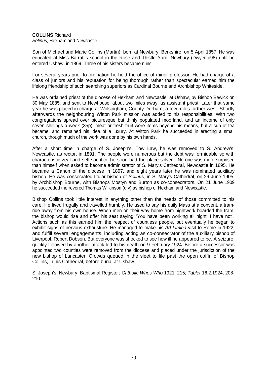# **COLLINS** Richard

*Selinus;* Hexham and Newcastle

Son of Michael and Marie Collins (Martin), born at Newbury, Berkshire, on 5 April 1857. He was educated at Miss Barratt's school in the Rose and Thistle Yard, Newbury (Dwyer p98) until he entered Ushaw, in 1869. Three of his sisters became nuns.

For several years prior to ordination he held the office of minor professor. He had charge of a class of juniors and his reputation for being thorough rather than spectacular earned him the lifelong friendship of such searching superiors as Cardinal Bourne and Archbishop Whiteside.

He was ordained priest of the diocese of Hexham and Newcastle, at Ushaw, by Bishop Bewick on 30 May 1885, and sent to Newhouse, about two miles away, as assistant priest. Later that same year he was placed in charge at Wolsingham, County Durham, a few miles further west. Shortly afterwards the neighbouring Witton Park mission was added to his responsibilities. With two congregations spread over picturesque but thinly populated moorland, and an income of only seven shillings a week (35p), meat or fresh fruit were items beyond his means, but a cup of tea became, and remained his idea of a luxury. At Witton Park he succeeded in erecting a small church, though much of the work was done by his own hands.

After a short time in charge of S. Joseph's, Tow Law, he was removed to S. Andrew's. Newcastle, as rector, in 1891. The people were numerous but the debt was formidable so with characteristic zeal and self-sacrifice he soon had the place solvent. No one was more surprised than himself when asked to become administrator of S. Mary's Cathedral, Newcastle in 1895. He became a Canon of the diocese in 1897, and eight years later he was nominated auxiliary bishop. He was consecrated titular bishop of *Selinus,* in S. Mary's Cathedral, on 29 June 1905, by Archbishop Bourne, with Bishops Mostyn and Burton as co-consecrators. On 21 June 1909 he succeeded the revered Thomas Wilkinson (q.v) as bishop of Hexham and Newcastle.

Bishop Collins took little interest in anything other than the needs of those committed to his care. He lived frugally and travelled humbly. He used to say his daily Mass at a convent, a tramride away from his own house. When men on their way home from nightwork boarded the tram, the bishop would rise and offer his seat saying "You have been working all night, I have not". Actions such as this earned him the respect of countless people, but eventually he began to exhibit signs of nervous exhausture. He managed to make his *Ad Limina* visit to Rome in 1922, and fulfill several engagements, including acting as co-consecrator of the auxiliary bishop of Liverpool, Robert Dobson. But everyone was shocked to see how ill he appeared to be. A seizure, quickly followed by another attack led to his death on 9 February 1924. Before a successor was appointed two counties were removed from the diocese and placed under the jurisdiction of the new bishop of Lancaster. Crowds queued in the sleet to file past the open coffin of Bishop Collins, in his Cathedral, before burial at Ushaw.

S. Joseph's, Newbury; Baptismal Register; *Catholic Whos Who* 1921, 215; *Tablet* 16.2.1924, 208- 210.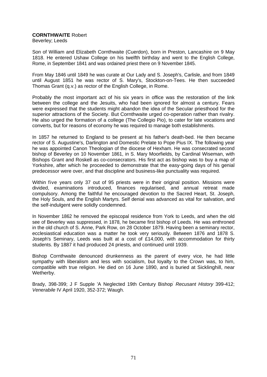# **CORNTHWAITE** Robert

Beverley; Leeds

Son of William and Elizabeth Cornthwaite (Cuerdon), born in Preston, Lancashire on 9 May 1818. He entered Ushaw College on his twelfth birthday and went to the English College, Rome, in September 1841 and was ordained priest there on 9 November 1845.

From May 1846 until 1849 he was curate at Our Lady and S. Joseph's, Carlisle, and from 1849 until August 1851 he was rector of S. Mary's, Stockton-on-Tees. He then succeeded Thomas Grant (q.v.) as rector of the English College, in Rome.

Probably the most important act of his six years in office was the restoration of the link between the college and the Jesuits, who had been ignored for almost a century. Fears were expressed that the students might abandon the idea of the Secular priesthood for the superior attractions of the Society. But Cornthwaite urged co-operation rather than rivalry. He also urged the formation of a college (The Collegio Pio), to cater for late vocations and converts, but for reasons of economy he was required to manage both establishments.

In 1857 he returned to England to be present at his father's death-bed. He then became rector of S. Augustine's, Darlington and Domestic Prelate to Pope Pius IX. The following year he was appointed Canon Theologian of the diocese of Hexham. He was consecrated second bishop of Beverley on 10 November 1861, in S. Mary Moorfields, by Cardinal Wiseman, with Bishops Grant and Roskell as co-consecrators. His first act as bishop was to buy a map of Yorkshire, after which he proceeded to demonstrate that the easy-going days of his genial predecessor were over, and that discipline and business-like punctuality was required.

Within five years only 37 out of 95 priests were in their original position. Missions were divided, examinations introduced, finances regularised, and annual retreat made compulsory. Among the faithful he encouraged devotion to the Sacred Heart, St. Joseph, the Holy Souls, and the English Martyrs. Self denial was advanced as vital for salvation, and the self-indulgent were solidly condemned.

In November 1862 he removed the episcopal residence from York to Leeds, and when the old see of Beverley was suppressed, in 1878, he became first bishop of Leeds. He was enthroned in the old church of S. Anne, Park Row, on 28 October 1879. Having been a seminary rector, ecclesiastical education was a matter he took very seriously. Between 1876 and 1878 S. Joseph's Seminary, Leeds was built at a cost of £14,000, with accommodation for thirty students. By 1887 it had produced 24 priests, and continued until 1939.

Bishop Cornthwaite denounced drunkenness as the parent of every vice, he had little sympathy with liberalism and less with socialism, but loyalty to the Crown was, to him, compatible with true religion. He died on 16 June 1890, and is buried at Sicklinghill, near Wetherby.

Brady, 398-399; J F Supple 'A Neglected 19th Century Bishop' *Recusant History* 399-412; *Venerabile* IV April 1920, 352-372; Waugh.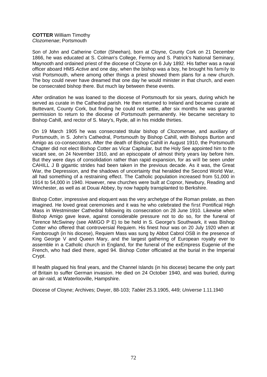### **COTTER** William Timothy *Clozomenae*; Portsmouth

Son of John and Catherine Cotter (Sheehan), born at Cloyne, County Cork on 21 December 1866, he was educated at S. Colman's College, Fermoy and S. Patrick's National Seminary, Maynooth and ordained priest of the diocese of Cloyne on 6 July 1892. His father was a naval officer aboard HMS *Active* and one day, when the bishop was a boy, he brought his family to visit Portsmouth, where among other things a priest showed them plans for a new church. The boy could never have dreamed that one day he would minister in that church, and even be consecrated bishop there. But much lay between these events.

After ordination he was loaned to the diocese of Portsmouth for six years, during which he served as curate in the Cathedral parish. He then returned to Ireland and became curate at Buttevant, County Cork, but finding he could not settle, after six months he was granted permission to return to the diocese of Portsmouth permanently. He became secretary to Bishop Cahill, and rector of S. Mary's, Ryde, all in his middle thirties.

On 19 March 1905 he was consecrated titular bishop of *Clozomenae*, and auxiliary of Portsmouth, in S. John's Cathedral, Portsmouth by Bishop Cahill, with Bishops Burton and Amigo as co-consecrators. After the death of Bishop Cahill in August 1910, the Portsmouth Chapter did not elect Bishop Cotter as Vicar Capitular, but the Holy See appointed him to the vacant see, on 24 November 1910, and an episcopate of almost thirty years lay before him. But they were days of consolidation rather than rapid expansion, for as will be seen under CAHILL J B gigantic strides had been taken in the previous decade. As it was, the Great War, the Depression, and the shadows of uncertainty that heralded the Second World War, all had something of a restraining effect. The Catholic population increased from 51,000 in 1914 to 54,000 in 1940. However, new churches were built at Copnor, Newbury, Reading and Winchester, as well as at Douai Abbey, by now happily transplanted to Berkshire.

Bishop Cotter, impressive and eloquent was the very archetype of the Roman prelate, as then imagined. He loved great ceremonies and it was he who celebrated the first Pontifical High Mass in Westminster Cathedral following its consecration on 28 June 1910. Likewise when Bishop Amigo gave leave, against considerable pressure not to do so, for the funeral of Terence McSwiney (see AMIGO P E) to be held in S. George's Southwark, it was Bishop Cotter who offered that controversial Requiem. His finest hour was on 20 July 1920 when at Farnborough (in his diocese), Requiem Mass was sung by Abbot Cabrol OSB in the presence of King George V and Queen Mary, and the largest gathering of European royalty ever to assemble in a Catholic church in England, for the funeral of the exEmpress Eugenie of the French, who had died there, aged 94. Bishop Cotter officiated at the burial in the Imperial Crypt.

Ill health plagued his final years, and the Channel Islands (in his diocese) became the only part of Britain to suffer German invasion. He died on 24 October 1940, and was buried, during an air-raid, at Waterlooville, Hampshire.

Diocese of Cloyne; Archives; Dwyer, 88-103; *Tablet* 25.3.1905, 449; *Universe* 1.11.1940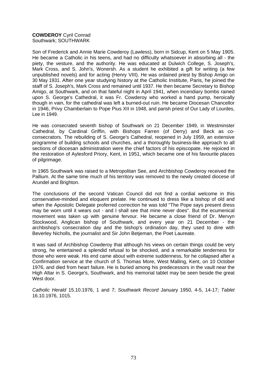# **COWDEROY** Cyril Conrad Southwark; SOUTHWARK

Son of Frederick and Annie Marie Cowderoy (Lawless), born in Sidcup, Kent on 5 May 1905. He became a Catholic in his teens, and had no difficulty whatsoever in absorbing all - the piety, the vesture, and the authority. He was educated at Dulwich College, S. Joseph's, Mark Cross, and S. John's, Wonersh. As a student he exhibited a gift for writing (a few unpublished novels) and for acting (Henry VIII). He was ordained priest by Bishop Amigo on 30 May 1931. After one year studying history at the Catholic Institute, Paris, he joined the staff of S. Joseph's, Mark Cross and remained until 1937. He then became Secretary to Bishop Amigo, at Southwark, and on that fateful night in April 1941, when incendiary bombs rained upon S. George's Cathedral, it was Fr. Cowderoy who worked a hand pump, heroically though in vain, for the cathedral was left a burned-out ruin. He became Diocesan Chancellor in 1946, Privy Chamberlain to Pope Pius XII in 1948, and parish priest of Our Lady of Lourdes, Lee in 1949.

He was consecrated seventh bishop of Southwark on 21 December 1949, in Westminster Cathedral, by Cardinal Griffin, with Bishops Farren (of Derry) and Beck as coconsecrators. The rebuilding of S. George's Cathedral, reopened in July 1959, an extensive programme of building schools and churches, and a thoroughly business-like approach to all sections of diocesan administration were the chief factors of his episcopate. He rejoiced in the restoration of Aylesford Priory, Kent, in 1951, which became one of his favourite places of pilgrimage.

In 1965 Southwark was raised to a Metropolitan See, and Archbishop Cowderoy received the Pallium. At the same time much of his territory was removed to the newly created diocese of Arundel and Brighton.

The conclusions of the second Vatican Council did not find a cordial welcome in this conservative-minded and eloquent prelate. He continued to dress like a bishop of old and when the Apostolic Delegate proferred correction he was told "The Pope says present dress may be worn until it wears out - and I shall see that mine never does". But the ecumenical movement was taken up with genuine fervour. He became a close friend of Dr. Mervyn Stockwood, Anglican bishop of Southwark, and every year on 21 December - the archbishop's consecration day and the bishop's ordination day, they used to dine with Beverley Nicholls, the journalist and Sir John Betjeman, the Poet Laureate.

It was said of Archbishop Cowderoy that although his views on certain things could be very strong, he entertained a splendid refusal to be shocked, and a remarkable tenderness for those who were weak. His end came about with extreme suddenness, for he collapsed after a Confirmation service at the church of S. Thomas More, West Malling, Kent, on 10 October 1976, and died from heart failure. He is buried among his predecessors in the vault near the High Altar in S. George's, Southwark, and his memorial tablet may be seen beside the great West door.

*Catholic Herald* 15.10.1976, 1 and 7; *Southwark Record* January 1950, 4-5, 14-17; *Tablet* 16.10.1976, 1015.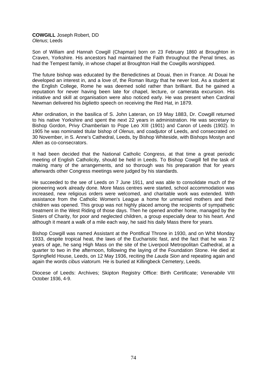### **COWGILL** Joseph Robert, DD *Olenus*; Leeds

Son of William and Hannah Cowgill (Chapman) born on 23 February 1860 at Broughton in Craven, Yorkshire. His ancestors had maintained the Faith throughout the Penal times, as had the Tempest family, in whose chapel at Broughton Hall the Cowgills worshipped.

The future bishop was educated by the Benedictines at Douai, then in France. At Douai he developed an interest in, and a love of, the Roman liturgy that he never lost. As a student at the English College, Rome he was deemed solid rather than brilliant. But he gained a reputation for never having been late for chapel, lecture, or camerata excursion. His initiative and skill at organisation were also noticed early. He was present when Cardinal Newman delivered his *biglietto* speech on receiving the Red Hat, in 1879.

After ordination, in the basilica of S. John Lateran, on 19 May 1883, Dr. Cowgill returned to his native Yorkshire and spent the next 22 years in administration. He was secretary to Bishop Gordon, Privy Chamberlain to Pope Leo XIII (1901) and Canon of Leeds (1902). In 1905 he was nominated titular bishop of *Olenus*, and coadjutor of Leeds, and consecrated on 30 November, in S. Anne's Cathedral, Leeds, by Bishop Whiteside, with Bishops Mostyn and Allen as co-consecrators.

It had been decided that the National Catholic Congress, at that time a great periodic meeting of English Catholicity, should be held in Leeds. To Bishop Cowgill fell the task of making many of the arrangements, and so thorough was his preparation that for years afterwards other Congress meetings were judged by his standards.

He succeeded to the see of Leeds on 7 June 1911, and was able to consolidate much of the pioneering work already done. More Mass centres were started, school accommodation was increased, new religious orders were welcomed, and charitable work was extended. With assistance from the Catholic Women's League a home for unmarried mothers and their children was opened. This group was not highly placed among the recipients of sympathetic treatment in the West Riding of those days. Then he opened another home, managed by the Sisters of Charity, for poor and neglected children, a group especially dear to his heart. And although it meant a walk of a mile each way, he said his daily Mass there for years.

Bishop Cowgill was named Assistant at the Pontifical Throne in 1930, and on Whit Monday 1933, despite tropical heat, the laws of the Eucharistic fast, and the fact that he was 72 years of age, he sang High Mass on the site of the Liverpool Metropolitan Cathedral, at a quarter to two in the afternoon, following the laying of the Foundation Stone. He died at Springfield House, Leeds, on 12 May 1936, reciting the *Lauda Sion* and repeating again and again the words *cibus viatorum.* He is buried at Killingbeck Cemetery, Leeds.

Diocese of Leeds: Archives; Skipton Registry Office: Birth Certificate; *Venerabile* VIII October 1936, 4-9.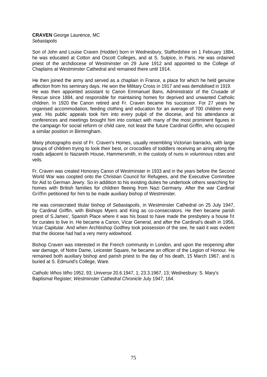### **CRAVEN** George Laurence, MC *Sebastapolis*

Son of John and Louise Craven (Hodder) born in Wednesbury, Staffordshire on 1 February 1884, he was educated at Cotton and Oscott Colleges, and at S. Sulpice, in Paris. He was ordained priest of the archdiocese of Westminster on 29 June 1912 and appointed to the College of Chaplains at Westminster Cathedral and remained there until 1914.

He then joined the army and served as a chaplain in France, a place for which he held genuine affection from his seminary days. He won the Military Cross in 1917 and was demobilised in 1919. He was then appointed assistant to Canon Emmanuel Bans, Administrator of the Crusade of Rescue since 1884, and responsible for maintaining homes for deprived and unwanted Catholic children. In 1920 the Canon retired and Fr. Craven became his successor. For 27 years he organised accommodation, feeding clothing and education for an average of 700 children every year. His public appeals took him into every pulpit of the diocese, and his attendance at conferences and meetings brought him into contact with many of the most prominent figures in the campaign for social reform or child care, not least the future Cardinal Griffin, who occupied a similar position in Birmingham.

Many photographs exist of Fr. Craven's Homes, usually resembling Victorian barracks, with large groups of children trying to look their best, or crocodiles of toddlers receiving an airing along the roads adjacent to Nazareth House, Hammersmith, in the custody of nuns in voluminous robes and veils.

Fr. Craven was created Honorary Canon of Westminster in 1933 and in the years before the Second World War was coopted onto the Christian Council for Refugees, and the Executive Committee for Aid to German Jewry. So in addition to his existing duties he undertook others searching for homes with British families for children fleeing from Nazi Germany. After the war Cardinal Griffin petitioned for him to be made auxiliary bishop of Westminster.

He was consecrated titular bishop of *Sebastapolis*, in Westminster Cathedral on 25 July 1947, by Cardinal Griffin, with Bishops Myers and King as co-consecrators. He then became parish priest of S.James', Spanish Place where it was his boast to have made the presbytery a house fit for curates to live in. He became a Canon, Vicar General, and after the Cardinal's death in 1956, Vicar Capitular. And when Archbishop Godfrey took possession of the see, he said it was evident that the diocese had had a very merry widowhood.

Bishop Craven was interested in the French community in London, and upon the reopening after war damage, of Notre Dame, Leicester Square, he became an officer of the Legion of Honour. He remained both auxiliary bishop and parish priest to the day of his death, 15 March 1967, and is buried at S. Edmund's College, Ware.

*Catholic Whos Who* 1952, 93; *Universe* 20.6.1947, 1; 23.3.1967, 13; Wednesbury: S. Mary's Baptismal Register; *Westminster Cathedral Chronicle* July 1947, 164.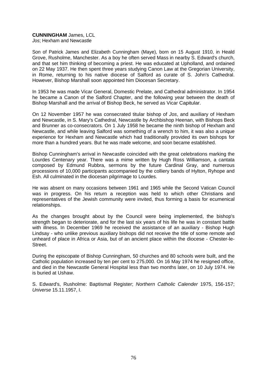# **CUNNINGHAM** James, LCL

*Jos*; Hexham and Newcastle

Son of Patrick James and Elizabeth Cunningham (Maye), born on 15 August 1910, in Heald Grove, Rusholme, Manchester. As a boy he often served Mass in nearby S. Edward's church, and that set him thinking of becoming a priest. He was educated at Upholland, and ordained on 22 May 1937. He then spent three years studying Canon Law at the Gregorian University, in Rome, returning to his native diocese of Salford as curate of S. John's Cathedral. However, Bishop Marshall soon appointed him Diocesan Secretary.

In 1953 he was made Vicar General, Domestic Prelate, and Cathedral administrator. In 1954 he became a Canon of the Salford Chapter, and the following year between the death of Bishop Marshall and the arrival of Bishop Beck, he served as Vicar Capitular.

On 12 November 1957 he was consecrated titular bishop of *Jos*, and auxiliary of Hexham and Newcastle, in S. Mary's Cathedral, Newcastle by Archbishop Heenan, with Bishops Beck and Brunner as co-consecrators. On 1 July 1958 he became the ninth bishop of Hexham and Newcastle, and while leaving Salford was something of a wrench to him, it was also a unique experience for Hexham and Newcastle which had traditionally provided its own bishops for more than a hundred years. But he was made welcome, and soon became established.

Bishop Cunningham's arrival in Newcastle coincided with the great celebrations marking the Lourdes Centenary year. There was a mime written by Hugh Ross Williamson, a cantata composed by Edmund Rubbra, sermons by the future Cardinal Gray, and numerous processions of 10,000 participants accompanied by the colliery bands of Hylton, Ryhope and Esh. All culminated in the diocesan pilgrimage to Lourdes.

He was absent on many occasions between 1961 and 1965 while the Second Vatican Council was in progress. On his return a reception was held to which other Christians and representatives of the Jewish community were invited, thus forming a basis for ecumenical relationships.

As the changes brought about by the Council were being implemented, the bishop's strength began to deteriorate, and for the last six years of his life he was in constant battle with illness. In December 1969 he received the assistance of an auxiliary - Bishop Hugh Lindsay - who unlike previous auxiliary bishops did not receive the title of some remote and unheard of place in Africa or Asia, but of an ancient place within the diocese - Chester-le-Street.

During the episcopate of Bishop Cunningham, 50 churches and 80 schools were built, and the Catholic population increased by ten per cent to 275,000. On 16 May 1974 he resigned office, and died in the Newcastle General Hospital less than two months later, on 10 July 1974. He is buried at Ushaw.

S. Edward's, Rusholme: Baptismal Register; *Northern Catholic Calender* 1975, 156-157; *Universe* 15.11.1957, I.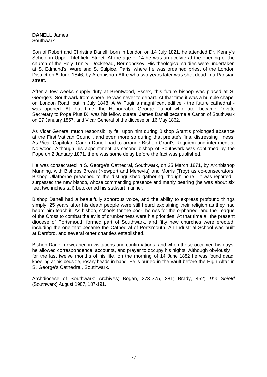**DANELL** James **Southwark** 

Son of Robert and Christina Danell, born in London on 14 July 1821, he attended Dr. Kenny's School in Upper Titchfield Street. At the age of 14 he was an acolyte at the opening of the church of the Holy Trinity, Dockhead, Bermondsey. His theological studies were undertaken at S. Edmund's, Ware and S. Sulpice, Paris, where he was ordained priest of the London District on 6 June 1846, by Archbishop Affre who two years later was shot dead in a Parisian street.

After a few weeks supply duty at Brentwood, Essex, this future bishop was placed at S. George's, Southwark from where he was never to depart. At that time it was a humble chapel on London Road, but in July 1848, A W Pugin's magnificent edifice - the future cathedral was opened. At that time, the Honourable George Talbot who later became Private Secretary to Pope Pius IX, was his fellow curate. James Danell became a Canon of Southwark on 27 January 1857, and Vicar General of the diocese on 16 May 1862.

As Vicar General much responsibility fell upon him during Bishop Grant's prolonged absence at the First Vatican Council, and even more so during that prelate's final distressing illness. As Vicar Capitular, Canon Danell had to arrange Bishop Grant's Requiem and interrment at Norwood. Although his appointment as second bishop of Southwark was confirmed by the Pope on 2 January 1871, there was some delay before the fact was published.

He was consecrated in S. George's Cathedral, Southwark, on 25 March 1871, by Archbishop Manning, with Bishops Brown (Newport and Menevia) and Morris (Troy) as co-consecrators. Bishop Ullathorne preached to the distinguished gathering, though none - it was reported surpassed the new bishop, whose commanding presence and manly bearing (he was about six feet two inches tall) betokened his stalwart manner.

Bishop Danell had a beautifully sonorous voice, and the ability to express profound things simply. 25 years after his death people were still heard explaining their religion as they had heard him teach it. As bishop, schools for the poor, homes for the orphaned, and the League of the Cross to combat the evils of drunkenness were his priorities. At that time all the present diocese of Portsmouth formed part of Southwark, and fifty new churches were erected, including the one that became the Cathedral of Portsmouth. An Industrial School was built at Dartford, and several other charities established.

Bishop Danell unwearied in visitations and confirmations, and when these occupied his days, he allowed correspondence, accounts, and prayer to occupy his nights. Although obviously ill for the last twelve months of his life, on the morning of 14 June 1882 he was found dead, kneeling at his bedside, rosary beads in hand. He is buried in the vault before the High Altar in S. George's Cathedral, Southwark.

Archdiocese of Southwark: Archives; Bogan, 273-275, 281; Brady, 452; *The Shield* (Southwark) August 1907, 187-191.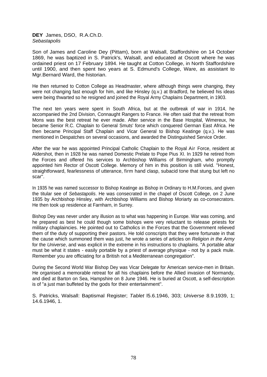**DEY** James, DSO, R.A.Ch.D. *Sebastapolis* 

Son of James and Caroline Dey (Pittam), born at Walsall, Staffordshire on 14 October 1869, he was baptized in S. Patrick's, Walsall, and educated at Oscott where he was ordained priest on 17 February 1894. He taught at Cotton College, in North Staffordshire until 1900, and then spent two years at S. Edmund's College, Ware, as assistant to Mgr.Bernard Ward, the historian.

He then returned to Cotton College as Headmaster, where although things were changing, they were not changing fast enough for him, and like Hinsley (q.v.) at Bradford, he believed his ideas were being thwarted so he resigned and joined the Royal Army Chaplains Department, in 1903.

The next ten years were spent in South Africa, but at the outbreak of war in 1914, he accompanied the 2nd Division, Connaught Rangers to France. He often said that the retreat from Mons was the best retreat he ever made. After service in the Base Hospital, Wimereux, he became Senior R.C. Chaplain to General Smuts' force which conquered German East Africa. He then became Principal Staff Chaplain and Vicar General to Bishop Keatinge (q.v.). He was mentioned in Despatches on several occasions, and awarded the Distinguished Service Order.

After the war he was appointed Principal Catholic Chaplain to the Royal Air Force, resident at Aldershot, then in 1928 he was named Domestic Prelate to Pope Pius XI. In 1929 he retired from the Forces and offered his services to Archbishop Williams of Birmingham, who promptly appointed him Rector of Oscott College. Memory of him in this position is still vivid. "Honest, straightforward, fearlessness of utterance, firm hand clasp, subacid tone that stung but left no scar".

In 1935 he was named successor to Bishop Keatinge as Bishop in Ordinary to H.M.Forces, and given the titular see of *Sebastapolis*. He was consecrated in the chapel of Oscott College, on 2 June 1935 by Archbishop Hinsley, with Archbishop Williams and Bishop Moriarty as co-consecrators. He then took up residence at Farnharn, in Surrey.

Bishop Dey was never under any illusion as to what was happening in Europe. War was coming, and he prepared as best he could though some bishops were very reluctant to release priests for military chaplaincies. He pointed out to Catholics in the Forces that the Government relieved them of the duty of supporting their pastors. He told conscripts that they were fortunate in that the cause which summoned them was just, he wrote a series of articles on *Religion in the Army* for the *Universe*, and was explicit in the extreme in his instructions to chaplains. "A portable altar must be what it states - easily portable by a priest of average physique - not by a pack mule. Remember you are officiating for a British not a Mediterranean congregation".

During the Second World War Bishop Dey was Vicar Delegate for American service-men in Britain. He organised a memorable retreat for all his chaplains before the Allied invasion of Normandy, and died at Barton on Sea, Hampshire on 8 June 1946. He is buried at Oscott, a self-description is of "a just man buffeted by the gods for their entertainment".

S. Patricks, Walsall: Baptismal Register; *Tablet* l5.6.1946, 303; *Universe* 8.9.1939, 1; 14.6.1946, 1.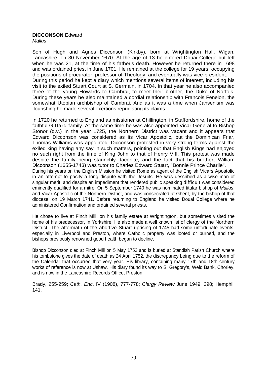# **DICCONSON** Edward

*Mallus* 

Son of Hugh and Agnes Dicconson (Kirkby), born at Wrightington Hall, Wigan, Lancashire, on 30 November 1670. At the age of 13 he entered Douai College but left when he was 21, at the time of his father's death. However he returned there in 1698 and was ordained priest in June 1701. He remained at the college for 19 years, occupying the positions of procurator, professor of Theology, and eventually was vice-president. During this period he kept a diary which mentions several items of interest, including his visit to the exiled Stuart Court at S. Germain, in 1704. In that year he also accompanied three of the young Howards to Cambrai, to meet their brother, the Duke of Norfolk. During these years he also maintained a cordial relationship with Francois Fenelon, the somewhat Utopian archbishop of Cambrai. And as it was a time when Jansenism was flourishing he made several exertions repudiating its claims.

In 1720 he returned to England as missioner at Chillington, in Staffordshire, home of the faithful Giffard family. At the same time he was also appointed Vicar General to Bishop Stonor (q.v.) In the year 1725, the Northern District was vacant and it appears that Edward Dicconson was considered as its Vicar Apostolic, but the Dominican Friar, Thomas Williams was appointed. Dicconson protested in very strong terms against the exiled king having any say in such matters, pointing out that English Kings had enjoyed no such right from the time of King John to that of Henry VIII. This protest was made despite the family being staunchly Jacobite, and the fact that his brother, William Dicconson (1655-1743) was tutor to Charles Edward Stuart, "Bonnie Prince Charlie". During his years on the English Mission he visited Rome as agent of the English Vicars Apostolic in an attempt to pacify a long dispute with the Jesuits. He was described as a wise man of singular merit, and despite an impediment that rendered public speaking difficult was considered eminently qualified for a mitre. On 5 September 1740 he was nominated titular bishop of *Mallus*, and Vicar Apostolic of the Northern District, and was consecrated at Ghent, by the bishop of that diocese, on 19 March 1741. Before returning to England he visited Douai College where he administered Confirmation and ordained several priests.

He chose to live at Finch Mill, on his family estate at Wrightington, but sometimes visited the home of his predecessor, in Yorkshire. He also made a well known list of clergy of the Northern District. The aftermath of the abortive Stuart uprising of 1745 had some unfortunate events, especially in Liverpool and Preston, where Catholic property was looted or burned, and the bishops previously renowned good health began to decline.

Bishop Dicconson died at Finch Mill on 5 May 1752 and is buried at Standish Parish Church where his tombstone gives the date of death as 24 April 1752, the discrepancy being due to the reform of the Calendar that occurred that very year. His library, containing many 17th and 18th century works of reference is now at Ushaw. His diary found its way to S. Gregory's, Weld Bank, Chorley, and is now in the Lancashire Records Office, Preston.

Brady, 255-259; *Cath. Enc*. IV (1908), 777-778; *Clergy Review* June 1949, 398; Hemphill 141.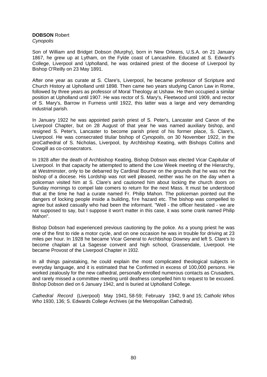# **DOBSON** Robert

*Cynopolis* 

Son of William and Bridget Dobson (Murphy), born in New Orleans, U.S.A. on 21 January 1867, he grew up at Lytham, on the Fylde coast of Lancashire. Educated at S. Edward's College, Liverpool and Upholland, he was ordained priest of the diocese of Liverpool by Bishop O'Reilly on 23 May 1891.

After one year as curate at S. Clare's, Liverpool, he became professor of Scripture and Church History at Upholland until 1898. Then came two years studying Canon Law in Rome, followed by three years as professor of Moral Theology at Ushaw. He then occupied a similar position at Upholland until 1907. He was rector of S. Mary's, Fleetwood until 1909, and rector of S. Mary's, Barrow in Furness until 1922, this latter was a large and very demanding industrial parish.

In January 1922 he was appointed parish priest of S. Peter's, Lancaster and Canon of the Liverpool Chapter, but on 28 August of that year he was named auxiliary bishop, and resigned S. Peter's, Lancaster to become parish priest of his former place, S. Clare's, Liverpool. He was consecrated titular bishop of *Cynopolis*, on 30 November 1922, in the proCathedral of S. Nicholas, Liverpool, by Archbishop Keating, with Bishops ColIins and Cowgill as co-consecrators.

In 1928 after the death of Archbishop Keating, Bishop Dobson was elected Vicar Capitular of Liverpool. In that capacity he attempted to attend the Low Week meeting of the Hierarchy, at Westminster, only to be debarred by Cardinal Bourne on the grounds that he was not the bishop of a diocese. His Lordship was not well pleased, neither was he on the day when a policeman visited him at S. Clare's and cautioned him about locking the church doors on Sunday mornings to compel late comers to return for the next Mass. It must be understood that at the time he had a curate named Fr. Philip Mahon. The policeman pointed out the dangers of locking people inside a building, fire hazard etc. The bishop was compelled to agree but asked casually who had been the informant. "Well - the officer hesitated - we are not supposed to say, but I suppose it won't matter in this case, it was some crank named Philip Mahon".

Bishop Dobson had experienced previous cautioning by the police. As a young priest he was one of the first to ride a motor cycle, and on one occasion he was in trouble for driving at 23 miles per hour. In 1928 he became Vicar General to Archbishop Downey and left S. Clare's to become chaplain at La Sagesse convent and high school, Grassendale, Liverpool. He became Provost of the Liverpool Chapter in 1932.

In all things painstaking, he could explain the most complicated theological subjects in everyday language, and it is estimated that he Confirmed in excess of 100,000 persons. He worked zealously for the new cathedral, personally enrolled numerous contacts as Crusaders, and rarely missed a committee meeting until deafness compelled him to request to be excused. Bishop Dobson died on 6 January 1942, and is buried at Upholland College.

*Cathedral Record* (Liverpool) May 1941, 58-59; February 1942, 9 and 15; *Catholic Whos Who* 1930, 136; S. Edwards College Archives (at the Metropolitan Cathedral).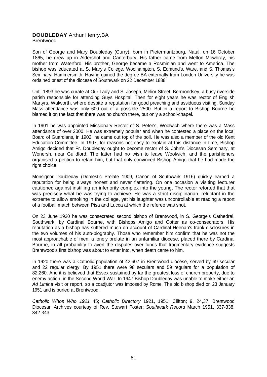# **DOUBLEDAY** Arthur Henry,BA

Brentwood

Son of George and Mary Doubleday (Curry), born in Pietermaritzburg, Natal, on 16 October 1865, he grew up in Aldershot and Canterbury. His father came from Melton Mowbray, his mother from Waterford. His brother, George became a Rosminian and went to America. The bishop was educated at S. Mary's College, Woolhampton, S. Edmund's, Ware, and S. Thomas's Seminary, Hammersmith. Having gained the degree BA externally from London University he was ordained priest of the diocese of Southwark on 22 December 1888.

Until 1893 he was curate at Our Lady and S. Joseph, Melior Street, Berrnondsey, a busy riverside parish responsible for attending Guys Hospital. Then for eight years he was rector of English Martyrs, Walworth, where despite a reputation for good preaching and assiduous visiting, Sunday Mass attendance was only 600 out of a possible 2500. But in a report to Bishop Bourne he blamed it on the fact that there was no church there, but only a school-chapel.

In 1901 he was appointed Missionary Rector of S. Peter's, Woolwich where there was a Mass attendance of over 2000. He was extremely popular and when he contested a place on the local Board of Guardians, in 1902, he came out top of the poll. He was also a member of the old Kent Education Committee. In 1907, for reasons not easy to explain at this distance in time, Bishop Amigo decided that Fr. Doubleday ought to become rector of S. John's Diocesan Seminary, at Wonersh, near Guildford. The latter had no wish to leave Woolwich, and the parishioners organised a petition to retain him, but that only convinced Bishop Amigo that he had made the right choice.

Monsignor Doubleday (Domestic Prelate 1909, Canon of Southwark 1916) quickly earned a reputation for being always honest and never flattering. On one occasion a visiting lecturer cautioned against instilling an inferiority complex into the young. The rector retorted that that was precisely what he was trying to achieve. He was a strict disciplinarian, reluctant in the extreme to allow smoking in the college, yet his laughter was uncontrollable at reading a report of a football match between Pisa and Lucca at which the referee was shot.

On 23 June 1920 he was consecrated second bishop of Brentwood, in S. George's Cathedral, Southwark, by Cardinal Bourne, with Bishops Amigo and Cotter as co-consecrators. His reputation as a bishop has suffered much on account of Cardinal Heenan's frank disclosures in the two volumes of his auto-biography. Those who remember him confirm that he was not the most approachable of men, a lonely prelate in an unfamiliar diocese, placed there by Cardinal Bourne, in all probability to avert the disputes over funds that fragmentary evidence suggests Brentwood's first bishop was about to enter into, when death came to him.

In 1920 there was a Catholic population of 42,607 in Brentwood diocese, served by 69 secular and 22 regular clergy. By 1951 there were 98 seculars and 59 regulars for a population of 82,260. And it is believed that Essex sustained by far the greatest loss of church property, due to enemy action, in the Second World War. In 1947 Bishop Doubleday was unable to make either an *Ad Limina* visit or report, so a coadjutor was imposed by Rome. The old bishop died on 23 January 1951 and is buried at Brentwood.

*Catholic Whos Who 1921* 45; *Catholic Directory* 1921, 1951; Clifton; 9, 24,37; Brentwood Diocesan Archives courtesy of Rev. Stewart Foster; *Southwark Record* March 1951, 337-338, 342-343.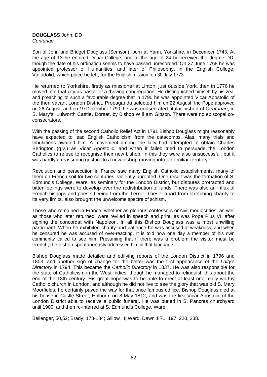#### **DOUGLASS** John, DD *Centuriae*

Son of John and Bridget Douglass (Semson), born at Yarm, Yorkshire, in December 1743. At the age of 13 he entered Douai College, and at the age of 24 he received the degree DD, though the date of his ordination seems to have passed unrecorded. On 27 June 1768 he was appointed professor of Humanities, and later of Philosophy, in the English College, Valladolid, which place he left, for the English mission, on 30 July 1773.

He returned to Yorkshire, firstly as missioner at Linton, just outside York, then in 1776 he moved into that city as pastor of a thriving congregation. He distinguished himself by his zeal and preaching to such a favourable degree that in 1790 he was appointed Vicar Apostolic of the then vacant London District. Propaganda selected him on 22 August, the Pope approved on 26 August, and on 19 December 1790, he was consecrated titular bishop of *Centuriae*, in S. Mary's, Lulworth Castle, Dorset, by Bishop William Gibson. There were no episcopal coconsecrators.

With the passing of the second Catholic Relief Act in 1791 Bishop Douglass might reasonably have expected to lead English Catholicism from the catacombs. Alas, many trials and tribulations awaited him. A movement among the laity had attempted to obtain Charles Berington (q.v.) as Vicar Apostolic, and when it failed tried to persuade the London Catholics to refuse to recognise their new bishop. In this they were also unsuccessful, but it was hardly a reassuring gesture to a new bishop moving into unfamiliar territory.

Revolution and persecution in France saw many English Catholic establishments, many of them on French soil for two centuries, violently uprooted. One result was the formation of S. Edmund's College, Ware, as seminary for the London District, but disputes protracted and bitter feelings were to develop over the redistribution of funds. There was also an influx of French bishops and priests fleeing from the Terror. These, apart from stretching charity to its very limits, also brought the unwelcome spectre of schism.

Those who remained in France, whether as glorious confessors or civil mediocrities, as well as those who later returned, were reviled in speech and print, as was Pope Pius VII after signing the concordat with Napoleon. In all this Bishop Douglass was a most unwilling participant. When he exhibited charity and patience he was accused of weakness, and when he censured he was accused of over-reacting. It is told how one day a member of his own community called to see him. Presuming that if there was a problem the visitor must be French, the bishop spontaneously addressed him in that language.

Bishop Douglass made detailed and edifying reports of the London District in 1796 and 1803, and another sign of change for the better was the first appearance of the *Laity's Directory* in 1794. This became the *Catholic Directory* in 1837. He was also responsible for the state of Catholicism in the West Indies, though he managed to relinquish this about the end of the 18th century. His great hope was to be able to erect at least one really worthy Catholic church in London, and although he did not live to see the glory that was old S. Mary Moorfields, he certainly paved the way for that once famous edifice. Bishop Douglass died at his house in Castle Street, Holborn, on 8 May 1812, and was the first Vicar Apostolic of the London District able to receive a public funeral. He was buried in S. Pancras churchyard until 1900, and then re-interred at S. Edmund's College, Ware.

Bellenger, 50,52; Brady, 178-184; Gillow II; Ward, Dawn 1 71. 197, 220, 238.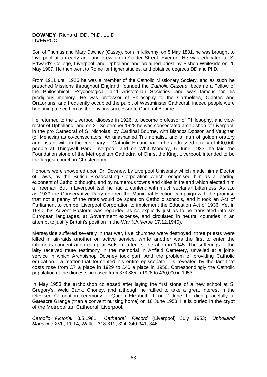# **DOWNEY** Richard, DD, PhD, LL.D LIVERPOOL

Son of Thomas and Mary Downey (Casey), born in Kilkenny, on 5 May 1881, he was brought to Liverpool at an early age and grew up in Calder Street, Everton. He was educated at S. Edward's College, Liverpool, and Upholland and ordained priest by Bishop Whiteside on 25 May 1907. He then went to Rome for higher studies, and obtained degrees DD and PhD.

From 1911 until 1926 he was a member of the Catholic Missionary Society, and as such he preached Missions throughout England, founded the *Catholic Gazette*, became a Fellow of the Philosphical, Psychological, and Aristotelian Societies, and was famous for his prodigious memory. He was professor of Philosophy to the Carmelites, Oblates and Oratorians, and frequently occupied the pulpit of Westminster Cathedral, indeed people were beginning to see him as the obvious successor to Cardinal Bourne.

He returned to the Liverpool diocese in 1926, to become professor of Philosophy, and vicerector of Upholland, and on 21 September 1928 he was consecrated archbishop of Liverpool, in the pro Cathedral of S. Nicholas, by Cardinal Bourne, with Bishops Dobson and Vaughan (of Menevia) as co-consecrators. An unashamed Triumphalist, and a man of golden oratory and instant wit, on the centenary of Catholic Emancipation he addressed a rally of 400,000 people at Thingwall Park, Liverpool, and on Whit Monday, 6 June 1933, he laid the Foundation stone of the Metropolitan Cathedral of Christ the King, Liverpool, intended to be the largest church in Christendom.

Honours were showered upon Dr. Downey, by Liverpool University which made him a Doctor of Laws, by the British Broadcasting Corporation which recognised him as a leading exponent of Catholic thought, and by numerous towns and cities in Ireland which elected him a Freeman. But in Liverpool itself he had to contend with much sectarian bitterness. As late as 1939 the Conservative Party entered the Municipal Election campaign with the promise that not a penny of the rates would be spent on Catholic schools, and it took an Act of Parliament to compel Liverpool Corporation to implement the Education Act of 1936. Yet in 1940, his Advent Pastoral was regarded as so explicitly just as to be translated into six European languages, at Government expense, and circulated in neutral countries in an attempt to justify Britain's position in the War (*Universe* 17.12.1940).

Merseyside suffered severely in that war, five churches were destroyed, three priests were killed in air-raids another on active service, while another was the first to enter the infamous concentration camp at Belsen, after its liberation in 1945. The sufferings of the laity received mute testimony in the memorial in Anfield Cemetery, unveiled at a jointservice in which Archbishop Downey took part. And the problem of providing Catholic education - a matter that tormented his entire episcopate - is revealed by the fact that costs rose from £7 a place in 1929 to £40 a place in 1950. Correspondingly the Catholic population of the diocese increased from 373,885 in 1928 to 430,000 in 1953.

In May 1953 the archbishop collapsed after laying the first stone of a new school at S. Gregory's, Weld Bank, Chorley, and although he rallied to take a great interest in the televised Coronation ceremony of Queen Elizabeth II, on 2 June, he died peacefully at Gateacre Grange (then a convent nursing home) on 16 June 1953. He is buried in the crypt of the Metropolitan Cathedral, Liverpool.

*Catholic Pictorial* 3.5.1981; *Cathedral Record* (Liverpool) July 1953; *Upholland Magazine* XVII, 11-14; Waller, 318-319, 324, 340-341, 346.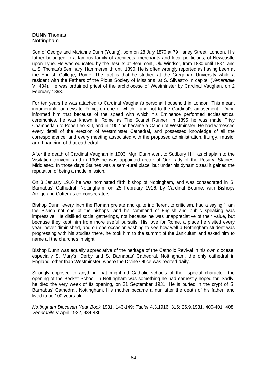# **DUNN** Thomas Nottingham

Son of George and Marianne Dunn (Young), born on 28 July 1870 at 79 Harley Street, London. His father belonged to a famous family of architects, merchants and local politicians, of Newcastle upon Tyne. He was educated by the Jesuits at Beaumont, Old Windsor, from 1880 until 1887, and at S. Thomas's Seminary, Hammersmith until 1890. He is often wrongly reported as having been at the English College, Rome. The fact is that he studied at the Gregorian University while a resident with the Fathers of the Pious Society of Missions, at S. Silvestro in capite. (*Venerabile* V, 434). He was ordained priest of the archdiocese of Westminster by Cardinal Vaughan, on 2 February 1893.

For ten years he was attached to Cardinal Vaughan's personal household in London. This meant innumerable journeys to Rome, on one of which - and not to the Cardinal's amusement - Dunn informed him that because of the speed with which his Eminence performed ecclesiastical ceremonies, he was known in Rome as The Scarlet Runner. In 1895 he was made Privy Chamberlain to Pope Leo XIII, and in 1902 he became a Canon of Westminster. He had witnessed every detail of the erection of Westminster Cathedral, and possessed knowledge of all the correspondence, and every meeting associated with the proposed administration, liturgy, music, and financing of that cathedral.

After the death of Cardinal Vaughan in 1903, Mgr. Dunn went to Sudbury Hill, as chaplain to the Visitation convent, and in 1905 he was appointed rector of Our Lady of the Rosary, Staines, Middlesex. In those days Staines was a semi-rural place, but under his dynamic zeal it gained the reputation of being a model mission.

On 3 January 1916 he was nominated fifth bishop of Nottingham, and was consecrated in S. Barnabas' Cathedral, Nottingham, on 25 February 1916, by Cardinal Bourne, with Bishops Amigo and Cotter as co-consecrators.

Bishop Dunn, every inch the Roman prelate and quite indifferent to criticism, had a saying "I am the Bishop not one of the bishops" and his command of English and public speaking was impressive. He disliked social gatherings, not because he was unappreciative of their value, but because they kept him from more useful pursuits. His love for Rome, a place he visited every year, never diminished, and on one occasion wishing to see how well a Nottingham student was progressing with his studies there, he took him to the summit of the Janiculum and asked him to name all the churches in sight.

Bishop Dunn was equally appreciative of the heritage of the Catholic Revival in his own diocese, especially S. Mary's, Derby and S. Barnabas' Cathedral, Nottingham, the only cathedral in England, other than Westminster, where the Divine Office was recited daily.

Strongly opposed to anything that might rid Catholic schools of their special character, the opening of the Becket School, in Nottingham was something he had earnestly hoped for. Sadly, he died the very week of its opening, on 21 September 1931. He is buried in the crypt of S. Barnabas' Cathedral, Nottingham. His mother became a nun after the death of his father, and lived to be 100 years old.

*Nottingham Diocesan Year Book* 1931, 143-149; *Tablet* 4.3.1916, 316; 26.9.1931, 400-401, 408; *Venerabile* V April 1932, 434-436.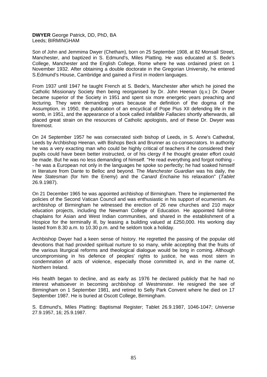**DWYER** George Patrick, DD, PhD, BA Leeds; BIRMINGHAM

Son of John and Jemmima Dwyer (Chetham), born on 25 September 1908, at 82 Monsall Street, Manchester, and baptized in S. Edmund's, Miles Platting. He was educated at S. Bede's College, Manchester and the English College, Rome where he was ordained priest on 1 November 1932. After obtaining a double doctorate in the Gregorian University, he entered S.Edmund's House, Cambridge and gained a First in modern languages.

From 1937 until 1947 he taught French at S. Bede's, Manchester after which he joined the Catholic Missionary Society then being reorganised by Dr. John Heenan (q.v.) Dr. Dwyer became superior of the Society in 1951 and spent six more energetic years preaching and lecturing. They were demanding years because the definition of the dogma of the Assumption, in 1950, the publication of an encyclical of Pope Pius XII defending life in the womb, in 1951, and the appearance of a book called *Infallible Fallacies* shortly afterwards, all placed great strain on the resources of Catholic apologists, and of these Dr. Dwyer was foremost.

On 24 September 1957 he was consecrated sixth bishop of Leeds, in S. Anne's Cathedral, Leeds by Archbishop Heenan, with Bishops Beck and Brunner as co-consecrators. In authority he was a very exacting man who could be highly critical of teachers if he considered their pupils could have been better instructed, or of his clergy if he thought greater effort could be made. But he was no less demanding of himself. "He read everything and forgot nothing - - he was a European not only in the languages he spoke so perfectly; he had soaked himself in literature from Dante to Belloc and beyond. The *Manchester Guardian* was his daily, the *New Statesman* (for him the Enemy) and the *Canard Enchaine* his relaxation" (*Tablet* 26.9.1987).

On 21 December 1965 he was appointed archbishop of Birmingham. There he implemented the policies of the Second Vatican Council and was enthusiastic in his support of ecumenism. As archbishop of Birmingham he witnessed the erection of 26 new churches and 210 major education projects, including the Newman College of Education. He appointed full-time chaplains for Asian and West Indian communities, and shared in the establishment of a Hospice for the terminally ill, by leasing a building valued at £250,000. His working day lasted from 8.30 a.m. to 10.30 p.m. and he seldom took a holiday.

Archbishop Dwyer had a keen sense of history. He regretted the passing of the popular old devotions that had provided spiritual nurture to so many, while accepting that the fruits of the various liturgical reforms and theological dialogue would be long in coming. Although uncompromising in his defence of peoples' rights to justice, he was most stern in condemnation of acts of violence, especially those committed in, and in the name of, Northern Ireland.

His health began to decline, and as early as 1976 he declared publicly that he had no interest whatsoever in becoming archbishop of Westminster. He resigned the see of Birmingham on 1 September 1981, and retired to Selly Park Convent where he died on 17 September 1987. He is buried at Oscott College, Birmingham.

S. Edmund's, Miles Platting: Baptismal Register; Tablet 26.9.1987, 1046-1047; *Universe* 27.9.1957, 16; 25.9.1987.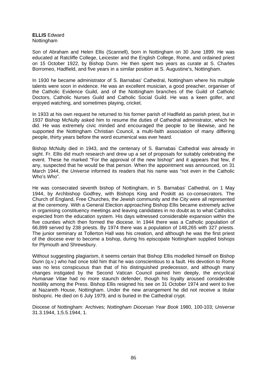# **ELLIS** Edward Nottingham

Son of Abraham and Helen Ellis (Scannell), born in Nottingham on 30 June 1899. He was educated at Ratcliffe College, Leicester and the English College, Rome, and ordained priest on 15 October 1922, by Bishop Dunn. He then spent two years as curate at S. Charles Borromeo, Hadfield, and five years in a similar position at S. Augustine's, Nottingham.

In 1930 he became administrator of S. Barnabas' Cathedral, Nottingham where his multiple talents were soon in evidence. He was an excellent musician, a good preacher, organiser of the Catholic Evidence Guild, and of the Nottingham branches of the Guild of Catholic Doctors, Catholic Nurses Guild and Catholic Social Guild. He was a keen golfer, and enjoyed watching, and sometimes playing, cricket.

In 1933 at his own request he returned to his former parish of Hadfield as parish priest, but in 1937 Bishop McNulty asked him to resume the duties of Cathedral administrator, which he did. He was extremely civic minded and encouraged the people to be likewise, and he supported the Nottingham Christian Council, a multi-faith association of many differing people, thirty years before the word ecumenical was ever heard.

Bishop McNulty died in 1943, and the centenary of S. Barnabas' Cathedral was already in sight. Fr. Ellis did much research and drew up a set of proposals for suitably celebrating the event. These he marked "For the approval of the new bishop" and it appears that few, if any, suspected that he would be that person. When the appointment was announced, on 31 March 1944, the *Universe* informed its readers that his name was "not even in the Catholic Who's Who".

He was consecrated seventh bishop of Nottingham, in S. Barnabas' Cathedral, on 1 May 1944, by Archbishop Godfrey, with Bishops King and Poskitt as co-consecrators. The Church of England, Free Churches, the Jewish community and the City were all represented at the ceremony. With a General Election approaching Bishop Ellis became extremely active in organising constituency meetings and leaving candidates in no doubt as to what Catholics expected from the education system. His days witnessed considerable expansion within the five counties which then formed the diocese. In 1944 there was a Catholic population of 66,899 served by 238 priests. By 1974 there was a population of 148,265 with 327 priests. The junior seminary at Tollerton Hall was his creation, and although he was the first priest of the diocese ever to become a bishop, during his episcopate Nottingham supplied bishops for Plymouth and Shrewsbury.

Without suggesting plagiarism, it seems certain that Bishop Ellis modelled himself on Bishop Dunn (q.v.) who had once told him that he was conscientious to a fault. His devotion to Rome was no less conspicuous than that of his distinguished predecessor, and although many changes instigated by the Second Vatican Council pained him deeply, the encyclical *Humanae Vitae* had no more staunch defender, though his loyalty aroused considerable hostility among the Press. Bishop Ellis resigned his see on 31 October 1974 and went to live at Nazareth House, Nottingham. Under the new arrangement he did not receive a titular bishopric. He died on 6 July 1979, and is buried in the Cathedral crypt.

Diocese of Nottingham: Archives; *Nottingham Diocesan Year Book* 1980, 100-103; *Universe* 31.3.1944, 1;5.5.1944, 1.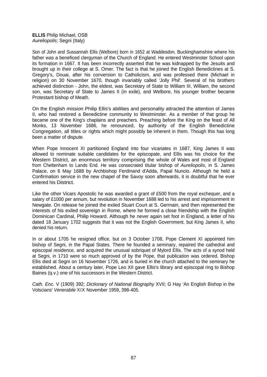**ELLIS** Philip Michael, OSB *Aureliopolis*; Segni (Italy)

Son of John and Sussannah Ellis (Welbore) born in 1652 at Waddesdon, Buckinghamshire where his father was a beneficed clergyman of the Church of England. He entered Westminster School upon its formation in 1667. It has been incorrectly asserted that he was kidnapped by the Jesuits and brought up in their college at S. Omer. The fact is that he joined the English Benedictines at S. Gregory's, Douai, after his conversion to Catholicism, and was professed there (Michael in religion) on 30 November 1670, though invariably called 'Jolly Phil'. Several of his brothers achieved distinction - John, the eldest, was Secretary of State to William III, William, the second son, was Secretary of State to James II (in exile), and Welbore, his younger brother became Protestant bishop of Meath.

On the English mission Philip Ellis's abilities and personality attracted the attention of James II, who had restored a Benedictine community to Westminster. As a member of that group he became one of the King's chaplains and preachers. Preaching before the King on the feast of All Monks, 13 November 1686, he renounced, by authority of the English Benedictine Congregation, all titles or rights which might possibly be inherent in them. Though this has long been a matter of dispute.

When Pope Innocent XI partitioned England into four vicariates in 1687, King James II was allowed to nominate suitable candidates for the episcopate, and Ellis was his choice for the Western District, an enormous territory comprising the whole of Wales and most of England from Cheltenham to Lands End. He was consecrated titular bishop of *Aureliopolis*, in S. James Palace, on 6 May 1688 by Archbishop Ferdinand d'Adda, Papal Nuncio. Although he held a Confirmation service in the new chapel of the Savoy soon afterwards, it is doubtful that he ever entered his District.

Like the other Vicars Apostolic he was awarded a grant of £500 from the royal exchequer, and a salary of £1000 per annum, but revolution in November 1688 led to his arrest and imprisonment in Newgate. On release he joined the exiled Stuart Court at S. Germain, and then represented the interests of his exiled sovereign in Rome, where he formed a close friendship with the English Dominican Cardinal, Philip Howard. Although he never again set foot in England, a letter of his dated 18 January 1702 suggests that it was not the English Government, but King James II, who denied his return.

In or about 1705 he resigned office, but on 3 October 1708, Pope Clement XI appointed him bishop of Segni, in the Papal States. There he founded a seminary, repaired the cathedral and episcopal residence, and acquired the unusual sobriquet of Mylord Ellis. The acts of a synod held at Segni, in 1710 were so much approved of by the Pope, that publication was ordered. Bishop Ellis died at Segni on 16 November 1726, and is buried in the church attached to the seminary he established. About a century later, Pope Leo XII gave Ellis's library and episcopal ring to Bishop Baines (q.v.) one of his successors in the Western District.

*Cath. Enc.* V (1909) 392; *Dictionary of National Biography* XVII; G Hay 'An English Bishop in the Volscians' *Venerabile* XIX November 1959, 398-405.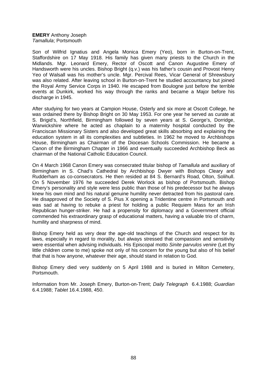### **EMERY** Anthony Joseph *Tamallula*; Portsmouth

Son of Wilfrid Ignatius and Angela Monica Emery (Yeo), born in Burton-on-Trent, Staffordshire on 17 May 1918. His family has given many priests to the Church in the Midlands. Mgr. Leonard Emery, Rector of Oscott and Canon Augustine Emery of Handsworth were his uncles. Bishop Bright (q.v.) was his father's cousin and Provost Henry Yeo of Walsall was his mother's uncle. Mgr. Percival Rees, Vicar General of Shrewsbury was also related. After leaving school in Burton-on-Trent he studied accountancy but joined the Royal Army Service Corps in 1940. He escaped from Boulogne just before the terrible events at Dunkirk, worked his way through the ranks and became a Major before his discharge in 1945.

After studying for two years at Campion House, Osterly and six more at Oscott College, he was ordained there by Bishop Bright on 30 May 1953. For one year he served as curate at S. Brigid's, Northfield, Birmingham followed by seven years at S. George's, Dorridge, Warwickshire where he acted as chaplain to a maternity hospital conducted by the Franciscan Missionary Sisters and also developed great skills absorbing and explaining the education system in all its complexities and subtleties. In 1962 he moved to Archbishops House, Birmingham as Chairman of the Diocesan Schools Commission. He became a Canon of the Birmingham Chapter in 1966 and eventually succeeded Archbishop Beck as chairman of the National Catholic Education Council.

On 4 March 1968 Canon Emery was consecrated titular bishop of *Tamallula* and auxiliary of Birmingham in S. Chad's Cathedral by Archbishop Dwyer with Bishops Cleary and Rudderham as co-consecrators. He then resided at 84 S. Bernard's Road, Olton, Solihull. On 5 November 1976 he succeeded Derek Worlock as bishop of Portsmouth. Bishop Emery's personality and style were less public than those of his predecessor but he always knew his own mind and his natural genuine humility never detracted from his pastoral care. He disapproved of the Society of S. Pius X opening a Tridentine centre in Portsmouth and was sad at having to rebuke a priest for holding a public Requiem Mass for an Irish Republican hunger-striker. He had a propensity for diplomacy and a Government official commended his extraordinary grasp of educational matters, having a valuable trio of charm, humility and sharpness of mind.

Bishop Emery held as very dear the age-old teachings of the Church and respect for its laws, especially in regard to morality, but always stressed that compassion and sensitivity were essential when advising individuals. His Episcopal motto *Sinite parvulos venire* (Let thy little children come to me) spoke not only of his concern for the young but also of his belief that that is how anyone, whatever their age, should stand in relation to God.

Bishop Emery died very suddenly on 5 April 1988 and is buried in Milton Cemetery, Portsmouth.

Information from Mr. Joseph Emery, Burton-on-Trent; *Daily Telegraph* 6.4.1988; *Guardian*  6.4.1988; *Tablet* 16.4.1988, 450.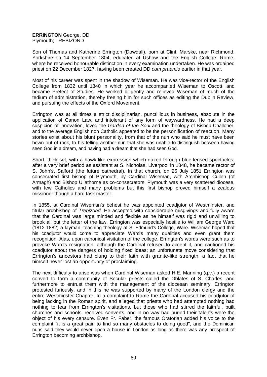# **ERRINGTON** George, DD Plymouth; TREBIZOND

Son of Thomas and Katherine Errington (Dowdall), born at Clint, Marske, near Richmond, Yorkshire on 14 September 1804, educated at Ushaw and the English College, Rome, where he received honourable distinction in every examination undertaken. He was ordained priest on 22 December 1827, having been created DD *cum praemio* earlier in that year.

Most of his career was spent in the shadow of Wiseman. He was vice-rector of the English College from 1832 until 1840 in which year he accompanied Wiseman to Oscott, and became Prefect of Studies. He worked diligently and relieved Wiseman of much of the tedium of administration, thereby freeing him for such offices as editing the Dublin Review, and pursuing the effects of the Oxford Movement.

Errington was at all times a strict disciplinarian, punctillious in business, absolute in the application of Canon Law, and intolerant of any form of waywardness. He had a deep suspicion of innovation, loved the *Garden of the Soul* and the theology of Bishop Challoner, and to the average English non Catholic appeared to be the personification of reaction. Many stories exist about his blunt personality, from that of the nun who said he must have been hewn out of rock, to his telling another nun that she was unable to distinguish between having seen God in a dream, and having had a dream that she had seen God.

Short, thick-set, with a hawk-like expression which gazed through blue-lensed spectacles, after a very brief period as assistant at S. Nicholas, Liverpool in 1848, he became rector of S. John's, Salford (the future cathedral). In that church, on 25 July 1851 Errington was consecrated first bishop of Plymouth, by Cardinal Wiseman, with Archbishop Cullen (of Armagh) and Bishop Ullathorne as co-consecrators. Plymouth was a very scattered diocese, with few Catholics and many problems but this first bishop proved himself a zealous missioner though a hard task master.

In 1855, at Cardinal Wiseman's behest he was appointed coadjutor of Westminster, and titular archbishop of *Trebizond*. He accepted with considerable misgivings and fully aware that the Cardinal was large minded and flexible as he himself was rigid and unwilling to brook all but the letter of the law. Errington was especially hostile to William George Ward (1812-1882) a layman, teaching theology at S. Edmund's College, Ware. Wiseman hoped that his coadjutor would come to appreciate Ward's many qualities and even grant them recognition. Alas, upon canonical visitation of the college, Errington's words were such as to provoke Ward's resignation, although the Cardinal refused to accept it, and cautioned his coadjutor about the dangers of holding fixed ideas; an unfortunate move considering that Errington's ancestors had clung to their faith with granite-like strength, a fact that he himself never lost an opportunity of proclaiming.

The next difficulty to arise was when Cardinal Wiseman asked H.E. Manning (q.v.) a recent convert to form a community of Secular priests called the Oblates of S. Charles, and furthermore to entrust them with the management of the diocesan seminary. Errington protested furiously, and in this he was supported by many of the London clergy and the entire Westminster Chapter. In a complaint to Rome the Cardinal accused his coadjutor of being lacking in the Roman spirit, and alleged that priests who had attempted nothing had nothing to fear from Errington's visitations, but those who had stirred the faithful, built churches and schools, received converts, and in no way had buried their talents were the object of his every censure. Even Fr. Faber, the famous Oratorian added his voice to the complaint "it is a great pain to find so many obstacles to doing good", and the Dominican nuns said they would never open a house in London as long as there was any prospect of Errington becoming archbishop.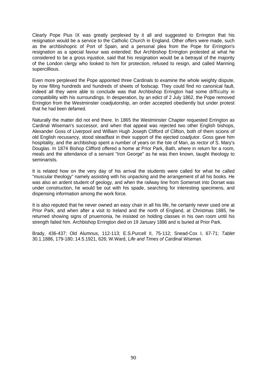Clearly Pope Pius IX was greatly perplexed by it all and suggested to Errington that his resignation would be a service to the Catholic Church in England. Other offers were made, such as the archbishopric of Port of Spain, and a personal plea from the Pope for Errington's resignation as a special favour was extended. But Archbishop Errington protested at what he considered to be a gross injustice, said that his resignation would be a betrayal of the majority of the London clergy who looked to him for protection, refused to resign, and called Manning supercillious.

Even more perplexed the Pope appointed three Cardinals to examine the whole weighty dispute, by now filling hundreds and hundreds of sheets of foolscap. They could find no canonical fault, indeed all they were able to conclude was that Archbishop Errington had some difficulty in compatibility with his surroundings. In desperation, by an edict of 2 July 1862, the Pope removed Errington from the Westminster coadjutorship, an order accepted obediently but under protest that he had been defamed.

Naturally the matter did not end there. In 1865 the Westminster Chapter requested Errington as Cardinal Wiseman's successor, and when that appeal was rejected two other English bishops, Alexander Goss of Liverpool and William Hugh Joseph Clifford of Clifton, both of them scions of old English recusancy, stood steadfast in their support of the ejected coadjutor. Goss gave him hospitality, and the archbishop spent a number of years on the Isle of Man, as rector of S. Mary's Douglas. In 1874 Bishop Clifford offered a home at Prior Park, Bath, where in return for a room, meals and the attendance of a servant "Iron George" as he was then known, taught theology to seminarists.

It is related how on the very day of his arrival the students were called for what he called "muscular theology" namely assisting with his unpacking and the arrangement of all his books. He was also an ardent student of geology, and when the railway line from Somerset into Dorset was under construction, he would be out with his spade, searching for interesting specimens, and dispensing information among the work force.

It is also reputed that he never owned an easy chair in all his life, he certainly never used one at Prior Park, and when after a visit to Ireland and the north of England, at Christmas 1885, he returned showing signs of pnuemonia, he insisted on holding classes in his own room until his strength failed him. Archbishop Errington died on 19 January 1886 and is buried at Prior Park.

Brady, 436-437; Old Alumnus, 112-113; E.S.Purcell II, 75-112; Snead-Cox I, 67-71; *Tablet* 30.1.1886, 179-180; 14.5.1921, 626; W.Ward, *Life and Times of Cardinal Wiseman.*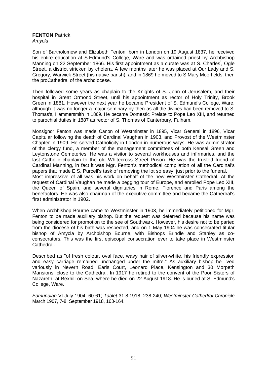### **FENTON Patrick** *Amycla*

Son of Bartholomew and Elizabeth Fenton, born in London on 19 August 1837, he received his entire education at S.Edmund's College, Ware and was ordained priest by Archbishop Manning on 22 September 1866. His first appointment as a curate was at S. Charles' , Ogle Street, a district stricken by cholera. A few months later he was placed at Our Lady and S. Gregory, Warwick Street (his native parish), and in 1869 he moved to S.Mary Moorfields, then the proCathedral of the archdiocese.

Then followed some years as chaplain to the Knights of S. John of Jerusalem, and their hospital in Great Ormond Street, until his appointment as rector of Holy Trinity, Brook Green in 1881. However the next year he became President of S. Edmund's College, Ware, although it was no longer a major seminary by then as all the divines had been removed to S. Thomas's, Hammersmith in 1869. He became Domestic Prelate to Pope Leo XIII, and returned to parochial duties in 1887 as rector of S. Thomas of Canterbury, Fulham.

Monsignor Fenton was made Canon of Westminster in 1895, Vicar General in 1896, Vicar Capitular following the death of Cardinal Vaughan in 1903, and Provost of the Westminster Chapter in 1909. He served Catholicity in London in numerous ways. He was administrator of the clergy fund, a member of the management committees of both Kensal Green and Leytonstone Cemeteries. He was a visitor to several workhouses and infirmaries, and the last Catholic chaplain to the old Whitecross Street Prison. He was the trusted friend of Cardinal Manning, in fact it was Mgr. Fenton's methodical compilation of all the Cardinal's papers that made E.S. Purcell's task of removing the lot so easy, just prior to the funeral. Most impressive of all was his work on behalf of the new Westminster Cathedral. At the request of Cardinal Vaughan he made a begging tour of Europe, and enrolled Pope Leo XIII, the Queen of Spain, and several dignitaries in Rome, Florence and Paris among the benefactors. He was also chairman of the executive committee and became the Cathedral's first administrator in 1902.

When Archbishop Bourne came to Westminster in 1903, he immediately petitioned for Mgr. Fenton to be made auxiliary bishop. But the request was deferred because his name was being considered for promotion to the see of Southwark. However, his desire not to be parted from the diocese of his birth was respected, and on 1 May 1904 he was consecrated titular bishop of Amycla by Archbishop Bourne, with Bishops Brindle and Stanley as coconsecrators. This was the first episcopal consecration ever to take place in Westminster Cathedral.

Described as "of fresh colour, oval face, wavy hair of silver-white, his friendly expression and easy carriage remained unchanged under the mitre." As auxiliary bishop he lived variously in Nevern Road, Earls Court, Leonard Place, Kensington and 30 Morpeth Mansions, close to the Cathedral. In 1917 he retired to the convent of the Poor Sisters of Nazareth, at Bexhill on Sea, where he died on 22 August 1918. He is buried at S. Edmund's College, Ware.

*Edmundian* VI July 1904, 60-61; *Tablet* 31.8.1918, 238-240; *Westminster Cathedral Chronicle* March 1907, 7-8; September 1918, 163-164.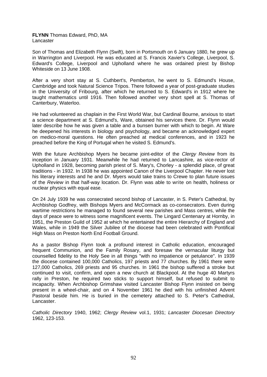### **FLYNN** Thomas Edward, PhD, MA Lancaster

Son of Thomas and Elizabeth Flynn (Swift), born in Portsmouth on 6 January 1880, he grew up in Warrington and Liverpool. He was educated at S. Francis Xavier's College, Liverpool, S. Edward's College, Liverpool and Upholland where he was ordained priest by Bishop Whiteside on 13 June 1908.

After a very short stay at S. Cuthbert's, Pemberton, he went to S. Edmund's House, Cambridge and took Natural Science Tripos. There followed a year of post-graduate studies in the University of Fribourg, after which he returned to S. Edward's in 1912 where he taught mathematics until 1916. Then followed another very short spell at S. Thomas of Canterbury, Waterloo.

He had volunteered as chaplain in the First World War, but Cardinal Bourne, anxious to start a science department at S. Edmund's, Ware, obtained his services there. Dr. Flynn would later describe how he was given a table and a bunsen burner with which to begin. At Ware he deepened his interests in biology and psychology, and became an acknowledged expert on medico-moral questions. He often preached at medical conferences, and in 1923 he preached before the King of Portugal when he visited S. Edmund's.

With the future Archbishop Myers he became joint-editor of the *Clergy Review* from its inception in January 1931. Meanwhile he had returned to Lancashire, as vice-rector of Upholland in 1928, becoming parish priest of S. Mary's, Chorley - a splendid place, of great traditions - in 1932. In 1938 he was appointed Canon of the Liverpool Chapter. He never lost his literary interests and he and Dr. Myers would take trains to Crewe to plan future issues of the *Review* in that half-way location. Dr. Flynn was able to write on health, holiness or nuclear physics with equal ease.

On 24 July 1939 he was consecrated second bishop of Lancaster, in S. Peter's Cathedral, by Archbishop Godfrey, with Bishops Myers and McCormack as co-consecrators. Even during wartime restrictions he managed to found several new parishes and Mass centres, while the days of peace were to witness some magnificent events. The Lingard Centenary at Hornby, in 1951, the Preston Guild of 1952 at which he entertained the entire Hierarchy of England and Wales, while in 1949 the Silver Jubilee of the diocese had been celebrated with Pontifical High Mass on Preston North End Football Ground.

As a pastor Bishop Flynn took a profound interest in Catholic education, encouraged frequent Communion, and the Family Rosary, and foresaw the vernacular liturgy but counselled fidelity to the Holy See in all things "with no impatience or petulance". In 1939 the diocese contained 100,000 Catholics, 197 priests and 77 churches. By 1961 there were 127,000 Catholics, 269 priests and 95 churches. In 1961 the bishop suffered a stroke but continued to visit, confirm, and open a new church at Blackpool. At the huge 40 Martyrs rally in Preston, he required two sticks to support himself, but refused to submit to incapacity. When Archbishop Grimshaw visited Lancaster Bishop Flynn insisted on being present in a wheel-chair, and on 4 November 1961 he died with his unfinished Advent Pastoral beside him. He is buried in the cemetery attached to S. Peter's Cathedral, Lancaster.

*Catholic Directory* 1940, 1962; *Clergy Review* vol.1, 1931; *Lancaster Diocesan Directory* 1962, 123-153.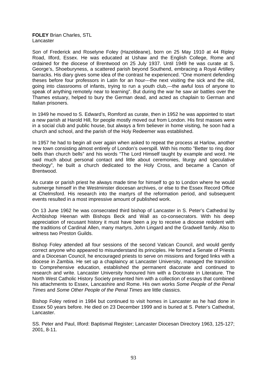### **FOLEY** Brian Charles, STL Lancaster

Son of Frederick and Roselyne Foley (Hazeldeane), born on 25 May 1910 at 44 Ripley Road, Ilford, Essex. He was educated at Ushaw and the English College, Rome and ordained for the diocese of Brentwood on 25 July 1937. Until 1949 he was curate at S. George's, Shoeburyness, a scattered parish beyond Southend, embracing a Royal Artillery barracks. His diary gives some idea of the contrast he experienced. "One moment defending theses before four professors in Latin for an hour---the next visiting the sick and the old, going into classrooms of infants, trying to run a youth club,---the awful loss of anyone to speak of anything remotely near to learning". But during the war he saw air battles over the Thames estuary, helped to bury the German dead, and acted as chaplain to German and Italian prisoners.

In 1949 he moved to S. Edward's, Romford as curate, then in 1952 he was appointed to start a new parish at Harold Hill, for people mostly moved out from London. His first masses were in a social club and public house, but always a firm believer in home visiting, he soon had a church and school, and the parish of the Holy Redeemer was established.

In 1957 he had to begin all over again when asked to repeat the process at Harlow, another new town consisting almost entirely of London's overspill. With his motto "Better to ring door bells than church bells" and his words "The Lord Himself taught by example and word. He said much about personal contact and little about ceremonies, liturgy and speculative theology", he built a church dedicated to the Holy Cross, and became a Canon of Brentwood.

As curate or parish priest he always made time for himself to go to London where he would submerge himself in the Westminster diocesan archives, or else to the Essex Record Office at Chelmsford. His research into the martyrs of the reformation period, and subsequent events resulted in a most impressive amount of published work.

On 13 June 1962 he was consecrated third bishop of Lancaster in S. Peter's Cathedral by Archbishop Heenan with Bishops Beck and Wall as co-consecrators. With his deep appreciation of recusant history it must have been a joy to receive a diocese redolent with the traditions of Cardinal Allen, many martyrs, John Lingard and the Gradwell family. Also to witness two Preston Guilds.

Bishop Foley attended all four sessions of the second Vatican Council, and would gently correct anyone who appeared to misunderstand its principles. He formed a Senate of Priests and a Diocesan Council, he encouraged priests to serve on missions and forged links with a diocese in Zambia. He set up a chaplaincy at Lancaster University, managed the transition to Comprehensive education, established the permanent diaconate and continued to research and write. Lancaster University honoured him with a Doctorate in Literature. The North West Catholic History Society presented him with a collection of essays that combined his attachments to Essex, Lancashire and Rome. His own works *Some People of the Penal Times* and *Some Other People of the Penal Times* are little classics.

Bishop Foley retired in 1984 but continued to visit homes in Lancaster as he had done in Essex 50 years before. He died on 23 December 1999 and is buried at S. Peter's Cathedral, Lancaster.

SS. Peter and Paul, Ilford: Baptismal Register; Lancaster Diocesan Directory 1963, 125-127; 2001, 8-11.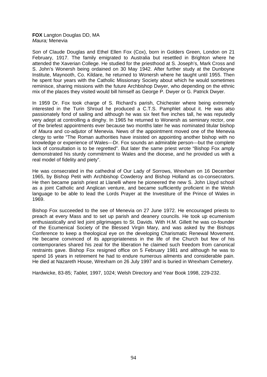**FOX** Langton Douglas DD, MA *Maura;* Menevia

Son of Claude Douglas and Ethel Ellen Fox (Cox), born in Golders Green, London on 21 February, 1917. The family emigrated to Australia but resettled in Brighton where he attended the Xaverian College. He studied for the priesthood at S. Joseph's, Mark Cross and S. John's Wonersh being ordained on 30 May 1942. After further study at the Dunboyne Institute, Maynooth, Co. Kildare, he returned to Wonersh where he taught until 1955. Then he spent four years with the Catholic Missionary Society about which he would sometimes reminisce, sharing missions with the future Archbishop Dwyer, who depending on the ethnic mix of the places they visited would bill himself as George P. Dwyer or G. Patrick Dwyer.

In 1959 Dr. Fox took charge of S. Richard's parish, Chichester where being extremely interested in the Turin Shroud he produced a C.T.S. Pamphlet about it. He was also passionately fond of sailing and although he was six feet five inches tall, he was reputedly very adept at controlling a dinghy. In 1965 he returned to Wonersh as seminary rector, one of the briefest appointments ever because two months later he was nominated titular bishop of *Maura* and co-adjutor of Menevia. News of the appointment moved one of the Menevia clergy to write "The Roman authorities have insisted on appointing another bishop with no knowledge or experience of Wales---Dr. Fox sounds an admirable person---but the complete lack of consultation is to be regretted". But later the same priest wrote "Bishop Fox amply demonstrated his sturdy commitment to Wales and the diocese, and he provided us with a real model of fidelity and piety".

He was consecrated in the cathedral of Our Lady of Sorrows, Wrexham on 16 December 1965, by Bishop Petit with Archbishop Cowderoy and Bishop Holland as co-consecrators. He then became parish priest at Llanelli where he pioneered the new S. John Lloyd school as a joint Catholic and Anglican venture, and became sufficiently proficient in the Welsh language to be able to lead the Lords Prayer at the Investiture of the Prince of Wales in 1969.

Bishop Fox succeeded to the see of Menevia on 27 June 1972. He encouraged priests to preach at every Mass and to set up parish and deanery councils. He took up ecumenism enthusiastically and led joint pilgrimages to St. Davids. With H.M. Gillett he was co-founder of the Ecumenical Society of the Blessed Virgin Mary, and was asked by the Bishops Conference to keep a theological eye on the developing Charismatic Renewal Movement. He became convinced of its appropriateness in the life of the Church but few of his contemporaries shared his zeal for the liberation he claimed such freedom from canonical restraints gave. Bishop Fox resigned office on 5 February 1981 and although he was to spend 16 years in retirement he had to endure numerous ailments and considerable pain. He died at Nazareth House, Wrexham on 26 July 1997 and is buried in Wrexham Cemetery.

Hardwicke, 83-85; *Tablet,* 1997, 1024; Welsh Directory and Year Book 1998, 229-232.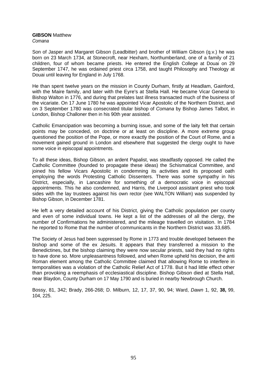# **GIBSON** Matthew

*Comana* 

Son of Jasper and Margaret Gibson (Leadbitter) and brother of William Gibson (q.v.) he was born on 23 March 1734, at Stonecroft, near Hexham, Northumberland, one of a family of 21 children, four of whom became priests. He entered the English College at Douai on 29 September 1747, he was ordained priest circa 1758, and taught Philosophy and Theology at Douai until leaving for England in July 1768.

He than spent twelve years on the mission in County Durham, firstly at Headlam, Gainford, with the Maire family, and later with the Eyre's at Stella Hall. He became Vicar General to Bishop Walton in 1776, and during that prelates last illness transacted much of the business of the vicariate. On 17 June 1780 he was appointed Vicar Apostolic of the Northern District, and on 3 September 1780 was consecrated titular bishop of *Comana* by Bishop James Talbot, in London, Bishop Challoner then in his 90th year assisted.

Catholic Emancipation was becoming a burning issue, and some of the laity felt that certain points may be conceded, on doctrine or at least on discipline. A more extreme group questioned the position of the Pope, or more exactly the position of the Court of Rome, and a movement gained ground in London and elsewhere that suggested the clergy ought to have some voice in episcopal appointments.

To all these ideas, Bishop Gibson, an ardent Papalist, was steadfastly opposed. He called the Catholic Committee (founded to propagate these ideas) the Schismatical Committee, and joined his fellow Vicars Apostolic in condemning its activities and its proposed oath employing the words Protesting Catholic Dissenters. There was some sympathy in his District, especially, in Lancashire for something of a democratic voice in episcopal appointments. This he also condemned, and Harris, the Liverpool assistant priest who took sides with the lay trustees against his own rector (see WALTON William) was suspended by Bishop Gibson, in December 1781.

He left a very detailed account of his District, giving the Catholic population per county and even of some individual towns. He kept a list of the addresses of all the clergy, the number of Confirmations he administered, and the mileage travelled on visitation. In 1784 he reported to Rome that the number of communicants in the Northern District was 33,685.

The Society of Jesus had been suppressed by Rome in 1773 and trouble developed between the bishop and some of the ex Jesuits. It appears that they transferred a mission to the Benedictines, but the bishop claiming they were now secular priests, said they had no rights to have done so. More unpleasantness followed, and when Rome upheld his decision, the anti Roman element among the Catholic Committee claimed that allowing Rome to interfere in temporalities was a violation of the Catholic Relief Act of 1778. But it had little effect other than provoking a reemphasis of ecclesiastical discipline. Bishop Gibson died at Stella Hall, near Blaydon, County Durham on 17 May 1790 and is buried in nearby Newbrough Church.

Bossy, 81, 342; Brady, 266-268; D. Milburn, 12, 17, 37, 90, 94; Ward, *Dawn* 1, 92, **38,** 99, 104, 225.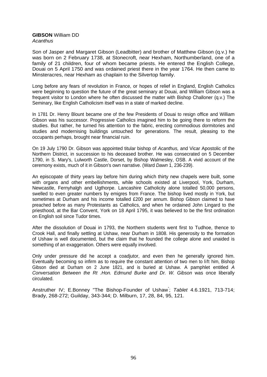### **GIBSON** William DD *Acanthus*

Son of Jasper and Margaret Gibson (Leadbitter) and brother of Matthew Gibson (q.v.) he was born on 2 February 1738, at Stonecroft, near Hexham, Northumberland, one of a family of 21 children, four of whom became priests. He entered the English College, Douai on 5 April 1750 and was ordained priest there in the year 1764. He then came to Minsteracres, near Hexham as chaplain to the Silvertop family.

Long before any fears of revolution in France, or hopes of relief in England, English Catholics were beginning to question the future of the great seminary at Douai, and William Gibson was a frequent visitor to London where he often discussed the matter with Bishop Challoner (q.v.) The Seminary, like English Catholicism itself was in a state of marked decline.

In 1781 Dr. Henry Blount became one of the few Presidents of Douai to resign office and William Gibson was his successor. Progressive Catholics imagined him to be going there to reform the studies. But rather, he turned his attention to the fabric, erecting commodious dormitories and studies and modernising buildings untouched for generations. The result, pleasing to the occupants perhaps, brought near financial ruin.

On 19 July 1790 Dr. Gibson was appointed titular bishop of *Acanthus,* and Vicar Apostolic of the Northern District, in succession to his deceased brother. He was consecrated on 5 December 1790, in S. Mary's, Lulworth Castle, Dorset, by Bishop Walmesley, OSB. A vivid account of the ceremony exists, much of it in Gibson's own narrative. (Ward *Dawn* 1, 236-239).

An episcopate of thirty years lay before him during which thirty new chapels were built, some with organs and other embellishments, while schools existed at Liverpool, York, Durham, Newcastle, Fernyhalgh and Ugthorpe. Lancashire Catholicity alone totalled 50,000 persons, swelled to even greater numbers by emigres from France. The bishop lived mostly in York, but sometimes at Durham and his income totalled £200 per annum. Bishop Gibson claimed to have preached before as many Protestants as Catholics, and when he ordained John Lingard to the priesthood, at the Bar Convent, York on 18 April 1795, it was believed to be the first ordination on English soil since Tudor times.

After the dissolution of Douai in 1793, the Northern students went first to Tudhoe, thence to Crook Hall, and finally settling at Ushaw, near Durham in 1808. His generosity to the formation of Ushaw is well documented, but the claim that he founded the college alone and unaided is something of an exaggeration. Others were equally involved.

Only under pressure did he accept a coadjutor, and even then he generally ignored him. Eventually becoming so infirm as to require the constant attention of two men to lift him, Bishop Gibson died at Durham on 2 June 1821, and is buried at Ushaw. A pamphlet entitled *A Conversation Between the Rt .Hon. Edmund Burke and Dr. W. Gibson* was once liberally circulated.

Anstruther IV; E.Bonney "The Bishop-Founder of Ushaw" ; *Tablet* 4.6.1921, 713-714; Brady, 268-272; Guilday, 343-344; D. Milburn, 17, 28, 84, 95, 121.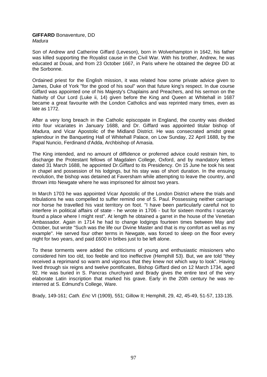### **GIFFARD** Bonaventure, DD *Madura*

Son of Andrew and Catherine Giffard (Leveson), born in Wolverhampton in 1642, his father was killed supporting the Royalist cause in the Civil War. With his brother, Andrew, he was educated at Douai, and from 23 October 1667, in Paris where he obtained the degree DD at the Sorbonne.

Ordained priest for the English mission, it was related how some private advice given to James, Duke of York "for the good of his soul" won that future king's respect. In due course Giffard was appointed one of his Majesty's Chaplains and Preachers, and his sermon on the Nativity of Our Lord (Luke ii, 14) given before the King and Queen at Whitehall in 1687 became a great favourite with the London Catholics and was reprinted many times, even as late as 1772.

After a very long breach in the Catholic episcopate in England, the country was divided into four vicariates in January 1688, and Dr. Giffard was appointed titular bishop of *Madura,* and Vicar Apostolic of the Midland District. He was consecrated amidst great splendour in the Banqueting Hall of Whitehall Palace, on Low Sunday, 22 April 1688, by the Papal Nuncio, Ferdinand d'Adda, Archbishop of Amasia.

The King intended, and no amount of diffidence or proferred advice could restrain him, to discharge the Protestant fellows of Magdalen College, Oxford, and by mandatory letters dated 31 March 1688, he appointed Dr.Giffard to its Presidency. On 15 June he took his seat in chapel and possession of his lodgings, but his stay was of short duration. In the ensuing revolution, the bishop was detained at Faversham while attempting to leave the country, and thrown into Newgate where he was imprisoned for almost two years.

In March 1703 he was appointed Vicar Apostolic of the London District where the trials and tribulations he was compelled to suffer remind one of S. Paul. Possessing neither carriage nor horse he travelled his vast territory on foot. "I have been particularly careful not to interfere in political affairs of state - he wrote in 1706 - but for sixteen months I scarcely found a place where I might rest". At length he obtained a garret in the house of the Venetian Ambassador. Again in 1714 he had to change lodgings fourteen times between May and October, but wrote "Such was the life our Divine Master and that is my comfort as well as my example". He served four other terms in Newgate, was forced to sleep on the floor every night for two years, and paid £600 in bribes just to be left alone.

To these torments were added the criticisms of young and enthusiastic missioners who considered him too old, too feeble and too ineffective (Hemphill 53). But, we are told "they received a reprimand so warm and vigorous that they knew not which way to look". Having lived through six reigns and twelve pontificates. Bishop Giffard died on 12 March 1734, aged 92. He was buried in S. Pancras churchyard and Brady gives the entire text of the very elaborate Latin inscription that marked his grave. Early in the 20th century he was reinterred at S. Edmund's College, Ware.

Brady, 149-161; *Cath. Enc* VI (1909), 551; Gillow II; Hemphill, 29, 42, 45-49, 51-57, 133-135.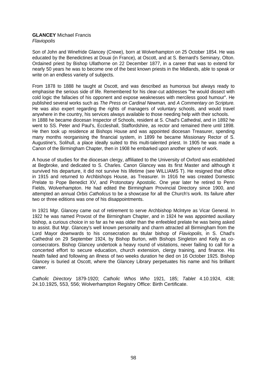### **GLANCEY** Michael Francis *Flaviopolis*

Son of John and Winefride Glancey (Crewe), born at Wolverhampton on 25 October 1854. He was educated by the Benedictines at Douai (in France), at Oscott, and at S. Bernard's Seminary, Olton. Ordained priest by Bishop Ullathorne on 22 December 1877, in a career that was to extend for nearly 50 years he was to become one of the best known priests in the Midlands, able to speak or write on an endless variety of subjects.

From 1878 to 1888 he taught at Oscott, and was described as humorous but always ready to emphasise the serious side of life. Remembered for his clear-cut addresses "he would dissect with cold logic the fallacies of his opponent and expose weaknesses with merciless good humour". He published several works such as *The Press on Cardinal Newman,* and *A Commentary on Scripture.* He was also expert regarding the rights of managers of voluntary schools, and would travel anywhere in the country, his services always available to those needing help with their schools. In 1888 he became diocesan Inspector of Schools, resident at S. Chad's Cathedral, and in 1892 he went to SS. Peter and Paul's, Eccleshall, Staffordshire, as rector and remained there until 1898. He then took up residence at Bishops House and was appointed diocesan Treasurer, spending many months reorganising the financial system, in 1899 he became Missionary Rector of S. Augustine's, Solihull, a place ideally suited to this multi-talented priest. In 1905 he was made a Canon of the Birmingham Chapter, then in 1908 he embarked upon another sphere of work.

A house of studies for the diocesan clergy, affiliated to the University of Oxford was established at Begbroke, and dedicated to S. Charles. Canon Glancey was its first Master and although it survived his departure, it did not survive his lifetime (see WILLIAMS T). He resigned that office in 1915 and returned to Archbishops House, as Treasurer. In 1916 he was created Domestic Prelate to Pope Benedict XV, and Protonotary Apostolic. One year later he retired to Penn Fields, Wolverhampton. He had edited the Birmingham Provincial Directory since 1900, and attempted an annual *Orbis Catholicus* to be a showcase for all the Church's work. Its failure after two or three editions was one of his disappointments.

In 1921 Mgr. Glancey came out of retirement to serve Archbishop Mclntyre as Vicar General. In 1922 he was named Provost of the Birmingham Chapter, and in 1924 he was appointed auxiliary bishop, a curious choice in so far as he was older than the enfeebled prelate he was being asked to assist. But Mgr. Glancey's well known personality and charm attracted all Birmingham from the Lord Mayor downwards to his consecration as titular bishop of *Flaviopolis,* in S. Chad's Cathedral on 29 September 1924, by Bishop Burton, with Bishops Singleton and Keily as coconsecrators. Bishop Glancey undertook a heavy round of visitations, never failing to call for a concerted effort to secure education, church extension, clergy training, and finance. His health failed and following an illness of two weeks duration he died on 16 October 1925. Bishop Glancey is buried at Oscott, where the Glancey Library perpetuates his name and his brilliant career.

*Catholic Directory* 1879-1920; *Catholic Whos Who* 1921, 185; *Tablet* 4.10.1924, 438; 24.10.1925, 553, 556; Wolverhampton Registry Office: Birth Certificate.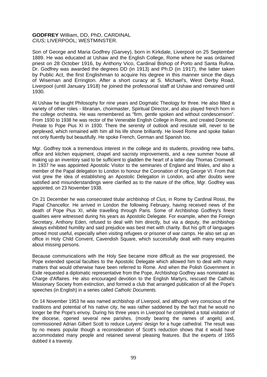## **GODFREY** William, DD, PhD, CARDINAL *CIUS;* LIVERPOOL; WESTMINSTER.

Son of George and Maria Godfrey (Garvey), born in Kirkdale, Liverpool on 25 September 1889. He was educated at Ushaw and the English College, Rome where he was ordained priest on 28 October 1916, by Anthony Vico, Cardinal Bishop of Porto and Santa Rufina. Dr. Godfrey was awarded the degrees DD (in 1913) and Ph.D (in 1917), the latter taken by Public Act, the first Englishman to acquire his degree in this manner since the days of Wiseman and Errington. After a short curacy at S. Michael's, West Derby Road, Liverpool (until January 1918) he joined the professorial staff at Ushaw and remained until 1930.

At Ushaw he taught Philosophy for nine years and Dogmatic Theology for three. He also filled a variety of other roles - librarian, choirmaster, Spiritual Director, and also played french horn in the college orchestra. He was remembered as "firm, gentle spoken and without condescension". From 1930 to 1938 he was rector of the Venerable English College in Rome, and created Domestic Prelate to Pope Pius XI in 1930. There the serenity of outlook and resolute will, never to be perplexed, which remained with him all his life shone brilliantly. He loved Rome and spoke Italian not only fluently but beautifully. He spoke French, German and Spanish too.

Mgr. Godfrey took a tremendous interest in the college and its students, providing new baths, office and kitchen equipment, chapel and sacristy improvements, and a new summer house all making up an inventory said to be sufficient to gladden the heart of a latter-day Thomas Cromwell. In 1937 he was appointed Apostolic Visitor to the seminaries of England and Wales, and also a member of the Papal delegation to London to honour the Coronation of King George VI. From that visit grew the idea of establishing an Apostolic Delegation in London, and after doubts were satisfied and misunderstandings were clarified as to the nature of the office, Mgr. Godfrey was appointed, on 23 November 1938.

On 21 December he was consecrated titular archbishop of *Cius,* in Rome by Cardinal Rossi, the Papal Chancellor. He arrived in London the following February, having received news of the death of Pope Pius XI, while travelling through Paris. Some of Archbishop Godfrey's finest qualities were witnessed during his years as Apostolic Delegate. For example, when the Foreign Secretary, Anthony Eden, refused to deal with him directly, but via a deputy, the archbishop always exhibited humility and said prejudice was best met with charity. But his gift of languages proved most useful, especially when visiting refugees or prisoner of war camps. He also set up an office in Holy Child Convent, Cavendish Square, which successfully dealt with many enquiries about missing persons.

Because communications with the Holy See became more difficult as the war progressed, the Pope extended special faculties to the Apostolic Delegate which allowed him to deal with many matters that would otherwise have been referred to Rome. And when the Polish Government in Exile requested a diplomatic representative from the Pope, Archbishop Godfrey was nominated as Charge d'Affaires. He also encouraged devotion to the English Martyrs, rescued the Catholic Missionary Society from extinction, and formed a club that arranged publication of all the Pope's speeches (in English) in a series called *Catholic Documents.* 

On 14 November 1953 he was named archbishop of Liverpool, and although very conscious of the traditions and potential of his native city, he was rather saddened by the fact that he would no longer be the Pope's envoy. During his three years in Liverpool he completed a total visitation of the diocese, opened several new parishes, (mostly bearing the names of angels) and, commissioned Adrian Gilbert Scott to reduce Lutyens' design for a huge cathedral. The result was by no means popular though a reconsideration of Scott's reduction shows that it would have accommodated many people and retained several pleasing features. But the experts of 1955 dubbed it a travesty.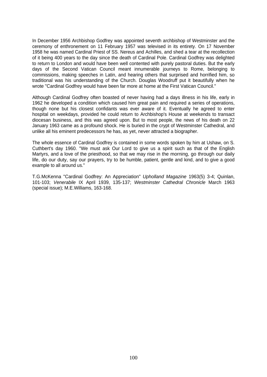In December 1956 Archbishop Godfrey was appointed seventh archbishop of Westminster and the ceremony of enthronement on 11 February 1957 was televised in its entirety. On 17 November 1958 he was named Cardinal Priest of SS. Nereus and Achilles, and shed a tear at the recollection of it being 400 years to the day since the death of Cardinal Pole. Cardinal Godfrey was delighted to return to London and would have been well contented with purely pastoral duties. But the early days of the Second Vatican Council meant innumerable journeys to Rome, belonging to commissions, making speeches in Latin, and hearing others that surprised and horrified him, so traditional was his understanding of the Church. Douglas Woodruff put it beautifully when he wrote "Cardinal Godfrey would have been far more at home at the First Vatican Council."

Although Cardinal Godfrey often boasted of never having had a days illness in his life, early in 1962 he developed a condition which caused him great pain and required a series of operations, though none but his closest confidants was ever aware of it. Eventually he agreed to enter hospital on weekdays, provided he could return to Archbishop's House at weekends to transact diocesan business, and this was agreed upon. But to most people, the news of his death on 22 January 1963 came as a profound shock. He is buried in the crypt of Westminster Cathedral, and unlike all his eminent predecessors he has, as yet, never attracted a biographer.

The whole essence of Cardinal Godfrey is contained in some words spoken by him at Ushaw, on S. Cuthbert's day 1960. "We must ask Our Lord to give us a spirit such as that of the English Martyrs, and a love of the priesthood, so that we may rise in the morning, go through our daily life, do our duty, say our prayers, try to be humble, patient, gentle and kind, and to give a good example to all around us."

T.G.McKenna "Cardinal Godfrey: An Appreciation" *Upholland Magazine* 1963(5) 3-4; Quinlan, 101-103; *Venerabile* IX April 1939, 135-137; *Westminster Cathedral Chronicle* March 1963 (special issue); M.E.Williams, 163-168.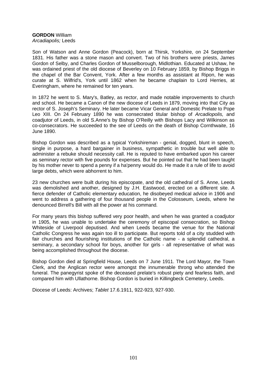## **GORDON** William *Arcadiapolis;* Leeds

Son of Watson and Anne Gordon (Peacock), born at Thirsk, Yorkshire, on 24 September 1831. His father was a stone mason and convert. Two of his brothers were priests, James Gordon of Selby, and Charles Gordon of Musselborough, Midlothian. Educated at Ushaw, he was ordained priest of the old diocese of Beverley on 10 February 1859, by Bishop Briggs in the chapel of the Bar Convent, York. After a few months as assistant at Ripon, he was curate at S. Wilfrid's, York until 1862 when he became chaplain to Lord Herries, at Everingham, where he remained for ten years.

In 1872 he went to S. Mary's, Batley, as rector, and made notable improvements to church and school. He became a Canon of the new diocese of Leeds in 1879, moving into that City as rector of S. Joseph's Seminary. He later became Vicar General and Domestic Prelate to Pope Leo XIII. On 24 February 1890 he was consecrated titular bishop of *Arcadiopolis,* and coadjutor of Leeds, in old S.Anne's by Bishop O'Reilly with Bishops Lacy and Wilkinson as co-consecrators. He succeeded to the see of Leeds on the death of Bishop Cornthwaite, 16 June 1890.

Bishop Gordon was described as a typical Yorkshireman - genial, dogged, blunt in speech, single in purpose, a hard bargainer in business, sympathetic in trouble but well able to administer a rebuke should necessity call. He is reputed to have embarked upon his career as seminary rector with five pounds for expenses. But he pointed out that he had been taught by his mother never to spend a penny if a ha'penny would do. He made it a rule of life to avoid large debts, which were abhorrent to him.

23 new churches were built during his episcopate, and the old cathedral of S. Anne, Leeds was demolished and another, designed by J.H. Eastwood, erected on a different site. A fierce defender of Catholic elementary education, he disobeyed medical advice in 1906 and went to address a gathering of four thousand people in the Colosseum, Leeds, where he denounced Birrell's Bill with all the power at his command.

For many years this bishop suffered very poor health, and when he was granted a coadjutor in 1905, he was unable to undertake the ceremony of episcopal consecration, so Bishop Whiteside of Liverpool deputised. And when Leeds became the venue for the National Catholic Congress he was again too ill to participate. But reports told of a city studded with fair churches and flourishing institutions of the Catholic name - a splendid cathedral, a seminary, a secondary school for boys, another for girls - all representative of what was being accomplished throughout the diocese.

Bishop Gordon died at Springfield House, Leeds on 7 June 1911. The Lord Mayor, the Town Clerk, and the Anglican rector were amongst the innumerable throng who attended the funeral. The panegyrist spoke of the deceased prelate's robust piety and fearless faith, and compared him with Ullathorne. Bishop Gordon is buried in Killingbeck Cemetery, Leeds.

Diocese of Leeds: Archives; *Tablet* 17.6.1911, 922-923, 927-930.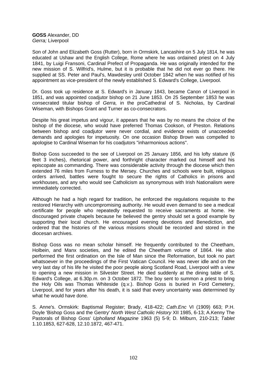**GOSS** Alexander, DD *Gerra;* Liverpool

Son of John and Elizabeth Goss (Rutter), born in Ormskirk, Lancashire on 5 July 1814, he was educated at Ushaw and the English College, Rome where he was ordained priest on 4 July 1841, by Luigi Fransoni, Cardinal Prefect of Propaganda. He was originally intended for the new mission of S. Wilfrid's, Hulme, but it is probable that he did not ever go there. He supplied at SS. Peter and Paul's, Mawdesley until October 1842 when he was notified of his appointment as vice-president of the newly established S. Edward's College, Liverpool.

Dr. Goss took up residence at S. Edward's in January 1843, became Canon of Liverpool in 1851, and was appointed coadjutor bishop on 21 June 1853. On 25 September 1853 he was consecrated titular bishop of *Gerra,* in the proCathedral of S. Nicholas, by Cardinal Wiseman, with Bishops Grant and Turner as co-consecrators.

Despite his great impetus and vigour, it appears that he was by no means the choice of the bishop of the diocese, who would have preferred Thomas Cookson, of Preston. Relations between bishop and coadjutor were never cordial, and evidence exists of unacceeded demands and apologies for impetuosity. On one occasion Bishop Brown was compelled to apologise to Cardinal Wiseman for his coadjutors "inharmonious actions".

Bishop Goss succeeded to the see of Liverpool on 25 January 1856, and his lofty stature (6 feet 3 inches), rhetorical power, and forthright character marked out himself and his episcopate as commanding. There was considerable activity through the diocese which then extended 76 miles from Furness to the Mersey. Churches and schools were built, religious orders arrived, battles were fought to secure the rights of Catholics in prisons and workhouses, and any who would see Catholicism as synonymous with Irish Nationalism were immediately corrected.

Although he had a high regard for tradition, he enforced the regulations requisite to the restored Hierarchy with uncompromising authority. He would even demand to see a medical certificate for people who repeatedly requested to receive sacraments at home. He discouraged private chapels because he believed the gentry should set a good example by supporting their local church. He encouraged evening devotions and Benediction, and ordered that the histories of the various missions should be recorded and stored in the diocesan archives.

Bishop Goss was no mean scholar himself. He frequently contributed to the Cheetham, Holbein, and Manx societies, and he edited the Cheetham volume of 1864. He also performed the first ordination on the Isle of Man since the Reformation, but took no part whatsoever in the proceedings of the First Vatican Council. He was never idle and on the very last day of his life he visited the poor people along Scotland Road, Liverpool with a view to opening a new mission in Silvester Street. He died suddenly at the dining table of S. Edward's College, at 6.30p.m. on 3 October 1872. The boy sent to summon a priest to bring the Holy Oils was Thomas Whiteside (q.v.). Bishop Goss is buried in Ford Cemetery, Liverpool, and for years after his death, it is said that every uncertainty was determined by what he would have done.

S. Anne's. Ormskirk: Baptismal Register; Brady, 418-422; *Cath.Enc* VI (1909) 663; P.H. Doyle 'Bishop Goss and the Gentry' *North West Catholic History* XII 1985, 6-13; A.Kenny The Pastorals of Bishop Goss' *Upholland Magazine* 1963 (5) 5-9; D. Milburn, 210-213; *Tablet* 1.10.1853, 627-628, 12.10.1872, 467-471.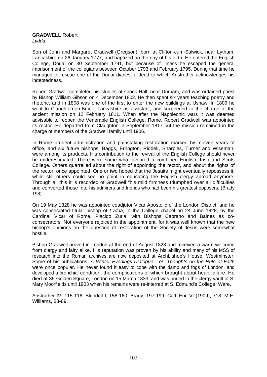# **GRADWELL** Robert

*Lydda* 

Son of John and Margaret Gradwell (Gregson), born at Clifton-cum-Salwick, near Lytham, Lancashire on 26 January 1777, and baptized on the day of his birth. He entered the English College, Douai on 30 September 1791, but because of illness he escaped the general imprisonment of the collegians between October 1793 and February 1795. During that time he managed to rescue one of the Douai diaries, a deed to which Anstruther acknowledges his indebtedness.

Robert Gradwell completed his studies at Crook Hall, near Durham, and was ordained priest by Bishop William Gibson on 4 December 1802. He then spent six years teaching poetry and rhetoric, and in 1808 was one of the first to enter the new buildings at Ushaw. In 1809 he went to Claughton-on-Brock, Lancashire as assistant, and succeeded to the charge of the ancient mission on 12 February 1811. When after the Napoleonic wars it was deemed advisable to reopen the Venerable English College, Rome, Robert Gradwell was appointed its rector. He departed from Claughton in September 1817 but the mission remained in the charge of members of the Gradwell family until 1906.

In Rome prudent administration and painstaking restoration marked his eleven years of office, and six future bishops, Baggs, Errington, RiddelI, Sharples, Turner and Wiseman, were among its products. His contribution to the revival of the English College should never be underestimated. There were some who favoured a combined English, Irish and Scots College. Others quarrelled about the right of appointing the rector, and about the rights of the rector, once appointed. One or two hoped that the Jesuits might eventually repossess it, while still others could see no point in educating the English clergy abroad anymore. Through all this it is recorded of Gradwell "his mild firmness triumphed over all difficulties and converted those into his admirers and friends who had been his greatest opposers. (Brady 198)

On 19 May 1828 he was appointed coadjutor Vicar Apostolic of the London District, and he was consecrated titular bishop of *Lydda*, in the College chapel on 24 June 1828, by the Cardinal Vicar of Rome, Placido Zurla, with Bishops Caprano and Baines as coconsecrators. Not everyone rejoiced in the appointment, for it was well known that the new bishop's opinions on the question of restoration of the Society of Jesus were somewhat hostile.

Bishop Gradwell arrived in London at the end of August 1828 and received a warm welcome from clergy and laity alike. His reputation was proven by his ability and many of his MSS of research into the Roman archives are now deposited at Archbishop's House, Westminster. Some of his publications, *A Winter Evenings Dialogue - or -Thoughts on the Rule of Faith* were once popular. He never found it easy to cope with the damp and fogs of London, and developed a bronchial condition, the complications of which brought about heart failure. He died at 35 Golden Square, London on 15 March 1833, and was buried in the clergy vault of S. Mary Moorfields until 1903 when his remains were re-interred at S. Edmund's College, Ware.

Anstruther IV, 115-116; Blundell I, 158-160; Brady, 197-199; Cath.Enc VI (1909), 718; M.E. Williams, 83-89.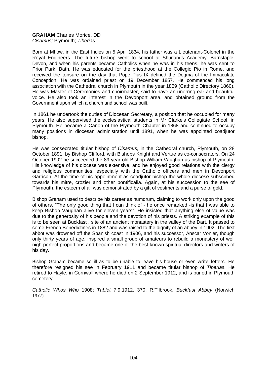#### **GRAHAM** Charles Morice, DD *Cisamus;* Plymouth; *Tiberias*

Born at Mhow, in the East Indies on 5 April 1834, his father was a Lieutenant-Colonel in the Royal Engineers. The future bishop went to school at Shurlands Academy, Barnstaple, Devon, and when his parents became Catholics when he was in his teens, he was sent to Prior Park, Bath. He was educated for the priesthood at the Collegio Pio in Rome, and received the tonsure on the day that Pope Pius IX defined the Dogma of the Immaculate Conception. He was ordained priest on 19 December 1857. He commenced his long association with the Cathedral church in Plymouth in the year 1859 (Catholic Directory 1860). He was Master of Ceremonies and choirmaster, said to have an unerring ear and beautiful voice. He also took an interest in the Devonport area, and obtained ground from the Government upon which a church and school was built.

In 1861 he undertook the duties of Diocesan Secretary, a position that he occupied for many years. He also supervised the ecclesiastical students in Mr Clarke's Collegiate School, in Plymouth. He became a Canon of the Plymouth Chapter in 1868 and continued to occupy many positions in diocesan administration until 1891, when he was appointed coadjutor bishop.

He was consecrated titular bishop of *Cisamus,* in the Cathedral church, Plymouth, on 28 October 1891, by Bishop Clifford, with Bishops Knight and Vertue as co-consecrators. On 24 October 1902 he succeeded the 89 year old Bishop William Vaughan as bishop of Plymouth. His knowledge of his diocese was extensive, and he enjoyed good relations with the clergy and religious communities, especially with the Catholic officers and men in Devonport Garrison. At the time of his appointment as coadjutor bishop the whole diocese subscribed towards his mitre, crozier and other pontificalia. Again, at his succession to the see of Plymouth, the esteem of all was demonstrated by a gift of vestments and a purse of gold.

Bishop Graham used to describe his career as humdrum, claiming to work only upon the good of others. "The only good thing that I can think of - he once remarked -is that I was able to keep Bishop Vaughan alive for eleven years". He insisted that anything else of value was due to the generosity of his people and the devotion of his priests. A striking example of this is to be seen at Buckfast , site of an ancient monastery in the valley of the Dart. It passed to some French Benedictines in 1882 and was raised to the dignity of an abbey in 1902. The first abbot was drowned off the Spanish coast in 1906, and his successor, Anscar Vonier, though only thirty years of age, inspired a small group of amateurs to rebuild a monastery of well nigh perfect proportions and became one of the best known spiritual directors and writers of his day.

Bishop Graham became so ill as to be unable to leave his house or even write letters. He therefore resigned his see in February 1911 and became titular bishop of *Tiberias.* He retired to Hayle, in Cornwall where he died on 2 September 1912, and is buried in Plymouth cemetery.

*Catholic Whos Who* 1908; *Tablet* 7.9.1912. 370; R.Tilbrook, *Buckfast Abbey* (Norwich 1977).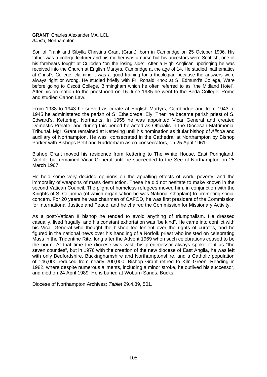#### **GRANT** Charles Alexander MA, LCL *Alinda;* Northampton

Son of Frank and Sibylla Christina Grant (Grant), born in Cambridge on 25 October 1906. His father was a college lecturer and his mother was a nurse but his ancestors were Scottish, one of his forebears fought at Culloden "on the losing side". After a High Anglican upbringing he was received into the Church at English Martyrs, Cambridge at the age of 14. He studied mathematics at Christ's College, claiming it was a good training for a theologian because the answers were always right or wrong. He studied briefly with Fr. Ronald Knox at S. Edmund's College, Ware before going to Oscott College, Birmingham which he often referred to as "the Midland Hotel". After his ordination to the priesthood on 16 June 1935 he went to the Beda College, Rome and studied Canon Law.

From 1938 to 1943 he served as curate at English Martyrs, Cambridge and from 1943 to 1945 he administered the parish of S. Etheldreda, Ely. Then he became parish priest of S. Edward's, Kettering, Northants. In 1955 he was appointed Vicar General and created Domestic Prelate, and during this period he acted as Officialis in the Diocesan Matrimonial Tribunal. Mgr. Grant remained at Kettering until his nomination as titular bishop of *Alinda* and auxiliary of Northampton. He was consecrated in the Cathedral at Northampton by Bishop Parker with Bishops Petit and Rudderham as co-consecrators, on 25 April 1961.

Bishop Grant moved his residence from Kettering to The White House, East Poringland, Norfolk but remained Vicar General until he succeeded to the See of Northampton on 25 March 1967.

He held some very decided opinions on the appalling effects of world poverty, and the immorality of weapons of mass destruction. These he did not hesitate to make known in the second Vatican Council. The plight of homeless refugees moved him, in conjunction with the Knights of S. Columba (of which organisation he was National Chaplain) to promoting social concern. For 20 years he was chairman of CAFOD, he was first president of the Commission for International Justice and Peace, and he chaired the Commission for Missionary Activity.

As a post-Vatican II bishop he tended to avoid anything of triumphalism. He dressed casually, lived frugally, and his constant exhortation was "be kind". He came into conflict with his Vicar General who thought the bishop too lenient over the rights of curates, and he figured in the national news over his handling of a Norfolk priest who insisted on celebrating Mass in the Tridentine Rite, long after the Advent 1969 when such celebrations ceased to be the norm. At that time the diocese was vast, his predecessor always spoke of it as "the seven counties", but in 1976 with the creation of the new diocese of East Anglia, he was left with only Bedfordshire, Buckinghamshire and Northamptonshire, and a Catholic population of 146,000 reduced from nearly 200,000. Bishop Grant retired to Kiln Green, Reading in 1982, where despite numerous ailments, including a minor stroke, he outlived his successor, and died on 24 April 1989. He is buried at Woburn Sands, Bucks.

Diocese of Northampton Archives; *Tablet* 29.4.89, 501.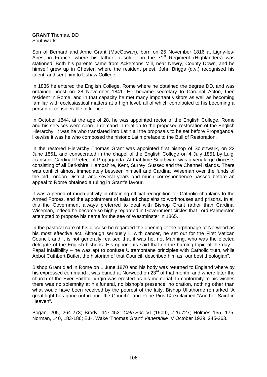**GRANT** Thomas, DD **Southwark** 

Son of Bernard and Anne Grant (MacGowan), born on 25 November 1816 at Ligny-les-Aires, in France, where his father, a soldier in the 71<sup>st</sup> Regiment (Highlanders) was stationed. Both his parents came from Ackersons Mill, near Newry, County Down, and he himself grew up in Chester, where the resident priest, John Briggs (q.v.) recognised his talent, and sent him to Ushaw College.

In 1836 he entered the English College, Rome where he obtained the degree DD, and was ordained priest on 28 November 1841. He became secretary to Cardinal Acton, then resident in Rome, and in that capacity he met many important visitors as well as becoming familiar with ecclesiastical matters at a high level, all of which contributed to his becoming a person of considerable influence.

In October 1844, at the age of 28, he was appointed rector of the English College, Rome and his services were soon in demand in relation to the proposed restoration of the English Hierarchy. It was he who translated into Latin all the proposals to be set before Propaganda, likewise it was he who composed the historic Latin preface to the Bull of Restoration.

In the restored Hierarchy Thomas Grant was appointed first bishop of Southwark, on 22 June 1851, and consecrated in the chapel of the English College on 4 July 1851 by Luigi Fransoni, Cardinal Prefect of Propaganda. At that time Southwark was a very large diocese, consisting of all Berkshire, Hampshire, Kent, Surrey, Sussex and the Channel Islands. There was conflict almost immediately between himself and Cardinal Wiseman over the funds of the old London District, and several years and much correspondence passed before an appeal to Rome obtained a ruling in Grant's favour.

It was a period of much activity in obtaining official recognition for Catholic chaplains to the Armed Forces, and the appointment of salaried chaplains to workhouses and prisons. In all this the Government always preferred to deal with Bishop Grant rather than Cardinal Wiseman, indeed he became so highly regarded in Government circles that Lord Palmerston attempted to propose his name for the see of Westminster in 1865.

In the pastoral care of his diocese he regarded the opening of the orphanage at Norwood as his most effective act. Although seriously ill with cancer, he set out for the First Vatican Council, and it is not generally realised that it was he, not Manning, who was the elected delegate of the English bishops. His opponents said that on the burning topic of the day – Papal Infallibility – he was apt to confuse Ultramontane principles with Catholic truth, while Abbot Cuthbert Butler, the historian of that Council, described him as "our best theologian".

Bishop Grant died in Rome on 1 June 1870 and his body was returned to England where by his expressed command it was buried at Norwood on 23<sup>rd</sup> of that month, and where later the church of the Ever Faithful Virgin was erected as his memorial. In conformity to his wishes there was no solemnity at his funeral, no bishop's presence, no oration, nothing other than what would have been received by the poorest of the laity. Bishop Ullathorne remarked "A great light has gone out in our little Church", and Pope Pius IX exclaimed "Another Saint in Heaven".

Bogan, 205, 264-273; Brady, 447-452; *Cath.Enc* VI (1909), 726-727; Holmes 155, 175; Norman, 140, 183-186; E.H. Wake 'Thomas Grant' *Venerabile* IV October 1929, 245-263.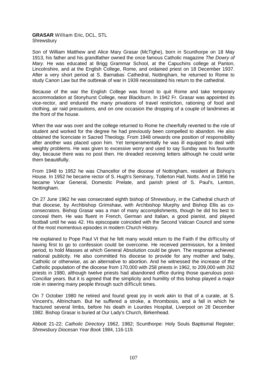#### **GRASAR** William Eric, DCL, STL Shrewsbury

Son of William Matthew and Alice Mary Grasar (McTighe), born in Scunthorpe on 18 May 1913, his father and his grandfather owned the once famous Catholic magazine *The Dowry of Mary.* He was educated at Brigg Grammar School, at the Capuchins college at Panton, Lincolnshire, and at the English College, Rome, and ordained priest on 18 December 1937. After a very short period at S. Barnabas' Cathedral, Nottingham, he returned to Rome to study Canon Law but the outbreak of war in 1939 necessitated his return to the cathedral.

Because of the war the English College was forced to quit Rome and take temporary accommodation at Stonyhurst College, near Blackburn. In 1942 Fr. Grasar was appointed its vice-rector, and endured the many privations of travel restriction, rationing of food and clothing, air raid precautions, and on one occasion the dropping of a couple of landmines at the front of the house.

When the war was over and the college returned to Rome he cheerfully reverted to the role of student and worked for the degree he had previously been compelled to abandon. He also obtained the licenciate in Sacred Theology. From 1948 onwards one position of responsibility after another was placed upon him. Yet temperamentally he was ill equipped to deal with weighty problems. He was given to excessive worry and used to say Sunday was his favourite day, because there was no post then. He dreaded receiving letters although he could write them beautifully.

From 1948 to 1952 he was Chancellor of the diocese of Nottingham, resident at Bishop's House. In 1952 he became rector of S. Hugh's Seminary, Tollerton Hall, Notts. And in 1956 he became Vicar General, Domestic Prelate, and parish priest of S. Paul's, Lenton, Nottingham.

On 27 June 1962 he was consecrated eighth bishop of Shrewsbury, in the Cathedral church of that diocese, by Archbishop Grimshaw, with Archbishop Murphy and Bishop Ellis as coconsecrators. Bishop Grasar was a man of many accomplishments, though he did his best to conceal them. He was fluent in French, German and Italian, a good pianist, and played football until he was 42. His episcopate coincided with the Second Vatican Council and some of the most momentous episodes in modern Church History.

He explained to Pope Paul VI that he felt many would return to the Faith if the difficulty of having first to go to confession could be overcome. He received permission, for a limited period, to hold Masses at which General Absolution could be given. The response achieved national publicity. He also committed his diocese to provide for any mother and baby, Catholic or otherwise, as an alternative to abortion. And he witnessed the increase of the Catholic population of the diocese from 170,000 with 258 priests in 1962, to 209,000 with 262 priests in 1980, although twelve priests had abandoned office during those querulous post-Conciliar years. But it is agreed that the simplicity and humility of this bishop played a major role in steering many people through such difficult times.

On 7 October 1980 he retired and found great joy in work akin to that of a curate, at S. Vincent's, Altrincham. But he suffered a stroke, a thrombosis, and a fall in which he fractured several limbs, before his death in Lourdes Hospital, Liverpool on 28 December 1982. Bishop Grasar is buried at Our Lady's Church, Birkenhead.

Abbott 21-22; *Catholic Directory* 1962, 1982; Scunthorpe: Holy Souls Baptismal Register; *Shrewsbury Diocesan Year Book* 1984, 116-119.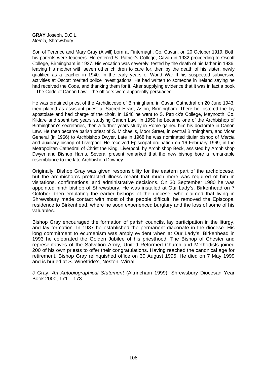**GRAY** Joseph, D.C.L. *Mercia;* Shrewsbury

Son of Terence and Mary Gray (Alwill) born at Finternagh, Co. Cavan, on 20 October 1919. Both his parents were teachers. He entered S. Patrick's College, Cavan in 1932 proceeding to Oscott College, Birmingham in 1937. His vocation was severely tested by the death of his father in 1936, leaving his mother with seven other children to care for, then by the death of his sister, newly qualified as a teacher in 1940. In the early years of World War II his suspected subversive activities at Oscott merited police investigations. He had written to someone in Ireland saying he had received the Code, and thanking them for it. After supplying evidence that it was in fact a book – The Code of Canon Law – the officers were apparently persuaded.

He was ordained priest of the Archdiocese of Birmingham, in Cavan Cathedral on 20 June 1943, then placed as assistant priest at Sacred Heart, Aston, Birmingham. There he fostered the lay apostolate and had charge of the choir. In 1948 he went to S. Patrick's College, Maynooth, Co. Kildare and spent two years studying Canon Law. In 1950 he became one of the Archbishop of Birmingham's secretaries, then a further years study in Rome gained him his doctorate in Canon Law. He then became parish priest of S. Michael's, Moor Street, in central Birmingham, and Vicar General (in 1966) to Archbishop Dwyer. Late in 1968 he was nominated titular bishop of *Mercia*  and auxiliary bishop of Liverpool. He received Episcopal ordination on 16 February 1969, in the Metropolitan Cathedral of Christ the King, Liverpool, by Archbishop Beck, assisted by Archbishop Dwyer and Bishop Harris. Several present remarked that the new bishop bore a remarkable resemblance to the late Archbishop Downey.

Originally, Bishop Gray was given responsibility for the eastern part of the archdiocese, but the archbishop's protracted illness meant that much more was required of him in visitations, confirmations, and administrative decisions. On 30 September 1980 he was appointed ninth bishop of Shrewsbury. He was installed at Our Lady's, Birkenhead on 7 October, then emulating the earlier bishops of the diocese, who claimed that living in Shrewsbury made contact with most of the people difficult, he removed the Episcopal residence to Birkenhead, where he soon experienced burglary and the loss of some of his valuables.

Bishop Gray encouraged the formation of parish councils, lay participation in the liturgy, and lay formation. In 1987 he established the permanent diaconate in the diocese. His long commitment to ecumenism was amply evident when at Our Lady's, Birkenhead in 1993 he celebrated the Golden Jubilee of his priesthood. The Bishop of Chester and representatives of the Salvation Army, United Reformed Church and Methodists joined 200 of his own priests to offer their congratulations. Having reached the canonical age for retirement, Bishop Gray relinquished office on 30 August 1995. He died on 7 May 1999 and is buried at S. Winefride's, Neston, Wirral.

J Gray, *An Autobiographical Statement* (Altrincham 1999); Shrewsbury Diocesan Year Book 2000, 171 – 173.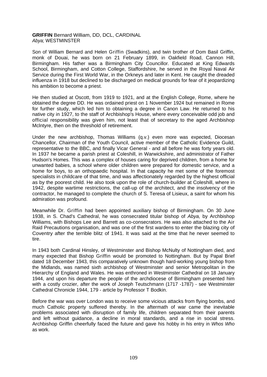### **GRIFFIN** Bernard William, DD, DCL, CARDINAL *Abya;* WESTMINSTER

Son of William Bernard and Helen Griffin (Swadkins), and twin brother of Dom Basil Griffin, monk of Douai, he was born on 21 February 1899, in Oakfield Road, Cannon Hill, Birmingham. His father was a Birmingham City Councillor. Educated at King Edwards School, Birmingham, and Cotton College, Staffordshire, he served in the Royal Naval Air Service during the First World War, in the Orkneys and later in Kent. He caught the dreaded influenza in 1918 but declined to be discharged on medical grounds for fear of it jeopardizing his ambition to become a priest.

He then studied at Oscott, from 1919 to 1921, and at the English College, Rome, where he obtained the degree DD. He was ordained priest on 1 November 1924 but remained in Rome for further study, which led him to obtaining a degree in Canon Law. He returned to his native city in 1927, to the staff of Archbishop's House, where every conceivable odd job and official responsibility was given him, not least that of secretary to the aged Archbishop Mclntyre, then on the threshold of retirement.

Under the new archbishop, Thomas Williams (q.v.) even more was expected, Diocesan Chancellor, Chairman of the Youth Council, active member of the Catholic Evidence Guild, representative to the BBC, and finally Vicar General - and all before he was forty years old. In 1937 he became a parish priest at Coleshill, in Warwickshire, and administrator of Father Hudson's Homes. This was a complex of houses caring for deprived children, from a home for unwanted babies, a school where older children were prepared for domestic service, and a home for boys, to an orthopaedic hospital. In that capacity he met some of the foremost specialists in childcare of that time, and was affectionately regarded by the highest official as by the poorest child. He also took upon the role of church-builder at Coleshill, where in 1942, despite wartime restrictions, the call-up of the architect, and the insolvency of the contractor, he managed to complete the church of S. Teresa of Lisieux, a saint for whom his admiration was profound.

Meanwhile Dr. Griffin had been appointed auxiliary bishop of Birmingham. On 30 June 1938, in S. Chad's Cathedral, he was consecrated titular bishop of *Abya,* by Archbishop Williams, with Bishops Lee and Barrett as co-consecrators. He was also attached to the Air Raid Precautions organisation, and was one of the first wardens to enter the blazing city of Coventry after the terrible blitz of 1941. It was said at the time that he never seemed to tire.

In 1943 both Cardinal Hinsley, of Westminster and Bishop McNulty of Nottingham died, and many expected that Bishop Griffin would be promoted to Nottingham. But by Papal Brief dated 18 December 1943, this comparatively unknown though hard-working young bishop from the Midlands, was named sixth archbishop of Westminster and senior Metropolitan in the Hierarchy of England and Wales. He was enthroned in Westminster Cathedral on 18 January 1944, and upon his departure the people of the archdiocese of Birmingham presented him with a costly crozier, after the work of Joseph Teutschmann (1717 -1787) - see Westminster Cathedral Chronicle 1944, 179 - article by Professor T Bodkin.

Before the war was over London was to receive some vicious attacks from flying bombs, and much Catholic property suffered thereby. In the aftermath of war came the inevitable problems associated with disruption of family life, children separated from their parents and left without guidance, a decline in moral standards, and a rise in social stress. Archbishop Griffin cheerfully faced the future and gave his hobby in his entry in *Whos Who* as work.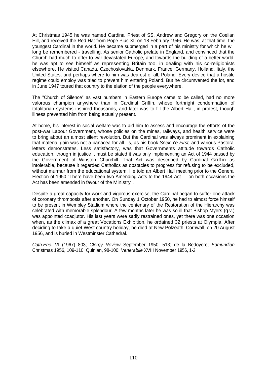At Christmas 1945 he was named Cardinal Priest of SS. Andrew and Gregory on the Coelian Hill, and received the Red Hat from Pope Pius XII on 18 February 1946. He was, at that time, the youngest Cardinal in the world. He became submerged in a part of his ministry for which he will long be remembered - travelling. As senior Catholic prelate in England, and convinced that the Church had much to offer to war-devastated Europe, and towards the building of a better world, he was apt to see himself as representing Britain too, in dealing with his co-religionists elsewhere. He visited Canada, Czechoslovakia, Denmark, France, Germany, Holland, Italy, the United States, and perhaps where to him was dearest of all, Poland. Every device that a hostile regime could employ was tried to prevent him entering Poland. But he circumvented the lot, and in June 1947 toured that country to the elation of the people everywhere.

The "Church of Silence" as vast numbers in Eastern Europe came to be called, had no more valorous champion anywhere than in Cardinal Griffin, whose forthright condemnation of totalitarian systems inspired thousands, and later was to fill the Albert Hall, in protest, though illness prevented him from being actually present.

At home, his interest in social welfare was to aid him to assess and encourage the efforts of the post-war Labour Government, whose policies on the mines, railways, and health service were to bring about an almost silent revolution. But the Cardinal was always prominent in explaining that material gain was not a panacea for all ills, as his book *Seek Ye First,* and various Pastoral letters demonstrates. Less satisfactory, was that Governments attitude towards Catholic education, though in justice it must be stated it was only implementing an Act of 1944 passed by the Government of Winston Churchill. That Act was described by Cardinal Griffin as intolerable, because it regarded Catholics as obstacles to progress for refusing to be excluded, without murmur from the educational system. He told an Albert Hall meeting prior to the General Election of 1950 "There have been two Amending Acts to the 1944 Act — on both occasions the Act has been amended in favour of the Ministry".

Despite a great capacity for work and vigorous exercise, the Cardinal began to suffer one attack of coronary thrombosis after another. On Sunday 1 October 1950, he had to almost force himself to be present in Wembley Stadium where the centenary of the Restoration of the Hierarchy was celebrated with memorable splendour. A few months later he was so ill that Bishop Myers (q.v.) was appointed coadjutor. His last years were sadly restrained ones, yet there was one occasion when, as the climax of a great Vocations Exhibition, he ordained 32 priests at Olympia. After deciding to take a quiet West country holiday, he died at New Polzeath, Cornwall, on 20 August 1956, and is buried in Westminster Cathedral.

*Cath.Enc.* VI (1967) 803; *Clergy Review* September 1950, 513; de la Bedoyere; *Edmundian* Christmas 1956, 109-110; Quinlan, 98-100; *Venerabile* XVIII November 1956, 1-2.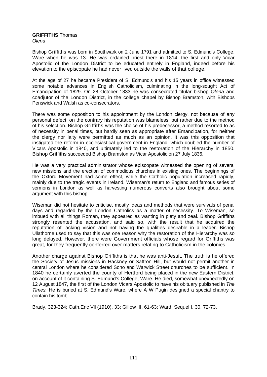# **GRIFFITHS** Thomas

*Olena* 

Bishop Griffiths was born in Southwark on 2 June 1791 and admitted to S. Edmund's College, Ware when he was 13. He was ordained priest there in 1814, the first and only Vicar Apostolic of the London District to be educated entirely in England, indeed before his elevation to the episcopate he had never lived outside the walls of that college.

At the age of 27 he became President of S. Edmund's and his 15 years in office witnessed some notable advances in English Catholicism, culminating in the long-sought Act of Emancipation of 1829. On 28 October 1833 he was consecrated titular bishop *Olena* and coadjutor of the London District, in the college chapel by Bishop Bramston, with Bishops Penswick and Walsh as co-consecrators.

There was some opposition to his appointment by the London clergy, not because of any personal defect, on the contrary his reputation was blameless, but rather due to the method of his selection. Bishop Griffiths was the choice of his predecessor, a method resorted to as of necessity in penal times, but hardly seen as appropriate after Emancipation, for neither the clergy nor laity were permitted as much as an opinion. It was this opposition that instigated the reform in ecclesiastical government in England, which doubled the number of Vicars Apostolic in 1840, and ultimately led to the restoration of the Hierarchy in 1850. Bishop Griffiths succeeded Bishop Bramston as Vicar Apostolic on 27 July 1836.

He was a very practical administrator whose episcopate witnessed the opening of several new missions and the erection of commodious churches in existing ones. The beginnings of the Oxford Movement had some effect, while the Catholic population increased rapidly, mainly due to the tragic events in Ireland. Wiseman's return to England and famous series of sermons in London as well as harvesting numerous converts also brought about some argument with this bishop.

Wiseman did not hesitate to criticise, mostly ideas and methods that were survivals of penal days and regarded by the London Catholics as a matter of necessity. To Wiseman, so imbued with all things Roman, they appeared as wanting in piety and zeal. Bishop Griffiths strongly resented the accusation, and said so, with the result that he acquired the reputation of lacking vision and not having the qualities desirable in a leader. Bishop Ullathorne used to say that this was one reason why the restoration of the Hierarchy was so long delayed. However, there were Government officials whose regard for Griffiths was great, for they frequently conferred over matters relating to Catholicism in the colonies.

Another charge against Bishop Griffiths is that he was anti-Jesuit. The truth is he offered the Society of Jesus missions in Hackney or Saffron Hill, but would not permit another in central London where he considered Soho and Warwick Street churches to be sufficient. In 1840 he certainly averted the county of Hertford being placed in the new Eastern District, on account of it containing S. Edmund's College, Ware. He died, somewhat unexpectedly on 12 August 1847, the first of the London Vicars Apostolic to have his obituary published in *The Times.* He is buried at S. Edmund's Ware, where A W Pugin designed a special chantry to contain his tomb.

Brady, 323-324; Cath.Enc Vll (1910). 33; Gillow III, 61-63; Ward, Sequel I. 30, 72-73.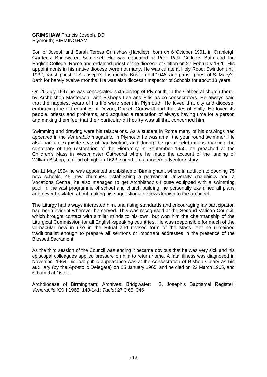### **GRIMSHAW** Francis Joseph, DD Plymouth; BIRMINGHAM

Son of Joseph and Sarah Teresa Grimshaw (Handley), born on 6 October 1901, in Cranleigh Gardens, Bridgwater, Somerset. He was educated at Prior Park College, Bath and the English College, Rome and ordained priest of the diocese of Clifton on 27 February 1926. His appointments in his native diocese were not many. He was curate at Holy Rood, Swindon until 1932, parish priest of S. Joseph's, Fishponds, Bristol until 1946, and parish priest of S. Mary's, Bath for barely twelve months. He was also diocesan Inspector of Schools for about 13 years.

On 25 July 1947 he was consecrated sixth bishop of Plymouth, in the Cathedral church there, by Archbishop Masterson, with Bishops Lee and Ellis as co-consecrators. He always said that the happiest years of his life were spent in Plymouth. He loved that city and diocese, embracing the old counties of Devon, Dorset, Cornwall and the Isles of Scilly. He loved its people, priests and problems, and acquired a reputation of always having time for a person and making them feel that their particular difficulty was all that concerned him.

Swimming and drawing were his relaxations. As a student in Rome many of his drawings had appeared in the *Venerabile* magazine. In Plymouth he was an all the year round swimmer. He also had an exquisite style of handwriting, and during the great celebrations marking the centenary of the restoration of the Hierarchy in September 1950, he preached at the Children's Mass in Westminster Cathedral where he made the account of the landing of William Bishop, at dead of night in 1623, sound like a modern adventure story.

On 11 May 1954 he was appointed archbishop of Birmingham, where in addition to opening 75 new schools, 45 new churches, establishing a permanent University chaplaincy and a Vocations Centre, he also managed to get Archbishop's House equipped with a swimming pool. In the vast programme of school and church building, he personally examined all plans and never hesitated about making his suggestions or views known to the architect.

The Liturgy had always interested him, and rising standards and encouraging lay participation had been evident wherever he served. This was recognised at the Second Vatican Council, which brought contact with similar minds to his own, but won him the chairmanship of the Liturgical Commission for all English-speaking countries. He was responsible for much of the vernacular now in use in the Ritual and revised form of the Mass. Yet he remained traditionalist enough to prepare all sermons or important addresses in the presence of the Blessed Sacrament.

As the third session of the Council was ending it became obvious that he was very sick and his episcopal colleagues applied pressure on him to return home. A fatal illness was diagnosed in November 1964, his last public appearance was at the consecration of Bishop Cleary as his auxiliary (by the Apostolic Delegate) on 25 January 1965, and he died on 22 March 1965, and is buried at Oscott.

Archdiocese of Birmingham: Archives: Bridgwater: S. Joseph's Baptismal Register; *Venerabile* XXIII 1965, 140-141; *Tablet* 27 3 65, 346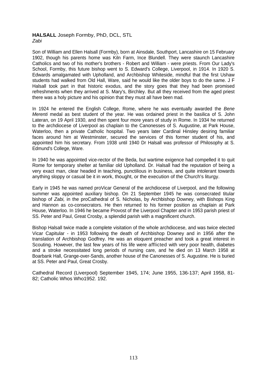## **HALSALL** Joseph Formby, PhD, DCL, STL *Zabi*

Son of William and Ellen Halsall (Formby), born at Ainsdale, Southport, Lancashire on 15 February 1902, though his parents home was Kiln Farm, Ince Blundell. They were staunch Lancashire Catholics and two of his mother's brothers - Robert and William - were priests. From Our Lady's School, Formby, this future bishop went to S. Edward's College, Liverpool, in 1914. In 1920 S. Edwards amalgamated with Upholland, and Archbishop Whiteside, mindful that the first Ushaw students had walked from Old Hall, Ware, said he would like the older boys to do the same. J F Halsall took part in that historic exodus, and the story goes that they had been promised refreshments when they arrived at S. Mary's, Birchley. But all they received from the aged priest there was a holy picture and his opinion that they must all have been mad.

In 1924 he entered the English College, Rome, where he was eventually awarded the *Bene Merenti* medal as best student of the year. He was ordained priest in the basilica of S. John Lateran, on 19 April 1930, and then spent four more years of study in Rome. In 1934 he returned to the archdiocese of Liverpool as chaplain to the Canonesses of S. Augustine, at Park House, Waterloo, then a private Catholic hospital. Two years later Cardinal Hinsley desiring familiar faces around him at Westminster, secured the services of this former student of his, and appointed him his secretary. From 1938 until 1940 Dr Halsall was professor of Philosophy at S. Edmund's College, Ware.

In 1940 he was appointed vice-rector of the Beda, but wartime exigence had compelled it to quit Rome for temporary shelter at familiar old Upholland. Dr. Halsall had the reputation of being a very exact man, clear headed in teaching, punctilious in business, and quite intolerant towards anything sloppy or casual be it in work, thought, or the execution of the Church's liturgy.

Early in 1945 he was named proVicar General of the archdiocese of Liverpool, and the following summer was appointed auxiliary bishop. On 21 September 1945 he was consecrated titular bishop of *Zabi,* in the proCathedral of S. Nicholas, by Archbishop Downey, with Bishops King and Hannon as co-consecrators. He then returned to his former position as chaplain at Park House, Waterloo. In 1946 he became Provost of the Liverpool Chapter and in 1953 parish priest of SS. Peter and Paul, Great Crosby, a splendid parish with a magnificent church.

Bishop Halsall twice made a complete visitation of the whole archdiocese, and was twice elected Vicar Capitular - in 1953 following the death of Archbishop Downey and in 1956 after the translation of Archbishop Godfrey. He was an eloquent preacher and took a great interest in Scouting. However, the last few years of his life were afflicted with very poor health, diabetes and a stroke necessitated long periods of nursing care, and he died on 13 March 1958 at Boarbank Hall, Grange-over-Sands, another house of the Canonesses of S. Augustine. He is buried at SS. Peter and Paul, Great Crosby.

Cathedral Record (Liverpool) September 1945, 174; June 1955, 136-137; April 1958, 81- 82; Catholic Whos Who1952. 192.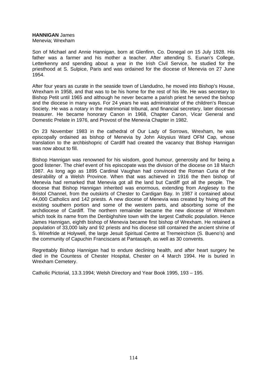# **HANNIGAN** James

Menevia; Wrexham

Son of Michael and Annie Hannigan, born at Glenfinn, Co. Donegal on 15 July 1928. His father was a farmer and his mother a teacher. After attending S. Eunan's College, Letterkenny and spending about a year in the Irish Civil Service, he studied for the priesthood at S. Sulpice, Paris and was ordained for the diocese of Menevia on 27 June 1954.

After four years as curate in the seaside town of Llandudno, he moved into Bishop's House, Wrexham in 1958, and that was to be his home for the rest of his life. He was secretary to Bishop Petit until 1965 and although he never became a parish priest he served the bishop and the diocese in many ways. For 24 years he was administrator of the children's Rescue Society. He was a notary in the matrimonial tribunal, and financial secretary, later diocesan treasurer. He became honorary Canon in 1968, Chapter Canon, Vicar General and Domestic Prelate in 1976, and Provost of the Menevia Chapter in 1982.

On 23 November 1983 in the cathedral of Our Lady of Sorrows, Wrexham, he was episcopally ordained as bishop of Menevia by John Aloysius Ward OFM Cap, whose translation to the archbishopric of Cardiff had created the vacancy that Bishop Hannigan was now about to fill.

Bishop Hannigan was renowned for his wisdom, good humour, generosity and for being a good listener. The chief event of his episcopate was the division of the diocese on 18 March 1987. As long ago as 1895 Cardinal Vaughan had convinced the Roman Curia of the desirability of a Welsh Province. When that was achieved in 1916 the then bishop of Menevia had remarked that Menevia got all the land but Cardiff got all the people. The diocese that Bishop Hannigan inherited was enormous, extending from Anglesey to the Bristol Channel, from the outskirts of Chester to Cardigan Bay. In 1987 it contained about 44,000 Catholics and 142 priests. A new diocese of Menevia was created by hiving off the existing southern portion and some of the western parts, and absorbing some of the archdiocese of Cardiff. The northern remainder became the new diocese of Wrexham which took its name from the Denbighshire town with the largest Catholic population. Hence James Hannigan, eighth bishop of Menevia became first bishop of Wrexham. He retained a population of 33,000 laity and 92 priests and his diocese still contained the ancient shrine of S. Winefride at Holywell, the large Jesuit Spiritual Centre at Tremeirchion (S. Bueno's) and the community of Capuchin Franciscans at Pantasaph, as well as 30 convents.

Regrettably Bishop Hannigan had to endure declining health, and after heart surgery he died in the Countess of Chester Hospital, Chester on 4 March 1994. He is buried in Wrexham Cemetery.

Catholic Pictorial, 13.3.1994; Welsh Directory and Year Book 1995, 193 – 195.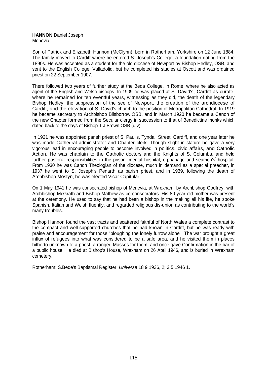#### **HANNON** Daniel Joseph Menevia

Son of Patrick and Elizabeth Hannon (McGlynn), born in Rotherham, Yorkshire on 12 June 1884. The family moved to Cardiff where he entered S. Joseph's College, a foundation dating from the 1890s. He was accepted as a student for the old diocese of Newport by Bishop Hedley, OSB, and sent to the English College, Valladolid, but he completed his studies at Oscott and was ordained priest on 22 September 1907.

There followed two years of further study at the Beda College, in Rome, where he also acted as agent of the English and Welsh bishops. In 1909 he was placed at S. David's, Cardiff as curate, where he remained for ten eventful years, witnessing as they did, the death of the legendary Bishop Hedley, the suppression of the see of Newport, the creation of the archdiocese of Cardiff, and the elevation of S. David's church to the position of Metropolitan Cathedral. In 1919 he became secretary to Archbishop Bilsborrow,OSB, and in March 1920 he became a Canon of the new Chapter formed from the Secular clergy in succession to that of Benedictine monks which dated back to the days of Bishop T J Brown OSB (q.v).

In 1921 he was appointed parish priest of S. Paul's, Tyndall Street, Cardiff, and one year later he was made Cathedral administrator and Chapter clerk. Though slight in stature he gave a very vigorous lead in encouraging people to become involved in politics, civic affairs, and Catholic Action. He was chaplain to the Catholic doctors and the Knights of S. Columba, and held further pastoral responsibilities in the prison, mental hospital, orphanage and seamen's hospital. From 1930 he was Canon Theologian of the diocese, much in demand as a special preacher, in 1937 he went to S. Joseph's Penarth as parish priest, and in 1939, following the death of Archbishop Mostyn, he was elected Vicar Capitular.

On 1 May 1941 he was consecrated bishop of Menevia, at Wrexham, by Archbishop Godfrey, with Archbishop McGrath and Bishop Mathew as co-consecrators. His 80 year old mother was present at the ceremony. He used to say that he had been a bishop in the making all his life, he spoke Spanish, Italian and Welsh fluently, and regarded religious dis-union as contributing to the world's many troubles.

Bishop Hannon found the vast tracts and scattered faithful of North Wales a complete contrast to the compact and well-supported churches that he had known in Cardiff, but he was ready with praise and encouragement for those "ploughing the lonely furrow alone". The war brought a great influx of refugees into what was considered to be a safe area, and he visited them in places hitherto unknown to a priest, arranged Masses for them, and once gave Confirmation in the bar of a public house. He died at Bishop's House, Wrexham on 26 April 1946, and is buried in Wrexham cemetery.

Rotherham: S.Bede's Baptismal Register; *Universe* 18 9 1936, 2; 3 5 1946 1.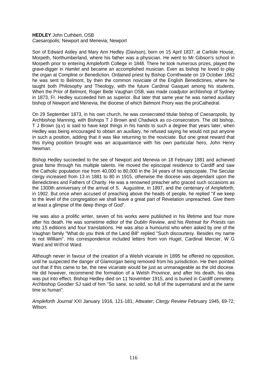### **HEDLEY** John Cuthbert, OSB *Caesaropolis;* Newport and Menevia; Newport

Son of Edward Astley and Mary Ann Hedley (Davison), born on 15 April 1837, at Carlisle House, Morpeth, Northumberland, where his father was a physician. He went to Mr Gibson's school in Morpeth prior to entering Ampleforth College in 1848. There he took numerous prizes, played the grave-digger in *Hamlet* and became an accomplished musician. Even as bishop he loved to play the organ at Compline or Benediction. Ordained priest by Bishop Cornthwaite on 19 October 1862 he was sent to Belmont, by then the common noviciate of the English Benedictines, where he taught both Philosophy and Theology, with the future Cardinal Gasquet among his students. When the Prior of Belmont, Roger Bede Vaughan OSB, was made coadjutor archbishop of Sydney in 1873, Fr. Hedley succeeded him as superior. But later that same year he was named auxiliary bishop of Newport and Menevia, the diocese of which Belmont Priory was the proCathedral.

On 29 September 1873, in his own church, he was consecrated titular bishop of *Caesaropolis,* by Archbishop Manning, with Bishops T J Brown and Chadwick as co-consecrators. The old bishop, T J Brown (q.v) is said to have kept things in his hands to such a degree that years later, when Hedley was being encouraged to obtain an auxiliary, he refused saying he would not put anyone in such a position, adding that it was like returning to the noviciate. But one great reward that this trying position brought was an acquaintance with his own particular hero, John Henry Newman.

Bishop Hedley succeeded to the see of Newport and Menevia on 18 February 1881 and achieved great fame through his multiple talents. He moved the episcopal residence to Cardiff and saw the Catholic population rise from 40,000 to 80,000 in the 34 years of his episcopate. The Secular clergy increased from 13 in 1881 to 80 in 1915, otherwise the diocese was dependant upon the Benedictines and Fathers of Charity. He was a renowned preacher who graced such occasions as the 1300th anniversary of the arrival of S. Augustine, in 1897, and the centenary of Ampleforth, in 1902. But once when accused of preaching above the heads of people, he replied "if we keep to the level of the congregation we shall leave a great part of Revelation unpreached. Give them at least a glimpse of the deep things of God".

He was also a prolific writer, seven of his works were published in his lifetime and four more after his death. He was sometime editor of the *Dublin Review,* and his *Retreat for Priests* ran into 15 editions and four translations. He was also a humourist who when asked by one of the Vaughan family "What do you think of the Land Bill" replied "Such discourtesy. Besides my name is not William". His correspondence included letters from von Hugel, Cardinal Mercier, W G Ward and Wilfrid Ward.

Although never in favour of the creation of a Welsh vicariate in 1895 he offered no opposition, until he suspected the danger of Glamorgan being removed from his jurisdiction. He then pointed out that if this came to be, the new vicariate would be just as unmanageable as the old diocese. He did however, recommend the formation of a Welsh Province, and after his death, his idea was put into effect. Bishop Hedley died on 11 November 1915, and is buried in Cardiff cemetery. Archbishop Goodier SJ said of him "So sane, so solid, so full of the supernatural and at the same time so human".

*Ampleforth Journal* XXI January 1916, 121-181; Attwater; *Clergy Review* February 1945, 69-72; Wilson.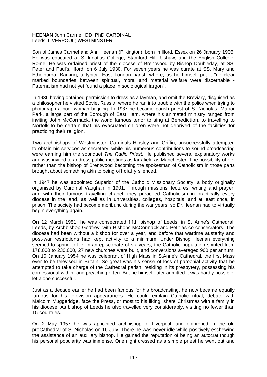## **HEENAN** John Carmel, DD, PhD CARDINAL Leeds; LIVERPOOL; WESTMINSTER.

Son of James Carmel and Ann Heenan (Pilkington), born in llford, Essex on 26 January 1905. He was educated at S. lgnatius College, Stamford Hill, Ushaw, and the English College, Rome. He was ordained priest of the diocese of Brentwood by Bishop Doubleday, at SS. Peter and Paul's, llford, on 6 July 1930. For seven years he was curate at SS. Mary and Ethelburga, Barking, a typical East London parish where, as he himself put it "no clear marked boundaries between spiritual, moral and material welfare were discernable - Paternalism had not yet found a place in sociological jargon".

In 1936 having obtained permission to dress as a layman, and omit the Breviary, disguised as a philosopher he visited Soviet Russia, where he ran into trouble with the police when trying to photograph a poor woman begging. In 1937 he became parish priest of S. Nicholas, Manor Park, a large part of the Borough of East Ham, where his animated ministry ranged from inviting John McCormack, the world famous tenor to sing at Benediction, to travelling to Norfolk to be certain that his evacuated children were not deprived of the facilities for practicing their religion.

Two archbishops of Westminster, Cardinals Hinsley and Griffin, unsuccessfully attempted to obtain his services as secretary, while his numerous contributions to sound broadcasting were earning him the sobriquet *The Radio Priest.* He published several explanatory works and was invited to address public meetings as far afield as Manchester. The possibility of he, rather than the bishop of Brentwood becoming the spokesman of Catholicism in those parts brought about something akin to being officially silenced.

In 1947 he was appointed Superior of the Catholic Missionary Society, a body originally organised by Cardinal Vaughan in 1901. Through missions, lectures, writing and prayer, and with their famous travelling chapel, they preached Catholicism in practically every diocese in the land, as well as in universities, colleges, hospitals, and at least once, in prison. The society had become moribund during the war years, so Dr.Heenan had to virtually begin everything again.

On 12 March 1951, he was consecrated fifth bishop of Leeds, in S. Anne's Cathedral, Leeds, by Archbishop Godfrey, with Bishops McCormack and Petit as co-consecrators. The diocese had been without a bishop for over a year, and before that wartime austerity and post-war restrictions had kept activity to a minimum. Under Bishop Heenan everything seemed to spring to life. In an episcopate of six years, the Catholic population spirited from 178,000 to 230,000, 27 new churches were built, and conversions averaged 900 per annum. On 10 January 1954 he was celebrant of High Mass in S.Anne's Cathedral, the first Mass ever to be televised in Britain. So great was his sense of loss of parochial activity that he attempted to take charge of the Cathedral parish, residing in its presbytery, possessing his confessional within, and preaching often. But he himself later admitted it was hardly possible, let alone successful.

Just as a decade earlier he had been famous for his broadcasting, he now became equally famous for his television appearances. He could explain Catholic ritual, debate with Malcolm Muggeridge, face the Press, or most to his liking, share Christmas with a family in his diocese. As bishop of Leeds he also travelled very considerably, visiting no fewer than 15 countries.

On 2 May 1957 he was appointed archbishop of Liverpool, and enthroned in the old proCathedral of S. Nicholas on 16 July. There he was never idle while positively eschewing the assistance of an auxiliary bishop. He gained the reputation of being an autocrat though his personal popularity was immense. One night dressed as a simple priest he went out and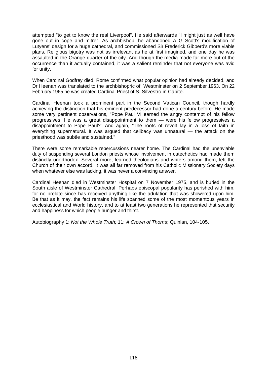attempted "to get to know the real Liverpool". He said afterwards "I might just as well have gone out in cope and mitre". As archbishop, he abandoned A G Scott's modification of Lutyens' design for a huge cathedral, and commissioned Sir Frederick Gibberd's more viable plans. Religious bigotry was not as irrelevant as he at first imagined, and one day he was assaulted in the Orange quarter of the city. And though the media made far more out of the occurrence than it actually contained, it was a salient reminder that not everyone was avid for unity.

When Cardinal Godfrey died, Rome confirmed what popular opinion had already decided, and Dr Heenan was translated to the archbishopric of Westminster on 2 September 1963. On 22 February 1965 he was created Cardinal Priest of S. Silvestro in Capite.

Cardinal Heenan took a prominent part in the Second Vatican Council, though hardly achieving the distinction that his eminent predecessor had done a century before. He made some very pertinent observations, "Pope Paul VI earned the angry contempt of his fellow progressives. He was a great disappointment to them — were his fellow progressives a disappointment to Pope Paul?" And again, "The roots of revolt lay in a loss of faith in everything supernatural. It was argued that celibacy was unnatural — the attack on the priesthood was subtle and sustained."

There were some remarkable repercussions nearer home. The Cardinal had the unenviable duty of suspending several London priests whose involvement in catechetics had made them distinctly unorthodox. Several more, learned theologians and writers among them, left the Church of their own accord. It was all far removed from his Catholic Missionary Society days when whatever else was lacking, it was never a convincing answer.

Cardinal Heenan died in Westminster Hospital on 7 November 1975, and is buried in the South aisle of Westminster Cathedral. Perhaps episcopal popularity has perished with him, for no prelate since has received anything like the adulation that was showered upon him. Be that as it may, the fact remains his life spanned some of the most momentous years in ecclesiastical and World history, and to at least two generations he represented that security and happiness for which people hunger and thirst.

Autobiography 1: *Not the Whole Truth;* 11: *A Crown of Thorns*; Quinlan, 104-105.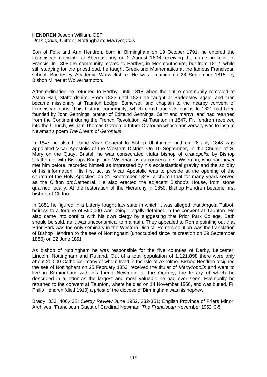#### **HENDREN** Joseph William, OSF *Uranopolis;* Clifton; Nottingham; *Martyropolis*

Son of Felix and Ann Hendren, born in Birmingham on 19 October 1791, he entered the Franciscan noviciate at Abergavenny on 2 August 1806 receiving the name, in religion, Francis. In 1808 the community moved to Perthyr, in Monmouthshire, but from 1812, while still studying for the priesthood, he taught Greek and Mathematics at the famous Franciscan school, Baddesley Academy, Warwickshire. He was ordained on 28 September 1815, by Bishop Milner at Wolverhampton.

After ordination he returned to Perthyr until 1818 when the entire community removed to Aston Hall, Staffordshire. From 1823 until 1826 he taught at Baddesley again, and then became missionary at Taunton Lodge, Somerset, and chaplain to the nearby convent of Franciscan nuns. This historic community, which could trace its origins to 1621 had been founded by John Gennings, brother of Edmund Gennings, Saint and martyr, and had returned from the Continent during the French Revolution. At Taunton in 1847, Fr.Hendren received into the Church, William Thomas Gordon, a future Oratorian whose anniversary was to inspire Newman's poem *The Dream of Gerontius*

In 1847 he also became Vicar General to Bishop Ullathorne, and on 28 July 1848 was appointed Vicar Apostolic of the Western District. On 10 September, in the Church of S. Mary on the Quay, Bristol, he was consecrated titular bishop of *Uranopolis,* by Bishop Ullathorne, with Bishops Briggs and Wiseman as co-consecrators. Wiseman, who had never met him before, recorded himself as impressed by his ecclesiastical gravity and the solidity of his information. His first act as Vicar Apostolic was to preside at the opening of the church of the Holy Apostles, on 21 September 1848, a church that for many years served as the Clifton proCathedral. He also erected the adjacent Bishop's House, from stone quarried locally. At the restoration of the Hierarchy in 1850, Bishop Hendren became first bishop of Clifton.

In 1851 he figured in a bitterly fought law suite in which it was alleged that Angela Talbot, heiress to a fortune of £90,000 was being illegally detained in the convent at Taunton. He also came into conflict with his own clergy by suggesting that Prior Park College, Bath should be sold, as it was uneconomical to maintain. They appealed to Rome pointing out that Prior Park was the only seminary in the Western District. Rome's solution was the translation of Bishop Hendren to the see of Nottingham (unoccupied since its creation on 29 September 1850) on 22 June 1851.

As bishop of Nottingham he was responsible for the five counties of Derby, Leicester, Lincoln, Nottingham and Rutland. Out of a total population of 1,121,898 there were only about 20,000 Catholics, many of whom lived in the Isle of Axholme. Bishop Hendren resigned the see of Nottingham on 25 February 1853, received the titular of *Martyropolis* and went to live in Birmingham with his friend Newman, at the Oratory, the library of which he described in a letter as the largest and most valuable he had ever seen. Eventually he returned to the convent at Taunton, where he died on 14 November 1866, and was buried. Fr. Philip Hendren (died 1910) a priest of the diocese of Birmingham was his nephew.

Brady, 333, 406,432; *Clergy Review* June 1952, 332-351; English Province of Friars Minor: Archives; 'Franciscan Guest of Cardinal Newman' *The Franciscan* November 1952, 3-5.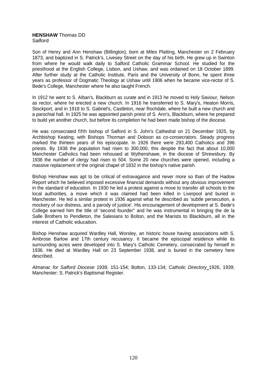#### **HENSHAW** Thomas DD Salford

Son of Henry and Ann Henshaw (Billington), born at Miles Platting, Manchester on 2 February 1873, and baptized in S. Patrick's, Livesey Street on the day of his birth. He grew up in Swinton from where he would walk daily to Salford Catholic Grammar School. He studied for the priesthood at the English College, Lisbon, and Ushaw, and was ordained on 18 October 1899. After further study at the Catholic Institute, Paris and the University of Bonn, he spent three years as professor of Dogmatic Theology at Ushaw until 1906 when he became vice-rector of S. Bede's College, Manchester where he also taught French.

In 1912 he went to S. AIban's, Blackburn as curate and in 1913 he moved to Holy Saviour, Nelson as rector, where he erected a new church. In 1916 he transferred to S. Mary's, Heaton Morris, Stockport, and in 1918 to S. Gabriel's, Castleton, near Rochdale, where he built a new church and a parochial hall. In 1925 he was appointed parish priest of S. Ann's, Blackburn, where he prepared to build yet another church, but before its completion he had been made bishop of the diocese.

He was consecrated fifth bishop of Salford in S. John's Cathedral on 21 December 1925, by Archbishop Keating, with Bishops Thorman and Dobson as co-consecrators. Steady progress marked the thirteen years of his episcopate. In 1926 there were 293,400 Catholics and 396 priests. By 1938 the population had risen to 300,000, this despite the fact that about 10,000 Manchester Catholics had been rehoused at Wythenshawe, in the diocese of Shrewsbury. By 1938 the number of clergy had risen to 504. Some 20 new churches were opened, including a massive replacement of the original chapel of 1832 in the bishop's native parish.

Bishop Henshaw was apt to be critical of extravagance and never more so than of the Hadow Report which he believed imposed excessive financial demands without any obvious improvement in the standard of education. In 1930 he led a protest against a move to transfer all schools to the local authorities, a move which it was claimed had been killed in Liverpool and buried in Manchester. He led a similar protest in 1936 against what he described as 'subtle persecution, a mockery of our distress, and a parody of justice'. His encouragement of development at S. Bede's College earned him the title of 'second founder" and he was instrumental in bringing the de la Salle Brothers to Pendleton, the Salesians to Bolton, and the Marists to Blackburn, all in the interest of Catholic education.

Bishop Henshaw acquired Wardley Hall, Worsley, an historic house having associations with S. Ambrose Barlow and 17th century recusancy. It became the episcopal residence while its surrounding acres were developed into S. Mary's Catholic Cemetery, consecrated by himself in 1936. He died at Wardley Hall on 23 September 1938, and is buried in the cemetery here described.

*Almanac for Salford Diocese* 1939, 151-154; Bolton, 133-134; *Catholic Directory* 1926, 1939; Manchester: S. Patrick's Baptismal Register.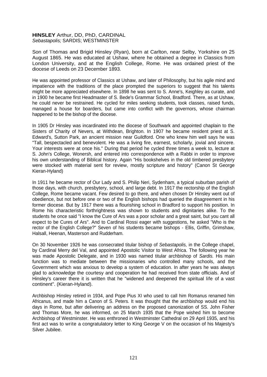## **HINSLEY** Arthur, DD, PhD, CARDINAL *Sebastapolis;* SARDIS; WESTMINSTER

Son of Thomas and Brigid Hinsley (Ryan), born at Carlton, near Selby, Yorkshire on 25 August 1865. He was educated at Ushaw, where he obtained a degree in Classics from London University, and at the English College, Rome. He was ordained priest of the diocese of Leeds on 23 December 1893.

He was appointed professor of Classics at Ushaw, and later of Philosophy, but his agile mind and impatience with the traditions of the place prompted the superiors to suggest that his talents might be more appreciated elsewhere. In 1898 he was sent to S. Anne's, Keighley as curate, and in 1900 he became first Headmaster of S. Bede's Grammar School, Bradford. There, as at Ushaw, he could never be restrained. He cycled for miles seeking students, took classes, raised funds, managed a house for boarders, but came into conflict with the governors, whose chairman happened to be the bishop of the diocese.

In 1905 Dr Hinsley was incardinated into the diocese of Southwark and appointed chaplain to the Sisters of Charity of Nevers, at Withdean, Brighton. In 1907 he became resident priest at S. Edward's, Sutton Park, an ancient mission near Guildford. One who knew him well says he was "Tall, bespectacled and benevolent. He was a living fire, earnest, scholarly, jovial and sincere. Your interests were at once his." During that period he cycled three times a week to, lecture at S. John's College, Wonersh, and entered into correspondence with a Rabbi in order to improve his own understanding of Biblical history. Again "His bookshelves in the old timbered presbytery were stocked with material sent for review, mostly scripture and history" (Canon St George Kieran-Hyland)

In 1911 he became rector of Our Lady and S. Philip Neri, Sydenham, a typical suburban parish of those days, with church, presbytery, school, and large debt. In 1917 the rectorship of the English College, Rome became vacant. Few desired to go there, and when chosen Dr Hinsley went out of obedience, but not before one or two of the English bishops had queried the disagreement in his former diocese. But by 1917 there was a flourishing school in Bradford to support his position. In Rome his characteristic forthrightness was shown to students and dignitaries alike. To the students he once said "I know the Cure of Ars was a poor scholar and a great saint, but you cant all expect to be Cures of Ars". And to Cardinal Rossi eager with suggestions, he asked "Who is the rector of the English College?" Seven of his students became bishops - Ellis, Griffin, Grimshaw, Halsall, Heenan, Masterson and Rudderham.

On 30 November 1926 he was consecrated titular bishop of *Sebastapolis,* in the College chapel, by Cardinal Merry del Val, and appointed Apostolic Visitor to West Africa. The following year he was made Apostolic Delegate, and in 1930 was named titular archbishop of *Sardis.* His main function was to mediate between the missionaries who controlled many schools, and the Government which was anxious to develop a system of education. In after years he was always glad to acknowledge the courtesy and cooperation he had received from state officials. And of Hinsley's career there it is written that he "widened and deepened the spiritual life of a vast continent". (Kieran-Hyland).

Archbishop Hinsley retired in 1934, and Pope Pius XI who used to call him Romanus renamed him Africanus, and made him a Canon of S. Peters. It was thought that the archbishop would end his days in Rome, but after delivering an address on the proposed canonization of SS. John Fisher and Thomas More, he was informed, on 25 March 1935 that the Pope wished him to become Archbishop of Westminster. He was enthroned in Westminster Cathedral on 29 April 1935, and his first act was to write a congratulatory letter to King George V on the occasion of his Majesty's Silver Jubilee.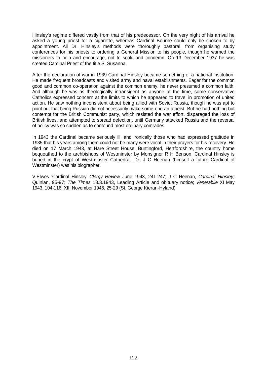Hinsley's regime differed vastly from that of his predecessor. On the very night of his arrival he asked a young priest for a cigarette, whereas Cardinal Bourne could only be spoken to by appointment. All Dr. Hinsley's methods were thoroughly pastoral, from organising study conferences for his priests to ordering a General Mission to his people, though he warned the missioners to help and encourage, not to scold and condemn. On 13 December 1937 he was created Cardinal Priest of the title S. Susanna.

After the declaration of war in 1939 Cardinal Hinsley became something of a national institution. He made frequent broadcasts and visited army and naval establishments. Eager for the common good and common co-operation against the common enemy, he never presumed a common faith. And although he was as theologically intransigent as anyone at the time, some conservative Catholics expressed concern at the limits to which he appeared to travel in promotion of united action. He saw nothing inconsistent about being allied with Soviet Russia, though he was apt to point out that being Russian did not necessarily make some-one an atheist. But he had nothing but contempt for the British Communist party, which resisted the war effort, disparaged the loss of British lives, and attempted to spread defection, until Germany attacked Russia and the reversal of policy was so sudden as to confound most ordinary comrades.

In 1943 the Cardinal became seriously ill, and ironically those who had expressed gratitude in 1935 that his years among them could not be many were vocal in their prayers for his recovery. He died on 17 March 1943, at Hare Street House, Buntingford, Hertfordshire, the country home bequeathed to the archbishops of Westminster by Monsignor R H Benson. Cardinal Hinsley is buried in the crypt of Westminster Cathedral. Dr. J C Heenan (himself a future Cardinal of Westminster) was his biographer.

V.EIwes 'Cardinal Hinsley' *Clergy Review* June 1943, 241-247; J C Heenan, *Cardinal Hinsley;* Quinlan, 95-97; *The Times* 18.3.1943, Leading Article and obituary notice; *Venerabile* XI May 1943, 104-116; XIII November 1946, 25-29 (St. George Kieran-Hyland)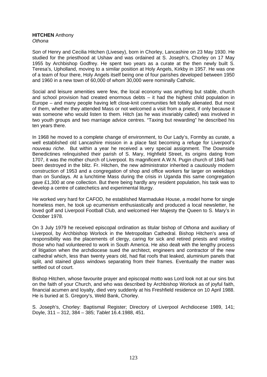#### **HITCHEN** Anthony *Othona*

Son of Henry and Cecilia Hitchen (Livesey), born in Chorley, Lancashire on 23 May 1930. He studied for the priesthood at Ushaw and was ordained at S. Joseph's, Chorley on 17 May 1955 by Archbishop Godfrey. He spent two years as a curate at the then newly built S. Teresa's, Upholland, moving to a similar position at Holy Angels, Kirkby in 1957. He was one of a team of four there, Holy Angels itself being one of four parishes developed between 1950 and 1960 in a new town of 60,000 of whom 30,000 were nominally Catholic.

Social and leisure amenities were few, the local economy was anything but stable, church and school provision had created enormous debts – it had the highest child population in Europe – and many people having left close-knit communities felt totally alienated. But most of them, whether they attended Mass or not welcomed a visit from a priest, if only because it was someone who would listen to them. Hitch (as he was invariably called) was involved in two youth groups and two marriage advice centres. "Taxing but rewarding" he described his ten years there.

In 1968 he moved to a complete change of environment, to Our Lady's, Formby as curate, a well established old Lancashire mission in a place fast becoming a refuge for Liverpool's *nouveau riche*. But within a year he received a very special assignment. The Downside Benedictines relinquished their parish of S. Mary, Highfield Street, its origins dating from 1707, it was the mother church of Liverpool. Its magnificent A.W.N. Pugin church of 1845 had been destroyed in the blitz. Fr. Hitchen, the new administrator inherited a cautiously modern construction of 1953 and a congregation of shop and office workers far larger on weekdays than on Sundays. At a lunchtime Mass during the crisis in Uganda this same congregation gave £1,300 at one collection. But there being hardly any resident population, his task was to develop a centre of catechetics and experimental liturgy.

He worked very hard for CAFOD, he established Marmaduke House, a model home for single homeless men, he took up ecumenism enthusiastically and produced a local newsletter, he loved golf and Liverpool Football Club, and welcomed Her Majesty the Queen to S. Mary's in October 1978.

On 3 July 1979 he received episcopal ordination as titular bishop of *Othona* and auxiliary of Liverpool, by Archbishop Worlock in the Metropolitan Cathedral. Bishop Hitchen's area of responsibility was the placements of clergy, caring for sick and retired priests and visiting those who had volunteered to work in South America. He also dealt with the lengthy process of litigation when the archdiocese sued the architect, engineers and contractor of the new cathedral which, less than twenty years old, had flat roofs that leaked, aluminium panels that split, and stained glass windows separating from their frames. Eventually the matter was settled out of court.

Bishop Hitchen, whose favourite prayer and episcopal motto was Lord look not at our sins but on the faith of your Church, and who was described by Archbishop Worlock as of joyful faith, financial acumen and loyalty, died very suddenly at his Freshfield residence on 10 April 1988. He is buried at S. Gregory's, Weld Bank, Chorley.

S. Joseph's, Chorley: Baptismal Register; Directory of Liverpool Archdiocese 1989, 141; Doyle, 311 – 312, 384 – 385; *Tablet* 16.4.1988, 451.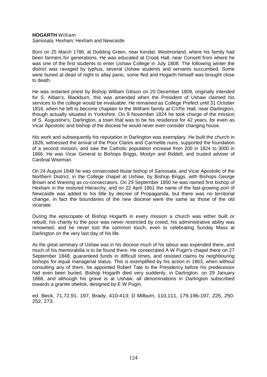#### **HOGARTH** William

*Samosata;* Hexham; Hexham and Newcastle

Born on 25 March 1786, at Dodding Green, near Kendal, Westmorland, where his family had been farmers for generations. He was educated at Crook Hall, near Consett from where he was one of the first students to enter Ushaw College in July 1808. The following winter the district was ravaged by typhus, several Ushaw students and servants succumbed. Some were buried at dead of night to allay panic, some fled and Hogarth himself was brought close to death.

He was ordained priest by Bishop William Gibson on 20 December 1809, originally intended for S. AIban's, Blackburn, this was amended when the President of Ushaw claimed his services to the college would be invaluable. He remained as College Prefect until 31 October 1816, when he left to become chaplain to the Witham family at Cliffe Hall, near Darlington, though actually situated in Yorkshire. On 9 November 1824 he took charge of the mission of S. Augustine's, Darlington, a town that was to be his residence for 42 years, for even as Vicar Apostolic and bishop of the diocese he would never even consider changing house.

His work and subsequently his reputation in Darlington was exemplary. He built the church in 1826, witnessed the arrival of the Poor Clares and Carmelite nuns, supported the foundation of a second mission, and saw the Catholic population increase from 200 in 1824 to 3000 in 1866. He was Vicar General to Bishops Briggs, Mostyn and RiddelI, and trusted adviser of Cardinal Wiseman.

On 24 August 1848 he was consecrated titular bishop of *Samosata,* and Vicar Apostolic of the Northern District, in the College chapel at Ushaw, by Bishop Briggs, with Bishops George Brown and Wareing as co-consecrators. On 29 September 1850 he was named first bishop of Hexham in the restored Hierarchy, and on 22 April 1861 the name of the fast-growing port of Newcastle was added to his title by decree of Propaganda, but there was no territorial change, in fact the boundaries of the new diocese were the same as those of the old vicariate.

During the episcopate of Bishop Hogarth in every mission a church was either built or rebuilt, his charity to the poor was never restricted by creed, his administrative ability was renowned, and he never lost the common touch, even to celebrating Sunday Mass at Darlington on the very last day of his life.

As the great seminary of Ushaw was in his diocese much of his labour was expended there, and much of his memorabilia is to be found there. He consecrated A W Pugin's chapel there on 27 September 1848, guaranteed funds in difficult times, and resisted claims by neighbouring bishops for equal managerial status. This is exemplified by his action in 1863, when without consulting any of them, he appointed Robert Tate to the Presidency before his predecessor had even been buried. Bishop Hogarth died very suddenly, in Darlington, on 29 January 1866, and although his grave is at Ushaw, all denominations in Darlington subscribed towards a granite obelisk, designed by E W Pugin.

ed. Beck, 71,72,91, 197; Brady, 410-413; D Milburn, 110,111, 179,196-197, 225, 250- 252, 273.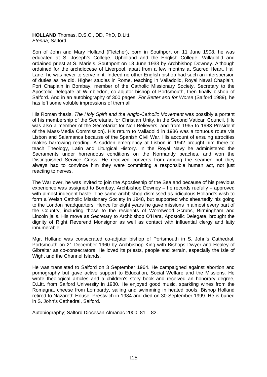#### **HOLLAND** Thomas, D.S.C., DD, PhD, D.Litt. *Etenna;* Salford

Son of John and Mary Holland (Fletcher), born in Southport on 11 June 1908, he was educated at S. Joseph's College, Upholland and the English College, Valladolid and ordained priest at S. Marie's, Southport on 18 June 1933 by Archbishop Downey. Although ordained for the archdiocese of Liverpool, apart from a few months at Sacred Heart, Hall Lane, he was never to serve in it. Indeed no other English bishop had such an interspersion of duties as he did. Higher studies in Rome, teaching in Valladolid, Royal Naval Chaplain, Port Chaplain in Bombay, member of the Catholic Missionary Society, Secretary to the Apostolic Delegate at Wimbledon, co-adjutor bishop of Portsmouth, then finally bishop of Salford. And in an autobiography of 300 pages, *For Better and for Worse* (Salford 1989), he has left some voluble impressions of them all.

His Roman thesis, *The Holy Spirit and the Anglo-Catholic Movement* was possibly a portent of his membership of the Secretariat for Christian Unity, in the Second Vatican Council. (He was also a member of the Secretariat for Non-Believers, and from 1965 to 1983 President of the Mass-Media Commission). His return to Valladolid in 1936 was a tortuous route via Lisbon and Salamanca because of the Spanish Civil War. His account of ensuing atrocities makes harrowing reading. A sudden emergency at Lisbon in 1942 brought him there to teach Theology, Latin and Liturgical History. In the Royal Navy he administered the Sacraments under horrendous conditions on the Normandy beaches, and won the Distinguished Service Cross. He received converts from among the seamen but they always had to convince him they were committing a responsible human act, not just reacting to nerves.

The War over, he was invited to join the Apostleship of the Sea and because of his previous experience was assigned to Bombay. Archbishop Downey – he records ruefully – approved with almost indecent haste. The same archbishop dismissed as ridiculous Holland's wish to form a Welsh Catholic Missionary Society in 1948, but supported wholeheartedly his going to the London headquarters. Hence for eight years he gave missions in almost every part of the Country, including those to the residents of Wormwood Scrubs, Birmingham and Lincoln jails. His move as Secretary to Archbishop O'Hara, Apostolic Delegate, brought the dignity of Right Reverend Monsignor as well as contact with influential clergy and laity innumerable.

Mgr. Holland was consecrated co-adjutor bishop of Portsmouth in S. John's Cathedral, Portsmouth on 21 December 1960 by Archbishop King with Bishops Dwyer and Healey of Gibraltar as co-consecrators. He loved its priests, people and terrain, especially the Isle of Wight and the Channel Islands.

He was translated to Salford on 3 September 1964. He campaigned against abortion and pornography but gave active support to Education, Social Welfare and the Missions. He wrote theological articles and a children's story book and received an honorary degree, D.Litt. from Salford University in 1980. He enjoyed good music, sparkling wines from the Romagna, cheese from Lombardy, sailing and swimming in heated pools. Bishop Holland retired to Nazareth House, Prestwich in 1984 and died on 30 September 1999. He is buried in S. John's Cathedral, Salford.

Autobiography; Salford Diocesan Almanac 2000, 81 – 82.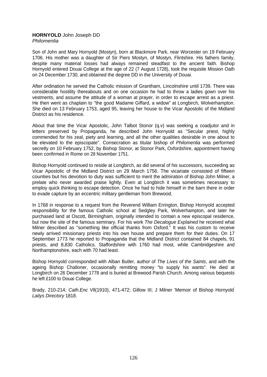### **HORNYOLD** John Joseph DD *Philomenlia*

Son of John and Mary Hornyold (Mostyn), born at Blackmore Park, near Worcester on 19 February 1706. His mother was a daughter of Sir Piers Mostyn, of Mostyn, Flintshire. His fathers family, despite many material losses had always remained steadfast to the ancient faith. Bishop Hornyold entered Douai College at the age of 22 (7 August 1728), took the requisite Mission Oath on 24 December 1730, and obtained the degree DD in the University of Douai.

After ordination he served the Catholic mission of Grantham, Lincolnshire until 1739. There was considerable hostility thereabouts and on one occasion he had to throw a ladies gown over his vestments, and assume the attitude of a woman at prayer, in order to escape arrest as a priest. He then went as chaplain to "the good Madame Giffard, a widow" at Longbirch, Wolverhampton. She died on 13 February 1753, aged 95, leaving her house to the Vicar Apostolic of the Midland District as his residence.

About that time the Vicar Apostolic, John Talbot Stonor (q.v) was seeking a coadjutor and in letters preserved by Propaganda, he described John Hornyold as "Secular priest, highly commended for his zeal, piety and learning, and all the other qualities desirable in one about to be elevated to the episcopate". Consecration as titular bishop of *Philomenlia* was performed secretly on 10 February 1752, by Bishop Stonor, at Stonor Park, Oxfordshire, appointment having been confirmed in Rome on 28 November 1751.

Bishop Hornyold continued to reside at Longbirch, as did several of his successors, succeeding as Vicar Apostolic of the Midland District on 29 March 1756. The vicariate consisted of fifteen counties but his devotion to duty was sufficient to merit the admiration of Bishop John Milner, a prelate who never awarded praise lightly. Even at Longbirch it was sometimes necessary to employ quick thinking to escape detection. Once he had to hide himself in the barn there in order to evade capture by an eccentric military gentleman from Brewood.

In 1768 in response to a request from the Reverend William Errington, Bishop Hornyold accepted responsibility for the famous Catholic school at Sedgley Park, Wolverhampton, and later he purchased land at Oscott, Birmingham, originally intended to contain a new episcopal residence, but now the site of the famous seminary. For his work *The Decalogue Explained* he received what Milner described as "something like official thanks from Oxford." It was his custom to receive newly arrived missionary priests into his own house and prepare them for their duties. On 17 September 1773 he reported to Propaganda that the Midland District contained 84 chapels, 91 priests, and 8,830 Catholics. Staffordshire with 1760 had most, while Cambridgeshire and Northamptonshire, each with 70 had least.

Bishop Hornyold corresponded with Alban Butler, author of *The Lives of the Saints*, and with the ageing Bishop Challoner, occasionally remitting money "to supply his wants". He died at Longbirch on 26 December 1778 and is buried at Brewood Parish Church. Among various bequests he left £100 to Douai College.

Brady, 210-214; *Cath.Enc* Vll(1910), 471-472; Gillow III; J Milner 'Memoir of Bishop Hornyold' *Laitys Directory* 1818.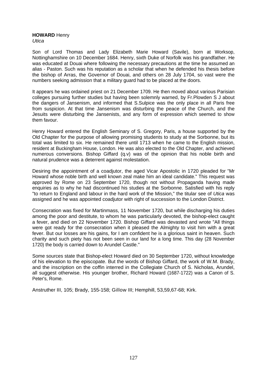#### **HOWARD** Henry *Utica*

Son of Lord Thomas and Lady Elizabeth Marie Howard (Savile), born at Worksop, Nottinghamshire on 10 December 1684. Henry, sixth Duke of Norfolk was his grandfather. He was educated at Douai where following the necessary precautions at the time he assumed an alias - Paston. Such was his reputation as a scholar that when he defended his thesis before the bishop of Arras, the Governor of Douai, and others on 28 July 1704, so vast were the numbers seeking admission that a military guard had to be placed at the doors.

It appears he was ordained priest on 21 December 1709. He then moved about various Parisian colleges pursuing further studies but having been solemnly warned, by Fr.Plowden S J about the dangers of Jansenism, and informed that S.Sulpice was the only place in all Paris free from suspicion. At that time Jansenism was disturbing the peace of the Church, and the Jesuits were disturbing the Jansenists, and any form of expression which seemed to show them favour.

Henry Howard entered the English Seminary of S. Gregory, Paris, a house supported by the Old Chapter for the purpose of allowing promising students to study at the Sorbonne, but its total was limited to six. He remained there until 1713 when he came to the English mission, resident at Buckingham House, London. He was also elected to the Old Chapter, and achieved numerous conversions. Bishop Giffard (q.v) was of the opinion that his noble birth and natural prudence was a deterrent against molestation.

Desiring the appointment of a coadjutor, the aged Vicar Apostolic in 1720 pleaded for "Mr Howard whose noble birth and well known zeal make him an ideal candidate." This request was approved by Rome on 23 September 1720, though not without Propaganda having made enquiries as to why he had discontinued his studies at the Sorbonne. Satisfied with his reply "to return to England and labour in the hard work of the Mission," the titular see of *Utica* was assigned and he was appointed coadjutor with right of succession to the London District.

Consecration was fixed for Martinmass, 11 November 1720, but while discharging his duties among the poor and destitute, to whom he was particularly devoted, the bishop-elect caught a fever, and died on 22 November 1720. Bishop Giffard was devasted and wrote "All things were got ready for the consecration when it pleased the Almighty to visit him with a great fever. But our losses are his gains, for I am confident he is a glorious saint in heaven. Such charity and such piety has not been seen in our land for a long time. This day (28 November 1720) the body is carried down to Arundel Castle."

Some sources state that Bishop-elect Howard died on 30 September 1720, without knowledge of his elevation to the episcopate. But the words of Bishop Giffard, the work of W.M. Brady, and the inscription on the coffin interred in the Collegiate Church of S. Nicholas, Arundel, all suggest otherwise. His younger brother, Richard Howard (1687-1722) was a Canon of S. Peter's, Rome.

Anstruther III, 105; Brady, 155-158; Gillow III; Hemphill, 53,59,67-68; Kirk.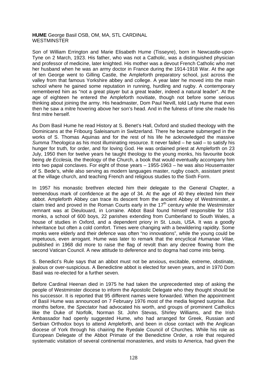### **HUME** George Basil OSB, OM, MA, STL CARDINAL **WESTMINSTER**

Son of William Errington and Marie Elisabeth Hume (Tisseyre), born in Newcastle-upon-Tyne on 2 March, 1923. His father, who was not a Catholic, was a distinguished physician and professor of medicine, later knighted. His mother was a devout French Catholic who met her husband when he was an army doctor in France during the 1914-1918 War. At the age of ten George went to Gilling Castle, the Ampleforth preparatory school, just across the valley from that famous Yorkshire abbey and college. A year later he moved into the main school where he gained some reputation in running, hurdling and rugby. A contemporary remembered him as "not a great player but a great leader, indeed a natural leader". At the age of eighteen he entered the Ampleforth novitiate, though not before some serious thinking about joining the army. His headmaster, Dom Paul Nevill, told Lady Hume that even then he saw a mitre hovering above her son's head. And in the fulness of time she made his first mitre herself.

As Dom Basil Hume he read History at S. Benet's Hall, Oxford and studied theology with the Dominicans at the Fribourg Saleisanum in Switzerland. There he became submerged in the works of S. Thomas Aquinas and for the rest of his life he acknowledged the massive *Summa Theologica* as his most illuminating resource. It never failed – he said – to satisfy his hunger for truth, for order, and for loving God. He was ordained priest at Ampleforth on 23 July, 1950 then for twelve years he taught theology to the young monks, his favourite book being *de Ecclesia,* the theology of the Church, a book that would eventually accompany him into two papal conclaves. For eight of those years – 1955-1963 – he was also Housemaster of S. Bede's, while also serving as modern languages master, rugby coach, assistant priest at the village church, and teaching French and religious studies to the Sixth Form.

In 1957 his monastic brethren elected him their delegate to the General Chapter, a tremendous mark of confidence at the age of 34. At the age of 40 they elected him their abbot. Ampleforth Abbey can trace its descent from the ancient Abbey of Westminster, a claim tried and proved in the Roman Courts early in the  $17<sup>th</sup>$  century while the Westminster remnant was at Dieulouard, in Lorraine. Abbot Basil found himself responsible for 153 monks, a school of 600 boys, 22 parishes extending from Cumberland to South Wales, a house of studies in Oxford, and a dependent priory in St. Louis, USA. It was a goodly inheritance but often a cold comfort. Times were changing with a bewildering rapidity. Some monks were elderly and their defence was often "no innovations", while the young could be impetuous, even arrogant. Hume was later to remark that the encyclical *Humanae Vitae,*  published in 1968 did more to raise the flag of revolt than any decree flowing from the second Vatican Council. A new attitude to deference and to dogma had come into being.

S. Benedict's Rule says that an abbot must not be anxious, excitable, extreme, obstinate, jealous or over-suspicious. A Benedictine abbot is elected for seven years, and in 1970 Dom Basil was re-elected for a further seven.

Before Cardinal Heenan died in 1975 he had taken the unprecedented step of asking the people of Westminster diocese to inform the Apostolic Delegate who they thought should be his successor. It is reported that 95 different names were forwarded. When the appointment of Basil Hume was announced on 7 February 1976 most of the media feigned surprise. But months before, the *Spectator* had advocated his worth, and groups of prominent Catholics like the Duke of Norfolk, Norman St. John Stevas, Shirley Williams, and the Irish Ambassador had openly suggested Hume, who had arranged for Greek, Russian and Serbian Orthodox boys to attend Ampleforth, and been in close contact with the Anglican diocese of York through his chairing the Ryedale Council of Churches. While his role as European Delegate of the Abbot Primate of the Benedictine Order, a role that required systematic visitation of several continental monasteries, and visits to America, had given the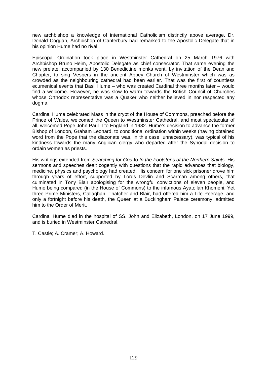new archbishop a knowledge of international Catholicism distinctly above average. Dr. Donald Coggan, Archbishop of Canterbury had remarked to the Apostolic Delegate that in his opinion Hume had no rival.

Episcopal Ordination took place in Westminster Cathedral on 25 March 1976 with Archbishop Bruno Heim, Apostolic Delegate as chief consecrator. That same evening the new prelate, accompanied by 130 Benedictine monks went, by invitation of the Dean and Chapter, to sing Vespers in the ancient Abbey Church of Westminster which was as crowded as the neighbouring cathedral had been earlier. That was the first of countless ecumenical events that Basil Hume – who was created Cardinal three months later – would find a welcome. However, he was slow to warm towards the British Council of Churches whose Orthodox representative was a Quaker who neither believed in nor respected any dogma.

Cardinal Hume celebrated Mass in the crypt of the House of Commons, preached before the Prince of Wales, welcomed the Queen to Westminster Cathedral, and most spectacular of all, welcomed Pope John Paul II to England in 1982. Hume's decision to advance the former Bishop of London, Graham Leonard, to conditional ordination within weeks (having obtained word from the Pope that the diaconate was, in this case, unnecessary), was typical of his kindness towards the many Anglican clergy who departed after the Synodal decision to ordain women as priests.

His writings extended from *Searching for God* to *In the Footsteps of the Northern Saints.* His sermons and speeches dealt cogently with questions that the rapid advances that biology, medicine, physics and psychology had created. His concern for one sick prisoner drove him through years of effort, supported by Lords Devlin and Scarman among others, that culminated in Tony Blair apologising for the wrongful convictions of eleven people, and Hume being compared (in the House of Commons) to the infamous Ayatollah Khomeni. Yet three Prime Ministers, Callaghan, Thatcher and Blair, had offered him a Life Peerage, and only a fortnight before his death, the Queen at a Buckingham Palace ceremony, admitted him to the Order of Merit.

Cardinal Hume died in the hospital of SS. John and Elizabeth, London, on 17 June 1999, and is buried in Westminster Cathedral.

T. Castle; A. Cramer; A. Howard.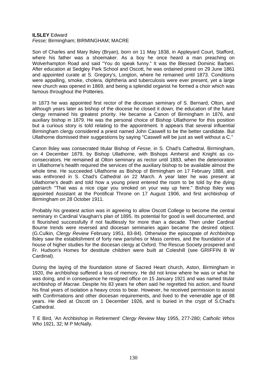## **ILSLEY** Edward *Fesse;* Birmingham; BIRMINGHAM; MACRE

Son of Charles and Mary llsley (Bryan), born on 11 May 1838, in Appleyard Court, Stafford, where his father was a shoemaker. As a boy he once heard a man preaching on Wolverhampton Road and said "You do speak funny." It was the Blessed Dominic Barberi. After education at Sedgley Park School and Oscott, he was ordained priest on 29 June 1861 and appointed curate at S. Gregory's, Longton, where he remained until 1873. Conditions were appalling, smoke, cholera, diphtheria and tuberculosis were ever present, yet a large new church was opened in 1869, and being a splendid organist he formed a choir which was famous throughout the Potteries.

In 1873 he was appointed first rector of the diocesan seminary of S. Bernard, Olton, and although years later as bishop of the diocese he closed it down, the education of the future clergy remained his greatest priority. He became a Canon of Birmingham in 1876, and auxiliary bishop in 1879. He was the personal choice of Bishop Ullathorne for this position but a curious story is told relating to the appointment. It appears that several influential Birmingham clergy considered a priest named John Caswell to be the better candidate. But Ullathorne dismissed their suggestions by saying "Caswell will be just as well without a C."

Canon llsley was consecrated titular Bishop of *Fesse,* in S. Chad's Cathedral, Birmingham, on 4 December 1879, by Bishop Ullathorne, with Bishops Amherst and Knight as coconsecrators. He remained at Olton seminary as rector until 1883, when the deterioration in Ullathorne's health required the services of the auxiliary bishop to be available almost the whole time. He succeeded Ullathorne as Bishop of Birmingham on 17 February 1888, and was enthroned in S. Chad's Cathedral on 22 March. A year later he was present at Ullathorne's death and told how a young priest entered the room to be told by the dying patriarch "That was a nice cigar you smoked on your way up here." Bishop llsley was appointed Assistant at the Pontifical Throne on 17 August 1906, and first archbishop of Birmingham on 28 October 1911.

Probably his greatest action was in agreeing to allow Oscott College to become the central seminary in Cardinal Vaughan's plan of 1895. Its potential for good is well documented, and it flourished successfully if not faultlessly for more than a decade. Then under Cardinal Bourne trends were reversed and diocesan seminaries again became the desired object. (G.Culkin, *Clergy Review* February 1951, 83-84). Otherwise the episcopate of Archbishop llsley saw the establishment of forty new parishes or Mass centres, and the foundation of a house of higher studies for the diocesan clergy at Oxford. The Rescue Society prospered and Fr. Hudson's Homes for destitute children were built at Coleshill (see GRIFFIN B W Cardinal).

During the laying of the foundation stone of Sacred Heart church, Aston, Birmingham in 1920, the archbishop suffered a loss of memory. He did not know where he was or what he was doing, and in consequence he resigned office on 15 January 1921 and was named titular archbishop of *Macrae.* Despite his 83 years he often said he regretted his action, and found his final years of isolation a heavy cross to bear. However, he received permission to assist with Confirmations and other diocesan requirements, and lived to the venerable age of 88 years. He died at Oscott on 1 December 1926, and is buried in the crypt of S.Chad's Cathedral.

T E Bird, 'An Archbishop in Retirement' *Clergy Review* May 1955, 277-280; *Catholic Whos Who* 1921, 32; M P McNally.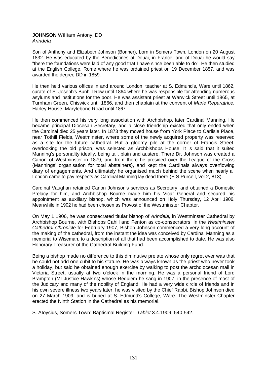## **JOHNSON** William Antony, DD *Arindela*

Son of Anthony and Elizabeth Johnson (Bonner), born in Somers Town, London on 20 August 1832. He was educated by the Benedictines at Douai, in France, and of Douai he would say "there the foundations were laid of any good that I have since been able to do". He then studied at the English College, Rome where he was ordained priest on 19 December 1857, and was awarded the degree DD in 1859.

He then held various offices in and around London, teacher at S. Edmund's, Ware until 1862, curate of S. Joseph's Bunhill Row until 1864 where he was responsible for attending numerous asylums and institutions for the poor. He was assistant priest at Warwick Street until 1865, at Turnham Green, Chiswick until 1866, and then chaplain at the convent of *Marie Reparatrice,* Harley House, Marylebone Road until 1867.

He then commenced his very long association with Archbishop, later Cardinal Manning. He became principal Diocesan Secretary, and a close friendship existed that only ended when the Cardinal died 25 years later. In 1873 they moved house from York Place to Carlisle Place, near Tothill Fields, Westminster, where some of the newly acquired property was reserved as a site for the future cathedral. But a gloomy pile at the corner of Francis Street, overlooking the old prison, was selected as Archbishops House. It is said that it suited Manning's personality ideally, being tall, plain and austere. There Dr. Johnson was created a Canon of Westminster in 1879, and from there he presided over the League of the Cross (Mannings' organisation for total abstainers), and kept the Cardinals always overflowing diary of engagements. And ultimately he organised much behind the scene when nearly all London came to pay respects as Cardinal Manning lay dead there (E S Purcell, vol 2, 813).

Cardinal Vaughan retained Canon Johnson's services as Secretary, and obtained a Domestic Prelacy for him, and Archbishop Bourne made him his Vicar General and secured his appointment as auxiliary bishop, which was announced on Holy Thursday, 12 April 1906. Meanwhile in 1902 he had been chosen as Provost of the Westminster Chapter.

On May 1 1906, he was consecrated titular bishop of *Arindela,* in Westminster Cathedral by Archbishop Bourne, with Bishops Cahill and Fenton as co-consecrators. In the *Westminster Cathedral Chronicle* for February 1907, Bishop Johnson commenced a very long account of the making of the cathedral, from the instant the idea was conceived by Cardinal Manning as a memorial to Wiseman, to a description of all that had been accomplished to date. He was also Honorary Treasurer of the Cathedral Building Fund.

Being a bishop made no difference to this diminutive prelate whose only regret ever was that he could not add one cubit to his stature. He was always known as the priest who never took a holiday, but said he obtained enough exercise by walking to post the archdiocesan mail in Victoria Street, usually at two o'clock in the morning. He was a personal friend of Lord Brampton (Mr Justice Hawkins) whose Requiem he sang in 1907, in the presence of most of the Judicary and many of the nobility of England. He had a very wide circle of friends and in his own severe illness two years later, he was visited by the Chief Rabbi. Bishop Johnson died on 27 March 1909, and is buried at S. Edmund's College, Ware. The Westminster Chapter erected the Ninth Station in the Cathedral as his memorial.

S. AIoysius, Somers Town: Baptismal Register; *Tablet* 3.4.1909, 540-542.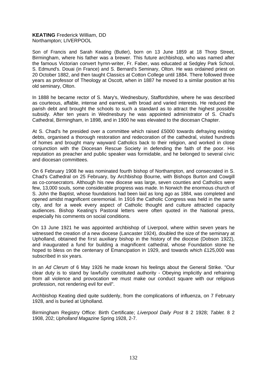## **KEATING** Frederick William, DD Northampton; LIVERPOOL

Son of Francis and Sarah Keating (Butler), born on 13 June 1859 at 18 Thorp Street, Birmingham, where his father was a brewer. This future archbishop, who was named after the famous Victorian convert hymn-writer, Fr. Faber, was educated at Sedgley Park School, S. Edmund's. Douai (in France) and S. Bernard's Seminary, Olton. He was ordained priest on 20 October 1882, and then taught Classics at Cotton College until 1884. There followed three years as professor of Theology at Oscott, when in 1887 he moved to a similar position at his old seminary, Olton.

In 1888 he became rector of S. Mary's, Wednesbury, Staffordshire, where he was described as courteous, affable, intense and earnest, with broad and varied interests. He reduced the parish debt and brought the schools to such a standard as to attract the highest possible subsidy. After ten years in Wednesbury he was appointed administrator of S. Chad's Cathedral, Birmingham, in 1898, and in 1900 he was elevated to the diocesan Chapter.

At S. Chad's he presided over a committee which raised £5000 towards defraying existing debts, organised a thorough restoration and redecoration of the cathedral, visited hundreds of homes and brought many wayward Catholics back to their religion, and worked in close conjunction with the Diocesan Rescue Society in defending the faith of the poor. His reputation as preacher and public speaker was formidable, and he belonged to several civic and diocesan committees.

On 6 February 1908 he was nominated fourth bishop of Northampton, and consecrated in S. Chad's Cathedral on 25 February, by Archbishop Bourne, with Bishops Burton and Cowgill as co-consecrators. Although his new diocese was large, seven counties and Catholics were few, 13,000 souls, some considerable progress was made. In Norwich the enormous church of S. John the Baptist, whose foundations had been laid as long ago as 1884, was completed and opened amidst magnificent ceremonial. In 1916 the Catholic Congress was held in the same city, and for a week every aspect of Catholic thought and culture attracted capacity audiences. Bishop Keating's Pastoral letters were often quoted in the National press, especially his comments on social conditions.

On 13 June 1921 he was appointed archbishop of Liverpool, where within seven years he witnessed the creation of a new diocese (Lancaster 1924), doubled the size of the seminary at Upholland, obtained the first auxiliary bishop in the history of the diocese (Dobson 1922), and inaugurated a fund for building a magnificent cathedral, whose Foundation stone he hoped to bless on the centenary of Emancipation in 1929, and towards which £125,000 was subscribed in six years.

In an *Ad Clerum* of 6 May 1926 he made known his feelings about the General Strike. "Our clear duty is to stand by lawfully constituted authority - Obeying implicitly and refraining from all violence and provocation we must make our conduct square with our religious profession, not rendering evil for evil".

Archbishop Keating died quite suddenly, from the complications of influenza, on 7 February 1928, and is buried at Upholland.

Birmingham Registry Office: Birth Certificate; *Liverpool Daily Post* 8 2 1928; *Tablet.* 8 2 1908, 202; *Upholland Magazine* Spring 1928, 2-7.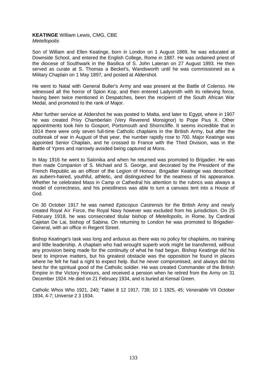## **KEATINGE** William Lewis, CMG, CBE *Metellopolis*

Son of William and Ellen Keatinge, born in London on 1 August 1869, he was educated at Downside School, and entered the English College, Rome in 1887. He was ordained priest of the diocese of Southwark in the Basilica of S. John Lateran on 27 August 1893. He then served as curate at S. Thomas a Becket's, Wandsworth until he was commissioned as a Military Chaplain on 1 May 1897, and posted at Aldershot.

He went to Natal with General Buller's Army and was present at the Battle of Colenso. He witnessed all the horror of Spion Kop, and then entered Ladysmith with its relieving force, having been twice mentioned in Despatches, been the recipient of the South African War Medal, and promoted to the rank of Major.

After further service at Aldershot he was posted to Malta, and later to Egypt, where in 1907 he was created Privy Chamberlain (Very Reverend Monsignor) to Pope Pius X. Other appointments took him to Gosport, Portsmouth and Shorncliffe. It seems incredible that in 1914 there were only seven full-time Catholic chaplains in the British Army, but after the outbreak of war in August of that year, the number rapidly rose to 700. Major Keatinge was appointed Senior Chaplain, and he crossed to France with the Third Division, was in the Battle of Ypres and narrowly avoided being captured at Mons.

In May 1916 he went to Salonika and when he returned was promoted to Brigadier. He was then made Companion of S. Michael and S. George, and decorated by the President of the French Republic as an officer of the Legion of Honour. Brigadier Keatinge was described as aubern-haired, youthful, athletic, and distinguished for the neatness of his appearance. Whether he celebrated Mass in Camp or Cathedral his attention to the rubrics was always a model of correctness, and his priestliness was able to turn a canvass tent into a House of God.

On 30 October 1917 he was named *Episcopus Castrensis* for the British Army and newly created Royal Air Force, the Royal Navy however was excluded from his jurisdiction. On 25 February 1918, he was consecrated titular bishop of *Metellopolis,* in Rome, by Cardinal Cajetan De Lai, bishop of Sabina. On returning to London he was promoted to Brigadier-General, with an office in Regent Street.

Bishop Keatinge's task was long and arduous as there was no policy for chaplains, no training and little leadership. A chaplain who had wrought superb work might be transferred, without any provision being made for the continuity of what he had begun. Bishop Keatinge did his best to improve matters, but his greatest obstacle was the opposition he found in places where he felt he had a right to expect help. But he never compromised, and always did his best for the spiritual good of the Catholic soldier. He was created Commander of the British Empire in the Victory Honours, and received a pension when he retired from the Army on 31 December 1924. He died on 21 February 1934, and is buried at Kensal Green.

Catholic Whos Who 1921, 240; Tablet 8 12 1917, 739; 10 1 1925, 45; *Venerabile* VII October 1934, 4-7; *Universe* 2 3 1934.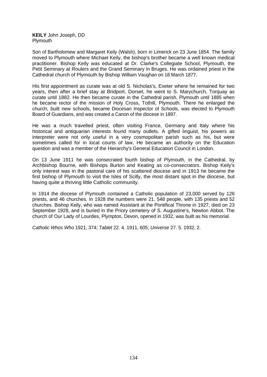**KEILY** John Joseph, DD Plymouth

Son of Bartholomew and Margaret Keily (Walsh), born in Limerick on 23 June 1854. The family moved to Plymouth where Michael Keily, the bishop's brother became a well known medical practitioner. Bishop Keily was educated at Dr. Clarke's Collegiate School, Plymouth, the Petit Seminary at Roulers and the Grand Seminary in Bruges. He was ordained priest in the Cathedral church of Plymouth by Bishop William Vaughan on 18 March 1877.

His first appointment as curate was at old S. Nicholas's, Exeter where he remained for two years, then after a brief stay at Bridport, Dorset, he went to S. Marychurch, Torquay as curate until 1882. He then became curate in the Cathedral parish, Plymouth until 1885 when he became rector of the mission of Holy Cross, Tothill, Plymouth. There he enlarged the church, built new schools, became Diocesan Inspector of Schools, was elected to Plymouth Board of Guardians, and was created a Canon of the diocese in 1897.

He was a much travelled priest, often visiting France, Germany and Italy where his historical and antiquarian interests found many outlets. A gifted linguist, his powers as interpreter were not only useful in a very cosmopolitan parish such as his, but were sometimes called for in local courts of law. He became an authority on the Education question and was a member of the Hierarchy's General Education Council in London.

On 13 June 1911 he was consecrated fourth bishop of Plymouth, in the Cathedral, by Archbishop Bourne, with Bishops Burton and Keating as co-consecrators. Bishop Keily's only interest was in the pastoral care of his scattered diocese and in 1913 he became the first bishop of Plymouth to visit the Isles of Scilly, the most distant spot in the diocese, but having quite a thriving little Catholic community.

In 1914 the diocese of Plymouth contained a Catholic population of 23,000 served by 126 priests, and 46 churches. In 1928 the numbers were 21, 548 people, with 135 priests and 52 churches. Bishop Keily, who was named Assistant at the Pontifical Throne in 1927, died on 23 September 1928, and is buried in the Priory cemetery of S. Augustine's, Newton Abbot. The church of Our Lady of Lourdes, Plympton, Devon, opened in 1932, was built as his memorial.

*Catholic Whos Who* 1921, 374; *Tablet* 22. 4. 1911, 605; *Universe* 27. 5. 1932, 2.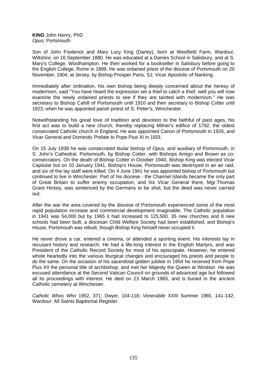**KING** John Henry, PhD *Opus;* Portsmouth

Son of John Frederick and Mary Lucy King (Darley), born at Westfield Farm, Wardour, Wiltshire, on 16 September 1880. He was educated at a Dames School in Salisbury, and at S. Mary's College, Woolhampton. He then worked for a bookseller in Salisbury before going to the English College, Rome in 1899. He was ordained priest of the diocese of Portsmouth on 20 November, 1904, at Jersey, by Bishop Prosper Paris, SJ, Vicar Apostolic of Nanking.

Immediately after ordination, his own bishop being deeply concerned about the heresy of modernism, said "You have heard the expression set a thief to catch a thief, well you will now examine the newly ordained priests to see if they are tainted with modernism." He was secretary to Bishop Cahill of Portsmouth until 1910 and then secretary to Bishop Cotter until 1923, when he was appointed parish priest of S. Peter's, Winchester.

Notwithstanding his great love of tradition and devotion to the faithful of past ages, his first act was to build a new church, thereby replacing Milner's edifice of 1792, the oldest consecrated Catholic church in England. He was appointed Canon of Portsmouth in 1926, and Vicar General and Domestic Prelate to Pope Pius XI in 1933.

On 15 July 1938 he was consecrated titular bishop of *Opus,* and auxiliary of Portsmouth, in S. John's Cathedral, Portsmouth, by Bishop Cotter, with Bishops Amigo and Brown as coconsecrators. On the death of Bishop Cotter in October 1940, Bishop King was elected Vicar Capitular but on 10 January 1941, Bishop's House, Portsmouth was destroyed in an air raid, and six of the lay staff were killed. On 4 June 1941 he was appointed bishop of Portsmouth but continued to live in Winchester. Part of his diocese - the Channel Islands became the only part of Great Britain to suffer enemy occupation, and his Vicar General there, Mgr.Thomas Grant Hickey, was sentenced by the Germans to be shot, but the deed was never carried out.

After the war the area covered by the diocese of Portsmouth experienced some of the most rapid population increase and commercial development imaginable. The Catholic population in 1941 was 54,000 but by 1965 it had increased to 125,500. 35 new churches and 8 new schools had been built, a diocesan Child Welfare Society had been established, and Bishop's House, Portsmouth was rebuilt, though Bishop King himself never occupied it.

He never drove a car, entered a cinema, or attended a sporting event. His interests lay in recusant history and research. He had a life-long interest in the English Martyrs, and was President of the Catholic Record Society for most of his episcopate. However, he entered whole heartedly into the various liturgical changes and encouraged his priests and people to do the same. On the occasion of his sacerdotal golden jubilee in 1954 he received from Pope Pius XII the personal title of archbishop, and met her Majesty the Queen at Windsor. He was excused attendance at the Second Vatican Council on grounds of advanced age but followed all its proceedings with interest. He died on 23 March 1965, and is buried in the ancient Catholic cemetery at Winchester.

*Catholic Whos Who* 1952, 371; Dwyer, 104-118; *Venerabile* XXIII Summer 1965, 141-142; Wardour: All Saints Baptismal Register.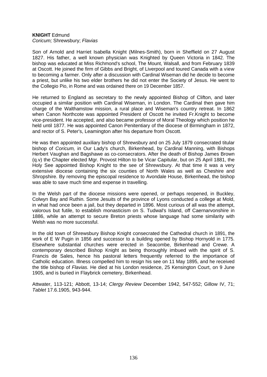#### **KNIGHT** Edmund *Coricum;* Shrewsbury; *Flavias*

Son of Arnold and Harriet Isabella Knight (Milnes-Smith), born in Sheffield on 27 August 1827. His father, a well known physician was Knighted by Queen Victoria in 1842. The bishop was educated at Miss Richmond's school, The Mount, Walsall, and from February 1839 at Oscott. He joined the firm of Gibbs and Bright, of Liverpool and toured Canada with a view to becoming a farmer. Only after a discussion with Cardinal Wiseman did he decide to become a priest, but unlike his two elder brothers he did not enter the Society of Jesus. He went to the Collegio Pio, in Rome and was ordained there on 19 December 1857.

He returned to England as secretary to the newly appointed Bishop of Clifton, and later occupied a similar position with Cardinal Wiseman, in London. The Cardinal then gave him charge of the Walthamstow mission, a rural place and Wiseman's country retreat. In 1862 when Canon Northcote was appointed President of Oscott he invited Fr.Knight to become vice-president. He accepted, and also became professor of Moral Theology which position he held until 1877. He was appointed Canon Penitentiary of the diocese of Birmingham in 1872, and rector of S. Peter's, Leamington after his departure from Oscott.

He was then appointed auxiliary bishop of Shrewsbury and on 25 July 1879 consecrated titular bishop of *Coricum,* in Our Lady's church, Birkenhead, by Cardinal Manning, with Bishops Herbert Vaughan and Bagshawe as co-consecrators. After the death of Bishop James Brown (q.v) the Chapter elected Mgr. Provost Hilton to be Vicar Capitular, but on 25 April 1881, the Holy See appointed Bishop Knight to the see of Shrewsbury. At that time it was a very extensive diocese containing the six counties of North Wales as well as Cheshire and Shropshire. By removing the episcopal residence to Avondale House, Birkenhead, the bishop was able to save much time and expense in travelling.

In the Welsh part of the diocese missions were opened, or perhaps reopened, in Buckley, Colwyn Bay and Ruthin. Some Jesuits of the province of Lyons conducted a college at Mold, in what had once been a jail, but they departed in 1896. Most curious of all was the attempt, valorous but futile, to establish monasticism on S. Tudwal's Island, off Caernarvonshire in 1886, while an attempt to secure Breton priests whose language had some similarity with Welsh was no more successful.

In the old town of Shrewsbury Bishop Knight consecrated the Cathedral church in 1891, the work of E W Pugin in 1856 and successor to a building opened by Bishop Hornyold in 1775. Elsewhere substantial churches were erected in Seacombe, Birkenhead and Crewe. A contemporary described Bishop Knight as being thoroughly imbued with the spirit of S. Francis de Sales, hence his pastoral letters frequently referred to the importance of Catholic education. Illness compelled him to resign his see on 11 May 1895, and he received the title bishop of *Flavias.* He died at his London residence, 25 Kensington Court, on 9 June 1905, and is buried in Flaybrick cemetery, Birkenhead.

Attwater, 113-121; Abbott, 13-14; *Clergy Review* December 1942, 547-552; Gillow IV, 71; *Tablet* 17.6.1905, 943-944.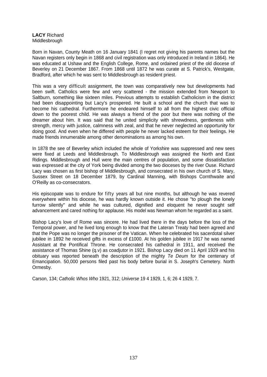# **LACY** Richard Middlesbrough

Born in Navan, County Meath on 16 January 1841 (I regret not giving his parents names but the Navan registers only begin in 1868 and civil registration was only introduced in Ireland in 1864). He was educated at Ushaw and the English College, Rome, and ordained priest of the old diocese of Beverley on 21 December 1867. From 1868 until 1872 he was curate at S. Patrick's, Westgate, Bradford, after which he was sent to Middlesbrough as resident priest.

This was a very difficult assignment, the town was comparatively new but developments had been swift. Catholics were few and very scattered - the mission extended from Newport to Saltburn, something like sixteen miles. Previous attempts to establish Catholicism in the district had been disappointing but Lacy's prospered. He built a school and the church that was to become his cathedral. Furthermore he endeared himself to all from the highest civic official down to the poorest child. He was always a friend of the poor but there was nothing of the dreamer about him. It was said that he united simplicity with shrewdness, gentleness with strength, mercy with justice, calmness with zeal, and that he never neglected an opportunity for doing good. And even when he differed with people he never lacked esteem for their feelings. He made friends innumerable among other denominations as among his own.

In 1878 the see of Beverley which included the whole of Yorkshire was suppressed and new sees were fixed at Leeds and Middlesbrough. To Middlesbrough was assigned the North and East Ridings. Middlesbrough and Hull were the main centres of population, and some dissatisfaction was expressed at the city of York being divided among the two dioceses by the river Ouse. Richard Lacy was chosen as first bishop of Middlesbrough, and consecrated in his own church of S. Mary, Sussex Street on 18 December 1879, by Cardinal Manning, with Bishops Cornthwaite and O'Reilly as co-consecrators.

His episcopate was to endure for fifty years all but nine months, but although he was revered everywhere within his diocese, he was hardly known outside it. He chose "to plough the lonely furrow silently" and while he was cultured, dignified and eloquent he never sought self advancement and cared nothing for applause. His model was Newman whom he regarded as a saint.

Bishop Lacy's love of Rome was sincere. He had lived there in the days before the loss of the Temporal power, and he lived long enough to know that the Lateran Treaty had been agreed and that the Pope was no longer the prisoner of the Vatican. When he celebrated his sacerdotal silver jubilee in 1892 he received gifts in excess of £1000. At his golden jubilee in 1917 he was named Assistant at the Pontifical Throne. He consecrated his cathedral in 1911, and received the assistance of Thomas Shine (q.v) as coadjutor in 1921. Bishop Lacy died on 11 April 1929 and his obituary was reported beneath the description of the mighty *Te Deum* for the centenary of Emancipation. 50,000 persons filed past his body before burial in S. Joseph's Cemetery. North Ormesby.

Carson, 134; *Catholic Whos Who* 1921, 312; *Universe* 19 4 1929, 1, 6; 26 4 1929, 7.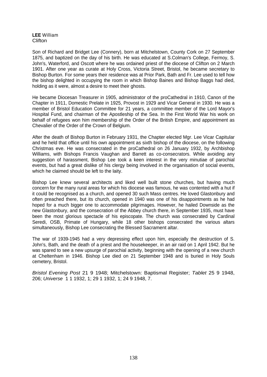#### **LEE** William **Clifton**

Son of Richard and Bridget Lee (Connery), born at Mitchelstown, County Cork on 27 September 1875, and baptized on the day of his birth. He was educated at S.Colman's College, Fermoy, S. John's, Waterford, and Oscott where he was ordained priest of the diocese of Clifton on 2 March 1901. After one year as curate at Holy Cross, Victoria Street, Bristol, he became secretary to Bishop Burton. For some years their residence was at Prior Park, Bath and Fr. Lee used to tell how the bishop delighted in occupying the room in which Bishop Baines and Bishop Baggs had died, holding as it were, almost a desire to meet their ghosts.

He became Diocesan Treasurer in 1905, administrator of the proCathedral in 1910, Canon of the Chapter in 1911, Domestic Prelate in 1925, Provost in 1929 and Vicar General in 1930. He was a member of Bristol Education Committee for 21 years, a committee member of the Lord Mayor's Hospital Fund, and chairman of the Apostleship of the Sea. In the First World War his work on behalf of refugees won him membership of the Order of the British Empire, and appointment as Chevalier of the Order of the Crown of Belgium.

After the death of Bishop Burton in February 1931, the Chapter elected Mgr. Lee Vicar Capitular and he held that office until his own appointment as sixth bishop of the diocese, on the following Christmas eve. He was consecrated in the proCathedral on 26 January 1932, by Archbishop Williams, with Bishops Francis Vaughan and Barrett as co-consecrators. While avoiding any suggestion of harassment, Bishop Lee took a keen interest in the very minutiae of parochial events, but had a great dislike of his clergy being involved in the organisation of social events, which he claimed should be left to the laity.

Bishop Lee knew several architects and liked well built stone churches, but having much concern for the many rural areas for which his diocese was famous, he was contented with a hut if it could be recognised as a church, and opened 30 such Mass centres. He loved Glastonbury and often preached there, but its church, opened in 1940 was one of his disappointments as he had hoped for a much bigger one to accommodate pilgrimages. However, he hailed Downside as the new Glastonbury, and the consecration of the Abbey church there, in September 1935, must have been the most glorious spectacle of his episcopate. The church was consecrated by Cardinal Seredi, OSB, Primate of Hungary, while 18 other bishops consecrated the various altars simultaneously, Bishop Lee consecrating the Blessed Sacrament altar.

The war of 1939-1945 had a very depressing effect upon him, especially the destruction of S. John's, Bath, and the death of a priest and the housekeeper, in an air raid on 1 April 1942. But he was spared to see a new upsurge of parochial activity, beginning with the opening of a new church at Cheltenham in 1946. Bishop Lee died on 21 September 1948 and is buried in Holy Souls cemetery, Bristol.

*Bristol Evening Post* 21 9 1948; Mitchelstown: Baptismal Register; *Tablet* 25 9 1948, 206; *Universe* 1 1 1932, 1; 29 1 1932, 1; 24 9 1948, 7.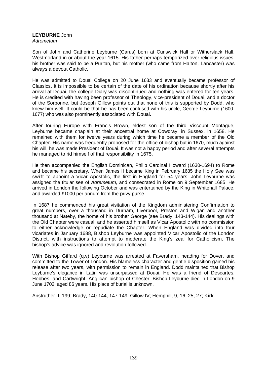# **LEYBURNE** John

*Adremetum* 

Son of John and Catherine Leyburne (Carus) born at Cunswick Hall or Witherslack Hall, Westmorland in or about the year 1615. His father perhaps temporized over religious issues, his brother was said to be a Puritan, but his mother (who came from Halton, Lancaster) was always a devout Catholic.

He was admitted to Douai College on 20 June 1633 and eventually became professor of Classics. It is impossible to be certain of the date of his ordination because shortly after his arrival at Douai, the college Diary was discontinued and nothing was entered for ten years. He is credited with having been professor of Theology, vice-president of Douai, and a doctor of the Sorbonne, but Joseph Gillow points out that none of this is supported by Dodd, who knew him well. It could be that he has been confused with his uncle, George Leyburne (1600- 1677) who was also prominently associated with Douai.

After touring Europe with Francis Brown, eldest son of the third Viscount Montague, Leyburne became chaplain at their ancestral home at Cowdray, in Sussex, in 1658. He remained with them for twelve years during which time he became a member of the Old Chapter. His name was frequently proposed for the office of bishop but in 1670, much against his will, he was made President of Douai. It was not a happy period and after several attempts he managed to rid himself of that responsibility in 1675.

He then accompanied the English Dominican, Philip Cardinal Howard (1630-1694) to Rome and became his secretary. When James II became King in February 1685 the Holy See was swift to appoint a Vicar Apostolic, the first in England for 54 years. John Leyburne was assigned the titular see of *Adremetum,* and consecrated in Rome on 9 September 1685. He arrived in London the following October and was entertained by the King in Whitehall Palace, and awarded £1000 per annum from the privy purse.

In 1687 he commenced his great visitation of the Kingdom administering Confirmation to great numbers, over a thousand in Durham, Liverpool, Preston and Wigan and another thousand at Nateby, the home of his brother George (see Brady, 143-144). His dealings with the Old Chapter were casual, and he asserted himself as Vicar Apostolic with no commission to either acknowledge or repudiate the Chapter. When England was divided into four vicariates in January 1688, Bishop Leyburne was appointed Vicar Apostolic of the London District, with instructions to attempt to moderate the King's zeal for Catholicism. The bishop's advice was ignored and revolution followed.

With Bishop Giffard (q.v) Leyburne was arrested at Faversham, heading for Dover, and committed to the Tower of London. His blameless character and gentle disposition gained his release after two years, with permission to remain in England. Dodd maintained that Bishop Leyburne's elegance in Latin was unsurpassed at Douai. He was a friend of Descartes, Hobbes, and Cartwright, Anglican bishop of Chester. Bishop Leyburne died in London on 9 June 1702, aged 86 years. His place of burial is unknown.

Anstruther II, 199; Brady, 140-144, 147-149; Gillow IV; Hemphill, 9, 16, 25, 27; Kirk.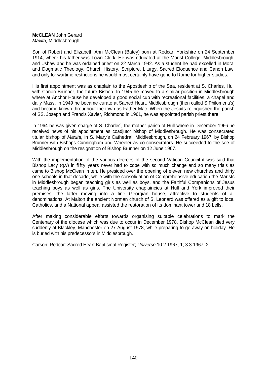# **McCLEAN** John Gerard *Maxita;* Middlesbrough

Son of Robert and Elizabeth Ann McClean (Batey) born at Redcar, Yorkshire on 24 September 1914, where his father was Town Clerk. He was educated at the Marist College, Middlesbrough, and Ushaw and he was ordained priest on 22 March 1942. As a student he had excelled in Moral and Dogmatic Theology, Church History, Scripture, Liturgy, Sacred Eloquence and Canon Law, and only for wartime restrictions he would most certainly have gone to Rome for higher studies.

His first appointment was as chaplain to the Apostleship of the Sea, resident at S. Charles, Hull with Canon Brunner, the future Bishop. In 1945 he moved to a similar position in Middlesbrough where at Anchor House he developed a good social cub with recreational facilities, a chapel and daily Mass. In 1949 he became curate at Sacred Heart, Middlesbrough (then called S Philomena's) and became known throughout the town as Father Mac. When the Jesuits relinquished the parish of SS. Joseph and Francis Xavier, Richmond in 1961, he was appointed parish priest there.

In 1964 he was given charge of S. Charles' , the mother parish of Hull where in December 1966 he received news of his appointment as coadjutor bishop of Middlesbrough. He was consecrated titular bishop of *Maxita,* in S. Mary's Cathedral, Middlesbrough, on 24 February 1967, by Bishop Brunner with Bishops Cunningham and Wheeler as co-consecrators. He succeeded to the see of Middlesbrough on the resignation of Bishop Brunner on 12 June 1967.

With the implementation of the various decrees of the second Vatican Council it was said that Bishop Lacy (q.v) in fifty years never had to cope with so much change and so many trials as came to Bishop McClean in ten. He presided over the opening of eleven new churches and thirty one schools in that decade, while with the consolidation of Comprehensive education the Marists in Middlesbrough began teaching girls as well as boys, and the Faithful Companions of Jesus teaching boys as well as girls. The University chaplaincies at Hull and York improved their premises, the latter moving into a fine Georgian house, attractive to students of all denominations. At Malton the ancient Norman church of S. Leonard was offered as a gift to local Catholics, and a National appeal assisted the restoration of its dominant tower and 18 bells.

After making considerable efforts towards organising suitable celebrations to mark the Centenary of the diocese which was due to occur in December 1978, Bishop McClean died very suddenly at Blackley, Manchester on 27 August 1978, while preparing to go away on holiday. He is buried with his predecessors in Middlesbrough.

Carson; Redcar: Sacred Heart Baptismal Register; *Universe* 10.2.1967, 1; 3.3.1967, 2.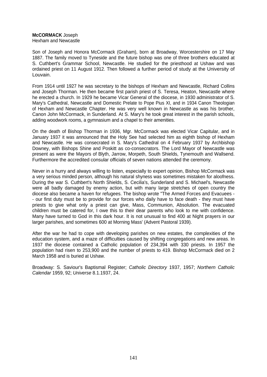# **McCORMACK** Joseph

Hexham and Newcastle

Son of Joseph and Honora McCormack (Graham), born at Broadway, Worcestershire on 17 May 1887. The family moved to Tyneside and the future bishop was one of three brothers educated at S. Cuthbert's Grammar School, Newcastle. He studied for the priesthood at Ushaw and was ordained priest on 11 August 1912. Then followed a further period of study at the University of Louvain.

From 1914 until 1927 he was secretary to the bishops of Hexham and Newcastle, Richard Collins and Joseph Thorman. He then became first parish priest of S. Teresa, Heaton, Newcastle where he erected a church. In 1929 he became Vicar General of the diocese, in 1930 administrator of S. Mary's Cathedral, Newcastle and Domestic Prelate to Pope Pius XI, and in 1934 Canon Theologian of Hexham and Newcastle Chapter. He was very well known in Newcastle as was his brother, Canon John McCormack, in Sunderland. At S. Mary's he took great interest in the parish schools, adding woodwork rooms, a gymnasium and a chapel to their amenities.

On the death of Bishop Thorman in 1936, Mgr. McCormack was elected Vicar Capitular, and in January 1937 it was announced that the Holy See had selected him as eighth bishop of Hexham and Newcastle. He was consecrated in S. Mary's Cathedral on 4 February 1937 by Archbishop Downey, with Bishops Shine and Poskitt as co-consecrators. The Lord Mayor of Newcastle was present as were the Mayors of Blyth, Jarrow, Morpeth, South Shields, Tynemouth and Wallsend. Furthermore the accredited consular officials of seven nations attended the ceremony.

Never in a hurry and always willing to listen, especially to expert opinion, Bishop McCormack was a very serious minded person, although his natural shyness was sometimes mistaken for aloofness. During the war S. Cuthbert's North Shields, S. Cecilia's, Sunderland and S. Michael's, Newcastle were all badly damaged by enemy action, but with many large stretches of open country the diocese also became a haven for refugees. The bishop wrote "The Armed Forces and Evacuees - - our first duty must be to provide for our forces who daily have to face death - they must have priests to give what only a priest can give, Mass, Communion, Absolution. The evacuated children must be catered for, I owe this to their dear parents who look to me with confidence. Many have turned to God in this dark hour. It is not unusual to find 400 at Night prayers in our larger parishes, and sometimes 600 at Morning Mass' (Advent Pastoral 1939).

After the war he had to cope with developing parishes on new estates, the complexities of the education system, and a maze of difficulties caused by shifting congregations and new areas. In 1937 the diocese contained a Catholic population of 234,394 with 330 priests. In 1957 the population had risen to 253,900 and the number of priests to 419. Bishop McCormack died on 2 March 1958 and is buried at Ushaw.

Broadway: S. Saviour's Baptismal Register; *Catholic Directory* 1937, 1957; *Northern Catholic Calendar* 1959, 92; *Universe* 8.1.1937, 24.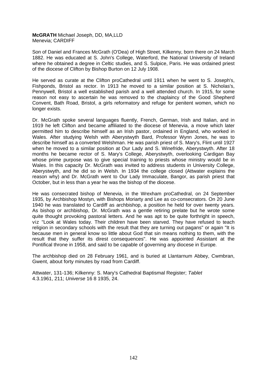**McGRATH** Michael Joseph, DD, MA,LLD Menevia; CARDIFF

Son of Daniel and Frances McGrath (O'Dea) of High Street, Kilkenny, born there on 24 March 1882. He was educated at S. John's College, Waterford, the National University of Ireland where he obtained a degree in Celtic studies, and S. Sulpice, Paris. He was ordained priest of the diocese of Clifton by Bishop Burton on 12 July 1908.

He served as curate at the Clifton proCathedral until 1911 when he went to S. Joseph's, Fishponds, Bristol as rector. In 1913 he moved to a similar position at S. Nicholas's, Pennywell, Bristol a well established parish and a well attended church. In 1915, for some reason not easy to ascertain he was removed to the chaplaincy of the Good Shepherd Convent, Bath Road, Bristol, a girls reformatory and refuge for penitent women, which no longer exists.

Dr. McGrath spoke several languages fluently, French, German, Irish and Italian, and in 1919 he left Clifton and became affiliated to the diocese of Menevia, a move which later permitted him to describe himself as an Irish pastor, ordained in England, who worked in Wales. After studying Welsh with Aberystwyth Bard, Professor Wynn Jones, he was to describe himself as a converted Welshman. He was parish priest of S. Mary's, Flint until 1927 when he moved to a similar position at Our Lady and S. Winefride, Aberystwyth. After 18 months he became rector of S. Mary's College, Aberystwyth, overlooking Cardigan Bay whose prime purpose was to give special training to priests whose ministry would be in Wales. In this capacity Dr. McGrath was invited to address students in University College, Aberystwyth, and he did so in Welsh. In 1934 the college closed (Attwater explains the reason why) and Dr. McGrath went to Our Lady Immaculate, Bangor, as parish priest that October, but in less than a year he was the bishop of the diocese.

He was consecrated bishop of Menevia, in the Wrexham proCathedral, on 24 September 1935, by Archbishop Mostyn, with Bishops Moriarty and Lee as co-consecrators. On 20 June 1940 he was translated to Cardiff as archbishop, a position he held for over twenty years. As bishop or archbishop, Dr. McGrath was a gentle retiring prelate but he wrote some quite thought provoking pastoral letters. And he was apt to be quite forthright in speech, viz "Look at Wales today. Their children have been starved. They have refused to teach religion in secondary schools with the result that they are turning out pagans" or again "It is because men in general know so little about God that sin means nothing to them, with the result that they suffer its direst consequences". He was appointed Assistant at the Pontifical throne in 1958, and said to be capable of governing any diocese in Europe.

The archbishop died on 28 February 1961, and is buried at Llantarnum Abbey, Cwmbran, Gwent, about forty minutes by road from Cardiff.

Attwater, 131-136; Kilkenny: S. Mary's Cathedral Baptismal Register; *Tablet* 4.3.1961, 211; *Universe* 16 8 1935, 24.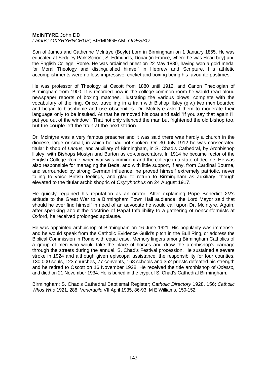#### **MclNTYRE** John DD *Lamus; OXYRYHNCHUS*; BIRMINGHAM; *ODESSO*

Son of James and Catherine Mclntrye (Boyle) born in Birmingham on 1 January 1855. He was educated at Sedgley Park School, S. Edmund's, Douai (in France, where he was Head boy) and the English College, Rome. He was ordained priest on 22 May 1880, having won a gold medal for Moral Theology and distinguished himself in Hebrew and Scripture. His athletic accomplishments were no less impressive, cricket and boxing being his favourite pastimes.

He was professor of Theology at Oscott from 1880 until 1912, and Canon Theologian of Birmingham from 1900. It is recorded how in the college common room he would read aloud newspaper reports of boxing matches, illustrating the various blows, complete with the vocabulary of the ring. Once, travelling in a train with Bishop lllsley (q.v.) two men boarded and began to blaspheme and use obscenities. Dr. Mclntyre asked them to moderate their language only to be insulted. At that he removed his coat and said "If you say that again I'll put you out of the window". That not only silenced the man but frightened the old bishop too, but the couple left the train at the next station.

Dr. Mclntyre was a very famous preacher and it was said there was hardly a church in the diocese, large or small, in which he had not spoken. On 30 July 1912 he was consecrated titular bishop of *Lamus,* and auxiliary of Birmingham, in S. Chad's Cathedral, by Archbishop lllsley, with Bishops Mostyn and Burton as co-consecrators. In 1914 he became rector of the English College Rome, when war was imminent and the college in a state of decline. He was also responsible for managing the Beda, and with little support, if any, from Cardinal Bourne, and surrounded by strong German influence, he proved himself extremely patriotic, never failing to voice British feelings, and glad to return to Birmingham as auxiliary, though elevated to the titular archbishopric of *Oxyryhnchus* on 24 August 1917.

He quickly regained his reputation as an orator. After explaining Pope Benedict XV's attitude to the Great War to a Birmingham Town Hall audience, the Lord Mayor said that should he ever find himself in need of an advocate he would call upon Dr. Mclntyre. Again, after speaking about the doctrine of Papal Infallibility to a gathering of nonconformists at Oxford, he received prolonged applause.

He was appointed archbishop of Birmingham on 16 June 1921. His popularity was immense, and he would speak from the Catholic Evidence Guild's pitch in the Bull Ring, or address the Biblical Commission in Rome with equal ease. Memory lingers among Birmingham Catholics of a group of men who would take the place of horses and draw the archbishop's carriage through the streets during the annual, S. Chad's Festival procession. He sustained a severe stroke in 1924 and although given episcopal assistance, the responsibility for four counties, 130,000 souls, 123 churches, 77 convents, 168 schools and 352 priests defeated his strength and he retired to Oscott on 16 November 1928. He received the title archbishop of *Odesso,* and died on 21 November 1934. He is buried in the crypt of S. Chad's Cathedral Birmingham.

Birmingham: S. Chad's Cathedral Baptismal Register; *Catholic Directory* 1928, 156; *Catholic Whos Who* 1921, 288; *Venerabile* VII April 1935, 86-93; M E Williams, 150-152.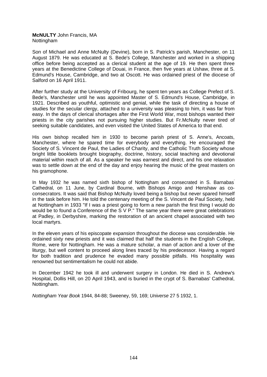#### **McNULTY** John Francis, MA Nottingham

Son of Michael and Anne McNulty (Devine), born in S. Patrick's parish, Manchester, on 11 August 1879. He was educated at S. Bede's College, Manchester and worked in a shipping office before being accepted as a clerical student at the age of 19. He then spent three years at the Benedictine College of Douai, in France, then five years at Ushaw, three at S. Edmund's House, Cambridge, and two at Oscott. He was ordained priest of the diocese of Salford on 16 April 1911.

After further study at the University of Fribourg, he spent ten years as College Prefect of S. Bede's, Manchester until he was appointed Master of S. Edmund's House, Cambridge, in 1921. Described as youthful, optimistic and genial, while the task of directing a house of studies for the secular clergy, attached to a university was pleasing to him, it was far from easy. In the days of clerical shortages after the First World War, most bishops wanted their priests in the city parishes not pursuing higher studies. But Fr.McNulty never tired of seeking suitable candidates, and even visited the United States of America to that end.

His own bishop recalled him in 1930 to become parish priest of S. Anne's, Ancoats, Manchester, where he spared time for everybody and everything. He encouraged the Society of S. Vincent de Paul, the Ladies of Charity, and the Catholic Truth Society whose bright little booklets brought biography, doctrine, history, social teaching and devotional material within reach of all. As a speaker he was earnest and direct, and his one relaxation was to settle down at the end of the day and enjoy hearing the music of the great masters on his gramophone.

In May 1932 he was named sixth bishop of Nottingham and consecrated in S. Barnabas' Cathedral, on 11 June, by Cardinal Bourne, with Bishops Amigo and Henshaw as coconsecrators. It was said that Bishop McNulty loved being a bishop but never spared himself in the task before him. He told the centenary meeting of the S. Vincent de Paul Society, held at Nottingham in 1933 "If I was a priest going to form a new parish the first thing I would do would be to found a Conference of the S V P." The same year there were great celebrations at Padley, in Derbyshire, marking the restoration of an ancient chapel associated with two local martyrs.

In the eleven years of his episcopate expansion throughout the diocese was considerable. He ordained sixty new priests and it was claimed that half the students in the English College, Rome, were for Nottingham. He was a mature scholar, a man of action and a lover of the liturgy, but well content to proceed along lines traced by his predecessor. Having a regard for both tradition and prudence he evaded many possible pitfalls. His hospitality was renowned but sentimentalism he could not abide.

In December 1942 he took ill and underwent surgery in London. He died in S. Andrew's Hospital, Dollis Hill, on 20 April 1943, and is buried in the crypt of S. Barnabas' Cathedral, Nottingham.

*Nottingham Year Book* 1944, 84-88; Sweeney, 59, 169; *Universe* 27 5 1932, 1.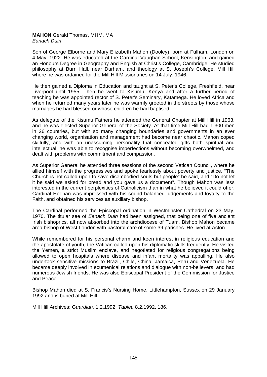# **MAHON** Gerald Thomas, MHM, MA *Eanach Duin*

Son of George Elborne and Mary Elizabeth Mahon (Dooley), born at Fulham, London on 4 May, 1922. He was educated at the Cardinal Vaughan School, Kensington, and gained an Honours Degree in Geography and English at Christ's College, Cambridge. He studied philosophy at Burn Hall, near Durham, and theology at S. Joseph's College, Mill Hill where he was ordained for the Mill Hill Missionaries on 14 July, 1946.

He then gained a Diploma in Education and taught at S. Peter's College, Freshfield, near Liverpool until 1955. Then he went to Kisumu, Kenya and after a further period of teaching he was appointed rector of S. Peter's Seminary, Katamega. He loved Africa and when he returned many years later he was warmly greeted in the streets by those whose marriages he had blessed or whose children he had baptised.

As delegate of the Kisumu Fathers he attended the General Chapter at Mill Hill in 1963, and he was elected Superior General of the Society. At that time Mill Hill had 1,300 men in 26 countries, but with so many changing boundaries and governments in an ever changing world, organisation and management had become near chaotic. Mahon coped skilfully, and with an unassuming personality that concealed gifts both spiritual and intellectual, he was able to recognise imperfections without becoming overwhelmed, and dealt with problems with commitment and compassion.

As Superior General he attended three sessions of the second Vatican Council, where he allied himself with the progressives and spoke fearlessly about poverty and justice. "The Church is not called upon to save disembodied souls but people" he said, and "Do not let it be said we asked for bread and you gave us a document". Though Mahon was less interested in the current perplexities of Catholicism than in what he believed it could offer, Cardinal Heenan was impressed with his sound balanced judgements and loyalty to the Faith, and obtained his services as auxiliary bishop.

The Cardinal performed the Episcopal ordination in Westminster Cathedral on 23 May, 1970. The titular see of *Eanach Duin* had been assigned, that being one of five ancient Irish bishoprics, all now absorbed into the archdiocese of Tuam. Bishop Mahon became area bishop of West London with pastoral care of some 39 parishes. He lived at Acton.

While remembered for his personal charm and keen interest in religious education and the apostolate of youth, the Vatican called upon his diplomatic skills frequently. He visited the Yemen, a strict Muslim enclave, and negotiated for religious congregations being allowed to open hospitals where disease and infant mortality was appalling. He also undertook sensitive missions to Brazil, Chile, China, Jamaica, Peru and Venezuela. He became deeply involved in ecumenical relations and dialogue with non-believers, and had numerous Jewish friends. He was also Episcopal President of the Commission for Justice and Peace.

Bishop Mahon died at S. Francis's Nursing Home, Littlehampton, Sussex on 29 January 1992 and is buried at Mill Hill.

Mill Hill Archives; *Guardian,* 1.2.1992; *Tablet,* 8.2.1992, 186.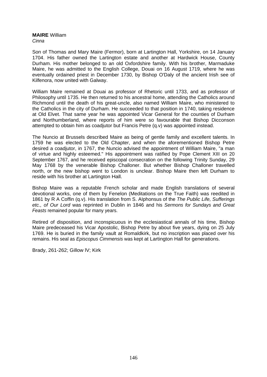#### **MAIRE** William *Cinna*

Son of Thomas and Mary Maire (Fermor), born at Lartington Hall, Yorkshire, on 14 January 1704. His father owned the Lartington estate and another at Hardwick House, County Durham. His mother belonged to an old Oxfordshire family. With his brother, Marmaduke Maire, he was admitted to the English College, Douai on 16 August 1719, where he was eventually ordained priest in December 1730, by Bishop O'Daly of the ancient Irish see of Kilfenora, now united with Galway.

William Maire remained at Douai as professor of Rhetoric until 1733, and as professor of Philosophy until 1735. He then returned to his ancestral home, attending the Catholics around Richmond until the death of his great-uncle, also named William Maire, who ministered to the Catholics in the city of Durham. He succeeded to that position in 1740, taking residence at Old Elvet. That same year he was appointed Vicar General for the counties of Durham and Northumberland, where reports of him were so favourable that Bishop Dicconson attempted to obtain him as coadjutor but Francis Petre (q.v) was appointed instead.

The Nuncio at Brussels described Maire as being of gentle family and excellent talents. In 1759 he was elected to the Old Chapter, and when the aforementioned Bishop Petre desired a coadjutor, in 1767, the Nuncio advised the appointment of William Maire, "a man of virtue and highly esteemed." His appointment was ratified by Pope Clement XIII on 20 September 1767, and he received episcopal consecration on the following Trinity Sunday, 29 May 1768 by the venerable Bishop Challoner. But whether Bishop Challoner travelled north, or the new bishop went to London is unclear. Bishop Maire then left Durham to reside with his brother at Lartington Hall.

Bishop Maire was a reputable French scholar and made English translations of several devotional works, one of them by Fenelon (Meditations on the True Faith) was reedited in 1861 by R A Coffin (q.v). His translation from S. AIphonsus of the *The Public Life, Sufferings etc., of Our Lord* was reprinted in Dublin in 1846 and his *Sermons for Sundays and Great Feasts* remained popular for many years.

Retired of disposition, and inconspicuous in the ecclesiastical annals of his time, Bishop Maire predeceased his Vicar Apostolic, Bishop Petre by about five years, dying on 25 July 1769. He is buried in the family vault at Romaldkirk, but no inscription was placed over his remains. His seal as *Episcopus Cimmensis* was kept at Lartington Hall for generations.

Brady, 261-262; Gillow lV; Kirk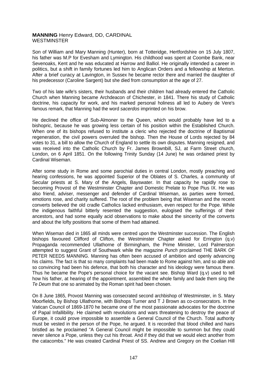# **MANNING** Henry Edward, DD, CARDINAL **WESTMINSTER**

Son of William and Mary Manning (Hunter), born at Totteridge, Hertfordshire on 15 July 1807, his father was M.P for Evesham and Lymington. His childhood was spent at Coombe Bank, near Sevenoaks, Kent and he was educated at Harrow and Balliol. He originally intended a career in politics, but a shift in family fortunes led him to Anglican Orders and a fellowship at Merton. After a brief curacy at Lavington, in Sussex he became rector there and married the daughter of his predecessor (Caroline Sargent) but she died from consumption at the age of 27.

Two of his late wife's sisters, their husbands and their children had already entered the Catholic Church when Manning became Archdeacon of Chichester, in 1841. There his study of Catholic doctrine, his capacity for work, and his marked personal holiness all led to Aubery de Vere's famous remark, that Manning had the word *sacerdos* imprinted on his brow.

He declined the office of Sub-Almoner to the Queen, which would probably have led to a bishopric, because he was growing less certain of his position within the Established Church. When one of its bishops refused to institute a cleric who rejected the doctrine of Baptismal regeneration, the civil powers overruled the bishop. Then the House of Lords rejected by 84 votes to 31, a bill to allow the Church of England to settle its own disputes. Manning resigned, and was received into the Catholic Church by Fr. James Brownbill, SJ, at Farm Street church, London, on 6 April 1851. On the following Trinity Sunday (14 June) he was ordained priest by Cardinal Wiseman.

After some study in Rome and some parochial duties in central London, mostly preaching and hearing confessions, he was appointed Superior of the Oblates of S. Charles, a community of Secular priests at S. Mary of the Angels, Bayswater. In that capacity he rapidly rose to becoming Provost of the Westminster Chapter and Domestic Prelate to Pope Pius IX. He was also friend, adviser, messenger and defender of Cardinal Wiseman, as parties were formed, emotions rose, and charity suffered. The root of the problem being that Wiseman and the recent converts believed the old cradle Catholics lacked enthusiasm, even respect for the Pope. While the indigenous faithful bitterly resented the suggestion, eulogised the sufferings of their ancestors, and had some equally acid observations to make about the sincerity of the converts and about the lofty positions that some of them had attained.

When Wiseman died in 1865 all minds were centred upon the Westminster succession. The English bishops favoured Clifford of Clifton, the Westminster Chapter asked for Errington (q.v) Propaganda recommended Ullathorne of Birmingham, the Prime Minister, Lord Palmerston attempted to suggest Grant of Southwark while the magazine *Punch* proclaimed THE BARK OF PETER NEEDS MANNING. Manning has often been accused of ambition and openly advancing his claims. The fact is that so many complaints had been made to Rome against him, and so able and so convincing had been his defence, that both his character and his ideology were famous there. Thus he became the Pope's personal choice for the vacant see. Bishop Ward (q.v) used to tell how his father, at hearing of the appointment, assembled the whole family and bade them sing the *Te Deum* that one so animated by the Roman spirit had been chosen.

On 8 June 1865, Provost Manning was consecrated second archbishop of Westminster, in S. Mary Moorfields, by Bishop Ullathorne, with Bishops Turner and T J Brown as co-consecrators. In the Vatican Council of 1869-1870 he became one of the most passionate advocates for the doctrine of Papal Infallibility. He claimed with revolutions and wars threatening to destroy the peace of Europe, it could prove impossible to assemble a General Council of the Church. Total authority must be vested in the person of the Pope, he argued. It is recorded that blood chilled and hairs bristled as he proclaimed "A General Council might be impossible to summon but they could never silence a Pope, unless they cut his throat. And if they did that we would elect another from the catacombs." He was created Cardinal Priest of SS. Andrew and Gregory on the Coelian Hill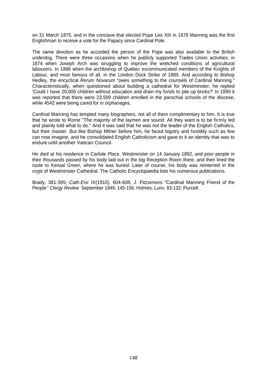on 31 March 1875, and in the conclave that elected Pope Leo XIII in 1878 Manning was the first Englishman to receive a vote for the Papacy since Cardinal Pole.

The same devotion as he accorded the person of the Pope was also available to the British underdog. There were three occasions when he publicly supported Trades Union activities; in 1874 when Joseph Arch was struggling to improve the wretched conditions of agricultural labourers. In 1886 when the archbishop of Quebec excommunicated members of the Knights of Labour, and most famous of all, in the London Dock Strike of 1889. And according to Bishop Hedley, the encyclical *Rerum Novarum* "owes something to the counsels of Cardinal Manning." Characteristically, when questioned about building a cathedral for Westminster, he replied 'Could I have 20,000 children without education and drain my funds to pile up bricks?' In 1890 it was reported that there were 23,599 children enrolled in the parochial schools of the diocese, while 4542 were being cared for in orphanages.

Cardinal Manning has tempted many biographers, not all of them complimentary to him. It is true that he wrote to Rome "The majority of the laymen are sound. All they want is to be firmly led and plainly told what to do." And it was said that he was not the leader of the English Catholics, but their master. But like Bishop Milner before him, he faced bigotry and hostility such as few can now imagine, and he consolidated English Catholicism and gave to it an identity that was to endure until another Vatican Council.

He died at his residence in Carlisle Place, Westminster on 14 January 1892, and poor people in their thousands passed by his body laid out in the big Reception Room there, and then lined the route to Kensal Green, where he was buried. Later of course, his body was reinterred in the crypt of Westminster Cathedral. The Catholic Encyclopaedia lists his numerous publications.

Brady, 381-395; *Cath.Enc* IX(1910), 604-608; J. Fitzsimons "Cardinal Manning Friend of the People " *Clergy Review* September 1949, 145-156; Holmes; Lunn, 83-132; Purcell.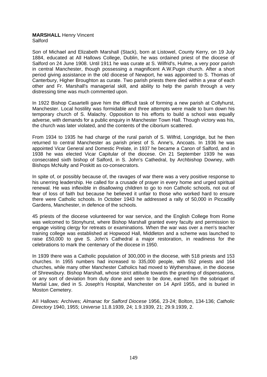#### **MARSHALL** Henry Vincent Salford

Son of Michael and Elizabeth Marshall (Stack), born at Listowel, County Kerry, on 19 July 1884, educated at All Hallows College, Dublin, he was ordained priest of the diocese of Salford on 24 June 1908. Until 1911 he was curate at S. Wilfrid's, Hulme, a very poor parish in central Manchester, though possessing a magnificent A.W.Pugin church. After a short period giving assistance in the old diocese of Newport, he was appointed to S. Thomas of Canterbury, Higher Broughton as curate. Two parish priests there died within a year of each other and Fr. Marshall's managerial skill, and ability to help the parish through a very distressing time was much commented upon.

In 1922 Bishop Casartelli gave him the difficult task of forming a new parish at Collyhurst, Manchester. Local hostility was formidable and three attempts were made to burn down his temporary church of S. Malachy. Opposition to his efforts to build a school was equally adverse, with demands for a public enquiry in Manchester Town Hall. Though victory was his, the church was later violated, and the contents of the ciborium scattered.

From 1934 to 1935 he had charge of the rural parish of S. Wilfrid, Longridge, but he then returned to central Manchester as parish priest of S. Anne's, Ancoats. In 1936 he was appointed Vicar General and Domestic Prelate, in 1937 he became a Canon of Salford, and in 1938 he was elected Vicar Capitular of the diocese. On 21 September 1939 he was consecrated sixth bishop of Salford, in S. John's Cathedral, by Archbishop Downey, with Bishops McNulty and Poskitt as co-consecrators.

In spite of, or possibly because of, the ravages of war there was a very positive response to his unerring leadership. He called for a crusade of prayer in every home and urged spiritual renewal. He was inflexible in disallowing children to go to non Catholic schools, not out of fear of loss of faith but because he believed it unfair to those who worked hard to ensure there were Catholic schools. In October 1943 he addressed a rally of 50,000 in Piccadilly Gardens, Manchester, in defence of the schools.

45 priests of the diocese volunteered for war service, and the English College from Rome was welcomed to Stonyhurst, where Bishop Marshall granted every faculty and permission to engage visiting clergy for retreats or examinations. When the war was over a men's teacher training college was established at Hopwood Hall, Middleton and a scheme was launched to raise £50,000 to give S. John's Cathedral a major restoration, in readiness for the celebrations to mark the centenary of the diocese in 1950.

In 1939 there was a Catholic population of 300,000 in the diocese, with 518 priests and 153 churches. In 1955 numbers had increased to 335,000 people, with 552 priests and 164 churches, while many other Manchester Catholics had moved to Wythenshawe, in the diocese of Shrewsbury. Bishop Marshall, whose strict attitude towards the granting of dispensations, or any sort of deviation from duty done and seen to be done, earned him the sobriquet of Martial Law, died in S. Joseph's Hospital, Manchester on 14 April 1955, and is buried in Moston Cemetery.

All Hallows: Archives; *Almanac for Salford Diocese* 1956, 23-24; Bolton, 134-136; *Catholic Directory* 1940, 1955; *Universe* 11.8.1939, 24; 1.9.1939, 21; 29.9.1939, 2.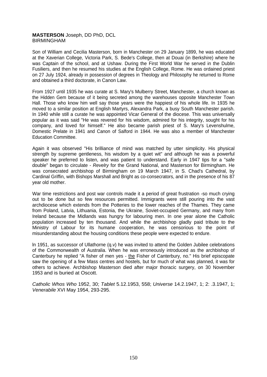## **MASTERSON** Joseph, DD PhD, DCL BIRMINGHAM

Son of William and Cecilia Masterson, born in Manchester on 29 January 1899, he was educated at the Xaverian College, Victoria Park, S. Bede's College, then at Douai (in Berkshire) where he was Captain of the school, and at Ushaw. During the First World War he served in the Dublin Fusiliers, and then he resumed his studies at the English College, Rome. He was ordained priest on 27 July 1924, already in possession of degrees in Theology and Philosophy he returned to Rome and obtained a third doctorate, in Canon Law.

From 1927 until 1935 he was curate at S. Mary's Mulberry Street, Manchester, a church known as the Hidden Gem because of it being secreted among the warehouses opposite Manchester Town Hall. Those who know him well say those years were the happiest of his whole life. In 1935 he moved to a similar position at English Martyrs, Alexandra Park, a busy South Manchester parish. In 1940 while still a curate he was appointed Vicar General of the diocese. This was universally popular as it was said "He was revered for his wisdom, admired for his integrity, sought for his company, and loved for himself." He also became parish priest of S. Mary's Levenshulme, Domestic Prelate in 1941 and Canon of Salford in 1944. He was also a member of Manchester Education Committee.

Again it was observed "His brilliance of mind was matched by utter simplicity. His physical strength by supreme gentleness, his wisdom by a quiet wit" and although he was a powerful speaker he preferred to listen, and was patient to understand. Early in 1947 tips for a "safe double" began to circulate - *Revelry* for the Grand National, and Masterson for Birmingham. He was consecrated archbishop of Birmingham on 19 March 1947, in S. Chad's Cathedral, by Cardinal Griffin, with Bishops Marshall and Bright as co-consecrators, and in the presence of his 87 year old mother.

War time restrictions and post war controls made it a period of great frustration -so much crying out to be done but so few resources permitted. Immigrants were still pouring into the vast archdiocese which extends from the Potteries to the lower reaches of the Thames. They came from Poland, Latvia, Lithuania, Estonia, the Ukraine, Soviet-occupied Germany, and many from Ireland because the Midlands was hungry for labouring men. In one year alone the Catholic population increased by ten thousand. And while the archbishop gladly paid tribute to the Ministry of Labour for its humane cooperation, he was censorious to the point of misunderstanding about the housing conditions these people were expected to endure.

ln 1951, as successor of Ullathorne (q.v) he was invited to attend the Golden Jubilee celebrations of the Commonwealth of Australia. When he was erroneously introduced as the archbishop of Canterbury he replied "A fisher of men yes - the Fisher of Canterbury, no." His brief episcopate saw the opening of a few Mass centres and hostels, but for much of what was planned, it was for others to achieve. Archbishop Masterson died after major thoracic surgery, on 30 November 1953 and is buried at Oscott.

*Catholic Whos Who* 1952, 30; *Tablet* 5.12.1953, 558; *Universe* 14.2.1947, 1; 2: .3.1947, 1; *Venerabile* XVI May 1954, 293-295.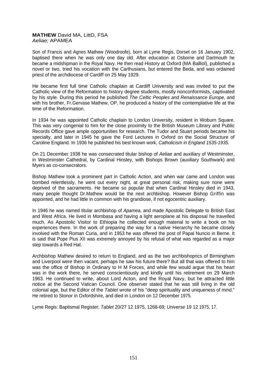## **MATHEW** David MA, LittD, FSA *Aeliae;* APAMEA

Son of Francis and Agnes Mathew (Woodroofe), born at Lyme Regis, Dorset on 16 January 1902, baptised there when he was only one day old. After education at Osborne and Dartmouth he became a midshipman in the Royal Navy. He then read History at Oxford (MA Balliol), published a novel or two, tried his vocation with the Carthusians, but entered the Beda, and was ordained priest of the archdiocese of Cardiff on 25 May 1929.

He became first full time Catholic chaplain at Cardiff University and was invited to put the Catholic view of the Reformation to history degree students, mostly nonconformists, captivated by his style. During this period he published *The Celtic Peoples and Renaissance Europe,* and with his brother, Fr.Gervase Mathew, OP, he produced a history of the contemplative life at the time of the Reformation.

In 1934 he was appointed Catholic chaplain to London University, resident in Woburn Square. This was very congenial to him for the close proximity to the British Museum Library and Public Records Office gave ample opportunities for research. The Tudor and Stuart periods became his specialty, and later in 1945 he gave the Ford Lectures in Oxford on the Social Structure of Caroline England. In 1936 he published his best known work, *Catholicism in England 1535-1935.*

On 21 December 1938 he was consecrated titular bishop of *Aeliae* and auxiliary of Westminster, in Westminster Cathedral, by Cardinal Hinsley, with Bishops Brown (auxiliary Southwark) and Myers as co-consecrators.

Bishop Mathew took a prominent part in Catholic Action, and when war came and London was bombed relentlessly, he went out every night, at great personal risk, making sure none were deprived of the sacraments. He became so popular that when Cardinal Hinsley died in 1943, many people thought Dr.Mathew would be the next archbishop. However Bishop Griffin was appointed, and he had little in common with his grandiose, if not egocentric auxiliary.

In 1946 he was named titular archbishop of *Apamea,* and made Apostolic Delegate to British East and West Africa. He lived in Mombasa and having a light aeroplane at his disposal he travelled much. As Apostolic Visitor to Ethiopia he collected enough material to write a book on his experiences there. In the work of preparing the way for a native Hierarchy he became closely involved with the Roman Curia, and in 1953 he was offered the post of Papal Nuncio in Berne. It is said that Pope Pius XII was extremely annoyed by his refusal of what was regarded as a major step towards a Red Hat.

Archbishop Mathew desired to return to England, and as the two archbishoprics of Birmingham and Liverpool were then vacant, perhaps he saw his future there? But all that was offered to him was the office of Bishop in Ordinary to H M Forces, and while few would arque that his heart was in the work there, he served conscientiously and kindly until his retirement on 29 March 1963. He continued to write, about Lord Acton, and the Royal Navy, but he attracted little notice at the Second Vatican Council. One observer stated that he was still living in the old colonial age, but the Editor of the *Tablet* wrote of his "deep spirituality and uniqueness of mind." He retired to Stonor in Oxfordshire, and died in London on 12 December 1975.

Lyme Regis: Baptismal Register; *Tablet* 20/27 12 1975, 1268-69; *Universe* 19 12 1975, 17.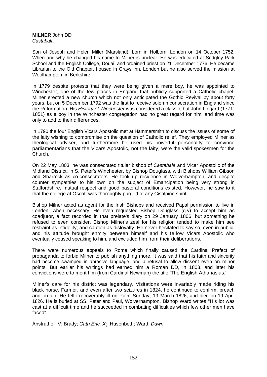#### **MILNER** John DD *Castabala*

Son of Joseph and Helen Miller (Marsland), born in Holborn, London on 14 October 1752. When and why he changed his name to Milner is unclear. He was educated at Sedgley Park School and the English College, Douai, and ordained priest on 21 December 1776. He became Librarian to the Old Chapter, housed in Grays Inn, London but he also served the mission at Woolhampton, in Berkshire.

In 1779 despite protests that they were being given a mere boy, he was appointed to Winchester, one of the few places in England that publicly supported a Catholic chapel. Milner erected a new church which not only anticipated the Gothic Revival by about forty years, but on 5 December 1792 was the first to receive solemn consecration in England since the Reformation. His *History of Winchester* was considered a classic, but John Lingard (1771- 1851) as a boy in the Winchester congregation had no great regard for him, and time was only to add to their differences.

In 1790 the four English Vicars Apostolic met at Hammersmith to discuss the issues of some of the laity wishing to compromise on the question of Catholic relief. They employed Milner as theological adviser, and furthermore he used his powerful personality to convince parliamentarians that the Vicars Apostolic, not the laity, were the valid spokesmen for the Church.

On 22 May 1803, he was consecrated titular bishop of *Castabala* and Vicar Apostolic of the Midland District, in S. Peter's Winchester, by Bishop Douglass, with Bishops William Gibson and Sharrock as co-consecrators. He took up residence in Wolverhampton, and despite counter sympathies to his own on the subject of Emancipation being very strong in Staffordshire, mutual respect and good pastoral conditions existed. However, he saw to it that the college at Oscott was thoroughly purged of any Cisalpine spirit.

Bishop Milner acted as agent for the Irish Bishops and received Papal permission to live in London, when necessary. He even requested Bishop Douglass (q.v) to accept him as coadjutor, a fact recorded in that prelate's diary on 29 January 1806, but something he refused to even consider. Bishop Milner's zeal for his religion tended to make him see restraint as infidelity, and caution as disloyalty. He never hesitated to say so, even in public, and his attitude brought enmity between himself and his fellow Vicars Apostolic who eventually ceased speaking to him, and excluded him from their deliberations.

There were numerous appeals to Rome which finally caused the Cardinal Prefect of propaganda to forbid Milner to publish anything more. It was said that his faith and sincerity had become swamped in abrasive language, and a refusal to allow dissent even on minor points. But earlier his writings had earned him a Roman DD, in 1803, and later his convictions were to merit him (from Cardinal Newman) the title 'The English Athanasius.'

Milner's care for his district was legendary. Visitations were invariably made riding his black horse, Farmer, and even after two seizures in 1824, he continued to confirm, preach and ordain. He fell irrecoverably ill on Palm Sunday, 19 March 1826, and died on 19 April 1826. He is buried at SS. Peter and Paul, Wolverhampton. Bishop Ward writes "His lot was cast at a difficult time and he succeeded in combating difficulties which few other men have faced".

Anstruther IV; Brady; *Cath Enc. X;* Husenbeth; Ward, *Dawn.*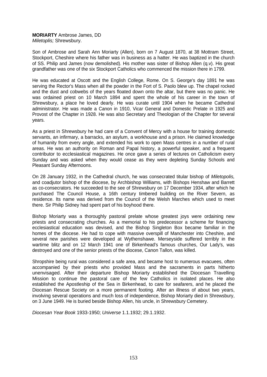# **MORIARTY** Ambrose James, DD *Miletoplis;* Shrewsbury.

Son of Ambrose and Sarah Ann Moriarty (Allen), born on 7 August 1870, at 38 Mottram Street, Stockport, Cheshire where his father was in business as a hatter. He was baptized in the church of SS. Philip and James (now demolished). His mother was sister of Bishop Allen (q.v). His great grandfather was one of the six Stockport Catholics who commenced the mission there in 1799.

He was educated at Oscott and the English College, Rome. On S. George's day 1891 he was serving the Rector's Mass when all the powder in the Fort of S. Paolo blew up. The chapel rocked and the dust and cobwebs of the years floated down onto the altar, but there was no panic. He was ordained priest on 10 March 1894 and spent the whole of his career in the town of Shrewsbury, a place he loved dearly. He was curate until 1904 when he became Cathedral administrator. He was made a Canon in 1910, Vicar General and Domestic Prelate in 1925 and Provost of the Chapter in 1928. He was also Secretary and Theologian of the Chapter for several years.

As a priest in Shrewsbury he had care of a Convent of Mercy with a house for training domestic servants, an infirmary, a barracks, an asylum, a workhouse and a prison. He claimed knowledge of humanity from every angle, and extended his work to open Mass centres in a number of rural areas. He was an authority on Roman and Papal history, a powerful speaker, and a frequent contributor to ecclesiastical magazines. He once gave a series of lectures on Catholicism every Sunday and was asked when they would cease as they were depleting Sunday Schools and Pleasant Sunday Afternoons.

On 28 January 1932, in the Cathedral church, he was consecrated titular bishop of *Miletopolis,* and coadjutor bishop of the diocese, by Archbishop Williams, with Bishops Henshaw and Barrett as co-consecrators. He succeeded to the see of Shrewsbury on 17 December 1934, after which he purchased The Council House, a 16th century timbered building on the River Severn, as residence. Its name was derived from the Council of the Welsh Marches which used to meet there. Sir Philip Sidney had spent part of his boyhood there.

Bishop Moriarty was a thoroughly pastoral prelate whose greatest joys were ordaining new priests and consecrating churches. As a memorial to his predecessor a scheme for financing ecclesiastical education was devised, and the Bishop Singleton Box became familiar in the homes of the diocese. He had to cope with massive overspill of Manchester into Cheshire, and several new parishes were developed at Wythenshawe. Merseyside suffered terribly in the wartime blitz and on 12 March 1941 one of Birkenhead's famous churches, Our Lady's, was destroyed and one of the senior priests of the diocese, Canon Tallon, was killed.

Shropshire being rural was considered a safe area, and became host to numerous evacuees, often accompanied by their priests who provided Mass and the sacraments in parts hitherto unenvisaged. After their departure Bishop Moriarty established the Diocesan Travelling Mission to continue the pastoral care of the few Catholics in isolated places. He also established the Apostleship of the Sea in Birkenhead, to care for seafarers, and he placed the Diocesan Rescue Society on a more permanent footing. After an illness of about two years, involving several operations and much loss of independence, Bishop Moriarty died in Shrewsbury, on 3 June 1949. He is buried beside Bishop Allen, his uncle, in Shrewsbury Cemetery.

*Diocesan Year Book* 1933-1950; *Universe* 1.1.1932; 29.1.1932.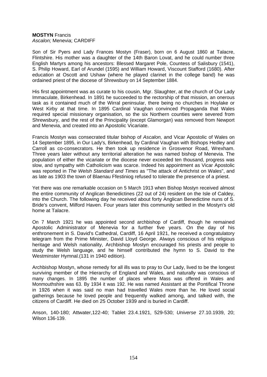#### **MOSTYN** Francis *Ascalon;* Menevia; CARDIFF

Son of Sir Pyers and Lady Frances Mostyn (Fraser), born on 6 August 1860 at Talacre, Flintshire. His mother was a daughter of the 14th Baron Lovat, and he could number three English Martyrs among his ancestors: Blessed Margaret Pole, Countess of Salisbury (1541), S. Philip Howard, Earl of Arundel (1595) and William Howard, Viscount Stafford (1680). After education at Oscott and Ushaw (where he played clarinet in the college band) he was ordained priest of the diocese of Shrewsbury on 14 September 1884.

His first appointment was as curate to his cousin, Mgr. Slaughter, at the church of Our Lady Immaculate, Birkenhead. In 1891 he succeeded to the rectorship of that mission, an onerous task as it contained much of the Wirral peninsular, there being no churches in Hoylake or West Kirby at that time. In 1895 Cardinal Vaughan convinced Propaganda that Wales required special missionary organisation, so the six Northern counties were severed from Shrewsbury, and the rest of the Principality (except Glamorgan) was removed from Newport and Menevia, and created into an Apostolic Vicariate.

Francis Mostyn was consecrated titular bishop of *Ascalon,* and Vicar Apostolic of Wales on 14 September 1895, in Our Lady's, Birkenhead, by Cardinal Vaughan with Bishops Hedley and Carroll as co-consecrators. He then took up residence in Grosvenor Road, Wrexham. Three years later without any territorial alteration he was named bishop of Menevia. The population of either the vicariate or the diocese never exceeded ten thousand, progress was slow, and sympathy with Catholicism was scarce. Indeed his appointment as Vicar Apostolic was reported in *The Welsh Standard and Times* as "The attack of Antichrist on Wales", and as late as 1903 the town of Blaenau Ffestiniog refused to tolerate the presence of a priest.

Yet there was one remarkable occasion on 5 March 1913 when Bishop Mostyn received almost the entire community of Anglican Benedictines (22 out of 24) resident on the Isle of Caldey, into the Church. The following day he received about forty Anglican Benedictine nuns of S. Bride's convent, Milford Haven. Four years later this community settled in the Mostyn's old home at Talacre.

On 7 March 1921 he was appointed second archbishop of Cardiff, though he remained Apostolic Administrator of Menevia for a further five years. On the day of his enthronement in S. David's Cathedral, Cardiff, 16 April 1921, he received a congratulatory telegram from the Prime Minister, David Lloyd George. Always conscious of his religious heritage and Welsh nationality, Archbishop Mostyn encouraged his priests and people to study the Welsh language, and he himself contributed the hymn to S. David to the Westminster Hymnal.(131 in 1940 edition).

Archbishop Mostyn, whose remedy for all ills was to pray to Our Lady, lived to be the longest surviving member of the Hierarchy of England and Wales, and naturally was conscious of many changes. In 1895 the number of places where Mass was offered in Wales and Monmouthshire was 63. By 1934 it was 192. He was named Assistant at the Pontifical Throne in 1926 when it was said no man had travelled Wales more than he. He loved social gatherings because he loved people and frequently walked among, and talked with, the citizens of Cardiff. He died on 25 October 1939 and is buried in Cardiff.

Anson, 140-180; Attwater,122-40; Tablet 23.4.1921, 529-530; *Universe* 27.10.1939, 20; Wilson 136-139.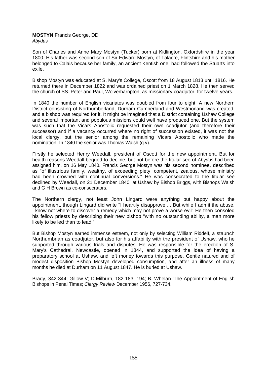#### **MOSTYN** Francis George, DD *Abydus*

Son of Charles and Anne Mary Mostyn (Tucker) born at Kidlington, Oxfordshire in the year 1800. His father was second son of Sir Edward Mostyn, of Talacre, Flintshire and his mother belonged to Calais because her family, an ancient Kentish one, had followed the Stuarts into exile.

Bishop Mostyn was educated at S. Mary's College, Oscott from 18 August 1813 until 1816. He returned there in December 1822 and was ordained priest on 1 March 1828. He then served the church of SS. Peter and Paul, Wolverharnpton, as missionary coadjutor, for twelve years.

In 1840 the number of English vicariates was doubled from four to eight. A new Northern District consisting of Northumberland, Durham Cumberland and Westmorland was created, and a bishop was required for it. It might be imagined that a District containing Ushaw College and several important and populous missions could well have produced one. But the system was such that the Vicars Apostolic requested their own coadjutor (and therefore their successor) and if a vacancy occurred where no right of succession existed, it was not the local clergy, but the senior among the remaining Vicars Apostolic who made the nomination. In 1840 the senior was Thomas Walsh (q.v).

Firstly he selected Henry Weedall, president of Oscott for the new appointment. But for health reasons Weedall begged to decline, but not before the titular see of *Abydus* had been assigned him, on 16 May 1840. Francis George Mostyn was his second nominee, described as "of illustrious family, wealthy, of exceeding piety, competent, zealous, whose ministry had been crowned with continual conversions." He was consecrated to the titular see declined by Weedall, on 21 December 1840, at Ushaw by Bishop Briggs, with Bishops Walsh and G H Brown as co-consecrators.

The Northern clergy, not least John Lingard were anything but happy about the appointment, though Lingard did write "I heartily disapprove ... But while I admit the abuse, I know not where to discover a remedy which may not prove a worse evil" He then consoled his fellow priests by describing their new bishop "with no outstanding ability, a man more likely to be led than to lead."

But Bishop Mostyn earned immense esteem, not only by selecting William RiddelI, a staunch Northumbrian as coadjutor, but also for his affability with the president of Ushaw, who he supported through various trials and disputes. He was responsible for the erection of S. Mary's Cathedral, Newcastle, opened in 1844, and supported the idea of having a preparatory school at Ushaw, and left money towards this purpose. Gentle natured and of modest disposition Bishop Mostyn developed consumption, and after an illness of many months he died at Durham on 11 August 1847. He is buried at Ushaw.

Brady, 342-344; Gillow V; D.Milburn, 182-183, 194; B. Whelan 'The Appointment of English Bishops in Penal Times; *Clergy Review* December 1956, 727-734.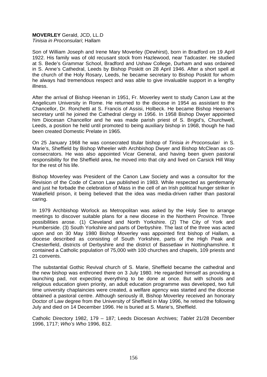#### **MOVERLEY** Gerald, JCD, LL.D *Tinisia in Proconsulari*; Hallam

Son of William Joseph and Irene Mary Moverley (Dewhirst), born in Bradford on 19 April 1922. His family was of old recusant stock from Hazlewood, near Tadcaster. He studied at S. Bede's Grammar School, Bradford and Ushaw College, Durham and was ordained in S. Anne's Cathedral, Leeds by Bishop Poskitt on 28 April 1946. After a short spell at the church of the Holy Rosary, Leeds, he became secretary to Bishop Poskitt for whom he always had tremendous respect and was able to give invaluable support in a lengthy illness.

After the arrival of Bishop Heenan in 1951, Fr. Moverley went to study Canon Law at the Angelicum University in Rome. He returned to the diocese in 1954 as assistant to the Chancellor, Dr. Ronchetti at S. Francis of Assisi, Holbeck. He became Bishop Heenan's secretary until he joined the Cathedral clergy in 1956. In 1958 Bishop Dwyer appointed him Diocesan Chancellor and he was made parish priest of S. Brigid's, Churchwell, Leeds, a position he held until promoted to being auxiliary bishop in 1968, though he had been created Domestic Prelate in 1965.

On 25 January 1968 he was consecrated titular bishop of *Tinisia in Proconsulari* in S. Marie's, Sheffield by Bishop Wheeler with Archbishop Dwyer and Bishop McClean as coconsecrators. He was also appointed Vicar General, and having been given pastoral responsibility for the Sheffield area, he moved into that city and lived on Carsick Hill Way for the rest of his life.

Bishop Moverley was President of the Canon Law Society and was a consultor for the Revision of the Code of Canon Law published in 1983. While respected as gentlemanly and just he forbade the celebration of Mass in the cell of an Irish political hunger striker in Wakefield prison, it being believed that the idea was media-driven rather than pastoral caring.

In 1979 Archbishop Worlock as Metropolitan was asked by the Holy See to arrange meetings to discover suitable plans for a new diocese in the Northern Province. Three possibilities arose. (1) Cleveland and North Yorkshire. (2) The City of York and Humberside. (3) South Yorkshire and parts of Derbyshire. The last of the three was acted upon and on 30 May 1980 Bishop Moverley was appointed first bishop of Hallam, a diocese described as consisting of South Yorkshire, parts of the High Peak and Chesterfield, districts of Derbyshire and the district of Bassetlaw in Nottinghamshire. It contained a Catholic population of 75,000 with 100 churches and chapels, 109 priests and 21 convents.

The substantial Gothic Revival church of S. Marie, Sheffield became the cathedral and the new bishop was enthroned there on 3 July 1980. He regarded himself as providing a launching pad, not expecting everything to be done at once. But with schools and religious education given priority, an adult education programme was developed, two full time university chaplaincies were created, a welfare agency was started and the diocese obtained a pastoral centre. Although seriously ill, Bishop Moverley received an honorary Doctor of Law degree from the University of Sheffield in May 1996, he retired the following July and died on 14 December 1996. He is buried at S. Marie's, Sheffield.

Catholic Directory 1982, 179 – 187; Leeds Diocesan Archives; *Tablet* 21/28 December 1996, 1717; *Who's Who* 1996, 812.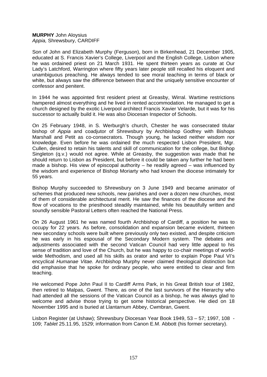## **MURPHY** John Aloysius *Appia,* Shrewsbury, CARDIFF

Son of John and Elizabeth Murphy (Ferguson), born in Birkenhead, 21 December 1905, educated at S. Francis Xavier's College, Liverpool and the English College, Lisbon where he was ordained priest on 21 March 1931. He spent thirteen years as curate at Our Lady's Latchford, Warrington where fifty years later people still recalled his eloquent and unambiguous preaching. He always tended to see moral teaching in terms of black or white, but always saw the difference between that and the uniquely sensitive encounter of confessor and penitent.

In 1944 he was appointed first resident priest at Greasby, Wirral. Wartime restrictions hampered almost everything and he lived in rented accommodation. He managed to get a church designed by the exotic Liverpool architect Francis Xavier Velarde, but it was for his successor to actually build it. He was also Diocesan Inspector of Schools.

On 25 February 1948, in S. Werburgh's church, Chester he was consecrated titular bishop of *Appia* and coadjutor of Shrewsbury by Archbishop Godfrey with Bishops Marshall and Petit as co-consecrators. Though young, he lacked neither wisdom nor knowledge. Even before he was ordained the much respected Lisbon President, Mgr. Cullen, desired to retain his talents and skill of communication for the college, but Bishop Singleton (q.v.) would not agree. While at Greasby, the suggestion was made that he should return to Lisbon as President, but before it could be taken any further he had been made a bishop. His view of episcopal authority – he readily agreed – was influenced by the wisdom and experience of Bishop Moriarty who had known the diocese intimately for 55 years.

Bishop Murphy succeeded to Shrewsbury on 3 June 1949 and became animator of schemes that produced new schools, new parishes and over a dozen new churches, most of them of considerable architectural merit. He saw the finances of the diocese and the flow of vocations to the priesthood steadily maintained, while his beautifully written and soundly sensible Pastoral Letters often reached the National Press.

On 26 August 1961 he was named fourth Archbishop of Cardiff, a position he was to occupy for 22 years. As before, consolidation and expansion became evident, thirteen new secondary schools were built where previously only two existed, and despite criticism he was early in his espousal of the Secondary Modern system. The debates and adjustments associated with the second Vatican Council had very little appeal to his sense of tradition and love of the Church, but he was happy to co-chair meetings of worldwide Methodism, and used all his skills as orator and writer to explain Pope Paul VI's encyclical *Humanae Vitae.* Archbishop Murphy never claimed theological distinction but did emphasise that he spoke for ordinary people, who were entitled to clear and firm teaching.

He welcomed Pope John Paul II to Cardiff Arms Park, in his Great British tour of 1982, then retired to Malpas, Gwent. There, as one of the last survivors of the Hierarchy who had attended all the sessions of the Vatican Council as a bishop, he was always glad to welcome and advise those trying to get some historical perspective. He died on 18 November 1995 and is buried at Llantarnum Abbey, Cwmbran, Gwent.

Lisbon Register (at Ushaw); Shrewsbury Diocesan Year Book 1949, 53 – 57; 1997, 108 - 109; *Tablet* 25.11.95, 1529; information from Canon E.M. Abbott (his former secretary).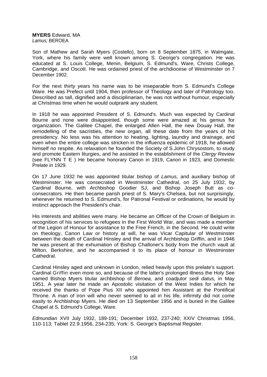**MYERS** Edward, MA *Lamus;* BEROEA

Son of Mathew and Sarah Myers (Costello), born on 8 September 1875, in Walmgate, York, where his family were well known among S. George's congregation. He was educated at S. Louis College, Menin, Belgium, S. Edmund's, Ware, Christs College, Cambridge, and Oscott. He was ordained priest of the archdiocese of Westminster on 7 December 1902.

For the next thirty years his name was to be inseparable from S. Edmund's College Ware. He was Prefect until 1904, then professor of Theology and later of Patrology too. Described as tall, dignified and a disciplinarian, he was not without humour, especially at Christmas time when he would outprank any student.

In 1918 he was appointed President of S. Edmund's. Much was expected by Cardinal Bourne and none were disappointed, though some were amazed at his genius for organization. The Galilee Chapel, the enlarged Allen Hall, the new Douay Hall, the remodelling of the sacristies, the new organ, all these date from the years of his presidency. No less was his attention to heating, lighting, laundry and drainage, and even when the entire college was stricken in the influenza epidemic of 1918, he allowed himself no respite. As relaxation he founded the Society of S.John Chrysostom, to study and promote Eastern liturgies, and he assisted in the establishment of the *Clergy Review* (see FLYNN T E ) He became honorary Canon in 1919, Canon in 1923, and Domestic Prelate in 1929.

On 17 June 1932 he was appointed titular bishop of *Lamus,* and auxiliary bishop of Westminster. He was consecrated in Westminster Cathedral, on 25 July 1932, by Cardinal Bourne, with Archbishop Goodier SJ, and Bishop Joseph Butt as coconsecrators. He then became parish priest of S. Mary's Chelsea, but not surprisingly, whenever he returned to S. Edmund's, for Patronal Festival or ordinations, he would by instinct approach the President's chair.

His interests and abilities were many. He became an Officer of the Crown of Belgium in recognition of his services to refugees in the First World War, and was made a member of the Legion of Honour for assistance to the Free French, in the Second. He could write on theology, Canon Law or history at will, he was Vicar Capitular of Westminster between the death of Cardinal Hinsley and the arrival of Archbishop Griffin, and in 1946 he was present at the exhumation of Bishop Challoner's body from the church vault at Milton, Berkshire, and he accompanied it to its place of honour in Westminster Cathedral.

Cardinal Hinsley aged and unknown in London, relied heavily upon this prelate's support. Cardinal Griffin even more so, and because of the latter's prolonged illness the Holy See named Bishop Myers titular archbishop of *Beroea,* and coadjutor *sedi datus,* in May 1951. A year later he made an Apostolic visitation of the West Indies for which he received the thanks of Pope Pius XII who appointed him Assistant at the Pontifical Throne. A man of iron will who never seemed to ail in his life, infirmity did not come easily to Archbishop Myers. He died on 13 September 1956 and is buried in the Galilee Chapel at S. Edmund's College, Ware.

*Edmundian* XVII July 1932, 189-191; December 1932, 237-240; XXIV Christmas 1956, 110-113; Tablet 22.9.1956, 234-235; York: S. George's Baptismal Register.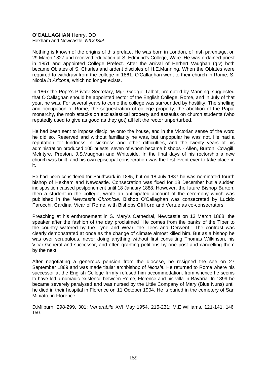# **O'CALLAGHAN** Henry, DD

Hexham and Newcastle; *NICOSIA*

Nothing is known of the origins of this prelate. He was born in London, of Irish parentage, on 29 March 1827 and received education at S. Edmund's College, Ware. He was ordained priest in 1851 and appointed College Prefect. After the arrival of Herbert Vaughan (q.v) both became Oblates of S. Charles and ardent disciples of H.E.Manning. When the Oblates were required to withdraw from the college in 1861, O'Callaghan went to their church in Rome, S. Nicola *in Aricone,* which no longer exists.

In 1867 the Pope's Private Secretary, Mgr. George Talbot, prompted by Manning, suggested that O'Callaghan should be appointed rector of the English College, Rome, and in July of that year, he was. For several years to come the college was surrounded by hostility. The shelling and occupation of Rome, the sequestration of college property, the abolition of the Papal monarchy, the mob attacks on ecclesiastical property and assaults on church students (who reputedly used to give as good as they got) all left the rector unperturbed.

He had been sent to impose discipline onto the house, and in the Victorian sense of the word he did so. Reserved and without familiarity he was, but unpopular he was not. He had a reputation for kindness in sickness and other difficulties, and the twenty years of his administration produced 105 priests, seven of whom became bishops - Allen, Burton, Cowgill, Mclntyre, Preston, J.S.Vaughan and Whiteside. In the final days of his rectorship a new church was built, and his own episcopal consecration was the first event ever to take place in it.

He had been considered for Southwark in 1885, but on 18 July 1887 he was nominated fourth bishop of Hexham and Newcastle. Consecration was fixed for 18 December but a sudden indisposition caused postponement until 18 January 1888. However, the future Bishop Burton, then a student in the college, wrote an anticipated account of the ceremony which was published in the *Newcastle Chronicle.* Bishop O'Callaghan was consecrated by Lucido Parocchi, Cardinal Vicar of Rome, with Bishops Clifford and Vertue as co-consecrators.

Preaching at his enthronement in S. Mary's Cathedral, Newcastle on 13 March 1888, the speaker after the fashion of the day proclaimed "He comes from the banks of the Tiber to the country watered by the Tyne and Wear, the Tees and Derwent." The contrast was clearly demonstrated at once as the change of climate almost killed him. But as a bishop he was over scrupulous, never doing anything without first consulting Thomas Wilkinson, his Vicar General and successor, and often granting petitions by one post and cancelling them by the next.

After negotiating a generous pension from the diocese, he resigned the see on 27 September 1889 and was made titular archbishop of *Nicosia.* He returned to Rome where his successor at the English College firmly refused him accommodation, from whence he seems to have led a nomadic existence between Rome, Florence and his villa in Bavaria. In 1899 he became severely paralysed and was nursed by the Little Company of Mary (Blue Nuns) until he died in their hospital in Florence on 11 October 1904. He is buried in the cemetery of San Miniato, in Florence.

D.Milburn, 298-299, 301; *Venerabile* XVI May 1954, 215-231; M.E.Williams, 121-141, 146, 150.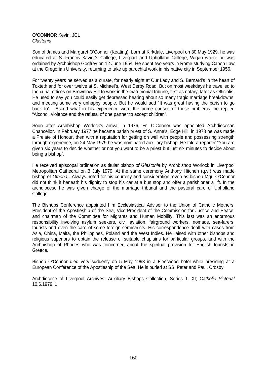#### **O'CONNOR** Kevin, JCL *Glastonia*

Son of James and Margaret O'Connor (Keating), born at Kirkdale, Liverpool on 30 May 1929, he was educated at S. Francis Xavier's College, Liverpool and Upholland College, Wigan where he was ordained by Archbishop Godfrey on 12 June 1954. He spent two years in Rome studying Canon Law at the Gregorian University, returning to take up parochial work in his native city in September 1956.

For twenty years he served as a curate, for nearly eight at Our Lady and S. Bernard's in the heart of Toxteth and for over twelve at S. Michael's, West Derby Road. But on most weekdays he travelled to the curial offices on Brownlow Hill to work in the matrimonial tribune, first as notary, later as Officialis. He used to say you could easily get depressed hearing about so many tragic marriage breakdowns, and meeting some very unhappy people. But he would add "It was great having the parish to go back to". Asked what in his experience were the prime causes of these problems, he replied "Alcohol, violence and the refusal of one partner to accept children".

Soon after Archbishop Worlock's arrival in 1976, Fr. O'Connor was appointed Archdiocesan Chancellor. In February 1977 he became parish priest of S. Anne's, Edge Hill, in 1978 he was made a Prelate of Honour, then with a reputation for getting on well with people and possessing strength through experience, on 24 May 1979 he was nominated auxiliary bishop. He told a reporter "You are given six years to decide whether or not you want to be a priest but just six minutes to decide about being a bishop".

He received episcopal ordination as titular bishop *of Glastonia* by Archbishop Worlock in Liverpool Metropolitan Cathedral on 3 July 1979. At the same ceremony Anthony Hitchen (q.v.) was made bishop of *Othona* . Always noted for his courtesy and consideration, even as bishop Mgr. O'Connor did not think it beneath his dignity to stop his car at a bus stop and offer a parishioner a lift. In the archdiocese he was given charge of the marriage tribunal and the pastoral care of Upholland College.

The Bishops Conference appointed him Ecclesiastical Adviser to the Union of Catholic Mothers, President of the Apostleship of the Sea, Vice-President of the Commission for Justice and Peace, and chairman of the Committee for Migrants and Human Mobility. This last was an enormous responsibility involving asylum seekers, civil aviation, fairground workers, nomads, sea-farers, tourists and even the care of some foreign seminarists. His correspondence dealt with cases from Asia, China, Malta, the Philippines, Poland and the West Indies. He liaised with other bishops and religious superiors to obtain the release of suitable chaplains for particular groups, and with the Archbishop of Rhodes who was concerned about the spiritual provision for English tourists in Greece.

Bishop O'Connor died very suddenly on 5 May 1993 in a Fleetwood hotel while presiding at a European Conference of the Apostleship of the Sea. He is buried at SS. Peter and Paul, Crosby.

Archdiocese of Liverpool Archives: Auxiliary Bishops Collection, Series 1. XI; *Catholic Pictorial*  10.6.1979, 1.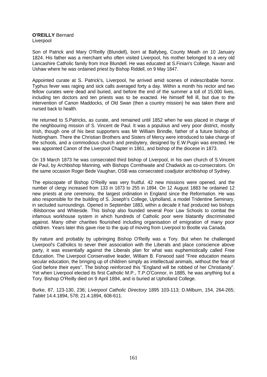**O'REILLY** Bernard Liverpool

Son of Patrick and Mary O'Reilly (Blundell), born at Ballybeg, County Meath on 10 January 1824. His father was a merchant who often visited Liverpool, his mother belonged to a very old Lancashire Catholic family from Ince Blundell. He was educated at S.Finian's College, Navan and Ushaw where he was ordained priest by Bishop Riddell, on 9 May 1847.

Appointed curate at S. Patrick's, Liverpool, he arrived amid scenes of indescribable horror. Typhus fever was raging and sick calls averaged forty a day. Within a month his rector and two fellow curates were dead and buried, and before the end of the summer a toll of 15,000 lives, including ten doctors and ten priests was to be exacted. He himself fell ill, but due to the intervention of Canon Maddocks, of Old Swan (then a country mission) he was taken there and nursed back to health.

He returned to S.Patricks, as curate, and remained until 1852 when he was placed in charge of the neighbouring mission of S. Vincent de Paul. It was a populous and very poor district, mostly Irish, though one of his best supporters was Mr William Brindle, father of a future bishop of Nottingham. There the Christian Brothers and Sisters of Mercy were introduced to take charge of the schools, and a commodious church and presbytery, designed by E.W.Pugin was erected. He was appointed Canon of the Liverpool Chapter in 1861, and bishop of the diocese in 1873.

On 19 March 1873 he was consecrated third bishop of Liverpool, in his own church of S.Vincent de Paul, by Archbishop Manning, with Bishops Cornthwaite and Chadwick as co-consecrators. On the same occasion Roger Bede Vaughan, OSB was consecrated coadjutor archbishop of Sydney.

The episcopate of Bishop O'Reilly was very fruitful. 42 new missions were opened, and the number of clergy increased from 133 in 1873 to 255 in 1894. On 12 August 1883 he ordained 12 new priests at one ceremony, the largest ordination in England since the Reformation. He was also responsible for the building of S. Joseph's College, Upholland, a model Tridentine Seminary, in secluded surroundings. Opened in September 1883, within a decade it had produced two bishops -Bilsborrow and Whiteside. This bishop also founded several Poor Law Schools to combat the infamous workhouse system in which hundreds of Catholic poor were blatantly discriminated against. Many other charities flourished including organisation of emigration of many poor children. Years later this gave rise to the quip of moving from Liverpool to Bootle via Canada.

By nature and probably by upbringing Bishop O'Reilly was a Tory. But when he challenged Liverpool's Catholics to sever their association with the Liberals and place conscience above party, it was essentially against the Liberals plan for what was euphemistically called Free Education. The Liverpool Conservative leader, William B. Forwood said "Free education means secular education, the bringing up of children simply as intellectual animals, without the fear of God before their eyes". The bishop reinforced this "England will be robbed of her Christianity". Yet when Liverpool elected its first Catholic M.P., T.P.O'Connor, in 1885, he was anything but a Tory. Bishop O'Reilly died on 9 April 1894, and is buried at Upholland College.

Burke, 87, 123-130, 236; *Liverpool Catholic Directory* 1895 103-113; D.Milburn, 154, 264-265; *Tablet* 14.4.1894, 578; 21.4.1894, 608-611.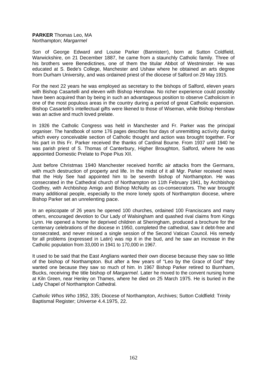# **PARKER** Thomas Leo, MA Northampton; *Margarmel*

Son of George Edward and Louise Parker (Bannisterr), born at Sutton Coldfield, Warwickshire, on 21 December 1887, he came from a staunchly Catholic family. Three of his brothers were Benedictines, one of them the titular Abbot of Westminster. He was educated at S. Bede's College, Manchester and Ushaw where he obtained an arts degree from Durham University, and was ordained priest of the diocese of Salford on 29 May 1915.

For the next 22 years he was employed as secretary to the bishops of Salford, eleven years with Bishop Casartelli and eleven with Bishop Henshaw. No richer experience could possibly have been acquired than by being in such an advantageous position to observe Catholicism in one of the most populous areas in the country during a period of great Catholic expansion. Bishop Casartelli's intellectual gifts were likened to those of Wiseman, while Bishop Henshaw was an active and much loved prelate.

In 1926 the Catholic Congress was held in Manchester and Fr. Parker was the principal organiser. The handbook of some 176 pages describes four days of unremitting activity during which every conceivable section of Catholic thought and action was brought together. For his part in this Fr. Parker received the thanks of Cardinal Bourne. From 1937 until 1940 he was parish priest of S. Thomas of Canterbury, Higher Broughton, Salford, where he was appointed Domestic Prelate to Pope Pius XII.

Just before Christmas 1940 Manchester received horrific air attacks from the Germans, with much destruction of property and life. In the midst of it all Mgr. Parker received news that the Holy See had appointed him to be seventh bishop of Northampton. He was consecrated in the Cathedral church of Northampton on 11th February 1941, by Archbishop Godfrey, with Archbishop Amigo and Bishop McNulty as co-consecrators. The war brought many additional people, especially to the more lonely spots of Northampton diocese, where Bishop Parker set an unrelenting pace.

In an episcopate of 26 years he opened 100 churches, ordained 100 Franciscans and many others, encouraged devotion to Our Lady of Walsingham and quashed rival claims from Kings Lynn. He opened a home for deprived children at Sheringham, produced a brochure for the centenary celebrations of the diocese in 1950, completed the cathedral, saw it debt-free and consecrated, and never missed a single session of the Second Vatican Council. His remedy for all problems (expressed in Latin) was nip it in the bud, and he saw an increase in the Catholic population from 33,000 in 1941 to 170,000 in 1967.

It used to be said that the East Anglians wanted their own diocese because they saw so little of the bishop of Northampton. But after a few years of "Leo by the Grace of God" they wanted one because they saw so much of him. In 1967 Bishop Parker retired to Burnham, Bucks, receiving the title bishop of *Margarmel.* Later he moved to the convent nursing home at Kiln Green, near Henley on Thames, where he died on 25 March 1975. He is buried in the Lady Chapel of Northampton Cathedral.

*Catholic Whos Who* 1952, 335; Diocese of Northampton, Archives; Sutton Coldfield: Trinity Baptismal Register; *Universe* 4.4.1975, 22.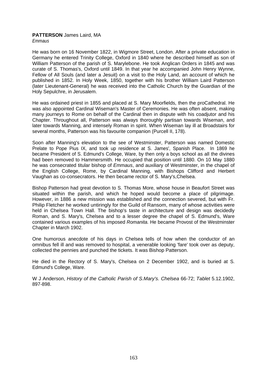# **PATTERSON** James Laird, MA

*Emmaus* 

He was born on 16 November 1822, in Wigmore Street, London. After a private education in Germany he entered Trinity College, Oxford in 1840 where he described himself as son of William Patterson of the parish of S. Marylebone. He took Anglican Orders in 1845 and was curate of S. Thomas's, Oxford until 1849. In that year he accompanied John Henry Wynne, Fellow of All Souls (and later a Jesuit) on a visit to the Holy Land, an account of which he published in 1852. In Holy Week, 1850, together with his brother William Laird Patterson (later Lieutenant-General) he was received into the Catholic Church by the Guardian of the Holy Sepulchre, in Jerusalem.

He was ordained priest in 1855 and placed at S. Mary Moorfields, then the proCathedral. He was also appointed Cardinal Wiseman's Master of Ceremonies. He was often absent, making many journeys to Rome on behalf of the Cardinal then in dispute with his coadjutor and his Chapter. Throughout all, Patterson was always thoroughly partisan towards Wiseman, and later towards Manning, and intensely Roman in spirit. When Wiseman lay ill at Broadstairs for several months, Patterson was his favourite companion (Purcell II, 178).

Soon after Manning's elevation to the see of Westminster, Patterson was named Domestic Prelate to Pope Pius IX, and took up residence at S. James', Spanish Place. In 1869 he became President of S. Edmund's College, Ware, by then only a boys school as all the divines had been removed to Hammersmith. He occupied that position until 1880. On 10 May 1880 he was consecrated titular bishop of *Emmaus*, and auxiliary of Westminster, in the chapel of the English College, Rome, by Cardinal Manning, with Bishops Clifford and Herbert Vaughan as co-consecrators. He then became rector of S. Mary's,Chelsea.

Bishop Patterson had great devotion to S. Thomas More, whose house in Beaufort Street was situated within the parish, and which he hoped would become a place of pilgrimage. However, in 1886 a new mission was established and the connection severed, but with Fr. Philip Fletcher he worked untiringly for the Guild of Ransom, many of whose activities were held in Chelsea Town Hall. The bishop's taste in architecture and design was decidedly Roman, and S. Mary's, Chelsea and to a lesser degree the chapel of S. Edmund's, Ware contained various examples of his imposed *Romanita.* He became Provost of the Westminster Chapter in March 1902.

One humorous anecdote of his days in Chelsea tells of how when the conductor of an omnibus fell ill and was removed to hospital, a venerable looking 'fare' took over as deputy, collected the pennies and punched the tickets. It was Bishop Patterson.

He died in the Rectory of S. Mary's, Chelsea on 2 December 1902, and is buried at S. Edmund's College, Ware.

W J Anderson, *History of the Catholic Parish of S.Mary's. Chelsea* 66-72; *Tablet* 5.12.1902, 897-898.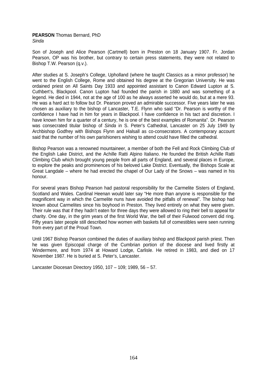#### **PEARSON** Thomas Bernard, PhD *Sinda*

Son of Joseph and Alice Pearson (Cartmell) born in Preston on 18 January 1907. Fr. Jordan Pearson, OP was his brother, but contrary to certain press statements, they were not related to Bishop T.W. Pearson (q.v.).

After studies at S. Joseph's College, Upholland (where he taught Classics as a minor professor) he went to the English College, Rome and obtained his degree at the Gregorian University. He was ordained priest on All Saints Day 1933 and appointed assistant to Canon Edward Lupton at S. Cuthbert's, Blackpool. Canon Lupton had founded the parish in 1880 and was something of a legend. He died in 1944, not at the age of 100 as he always asserted he would do, but at a mere 93. He was a hard act to follow but Dr. Pearson proved an admirable successor. Five years later he was chosen as auxiliary to the bishop of Lancaster, T.E. Flynn who said "Dr. Pearson is worthy of the confidence I have had in him for years in Blackpool. I have confidence in his tact and discretion. I have known him for a quarter of a century, he is one of the best examples of Romanita". Dr. Pearson was consecrated titular bishop of *Sinda* in S. Peter's Cathedral, Lancaster on 25 July 1949 by Archbishop Godfrey with Bishops Flynn and Halsall as co-consecrators. A contemporary account said that the number of his own parishioners wishing to attend could have filled the cathedral.

Bishop Pearson was a renowned mountaineer, a member of both the Fell and Rock Climbing Club of the English Lake District, and the Achille Ratti Alpino Italiano. He founded the British Achille Ratti Climbing Club which brought young people from all parts of England, and several places in Europe, to explore the peaks and prominences of his beloved Lake District. Eventually, the Bishops Scale at Great Langdale – where he had erected the chapel of Our Lady of the Snows – was named in his honour.

For several years Bishop Pearson had pastoral responsibility for the Carmelite Sisters of England, Scotland and Wales. Cardinal Heenan would later say "He more than anyone is responsible for the magnificent way in which the Carmelite nuns have avoided the pitfalls of renewal". The bishop had known about Carmelites since his boyhood in Preston. They lived entirely on what they were given. Their rule was that if they hadn't eaten for three days they were allowed to ring their bell to appeal for charity. One day, in the grim years of the first World War, the bell of their Fulwood convent did ring. Fifty years later people still described how women with baskets full of comestibles were seen running from every part of the Proud Town.

Until 1967 Bishop Pearson combined the duties of auxiliary bishop and Blackpool parish priest. Then he was given Episcopal charge of the Cumbrian portion of the diocese and lived firstly at Windermere, and from 1974 at Howard Lodge, Carlisle. He retired in 1983, and died on 17 November 1987. He is buried at S. Peter's, Lancaster.

Lancaster Diocesan Directory 1950, 107 – 109; 1989, 56 – 57.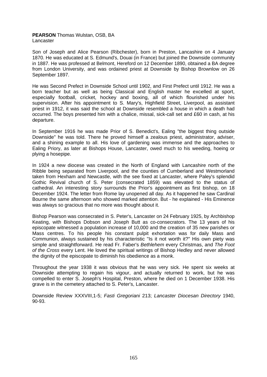#### **PEARSON** Thomas Wulstan, OSB, BA Lancaster

Son of Joseph and Alice Pearson (Ribchester), born in Preston, Lancashire on 4 January 1870. He was educated at S. Edmund's, Douai (in France) but joined the Downside community in 1887. He was professed at Belmont, Hereford on 12 December 1890, obtained a BA degree from London University, and was ordained priest at Downside by Bishop Brownlow on 26 September 1897.

He was Second Prefect in Downside School until 1902, and First Prefect until 1912. He was a born teacher but as well as being Classical and English master he excelled at sport, especially football, cricket, hockey and boxing, all of which flourished under his supervision. After his appointment to S. Mary's, Highfield Street, Liverpool, as assistant priest in 1912, it was said the school at Downside resembled a house in which a death had occurred. The boys presented him with a chalice, missal, sick-call set and £60 in cash, at his departure.

In September 1916 he was made Prior of S. Benedict's, Ealing "the biggest thing outside Downside" he was told. There he proved himself a zealous priest, administrator, adviser. and a shining example to all. His love of gardening was immense and the approaches to Ealing Priory, as later at Bishops House, Lancaster, owed much to his weeding, hoeing or plying a hosepipe.

In 1924 a new diocese was created in the North of England with Lancashire north of the Ribble being separated from Liverpool, and the counties of Cumberland and Westmorland taken from Hexham and Newcastle, with the see fixed at Lancaster, where Paley's splendid Gothic Revival church of S. Peter (consecrated 1859) was elevated to the status of cathedral. An interesting story surrounds the Prior's appointment as first bishop, on 18 December 1924. The letter from Rome lay unopened all day. As it happened he saw Cardinal Bourne the same afternoon who showed marked attention. But - he explained - His Eminence was always so gracious that no more was thought about it.

Bishop Pearson was consecrated in S. Peter's, Lancaster on 24 February 1925, by Archbishop Keating, with Bishops Dobson and Joseph Butt as co-consecrators. The 13 years of his episcopate witnessed a population increase of 10,000 and the creation of 35 new parishes or Mass centres. To his people his constant pulpit exhortation was for daily Mass and Communion, always sustained by his characteristic "Is it not worth it?" His own piety was simple and straightforward. He read Fr. Faber's *Bethlehem* every Christmas, and *The Foot of the Cross* every Lent. He loved the spiritual writings of Bishop Hedley and never allowed the dignity of the episcopate to diminish his obedience as a monk.

Throughout the year 1938 it was obvious that he was very sick. He spent six weeks at Downside attempting to regain his vigour, and actually returned to work, but he was compelled to enter S. Joseph's Hospital, Preston, where he died on 1 December 1938. His grave is in the cemetery attached to S. Peter's, Lancaster.

Downside Review XXXVIII,1-5; *Fasti Gregoriani* 213; *Lancaster Diocesan Directory* 1940, 90-93.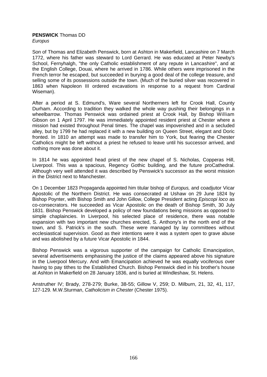# **PENSWICK** Thomas DD

*Europus* 

Son of Thomas and Elizabeth Penswick, born at Ashton in Makerfield, Lancashire on 7 March 1772, where his father was steward to Lord Gerrard. He was educated at Peter Newby's School, Fernyhalgh, "the only Catholic establishment of any repute in Lancashire", and at the English College, Douai, where he arrived in 1786. While others were imprisoned in the French terror he escaped, but succeeded in burying a good deal of the college treasure, and selling some of its possessions outside the town. (Much of the buried silver was recovered in 1863 when Napoleon III ordered excavations in response to a request from Cardinal Wiseman).

After a period at S. Edmund's, Ware several Northerners left for Crook Hall, County Durham. According to tradition they walked the whole way pushing their belongings in a wheelbarrow. Thomas Penswick was ordained priest at Crook Hall, by Bishop William Gibson on 1 April 1797. He was immediately appointed resident priest at Chester where a mission had existed throughout Penal times. The chapel was impoverished and in a secluded alley, but by 1799 he had replaced it with a new building on Queen Street, elegant and Doric fronted. In 1810 an attempt was made to transfer him to York, but fearing the Chester Catholics might be left without a priest he refused to leave until his successor arrived, and nothing more was done about it.

In 1814 he was appointed head priest of the new chapel of S. Nicholas, Copperas Hill, Liverpool. This was a spacious, Regency Gothic building, and the future proCathedral. Although very well attended it was described by Penswick's successor as the worst mission in the District next to Manchester.

On 1 December 1823 Propaganda appointed him titular bishop of *Europus,* and coadjutor Vicar Apostolic of the Northern District. He was consecrated at Ushaw on 29 June 1824 by Bishop Poynter, with Bishop Smith and John Gillow, College President acting *Episcopi loco* as co-consecrators. He succeeded as Vicar Apostolic on the death of Bishop Smith, 30 July 1831. Bishop Penswick developed a policy of new foundations being missions as opposed to simple chaplaincies. In Liverpool, his selected place of residence, there was notable expansion with two important new churches erected, S. Anthony's in the north end of the town, and S. Patrick's in the south. These were managed by lay committees without ecclesiastical supervision. Good as their intentions were it was a system open to grave abuse and was abolished by a future Vicar Apostolic in 1844.

Bishop Penswick was a vigorous supporter of the campaign for Catholic Emancipation, several advertisements emphasising the justice of the claims appeared above his signature in the Liverpool Mercury. And with Emancipation achieved he was equally vociferous over having to pay tithes to the Established Church. Bishop Penswick died in his brother's house at Ashton in Makerfield on 28 January 1836, and is buried at Windleshaw, St. Helens.

Anstruther IV; Brady, 278-279; Burke, 38-55; Gillow V, 259; D. Milburn, 21, 32, 41, 117, 127-129. M.W.Sturman, *Catholicism in Chester* (Chester 1975).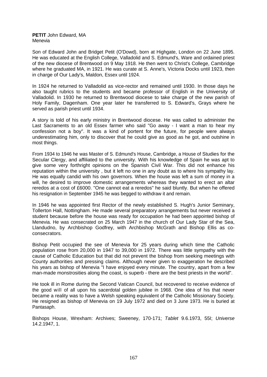#### **PETIT** John Edward, MA Menevia

Son of Edward John and Bridget Petit (O'Dowd), born at Highgate, London on 22 June 1895. He was educated at the English College, Valladolid and S. Edmund's, Ware and ordained priest of the new diocese of Brentwood on 9 May 1918. He then went to Christ's College, Cambridge where he graduated MA, in 1921. He was curate at S. Anne's, Victoria Docks until 1923, then in charge of Our Lady's, Maldon, Essex until 1924.

In 1924 he returned to Valladolid as vice-rector and remained until 1930. In those days he also taught rubrics to the students and became professor of English in the University of Valladolid. In 1930 he returned to Brentwood diocese to take charge of the new parish of Holy Family, Dagenham. One year later he transferred to S. Edward's, Grays where he served as parish priest until 1934.

A story is told of his early ministry in Brentwood diocese. He was called to administer the Last Sacraments to an old Essex farmer who said "Go away - I want a man to hear my confession not a boy". It was a kind of portent for the future, for people were always underestimating him, only to discover that he could give as good as he got, and outshine in most things.

From 1934 to 1946 he was Master of S. Edmund's House, Cambridge, a House of Studies for the Secular Clergy, and affiliated to the university. With his knowledge of Spain he was apt to give some very forthright opinions on the Spanish Civil War. This did not enhance his reputation within the university , but it left no one in any doubt as to where his sympathy lay. He was equally candid with his own governors. When the house was left a sum of money in a will, he desired to improve domestic arrangements whereas they wanted to erect an altar reredos at a cost of £6000. "One cannot eat a reredos" he said bluntly. But when he offered his resignation in September 1945 he was begged to withdraw it and remain.

In 1946 he was appointed first Rector of the newly established S. Hugh's Junior Seminary, Tollerton Hall, Nottingham. He made several preparatory arrangements but never received a student because before the house was ready for occupation he had been appointed bishop of Menevia. He was consecrated on 25 March 1947 in the church of Our Lady Star of the Sea, Llandudno, by Archbishop Godfrey, with Archbishop McGrath and Bishop Ellis as coconsecrators.

Bishop Petit occupied the see of Menevia for 25 years during which time the Catholic population rose from 20,000 in 1947 to 39,000 in 1972. There was little sympathy with the cause of Catholic Education but that did not prevent the bishop from seeking meetings with County authorities and pressing claims. Although never given to exaggeration he described his years as bishop of Menevia "I have enjoyed every minute. The country, apart from a few man-made monstrosities along the coast, is superb - there are the best priests in the world".

He took ill in Rome during the Second Vatican Council, but recovered to receive evidence of the good will of all upon his sacerdotal golden jubilee in 1968. One idea of his that never became a reality was to have a Welsh speaking equivalent of the Catholic Missionary Society. He resigned as bishop of Menevia on 19 July 1972 and died on 3 June 1973. He is buried at Pantasaph.

Bishops House, Wrexham: Archives; Sweeney, 170-171; *Tablet* 9.6.1973, 55I; *Universe* 14.2.1947, 1.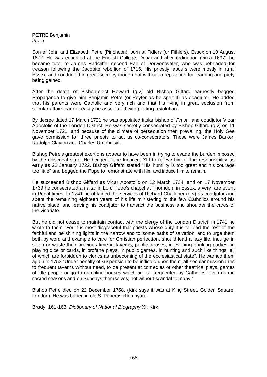**PETRE** Benjamin *Prusa* 

Son of John and Elizabeth Petre (Pincheon), born at Fidlers (or Fithlers), Essex on 10 August 1672. He was educated at the English College, Douai and after ordination (circa 1697) he became tutor to James Radcliffe, second Earl of Derwentwater, who was beheaded for treason following the Jacobite rebellion of 1715. His priestly labours were mostly in rural Essex, and conducted in great secrecy though not without a reputation for learning and piety being gained.

After the death of Bishop-elect Howard (q.v) old Bishop Giffard earnestly begged Propaganda to give him Benjamin Petre (or Peyter as he spelt it) as coadjutor. He added that his parents were Catholic and very rich and that his living in great seclusion from secular affairs cannot easily be associated with plotting revolution.

By decree dated 17 March 1721 he was appointed titular bishop of *Prusa,* and coadjutor Vicar Apostolic of the London District. He was secretly consecrated by Bishop Giffard (q.v) on 11 November 1721, and because of the climate of persecution then prevailing, the Holy See gave permission for three priests to act as co-consecrators. These were James Barker, Rudolph Clayton and Charles Umphrevill.

Bishop Petre's greatest exertions appear to have been in trying to evade the burden imposed by the episcopal state. He begged Pope Innocent XIII to relieve him of the responsibility as early as 22 January 1722. Bishop Giffard stated "His humility is too great and his courage too little" and begged the Pope to remonstrate with him and induce him to remain.

He succeeded Bishop Giffard as Vicar Apostolic on 12 March 1734, and on 17 November 1739 he consecrated an altar in Lord Petre's chapel at Thorndon, in Essex, a very rare event in Penal times. In 1741 he obtained the services of Richard Challoner (q.v) as coadjutor and spent the remaining eighteen years of his life ministering to the few Catholics around his native place, and leaving his coadjutor to transact the business and shoulder the cares of the vicariate.

But he did not cease to maintain contact with the clergy of the London District, in 1741 he wrote to them "For it is most disgraceful that priests whose duty it is to lead the rest of the faithful and be shining lights in the narrow and toilsome paths of salvation, and to urge them both by word and example to care for Christian perfection, should lead a lazy life, indulge in sleep or waste their precious time in taverns, public houses, in evening drinking parties, in playing dice or cards, in profane plays, in public games, in hunting and such like things, all of which are forbidden to clerics as unbecoming of the ecclesiastical state". He warned them again in 1753 "Under penalty of suspension to be inflicted upon them, all secular missionaries to frequent taverns without need, to be present at comedies or other theatrical plays, games of idle people or go to gambling houses which are so frequented by Catholics, even during sacred seasons and on Sundays themselves, not without scandal to many."

Bishop Petre died on 22 December 1758. (Kirk says it was at King Street, Golden Square, London). He was buried in old S. Pancras churchyard.

Brady, 161-163; *Dictionary of National Biography* XI; Kirk.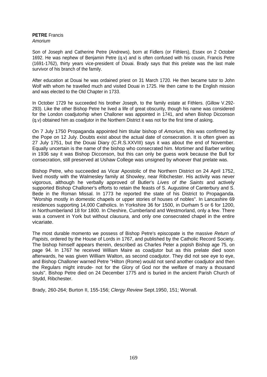#### **PETRE** Francis *Amorium*

Son of Joseph and Catherine Petre (Andrews), born at Fidlers (or Fithlers), Essex on 2 October 1692. He was nephew of Benjamin Petre (q.v) and is often confused with his cousin, Francis Petre (1691-1762), thirty years vice-president of Douai. Brady says that this prelate was the last male survivor of his branch of the family.

After education at Douai he was ordained priest on 31 March 1720. He then became tutor to John Wolf with whom he travelled much and visited Douai in 1725. He then came to the English mission and was elected to the Old Chapter in 1733.

In October 1729 he succeeded his brother Joseph, to the family estate at Fithlers. (Gillow V.292- 293). Like the other Bishop Petre he lived a life of great obscurity, though his name was considered for the London coadjutorhip when Challoner was appointed in 1741, and when Bishop Dicconson (q.v) obtained him as coadjutor in the Northern District it was not for the first time of asking.

On 7 July 1750 Propaganda appointed him titular bishop of *Amorium,* this was confirmed by the Pope on 12 July. Doubts exist about the actual date of consecration. It is often given as 27 July 1751, but the Douai Diary (C.R.S.XXVIII) says it was about the end of November. Equally uncertain is the name of the bishop who consecrated him. Mortimer and Barber writing in 1936 say it was Bishop Dicconson, but this can only be guess work because the Bull for consecration, still preserved at Ushaw College was unsigned by whoever that prelate was.

Bishop Petre, who succeeded as Vicar Apostolic of the Northern District on 24 April 1752, lived mostly with the Walmesley family at Showley, near Ribchester. His activity was never vigorous, although he verbally approved of Butler's *Lives of the Saints* and actively supported Bishop Challoner's efforts to retain the feasts of S. Augustine of Canterbury and S. Bede in the Roman Missal. In 1773 he reported the state of his District to Propaganda. "Worship mostly in domestic chapels or upper stories of houses of nobles". In Lancashire 69 residences supporting 14,000 Catholics. In Yorkshire 36 for 1500, in Durham 5 or 6 for 1200, in Northumberland 18 for 1800. In Cheshire, Cumberland and Westmorland, only a few. There was a convent in York but without *clausura,* and only one consecrated chapel in the entire vicariate.

The most durable momento we possess of Bishop Petre's episcopate is the massive *Return of Papists,* ordered by the House of Lords in 1767, and published by the Catholic Record Society. The bishop himself appears therein, described as Charles Peter a popish Bishop age 75, on page 94. In 1767 he received William Maire as coadjutor but as this prelate died soon afterwards, he was given William Walton, as second coadjutor. They did not see eye to eye, and Bishop Challoner warned Petre "Hilton (Rome) would not send another coadjutor and then the Regulars might intrude- not for the Glory of God nor the welfare of many a thousand souls". Bishop Petre died on 24 December 1775 and is buried in the ancient Parish Church of Stydd, Ribchester.

Brady, 260-264; Burton II, 155-156; *Clergy Review* Sept.1950, 151; Worrall.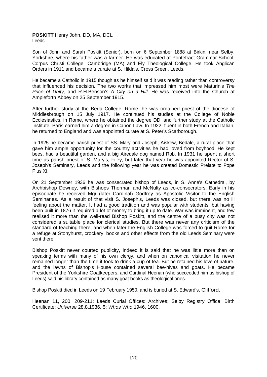## **POSKITT** Henry John, DD, MA, DCL Leeds

Son of John and Sarah Poskitt (Senior), born on 6 September 1888 at Birkin, near Selby, Yorkshire, where his father was a farmer. He was educated at Pontefract Grammar School, Corpus Christi College, Cambridge (MA) and Ely Theological College. He took Anglican Orders in 1911 and became a curate at S. Hilda's, Cross Green, Leeds.

He became a Catholic in 1915 though as he himself said it was reading rather than controversy that influenced his decision. The two works that impressed him most were Maturin's *The Price of Unity,* and R.H.Benson's *A City on a Hill.* He was received into the Church at Ampleforth Abbey on 25 September 1915.

After further study at the Beda College, Rome, he was ordained priest of the diocese of Middlesbrough on 15 July 1917. He continued his studies at the College of Noble Ecclesiastics, in Rome, where he obtained the degree DD, and further study at the Catholic Institute, Paris earned him a degree in Canon Law. In 1922, fluent in both French and Italian, he returned to England and was appointed curate at S. Peter's Scarborough.

In 1925 he became parish priest of SS. Mary and Joseph, Aiskew, Bedale, a rural place that gave him ample opportunity for the country activities he had loved from boyhood. He kept bees, had a beautiful garden, and a big Airedale dog named Rob. In 1931 he spent a short time as parish priest of S. Mary's, Filey, but later that year he was appointed Rector of S. Joseph's Seminary, Leeds and the following year he was created Domestic Prelate to Pope Pius XI.

On 21 September 1936 he was consecrated bishop of Leeds, in S. Anne's Cathedral, by Archbishop Downey, with Bishops Thorman and McNulty as co-consecrators. Early in his episcopate he received Mgr (later Cardinal) Godfrey as Apostolic Visitor to the English Seminaries. As a result of that visit S. Joseph's, Leeds was closed, but there was no ill feeling about the matter. It had a good tradition and was popular with students, but having been built in 1876 it required a lot of money to bring it up to date. War was imminent, and few realised it more than the well-read Bishop Poskitt, and the centre of a busy city was not considered a suitable place for clerical studies. But there was never any criticism of the standard of teaching there, and when later the English College was forced to quit Rome for a refuge at Stonyhurst, crockery, books and other effects from the old Leeds Seminary were sent there.

Bishop Poskitt never courted publicity, indeed it is said that he was little more than on speaking terms with many of his own clergy, and when on canonical visitation he never remained longer than the time it took to drink a cup of tea. But he retained his love of nature, and the lawns of Bishop's House contained several bee-hives and goats. He became President of the Yorkshire Goatkeepers, and Cardinal Heenan (who succeeded him as bishop of Leeds) said his library contained as many goat books as theological ones.

Bishop Poskitt died in Leeds on 19 February 1950, and is buried at S. Edward's, Clifford.

Heenan 11, 200, 209-211; Leeds Curial Offices: Archives; Selby Registry Office: Birth Certificate; *Universe* 28.8.1936, 5; *Whos Who* 1946, 1600.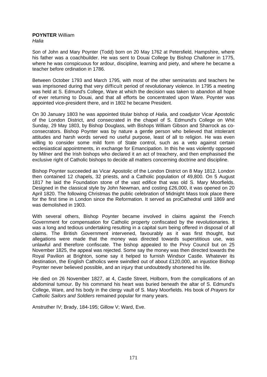#### **POYNTER** William *Halia*

Son of John and Mary Poynter (Todd) born on 20 May 1762 at Petersfield, Hampshire, where his father was a coachbuilder. He was sent to Douai College by Bishop Challoner in 1775, where he was conspicuous for ardour, discipline, learning and piety, and where he became a teacher before ordination in 1786.

Between October 1793 and March 1795, with most of the other seminarists and teachers he was imprisoned during that very difficult period of revolutionary violence. In 1795 a meeting was held at S. Edmund's College, Ware at which the decision was taken to abandon all hope of ever returning to Douai, and that all efforts be concentrated upon Ware. Poynter was appointed vice-president there, and in 1802 he became President.

On 30 January 1803 he was appointed titular bishop of *Halia,* and coadjutor Vicar Apostolic of the London District, and consecrated in the chapel of S. Edmund's College on Whit Sunday, 29 May 1803, by Bishop Douglass, with Bishops William Gibson and Sharrock as coconsecrators. Bishop Poynter was by nature a gentle person who believed that intolerant attitudes and harsh words served no useful purpose, least of all to religion. He was even willing to consider some mild form of State control, such as a veto against certain ecclesiastical appointments, in exchange for Emancipation. In this he was violently opposed by Milner and the Irish bishops who declared it an act of treachery, and then emphasised the exclusive right of Catholic bishops to decide all matters concerning doctrine and discipline.

Bishop Poynter succeeded as Vicar Apostolic of the London District on 8 May 1812. London then contained 12 chapels, 32 priests, and a Catholic population of 49,800. On 5 August 1817 he laid the Foundation stone of the vast edifice that was old S. Mary Moorfields. Designed in the classical style by John Newman, and costing £26,000, it was opened on 20 April 1820. The following Christmas the public celebration of Midnight Mass took place there for the first time in London since the Reformation. It served as proCathedral until 1869 and was demolished in 1903.

With several others, Bishop Poynter became involved in claims against the French Government for compensation for Catholic property confiscated by the revolutionaries. It was a long and tedious undertaking resulting in a capital sum being offered in disposal of all claims. The British Government intervened, favourably as it was first thought, but allegations were made that the money was directed towards superstitious use, was unlawful and therefore confiscate. The bishop appealed to the Privy Council but on 25 November 1825, the appeal was rejected. Some say the money was then directed towards the Royal Pavilion at Brighton, some say it helped to furnish Windsor Castle. Whatever its destination, the English Catholics were swindled out of about £120,000, an injustice Bishop Poynter never believed possible, and an injury that undoubtedly shortened his life.

He died on 26 November 1827, at 4, Castle Street, Holborn, from the complications of an abdominal tumour. By his command his heart was buried beneath the altar of S. Edmund's College, Ware, and his body in the clergy vault of S. Mary Moorfields. His book of *Prayers for Catholic Sailors and Soldiers* remained popular for many years.

Anstruther IV; Brady, 184-195; Gillow V; Ward, Eve.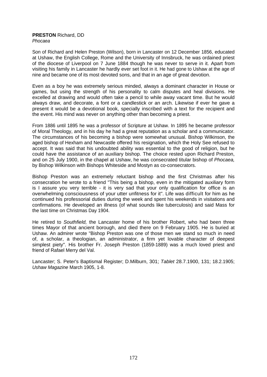#### **PRESTON** Richard, DD *Phocaea*

Son of Richard and Helen Preston (Wilson), born in Lancaster on 12 December 1856, educated at Ushaw, the English College, Rome and the University of Innsbruck, he was ordained priest of the diocese of Liverpool on 7 June 1884 though he was never to serve in it. Apart from visiting his family in Lancaster he hardly ever set foot in it. He had gone to Ushaw at the age of nine and became one of its most devoted sons, and that in an age of great devotion.

Even as a boy he was extremely serious minded, always a dominant character in House or games, but using the strength of his personality to calm disputes and heal divisions. He excelled at drawing and would often take a pencil to while away vacant time. But he would always draw, and decorate, a font or a candlestick or an arch. Likewise if ever he gave a present it would be a devotional book, specially inscribed with a text for the recipient and the event. His mind was never on anything other than becoming a priest.

From 1886 until 1895 he was a professor of Scripture at Ushaw. In 1895 he became professor of Moral Theology, and in his day he had a great reputation as a scholar and a communicator. The circumstances of his becoming a bishop were somewhat unusual. Bishop Wilkinson, the aged bishop of Hexham and Newcastle offered his resignation, which the Holy See refused to accept. It was said that his undoubted ability was essential to the good of religion, but he could have the assistance of an auxiliary bishop. The choice rested upon Richard Preston, and on 25 July 1900, in the chapel at Ushaw, he was consecrated titular bishop of *Phocaea,* by Bishop Wilkinson with Bishops Whiteside and Mostyn as co-consecrators.

Bishop Preston was an extremely reluctant bishop and the first Christmas after his consecration he wrote to a friend "This being a bishop, even in the mitigated auxiliary form is I assure you very terrible - it is very sad that your only qualification for office is an overwhelming consciousness of your utter unfitness for it". Life was difficult for him as he continued his professorial duties during the week and spent his weekends in visitations and confirmations. He developed an illness (of what sounds like tuberculosis) and said Mass for the last time on Christmas Day 1904.

He retired to *Southfield,* the Lancaster home of his brother Robert, who had been three times Mayor of that ancient borough, and died there on 9 February 1905. He is buried at Ushaw. An admirer wrote "Bishop Preston was one of those men we stand so much in need of, a scholar, a theologian, an administrator, a firm yet lovable character of deepest simplest piety". His brother Fr. Joseph Preston (1859-1889) was a much loved priest and friend of Rafael Merry del Val.

Lancaster; S. Peter's Baptismal Register; D.Milburn, 301; *Tablet* 28.7.1900, 131; 18.2.1905; *Ushaw Magazine* March 1905, 1-8.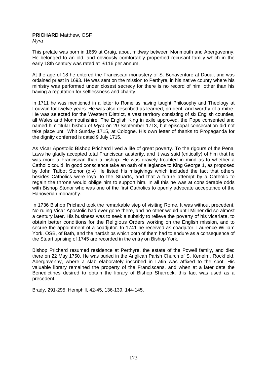## **PRICHARD** Matthew, OSF *Myra*

This prelate was born in 1669 at Graig, about midway between Monmouth and Abergavenny. He belonged to an old, and obviously comfortably propertied recusant family which in the early 18th century was rated at £116 per annum.

At the age of 18 he entered the Franciscan monastery of S. Bonaventure at Douai, and was ordained priest in 1693. He was sent on the mission to Perthyre, in his native county where his ministry was performed under closest secrecy for there is no record of him, other than his having a reputation for selflessness and charity.

In 1711 he was mentioned in a letter to Rome as having taught Philosophy and Theology at Louvain for twelve years. He was also described as learned, prudent, and worthy of a mitre. He was selected for the Western District, a vast territory consisting of six English counties, all Wales and Monmouthshire. The English King in exile approved, the Pope consented and named him titular bishop of *Myra* on 20 September 1713, but episcopal consecration did not take place until Whit Sunday 1715, at Cologne. His own letter of thanks to Propaganda for the dignity conferred is dated 9 July 1715.

As Vicar Apostolic Bishop Prichard lived a life of great poverty. To the rigours of the Penal Laws he gladly accepted total Franciscan austerity, and it was said (critically) of him that he was more a Franciscan than a bishop. He was gravely troubled in mind as to whether a Catholic could, in good conscience take an oath of allegiance to King George 1, as proposed by John Talbot Stonor (q.v) He listed his misgivings which included the fact that others besides Catholics were loyal to the Stuarts, and that a future attempt by a Catholic to regain the throne would oblige him to support him. In all this he was at considerable odds with Bishop Stonor who was one of the first Catholics to openly advocate acceptance of the Hanoverian monarchy.

In 1736 Bishop Prichard took the remarkable step of visiting Rome. It was without precedent. No ruling Vicar Apostolic had ever gone there, and no other would until Milner did so almost a century later. His business was to seek a subsidy to relieve the poverty of his vicariate, to obtain better conditions for the Religious Orders working on the English mission, and to secure the appointment of a coadjutor. In 1741 he received as coadjutor, Laurence William York, OSB, of Bath, and the hardships which both of them had to endure as a consequence of the Stuart uprising of 1745 are recorded in the entry on Bishop York.

Bishop Prichard resumed residence at Perthyre, the estate of the Powell family, and died there on 22 May 1750. He was buried in the Anglican Parish Church of S. Kenelm, Rockfield, Abergavenny, where a slab elaborately inscribed in Latin was affixed to the spot. His valuable library remained the property of the Franciscans, and when at a later date the Benedictines desired to obtain the library of Bishop Sharrock, this fact was used as a precedent.

Brady, 291-295; Hemphill, 42-45, 136-139, 144-145.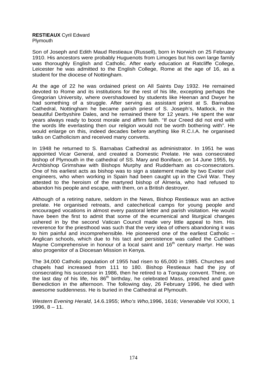#### **RESTIEAUX** Cyril Edward Plymouth

Son of Joseph and Edith Maud Restieaux (Russell), born in Norwich on 25 February 1910. His ancestors were probably Huguenots from Limoges but his own large family was thoroughly English and Catholic. After early education at Ratcliffe College, Leicester he was admitted to the English College, Rome at the age of 16, as a student for the diocese of Nottingham.

At the age of 22 he was ordained priest on All Saints Day 1932. He remained devoted to Rome and its institutions for the rest of his life, excepting perhaps the Gregorian University, where overshadowed by students like Heenan and Dwyer he had something of a struggle. After serving as assistant priest at S. Barnabas Cathedral, Nottingham he became parish priest of S. Joseph's, Matlock, in the beautiful Derbyshire Dales, and he remained there for 12 years. He spent the war years always ready to boost morale and affirm faith. "If our Creed did not end with the words life everlasting then our religion would not be worth bothering with". He would enlarge on this, indeed decades before anything like R.C.I.A. he organised talks on Catholicism and received many converts.

In 1948 he returned to S. Barnabas Cathedral as administrator. In 1951 he was appointed Vicar General, and created a Domestic Prelate. He was consecrated bishop of Plymouth in the cathedral of SS. Mary and Boniface, on 14 June 1955, by Archbishop Grimshaw with Bishops Murphy and Rudderham as co-consecrators. One of his earliest acts as bishop was to sign a statement made by two Exeter civil engineers, who when working in Spain had been caught up in the Civil War. They attested to the heroism of the martyred bishop of Almeria, who had refused to abandon his people and escape, with them, on a British destroyer.

Although of a retiring nature, seldom in the News, Bishop Restieaux was an active prelate. He organised retreats, and catechetical camps for young people and encouraged vocations in almost every pastoral letter and parish visitation. He would have been the first to admit that some of the ecumenical and liturgical changes ushered in by the second Vatican Council made very little appeal to him. His reverence for the priesthood was such that the very idea of others abandoning it was to him painful and incomprehensible. He pioneered one of the earliest Catholic – Anglican schools, which due to his tact and persistence was called the Cuthbert Mayne Comprehensive in honour of a local saint and  $16<sup>th</sup>$  century martyr. He was also progenitor of a Diocesan Mission in Kenya.

The 34,000 Catholic population of 1955 had risen to 65,000 in 1985. Churches and chapels had increased from 111 to 180. Bishop Restieaux had the joy of consecrating his successor in 1986, then he retired to a Torquay convent. There, on the last day of his life, his  $86<sup>th</sup>$  birthday, he celebrated Mass, preached and gave Benediction in the afternoon. The following day, 26 February 1996, he died with awesome suddenness. He is buried in the Cathedral at Plymouth.

*Western Evening Herald*, 14.6.1955; *Who's Who,*1996, 1616; *Venerabile* Vol XXXI, 1 1996,  $8 - 11$ .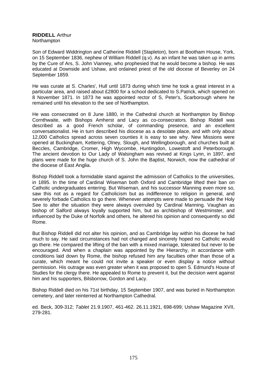#### **RIDDELL** Arthur **Northampton**

Son of Edward Widdrington and Catherine Riddell (Stapleton), born at Bootham House, York, on 15 September 1836, nephew of William Riddell (q.v). As an infant he was taken up in arms by the Cure of Ars, S. John Vianney, who prophesied that he would become a bishop. He was educated at Downside and Ushaw, and ordained priest of the old diocese of Beverley on 24 September 1859.

He was curate at S. Charles', Hull until 1873 during which time he took a great interest in a particular area, and raised about £2800 for a school dedicated to S.Patrick, which opened on 8 November 1871. In 1873 he was appointed rector of S, Peter's, Scarborough where he remained until his elevation to the see of Northampton.

He was consecrated on 8 June 1880, in the Cathedral church at Northampton by Bishop Cornthwaite, with Bishops Amherst and Lacy as co-consecrators. Bishop Riddell was described as a good French scholar, of commanding presence, and an excellent conversationalist. He in turn described his diocese as a desolate place, and with only about 12,000 Catholics spread across seven counties it is easy to see why. New Missions were opened at Buckingham, Kettering, Olney, Slough, and Wellingborough, and churches built at Beccles, Cambridge, Cromer, High Wycombe, Huntingdon, Lowestoft and Peterborough. The ancient devotion to Our Lady of Walsingham was revived at Kings Lynn, in 1897, and plans were made for the huge church of S. John the Baptist, Norwich, now the cathedral of the diocese of East Anglia.

Bishop Riddell took a formidable stand against the admission of Catholics to the universities, in 1895. In the time of Cardinal Wiseman both Oxford and Cambridge lifted their ban on Catholic undergraduates entering. But Wiseman, and his successor Manning even more so, saw this not as a regard for Catholicism but as indifference to religion in general, and severely forbade Catholics to go there. Whenever attempts were made to persuade the Holy See to alter the situation they were always overruled by Cardinal Manning. Vaughan as bishop of Salford always loyally supported him, but as archbishop of Westminster, and influenced by the Duke of Norfolk and others, he altered his opinion and consequently so did Rome.

But Bishop Riddell did not alter his opinion, and as Cambridge lay within his diocese he had much to say. He said circumstances had not changed and sincerely hoped no Catholic would go there. He compared the lifting of the ban with a mixed marriage, tolerated but never to be encouraged. And when a chaplain was appointed by the Hierarchy, in accordance with conditions laid down by Rome, the bishop refused him any faculties other than those of a curate, which meant he could not invite a speaker or even display a notice without permission. His outrage was even greater when it was proposed to open S. Edmund's House of Studies for the clergy there. He appealed to Rome to prevent it, but the decision went against him and his supporters, Bilsborrow, Gordon and Lacy.

Bishop Riddell died on his 71st birthday, 15 September 1907, and was buried in Northampton cemetery, and later reinterred at Northampton Cathedral.

ed. Beck, 309-312; *Tablet* 21.9.1907, 461-462. 26.11.1921, 698-699; Ushaw Magazine XVII, 279-281.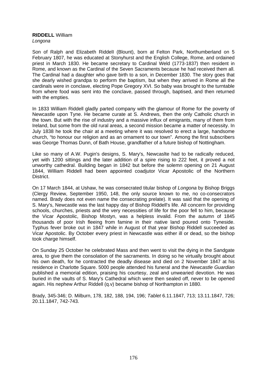# **RIDDELL** William

*Longona* 

Son of Ralph and Elizabeth RiddelI (Blount), born at Felton Park, Northumberland on 5 February 1807, he was educated at Stonyhurst and the English College, Rome, and ordained priest in March 1830. He became secretary to Cardinal Weld (1773-1837) then resident in Rome, and known as the Cardinal of the Seven Sacraments because he had received them all. The Cardinal had a daughter who gave birth to a son, in December 1830. The story goes that she dearly wished grandpa to perform the baptism, but when they arrived in Rome all the cardinals were in conclave, electing Pope Gregory XVI. So baby was brought to the turntable from where food was sent into the conclave, passed through, baptised, and then returned with the empties.

In 1833 William Riddell gladly parted company with the glamour of Rome for the poverty of Newcastle upon Tyne. He became curate at S. Andrews, then the only Catholic church in the town. But with the rise of industry and a massive influx of emigrants, many of them from Ireland, but some from the old rural areas, a second mission became a matter of necessity. In July 1838 he took the chair at a meeting where it was resolved to erect a large, handsome church, "to honour our religion and as an ornament to our town". Among the first subscribers was George Thomas Dunn, of Bath House, grandfather of a future bishop of Nottingham.

Like so many of A.W. Pugin's designs, S. Mary's, Newcaslte had to be radically reduced, yet with 1200 sittings and the later addition of a spire rising to 222 feet, it proved a not unworthy cathedral. Building began in 1842 but before the solemn opening on 21 August 1844, William Riddell had been appointed coadjutor Vicar Apostolic of the Northern District.

On 17 March 1844, at Ushaw, he was consecrated titular bishop of *Longona* by Bishop Briggs (Clergy Review, September 1950, 148, the only source known to me, no co-consecrators named. Brady does not even name the consecrating prelate). It was said that the opening of S. Mary's, Newcastle was the last happy day of Bishop Riddell's life. All concern for providing schools, churches, priests and the very necessities of life for the poor fell to him, because the Vicar Apostolic, Bishop Mostyn, was a helpless invalid. From the autumn of 1845 thousands of poor Irish fleeing from famine in their native land poured onto Tyneside. Typhus fever broke out in 1847 while in August of that year Bishop Riddell succeeded as Vicar Apostolic. By October every priest in Newcastle was either ill or dead, so the bishop took charge himself.

On Sunday 25 October he celebrated Mass and then went to visit the dying in the Sandgate area, to give them the consolation of the sacraments. In doing so he virtually brought about his own death, for he contracted the deadly disease and died on 2 November 1847 at his residence in Charlotte Square. 5000 people attended his funeral and the *Newcastle Guardian* published a memorial edition, praising his courtesy, zeal and unwearied devotion. He was buried in the vaults of S. Mary's Cathedral which were then sealed off, never to be opened again. His nephew Arthur Riddell (q.v) became bishop of Northampton in 1880.

Brady, 345-346; D. Milburn, 178, 182, 188, 194, 196; *Tablet* 6.11.1847, 713; 13.11.1847, 726; 20.11.1847, 742-743.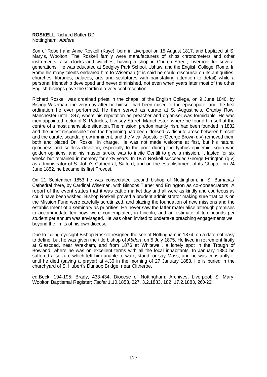#### **ROSKELL** Richard Butler DD Nottingham; *Abdera*

Son of Robert and Anne Roskell (Kaye), born in Liverpool on 15 August 1817, and baptized at S. Mary's, Woolton. The Roskell family were manufacturers of ships chronometers and other instruments, also clocks and watches, having a shop in Church Street, Liverpool for several generations. He was educated at Sedgley Park School, Ushaw, and the English College, Rome. In Rome his many talents endeared him to Wiseman (it is said he could discourse on its antiquities, churches, libraries, palaces, arts and sculptures with painstaking attention to detail) while a personal friendship developed and never diminished, not even when years later most of the other English bishops gave the Cardinal a very cool reception.

Richard Roskell was ordained priest in the chapel of the English College, on 9 June 1840, by Bishop Wiseman, the very day after he himself had been raised to the episcopate, and the first ordination he ever performed. He then served as curate at S. Augustine's, Granby Row, Manchester until 1847, where his reputation as preacher and organiser was formidable. He was then appointed rector of S. Patrick's, Livesey Street, Manchester, where he found himself at the centre of a most unenviable situation. The mission, predominantly Irish, had been founded in 1832 and the priest responsible from the beginning had been idolised. A dispute arose between himself and the curate, scandal grew imminent, and the Vicar Apostolic (George Brown q.v) removed them both and placed Dr. Roskell in charge. He was not made welcome at first, but his natural goodness and selfless devotion, especially to the poor during the typhus epidemic, soon won golden opinions, and his master stroke was to invite Gentili to give a mission. It lasted for six weeks but remained in memory for sixty years. In 1851 Roskell succeeded George Errington (q.v) as administrator of S. John's Cathedral, Salford, and on the establishment of its Chapter on 24 June 1852, he became its first Provost.

On 21 September 1853 he was consecrated second bishop of Nottingham, in S. Barnabas' Cathedral there, by Cardinal Wiseman, with Bishops Turner and Errington as co-consecrators. A report of the event states that it was cattle market day and all were as kindly and courteous as could have been wished. Bishop Roskell proved a prudent administrator making sure that calls on the Mission Fund were carefully scrutinized, and placing the foundation of new missions and the establishment of a seminary as priorities. He never saw the latter materialise although premises to accommodate ten boys were contemplated, in Lincoln, and an estimate of ten pounds per student per annum was envisaged. He was often invited to undertake preaching engagements well beyond the limits of his own diocese.

Due to failing eyesight Bishop Roskell resigned the see of Nottingham in 1874, on a date not easy to define, but he was given the title bishop of *Abdera* on 5 July 1875. He lived in retirement firstly at Glascoed, near Wrexham, and from 1876 at Whitewell, a lonely spot in the Trough of Bowland, where he was on excellent terms with all the local inhabitants. In January 1880 he suffered a seizure which left him unable to walk, stand, or say Mass, and he was constantly ill until he died (saying a prayer) at 4.30 in the morning of 27 January 1883. He is buried in the churchyard of S. Hubert's Dunsop Bridge, near Clitheroe.

ed.Beck, 194-195; Brady, 433-434; Diocese of Nottingham: Archives; Liverpool: S. Mary, Woolton Baptismal Register; *Tablet* 1.10.1853, 627, 3.2.1883, 182, 17.2.1883, 260-26!.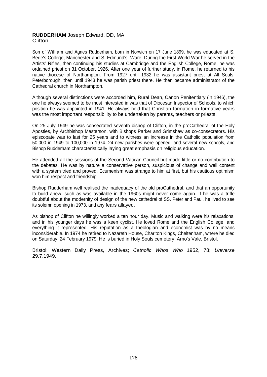## **RUDDERHAM** Joseph Edward, DD, MA **Clifton**

Son of William and Agnes Rudderham, born in Norwich on 17 June 1899, he was educated at S. Bede's College, Manchester and S. Edmund's, Ware. During the First World War he served in the Artists' Rifles, then continuing his studies at Cambridge and the English College, Rome, he was ordained priest on 31 October, 1926. After one year of further study, in Rome, he returned to his native diocese of Northampton. From 1927 until 1932 he was assistant priest at All Souls, Peterborough, then until 1943 he was parish priest there. He then became administrator of the Cathedral church in Northampton.

Although several distinctions were accorded him, Rural Dean, Canon Penitentiary (in 1946), the one he always seemed to be most interested in was that of Diocesan Inspector of Schools, to which position he was appointed in 1941. He always held that Christian formation in formative years was the most important responsibility to be undertaken by parents, teachers or priests.

On 25 July 1949 he was consecrated seventh bishop of Clifton, in the proCathedral of the Holy Apostles, by Archbishop Masterson, with Bishops Parker and Grimshaw as co-consecrators. His episcopate was to last for 25 years and to witness an increase in the Catholic population from 50,000 in 1949 to 100,000 in 1974. 24 new parishes were opened, and several new schools, and Bishop Rudderham characteristically laying great emphasis on religious education.

He attended all the sessions of the Second Vatican Council but made little or no contribution to the debates. He was by nature a conservative person, suspicious of change and well content with a system tried and proved. Ecumenism was strange to him at first, but his cautious optimism won him respect and friendship.

Bishop Rudderham well realised the inadequacy of the old proCathedral, and that an opportunity to build anew, such as was available in the 1960s might never come again. If he was a trifle doubtful about the modernity of design of the new cathedral of SS. Peter and Paul, he lived to see its solemn opening in 1973, and any fears allayed.

As bishop of Clifton he willingly worked a ten hour day. Music and walking were his relaxations, and in his younger days he was a keen cyclist. He loved Rome and the English College, and everything it represented. His reputation as a theologian and economist was by no means inconsiderable. In 1974 he retired to Nazareth House, Charlton Kings, Cheltenham, where he died on Saturday, 24 February 1979. He is buried in Holy Souls cemetery, Arno's Vale, Bristol.

Bristol: Western Daily Press, Archives; *Catholic Whos Who* 1952, 78; *Universe* 29.7.1949.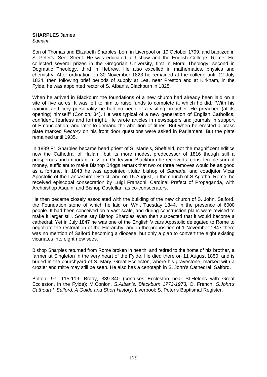## **SHARPLES** James

*Samaria* 

Son of Thomas and Elizabeth Sharples, born in Liverpool on 19 October 1799, and baptized in S. Peter's, Seel Street. He was educated at Ushaw and the English College, Rome. He collected several prizes in the Gregorian University, first in Moral Theology, second in Dogmatic Theology, third in Hebrew. He also excelled in mathematics, physics and chemistry. After ordination on 30 November 1823 he remained at the college until 12 July 1824, then following brief periods of supply at Lea, near Preston and at Kirkham, in the Fylde, he was appointed rector of S. AIban's, Blackburn in 1825.

When he arrived in Blackburn the foundations of a new church had already been laid on a site of five acres. It was left to him to raise funds to complete it, which he did. "With his training and fiery personality he had no need of a visiting preacher. He preached (at its opening) himself" (Conlon, 34). He was typical of a new generation of English Catholics, confident, fearless and forthright. He wrote articles in newspapers and journals in support of Emancipation, and later to demand the abolition of tithes. But when he erected a brass plate marked *Rectory* on his front door questions were asked in Parliament. But the plate remained until 1935.

In 1839 Fr. Sharples became head priest of S. Marie's, Sheffield, not the magnificent edifice now the Cathedral of Hallam, but its more modest predecessor of 1816 though still a prosperous and important mission. On leaving Blackburn he received a considerable sum of money, sufficient to make Bishop Briggs remark that two or three removes would be as good as a fortune. In 1843 he was appointed titular bishop of *Samaria,* and coadjutor Vicar Apostolic of the Lancashire District, and on 15 August, in the church of S.Agatha, Rome, he received episcopal consecration by Luigi Fransoni, Cardinal Prefect of Propaganda, with Archbishop Asquini and Bishop Castellani as co-consecrators.

He then became closely associated with the building of the new church of S. John, Salford, the Foundation stone of which he laid on Whit Tuesday 1844, in the presence of 6000 people. It had been conceived on a vast scale, and during construction plans were revised to make it larger still. Some say Bishop Sharpies even then suspected that it would become a cathedral. Yet in July 1847 he was one of the English Vicars Apostolic delegated to Rome to negotiate the restoration of the Hierarchy, and in the proposition of 1 November 1847 there was no mention of Salford becoming a diocese, but only a plan to convert the eight existing vicariates into eight new sees.

Bishop Sharples returned from Rome broken in health, and retired to the home of his brother, a farmer at Singleton in the very heart of the Fylde. He died there on 11 August 1850, and is buried in the churchyard of S. Mary, Great Eccleston, where his gravestone, marked with a crozier and mitre may still be seen. He also has a cenotaph in S. John's Cathedral, Salford.

Bolton, 97, 115-119; Brady, 339-340 (confuses Eccleston near St.Helens with Great Eccleston, in the Fylde); M.Conlon, *S.AIban's, Blackburn 1773-1973;* O. French, *S.John's Cathedral, Salford. A Guide and Short History;* Liverpool: S. Peter's Baptismal Register.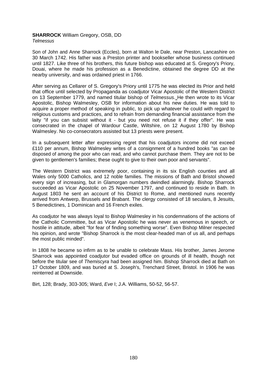# **SHARROCK** William Gregory, OSB, DD

*Telmessus* 

Son of John and Anne Sharrock (Eccles), born at Walton le Dale, near Preston, Lancashire on 30 March 1742. His father was a Preston printer and bookseller whose business continued until 1827. Like three of his brothers, this future bishop was educated at S. Gregory's Priory, Douai, where he made his profession as a Benedictine, obtained the degree DD at the nearby university, and was ordained priest in 1766.

After serving as Cellarer of S. Gregory's Priory until 1775 he was elected its Prior and held that office until selected by Propaganda as coadjutor Vicar Apostolic of the Western District on 13 September 1779, and named titular bishop of *Telmessus.* He then wrote to its Vicar Apostolic, Bishop Walmesley, OSB for information about his new duties. He was told to acquire a proper method of speaking in public, to pick up whatever he could with regard to religious customs and practices, and to refrain from demanding financial assistance from the laity "if you can subsist without it - but you need not refuse it if they offer". He was consecrated in the chapel of Wardour Castle, Wiltshire, on 12 August 1780 by Bishop Walmesley. No co-consecrators assisted but 13 priests were present.

In a subsequent letter after expressing regret that his coadjutors income did not exceed £110 per annum, Bishop Walmesley writes of a consignment of a hundred books "as can be disposed of among the poor who can read, and who cannot purchase them. They are not to be given to gentlemen's families; these ought to give to their own poor and servants".

The Western District was extremely poor, containing in its six English counties and all Wales only 5000 Catholics, and 12 noble families. The missions of Bath and Bristol showed every sign of increasing, but in Glamorgan numbers dwindled alarmingly. Bishop Sharrock succeeded as Vicar Apostolic on 25 November 1797, and continued to reside in Bath. In August 1803 he sent an account of his District to Rome, and mentioned nuns recently arrived from Antwerp, Brussels and Brabant. The clergy consisted of 18 seculars, 8 Jesuits, 5 Benedictines, 1 Dominican and 16 French exiles.

As coadjutor he was always loyal to Bishop Walmesley in his condemnations of the actions of the Catholic Committee, but as Vicar Apostolic he was never as venemous in speech, or hostile in attitude, albeit "for fear of finding something worse". Even Bishop Milner respected his opinion, and wrote "Bishop Sharrock is the most clear-headed man of us all, and perhaps the most public minded".

In 1808 he became so infirm as to be unable to celebrate Mass. His brother, James Jerome Sharrock was appointed coadjutor but evaded office on grounds of ill health, though not before the titular see of *Themiscyra* had been assigned him. Bishop Sharrock died at Bath on 17 October 1809, and was buried at S. Joseph's, Trenchard Street, Bristol. In 1906 he was reinterred at Downside.

Birt, 128; Brady, 303-305; Ward, *Eve* I; J.A. Williams, 50-52, 56-57.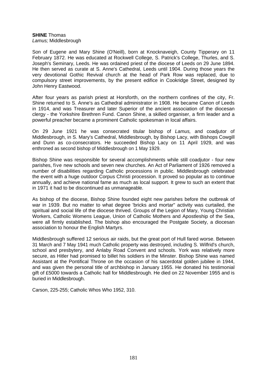#### **SHINE** Thomas *Lamus;* Middlesbrough

Son of Eugene and Mary Shine (O'Neill), born at Knocknaveigh, County Tipperary on 11 February 1872. He was educated at Rockwell College, S. Patrick's College, Thurles, and S. Joseph's Seminary, Leeds. He was ordained priest of the diocese of Leeds on 29 June 1894. He then served as curate at S. Anne's Cathedral, Leeds until 1904. During those years the very devotional Gothic Revival church at the head of Park Row was replaced, due to compulsory street improvements, by the present edifice in Cookridge Street, designed by John Henry Eastwood.

After four years as parish priest at Horsforth, on the northern confines of the city, Fr. Shine returned to S. Anne's as Cathedral administrator in 1908. He became Canon of Leeds in 1914, and was Treasurer and later Superior of the ancient association of the diocesan clergy - the Yorkshire Brethren Fund. Canon Shine, a skilled organiser, a firm leader and a powerful preacher became a prominent Catholic spokesman in local affairs.

On 29 June 1921 he was consecrated titular bishop of *Lamus,* and coadjutor of Middlesbrough, in S. Mary's Cathedral, Middlesbrough, by Bishop Lacy, with Bishops Cowgill and Dunn as co-consecrators. He succeeded Bishop Lacy on 11 April 1929, and was enthroned as second bishop of Middlesbrough on 1 May 1929.

Bishop Shine was responsible for several accomplishments while still coadjutor - four new parishes, five new schools and seven new churches. An Act of Parliament of 1926 removed a number of disabilities regarding Catholic processions in public. Middlesbrough celebrated the event with a huge outdoor Corpus Christi procession. It proved so popular as to continue annually, and achieve national fame as much as local support. It grew to such an extent that in 1971 it had to be discontinued as unmanageable.

As bishop of the diocese, Bishop Shine founded eight new parishes before the outbreak of war in 1939. But no matter to what degree 'bricks and mortar" activity was curtailed, the spiritual and social life of the diocese thrived. Groups of the Legion of Mary, Young Christian Workers, Catholic Womens League, Union of Catholic Mothers and Apostleship of the Sea, were all firmly established. The bishop also encouraged the Postgate Society, a diocesan association to honour the English Martyrs.

Middlesbrough suffered 12 serious air raids, but the great port of Hull fared worse. Between 31 March and 7 May 1941 much Catholic property was destroyed, including S. Wilfrid's church, school and presbytery, and Anlaby Road Convent and schools. York was relatively more secure, as Hitler had promised to billet his soldiers in the Minster. Bishop Shine was named Assistant at the Pontifical Throne on the occasion of his sacerdotal golden jubilee in 1944, and was given the personal title of archbishop in January 1955. He donated his testimonial gift of £5000 towards a Catholic hall for Middlesbrough. He died on 22 November 1955 and is buried in Middlesbrough.

Carson, 225-255; Catholic Whos Who 1952, 310.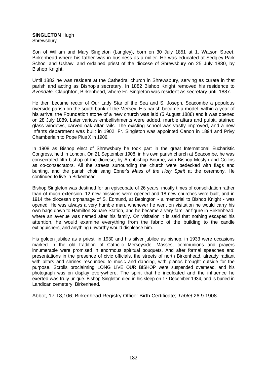## **SINGLETON** Hugh

Shrewsbury

Son of William and Mary Singleton (Langley), born on 30 July 1851 at 1, Watson Street, Birkenhead where his father was in business as a miller. He was educated at Sedgley Park School and Ushaw, and ordained priest of the diocese of Shrewsbury on 25 July 1880, by Bishop Knight.

Until 1882 he was resident at the Cathedral church in Shrewsbury, serving as curate in that parish and acting as Bishop's secretary. In 1882 Bishop Knight removed his residence to *Avondale,* Claughton, Birkenhead, where Fr. Singleton was resident as secretary until 1887.

He then became rector of Our Lady Star of the Sea and S. Joseph, Seacombe a populous riverside parish on the south bank of the Mersey. His parish became a model, within a year of his arrival the Foundation stone of a new church was laid (5 August 1888) and it was opened on 28 July 1889. Later various embellishments were added, marble altars and pulpit, stained glass windows, carved oak altar rails. The existing school was vastly improved, and a new Infants department was built in 1902. Fr. Singleton was appointed Canon in 1894 and Privy Chamberlain to Pope Pius X in 1906.

In 1908 as Bishop elect of Shrewsbury he took part in the great International Eucharistic Congress, held in London. On 21 September 1908, in his own parish church at Seacombe, he was consecrated fifth bishop of the diocese, by Archbishop Bourne, with Bishop Mostyn and Collins as co-consecrators. All the streets surrounding the church were bedecked with flags and bunting, and the parish choir sang Ebner's *Mass of the Holy Spirit* at the ceremony. He continued to live in Birkenhead.

Bishop Singleton was destined for an episcopate of 26 years, mostly times of consolidation rather than of much extension. 12 new missions were opened and 18 new churches were built, and in 1914 the diocesan orphanage of S. Edmund, at Bebington - a memorial to Bishop Knight - was opened. He was always a very humble man, whenever he went on visitation he would carry his own bags down to Hamilton Square Station, and he became a very familiar figure in Birkenhead, where an avenue was named after his family. On visitation it is said that nothing escaped his attention, he would examine everything from the fabric of the building to the candle extinguishers, and anything unworthy would displease him.

His golden jubilee as a priest, in 1930 and his silver jubilee as bishop, in 1933 were occasions marked in the old tradition of Catholic Merseyside. Masses, communions and prayers innumerable were promised in enormous spiritual bouquets. And after formal speeches and presentations in the presence of civic officials, the streets of north Birkenhead, already radiant with altars and shrines resounded to music and dancing, with pianos brought outside for the purpose. Scrolls proclaiming LONG LIVE OUR BISHOP were suspended overhead, and his photograph was on display everywhere. The spirit that he inculcated and the influence he exerted was truly unique. Bishop Singleton died in his sleep on 17 December 1934, and is buried in Landican cemetery, Birkenhead.

Abbot, 17-18,106; Birkenhead Registry Office: Birth Certificate; *Tablet* 26.9.1908.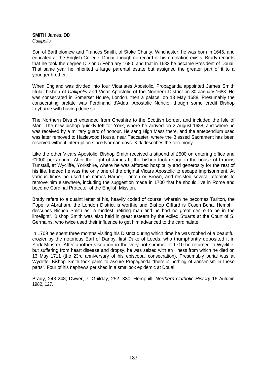**SMITH** James, DD *Callipolis* 

Son of Bartholomew and Frances Smith, of Stoke Charity, Winchester, he was born in 1645, and educated at the English College, Douai, though no record of his ordination exists. Brady records that he took the degree DD on 5 February 1680, and that in 1682 he became President of Douai. That same year he inherited a large parental estate but assigned the greater part of it to a younger brother.

When England was divided into four Vicariates Apostolic, Propaganda appointed James Smith titular bishop of *Callipolis* and Vicar Apostolic of the Northern District on 30 January 1688. He was consecrated in Somerset House, London, then a palace, on 13 May 1688. Presumably the consecrating prelate was Ferdinand d'Adda, Apostolic Nuncio, though some credit Bishop Leyburne with having done so.

The Northern District extended from Cheshire to the Scottish border, and included the Isle of Man. The new bishop quickly left for York, where he arrived on 2 August 1688, and where he was received by a military guard of honour. He sang High Mass there, and the antependium used was later removed to Hazlewood House, near Tadcaster, where the Blessed Sacrament has been reserved without interruption since Norman days. Kirk describes the ceremony.

Like the other Vicars Apostolic, Bishop Smith received a stipend of £500 on entering office and £1000 per annum. After the flight of James II, the bishop took refuge in the house of Francis Tunstall, at Wycliffe, Yorkshire, where he was afforded hospitality and generosity for the rest of his life. Indeed he was the only one of the original Vicars Apostolic to escape imprisonment. At various times he used the names Harper, Tarlton or Brown, and resisted several attempts to remove him elsewhere, including the suggestion made in 1700 that he should live in Rome and become Cardinal Protector of the English Mission.

Brady refers to a quaint letter of his, heavily coded of course, wherein he becomes Tarlton, the Pope is Abraham, the London District is worthie and Bishop Giffard is Cosen Bona. Hemphill describes Bishop Smith as "a modest, retiring man and he had no great desire to be in the limelight". Bishop Smith was also held in great esteem by the exiled Stuarts at the Court of S. Germains, who twice used their influence to get him advanced to the cardinalate.

In 1709 he spent three months visiting his District during which time he was robbed of a beautiful crozier by the notorious Earl of Danby, first Duke of Leeds, who triumphantly deposited it in York Minster. After another visitation in the very hot summer of 1710 he returned to Wycliffe, but suffering from heart disease and dropsy, he was seized with an illness from which he died on 13 May 1711 (the 23rd anniversary of his episcopal consecration). Presumably burial was at Wycliffe. Bishop Smith took pains to assure Propaganda "there is nothing of Jansenism in these parts". Four of his nephews perished in a smallpox epidemic at Douai.

Brady, 243-248; Dwyer, 7; Guilday, 252, 330; Hemphill; *Northern Catholic History* 16 Autumn 1982, 127.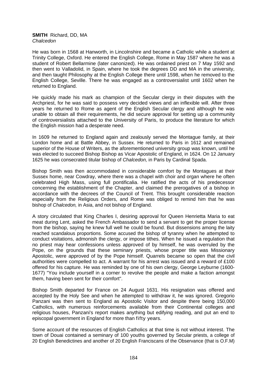#### **SMITH** Richard, DD, MA *Chalcedon*

He was born in 1568 at Hanworth, in Lincolnshire and became a Catholic while a student at Trinity College, Oxford. He entered the English College, Rome in May 1587 where he was a student of Robert Bellarmine (later canonized). He was ordained priest on 7 May 1592 and then went to Valladolid, in Spain, where he took the degrees DD and MA in the university, and then taught Philosophy at the English College there until 1598, when he removed to the English College, Seville. There he was engaged as a controversialist until 1602 when he returned to England.

He quickly made his mark as champion of the Secular clergy in their disputes with the Archpriest, for he was said to possess very decided views and an inflexible will. After three years he returned to Rome as agent of the English Secular clergy and although he was unable to obtain all their requirements, he did secure approval for setting up a community of controversialists attached to the University of Paris, to produce the literature for which the English mission had a desperate need.

In 1609 he returned to England again and zealously served the Montague family, at their London home and at Battle Abbey, in Sussex. He returned to Paris in 1612 and remained superior of the House of Writers, as the aforementioned university group was known, until he was elected to succeed Bishop Bishop as Vicar Apostolic of England, in 1624. On 12 January 1625 he was consecrated titular bishop of *Chalcedon,* in Paris by Cardinal Spada.

Bishop Smith was then accommodated in considerable comfort by the Montagues at their Sussex home, near Cowdray, where there was a chapel with choir and organ where he often celebrated High Mass, using full pontificalia. He ratified the acts of his predecessor concerning the establishment of the Chapter, and claimed the prerogatives of a bishop in accordance with the decrees of the Council of Trent. This brought considerable reaction especially from the Religious Orders, and Rome was obliged to remind him that he was bishop of *Chalcedon,* in Asia, and not bishop of England.

A story circulated that King Charles I, desiring approval for Queen Henrietta Maria to eat meat during Lent, asked the French Ambassador to send a servant to get the proper license from the bishop, saying he knew full well he could be found. But dissensions among the laity reached scandalous proportions. Some accused the bishop of tyranny when he attempted to conduct visitations, admonish the clergy, or impose tithes. When he issued a regulation that no priest may hear confessions unless approved of by himself, he was overruled by the Pope, on the grounds that these seminary priests, whose proper title was Missionary Apostolic, were approved of by the Pope himself. Quarrels became so open that the civil authorities were compelled to act. A warrant for his arrest was issued and a reward of £100 offered for his capture. He was reminded by one of his own clergy, George Leyburne (1600- 1677) "You include yourself in a corner to revolve the people and make a faction amongst them, having been sent for their comfort".

Bishop Smith departed for France on 24 August 1631. His resignation was offered and accepted by the Holy See and when he attempted to withdraw it, he was ignored. Gregorio Panzani was then sent to England as Apostolic Visitor and despite there being 150,000 Catholics, with numerous reinforcements available from their Continental colleges and religious houses, Panzani's report makes anything but edifying reading, and put an end to episcopal government in England for more than fifty years.

Some account of the resources of English Catholics at that time is not without interest. The town of Douai contained a seminary of 100 youths governed by Secular priests, a college of 20 English Benedictines and another of 20 English Franciscans of the Observance (that is O.F.M)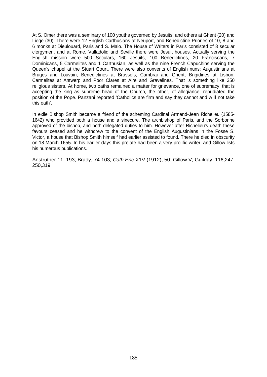At S. Omer there was a seminary of 100 youths governed by Jesuits, and others at Ghent (20) and Liege (30). There were 12 English Carthusians at Neuport, and Benedictine Priories of 10, 8 and 6 monks at Dieulouard, Paris and S. Malo. The House of Writers in Paris consisted of 8 secular clergymen, and at Rome, Valladolid and Seville there were Jesuit houses. Actually serving the English mission were 500 Seculars, 160 Jesuits, 100 Benedictines, 20 Franciscans, 7 Dominicans, 5 Carmelites and 1 Carthusian, as well as the nine French Capuchins serving the Queen's chapel at the Stuart Court. There were also convents of English nuns: Augustinians at Bruges and Louvain, Benedictines at Brussels, Cambrai and Ghent, Brigidines at Lisbon, Carmelites at Antwerp and Poor Clares at Aire and Gravelines. That is something like 350 religious sisters. At home, two oaths remained a matter for grievance, one of supremacy, that is accepting the king as supreme head of the Church, the other, of allegiance, repudiated the position of the Pope. Panzani reported 'Catholics are firm and say they cannot and will not take this oath'.

In exile Bishop Smith became a friend of the scheming Cardinal Armand-Jean Richelieu (1585- 1642) who provided both a house and a sinecure. The archbishop of Paris, and the Sorbonne approved of the bishop, and both delegated duties to him. However after Richelieu's death these favours ceased and he withdrew to the convent of the English Augustinians in the Fosse S. Victor, a house that Bishop Smith himself had earlier assisted to found. There he died in obscurity on 18 March 1655. In his earlier days this prelate had been a very prolific writer, and Gillow lists his numerous publications.

Anstruther 11, 193; Brady, 74-103; *Cath.Enc* X1V (1912), 50; Gillow V; Guilday, 116,247, 250,319.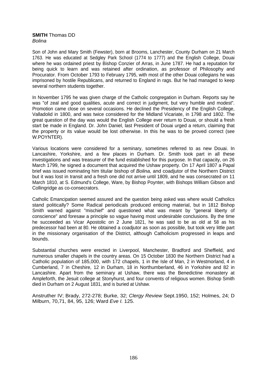#### **SMITH** Thomas DD *Bolina*

Son of John and Mary Smith (Fewster), born at Brooms, Lanchester, County Durham on 21 March 1763. He was educated at Sedgley Park School (1774 to 1777) and the English College, Douai where he was ordained priest by Bishop Conzier of Arras, in June 1787. He had a reputation for being quick to learn and was retained after ordination, as professor of Philosophy and Procurator. From October 1793 to February 1795, with most of the other Douai collegians he was imprisoned by hostile Republicans, and returned to England in rags. But he had managed to keep several northern students together.

In November 1795 he was given charge of the Catholic congregation in Durham. Reports say he was "of zeal and good qualities, acute and correct in judgment, but very humble and modest". Promotion came close on several occasions. He declined the Presidency of the English College, Valladolid in 1800, and was twice considered for the Midland Vicariate, in 1798 and 1802. The great question of the day was would the English College ever return to Douai, or should a fresh start be made in England. Dr. John Daniel, last President of Douai urged a return, claiming that the property or its value would be lost otherwise. In this he was to be proved correct (see W.POYNTER).

Various locations were considered for a seminary, sometimes referred to as new Douai. In Lancashire, Yorkshire, and a few places in Durham. Dr. Smith took part in all these investigations and was treasurer of the fund established for this purpose. In that capacity, on 26 March 1799, he signed a document that acquired the Ushaw property. On 17 April 1807 a Papal brief was issued nominating him titular bishop of *Bolina,* and coadjutor of the Northern District but it was lost in transit and a fresh one did not arrive until 1809, and he was consecrated on 11 March 1810, at S. Edmund's College, Ware, by Bishop Poynter, with Bishops William Gibson and Collingridge as co-consecrators.

Catholic Emancipation seemed assured and the question being asked was where would Catholics stand politically? Some Radical periodicals produced enticing material, but in 1812 Bishop Smith warned against "mischief" and questioned what was meant by "general liberty of conscience" and foresaw a principle so vague having most undesirable conclusions. By the time he succeeded as Vicar Apostolic on 2 June 1821, he was said to be as old at 58 as his predecessor had been at 80. He obtained a coadjutor as soon as possible, but took very little part in the missionary organisation of the District, although Catholicism progressed in leaps and bounds.

Substantial churches were erected in Liverpool, Manchester, Bradford and Sheffield, and numerous smaller chapels in the country areas. On 15 October 1830 the Northern District had a Catholic population of 185,000, with 172 chapels, 1 in the Isle of Man, 2 in Westmorland, 4 in Cumberland, 7 in Cheshire, 12 in Durham, 18 in Northumberland, 46 in Yorkshire and 82 in Lancashire. Apart from the seminary at Ushaw, there was the Benedictine monastery at Ampleforth, the Jesuit college at Stonyhurst, and four convents of religious women. Bishop Smith died in Durham on 2 August 1831, and is buried at Ushaw.

Anstruther IV; Brady, 272-278; Burke, 32; *Clergy Review* Sept.1950, 152; Holmes, 24; D Milburn, 70,71, 84, 95, 126; Ward *Eve I.* 125.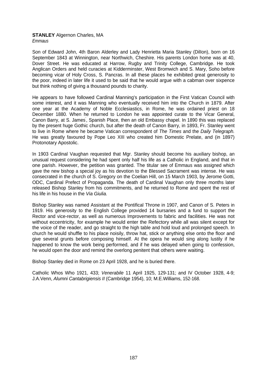# **STANLEY** Algernon Charles, MA

*Emmaus* 

Son of Edward John, 4th Baron Alderley and Lady Henrietta Maria Stanley (DilIon), born on 16 September 1843 at Winnington, near Northwich, Cheshire. His parents London home was at 40, Dover Street. He was educated at Harrow, Rugby and Trinity College, Cambridge. He took Anglican Orders and held curacies at Kidderminster, West Bromwich and S. Mary, Soho before becoming vicar of Holy Cross, S. Pancras. In all these places he exhibited great generosity to the poor, indeed in later life it used to be said that he would argue with a cabman over sixpence but think nothing of giving a thousand pounds to charity.

He appears to have followed Cardinal Manning's participation in the First Vatican Council with some interest, and it was Manning who eventually received him into the Church in 1879. After one year at the Academy of Noble Ecclesiastics, in Rome, he was ordained priest on 18 December 1880. When he returned to London he was appointed curate to the Vicar General, Canon Barry, at S. James' , Spanish Place, then an old Embassy chapel. In 1890 this was replaced by the present huge Gothic church, but after the death of Canon Barry, in 1893, Fr. Stanley went to live in Rome where he became Vatican correspondent of *The Times* and the *Daily Telegraph.* He was greatly favoured by Pope Leo XIII who created him Domestic Prelate, and (in 1897) Protonotary Apostolic.

In 1903 Cardinal Vaughan requested that Mgr. Stanley should become his auxiliary bishop, an unusual request considering he had spent only half his life as a Catholic in England, and that in one parish. However, the petition was granted. The titular see of Emmaus was assigned which gave the new bishop a special joy as his devotion to the Blessed Sacrament was intense. He was consecrated in the church of S. Gregory on the Coelian Hill, on 15 March 1903, by Jerome Gotti, ODC, Cardinal Prefect of Propaganda. The death of Cardinal Vaughan only three months later released Bishop Stanley from his commitments, and he returned to Rome and spent the rest of his life in his house in the *Via Giulia.*

Bishop Stanley was named Assistant at the Pontifical Throne in 1907, and Canon of S. Peters in 1919. His generosity to the English College provided 14 bursaries and a fund to support the Rector and vice-rector, as well as numerous Improvements to fabric and facilities. He was not without eccentricity, for example he would enter the Refectory while all was silent except for the voice of the reader, and go straight to the high table and hold loud and prolonged speech. In church he would shuffle to his place noisily, throw hat, stick or anything else onto the floor and give several grunts before composing himself. At the opera he would sing along lustily if he happened to know the work being performed, and if he was delayed when going to confession, he would open the door and remind the overlong penitent that others were waiting.

Bishop Stanley died in Rome on 23 April 1928, and he is buried there.

Catholic Whos Who 1921, 433; *Venerabile* 11 April 1925, 129-131; and IV October 1928, 4-9; J.A.Venn, *Alumni Cantabrigiensis II* (Cambridge 1954), 10; M.E.Williams, 152-168.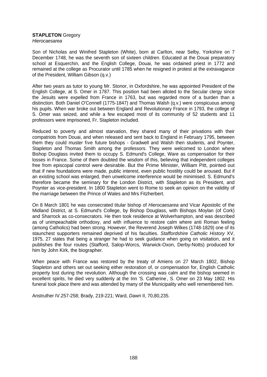## **STAPLETON** Gregory

*Hierocaesarea* 

Son of Nicholas and Winifred Stapleton (White), born at Carlton, near Selby, Yorkshire on 7 December 1748, he was the seventh son of sixteen children. Educated at the Douai preparatory school at Esquerchin, and the English College, Douai, he was ordained priest in 1772 and remained at the college as Procurator until 1785 when he resigned in protest at the extravagance of the President, William Gibson (q.v.)

After two years as tutor to young Mr. Stonor, in Oxfordshire, he was appointed President of the English College, at S. Omer in 1787. This position had been alloted to the Secular clergy since the Jesuits were expelled from France in 1763, but was regarded more of a burden than a distinction. Both Daniel O'Connell (1775-1847) and Thomas Walsh (q.v.) were conspicuous among his pupils. When war broke out between England and Revolutionary France in 1793, the college of S. Omer was seized, and while a few escaped most of its community of 52 students and 11 professors were imprisoned, Fr. Stapleton included.

Reduced to poverty and almost starvation, they shared many of their privations with their compatriots from Douai, and when released and sent back to England in February 1795, between them they could muster five future bishops - Gradwell and Walsh then students, and Poynter, Stapleton and Thomas Smith among the professors. They were welcomed to London where Bishop Douglass invited them to occupy S. Edmund's College, Ware as compensation for their losses in France. Some of them doubted the wisdom of this, believing that independent colleges free from episcopal control were desirable. But the Prime Minister, William Pitt, pointed out that if new foundations were made, public interest, even public hostility could be aroused. But if an existing school was enlarged, then unwelcome interference would be minimised. S. Edmund's therefore became the seminary for the London District, with Stapleton as its President, and Poynter as vice-president. In 1800 Stapleton went to Rome to seek an opinion on the validity of the marriage between the Prince of Wales and Mrs Fitzherbert.

On 8 March 1801 he was consecrated titular bishop of *Hierocaesarea* and Vicar Apostolic of the Midland District, at S. Edmund's College, by Bishop Douglass, with Bishops Moylan (of Cork) and Sharrock as co-consecrators. He then took residence at Wolverhampton, and was described as of unimpeachable orthodoxy, and with influence to restore calm where anti Roman feeling (among Catholics) had been strong. However, the Reverend Joseph Wilkes (1748-1829) one of its staunchest supporters remained deprived of his faculties. *Staffordshire Catholic History* XV, 1975, 27 states that being a stranger he had to seek guidance when going on visitation, and it publishes the four routes (Stafford, Salop-Worcs, Warwick-Oxon, Derby-Notts) produced for him by John Kirk, the biographer.

When peace with France was restored by the treaty of Amiens on 27 March 1802, Bishop Stapleton and others set out seeking either restoration of, or compensation for, English Catholic property lost during the revolution. Although the crossing was calm and the bishop seemed in excellent spirits, he died very suddenly at the Inn 'S. Catherine<sup>'</sup>, S. Omer on 23 May 1802. His funeral took place there and was attended by many of the Municipality who well remembered him.

Anstruther IV.257-258; Brady, 219-221; Ward, *Dawn* II, 70,80,235.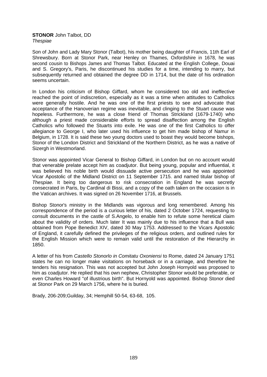#### **STONOR** John Talbot, DD *Thespiae*

Son of John and Lady Mary Stonor (Talbot), his mother being daughter of Francis, 11th Earl of Shrewsbury. Born at Stonor Park, near Henley on Thames, Oxfordshire in 1678, he was second cousin to Bishops James and Thomas Talbot. Educated at the English College, Douai and S. Gregory's, Paris, he discontinued his studies for a time, intending to marry, but subsequently returned and obtained the degree DD in 1714, but the date of his ordination seems uncertain.

In London his criticism of Bishop Giffard, whom he considered too old and ineffective reached the point of indiscretion, especially as it was a time when attitudes to Catholics were generally hostile. And he was one of the first priests to see and advocate that acceptance of the Hanoverian regime was inevitable, and clinging to the Stuart cause was hopeless. Furthermore, he was a close friend of Thomas Strickland (1679-1740) who although a priest made considerable efforts to spread disaffection among the English Catholics who followed the Stuarts into exile. He was one of the first Catholics to offer allegiance to George I, who later used his influence to get him made bishop of Namur in Belgium, in 1728. It is said these two young doctors used to boast they would become bishops, Stonor of the London District and Strickland of the Northern District, as he was a native of Sizergh in Westmorland.

Stonor was appointed Vicar General to Bishop Giffard, in London but on no account would that venerable prelate accept him as coadjutor. But being young, popular and influential, it was believed his noble birth would dissuade active persecution and he was appointed Vicar Apostolic of the Midland District on 11 September 1715. and named titular bishop of *Thespiae.* It being too dangerous to risk consecration in England he was secretly consecrated in Paris, by Cardinal di Bissi, and a copy of the oath taken on the occasion is in the Vatican archives. It was signed on 26 November 1716, at Brussels.

Bishop Stonor's ministry in the Midlands was vigorous and long remembered. Among his correspondence of the period is a curious letter of his, dated 2 October 1724, requesting to consult documents in the castle of S.Angelo, to enable him to refute some heretical claim about the validity of orders. Much later It was mainly due to his influence that a Bull was obtained from Pope Benedict XIV, dated 30 May 1753. Addressed to the Vicars Apostolic of England, it carefully defined the privileges of the religious orders, and outlined rules for the English Mission which were to remain valid until the restoration of the Hierarchy in 1850.

A letter of his from *Castello Stonorlo in Comitatu Oxoniensi* to Rome, dated 24 January 1751 states he can no longer make visitations on horseback or in a carriage, and therefore he tenders his resignation. This was not accepted but John Joseph Hornyold was proposed to him as coadjutor. He replied that his own nephew, Christopher Stonor would be preferable, or even Charles Howard "of illustrious birth". But Hornyold was appointed. Bishop Stonor died at Stonor Park on 29 March 1756, where he is buried.

Brady, 206-209;Guilday, 34; Hemphill 50-54, 63-68, 105.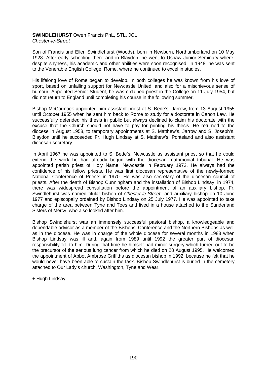# **SWINDLEHURST** Owen Francis PhL, STL, JCL

*Chester-le-Street* 

Son of Francis and Ellen Swindlehurst (Woods), born in Newburn, Northumberland on 10 May 1928. After early schooling there and in Blaydon, he went to Ushaw Junior Seminary where, despite shyness, his academic and other abilities were soon recognised. In 1948, he was sent to the Venerable English College, Rome, where he continued to excel in studies.

His lifelong love of Rome began to develop. In both colleges he was known from his love of sport, based on unfailing support for Newcastle United, and also for a mischievous sense of humour. Appointed Senior Student, he was ordained priest in the College on 11 July 1954, but did not return to England until completing his course in the following summer.

Bishop McCormack appointed him assistant priest at S. Bede's, Jarrow, from 13 August 1955 until October 1955 when he sent him back to Rome to study for a doctorate in Canon Law. He successfully defended his thesis in public but always declined to claim his doctorate with the excuse that the Church should not have to pay for printing his thesis. He returned to the diocese in August 1958, to temporary appointments at S. Matthew's, Jarrow and S. Joseph's, Blaydon until he succeeded Fr. Hugh Lindsay at S. Matthew's, Ponteland and also assistant diocesan secretary.

In April 1967 he was appointed to S. Bede's, Newcastle as assistant priest so that he could extend the work he had already begun with the diocesan matrimonial tribunal. He was appointed parish priest of Holy Name, Newcastle in February 1972. He always had the confidence of his fellow priests. He was first diocesan representative of the newly-formed National Conference of Priests in 1970. He was also secretary of the diocesan council of priests. After the death of Bishop Cunningham and the installation of Bishop Lindsay, in 1974, there was widespread consultation before the appointment of an auxiliary bishop. Fr. Swindlehurst was named titular bishop of *Chester-le-Street* and auxiliary bishop on 10 June 1977 and episcopally ordained by Bishop Lindsay on 25 July 1977. He was appointed to take charge of the area between Tyne and Tees and lived in a house attached to the Sunderland Sisters of Mercy, who also looked after him.

Bishop Swindlehurst was an immensely successful pastoral bishop, a knowledgeable and dependable advisor as a member of the Bishops' Conference and the Northern Bishops as well as in the diocese. He was in charge of the whole diocese for several months in 1983 when Bishop Lindsay was ill and, again from 1989 until 1992 the greater part of diocesan responsibility fell to him. During that time he himself had minor surgery which turned out to be the precursor of the serious lung cancer from which he died on 28 August 1995. He welcomed the appointment of Abbot Ambrose Griffiths as diocesan bishop in 1992, because he felt that he would never have been able to sustain the task. Bishop Swindlehurst is buried in the cemetery attached to Our Lady's church, Washington, Tyne and Wear.

+ Hugh Lindsay.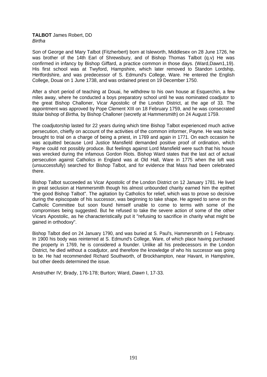### **TALBOT** James Robert, DD *Birtha*

Son of George and Mary Talbot (Fitzherbert) born at Isleworth, Middlesex on 28 June 1726, he was brother of the 14th Earl of Shrewsbury, and of Bishop Thomas Talbot (q.v) He was confirmed in infancy by Bishop Giffard, a practice common in those days. (Ward,Dawn1,19). His first school was at Twyford, Hampshire, which later removed to Standon Lordship, Hertfordshire, and was predecessor of S. Edmund's College, Ware. He entered the English College, Douai on 1 June 1738, and was ordained priest on 19 December 1750.

After a short period of teaching at Douai, he withdrew to his own house at Esquerchin, a few miles away, where he conducted a boys preparatory school until he was nominated coadjutor to the great Bishop Challoner, Vicar Apostolic of the London District, at the age of 33. The appointment was approved by Pope Clement XIII on 18 February 1759, and he was consecrated titular bishop of *Birtha,* by Bishop Challoner (secretly at Hammersmith) on 24 August 1759.

The coadjutorship lasted for 22 years during which time Bishop Talbot experienced much active persecution, chiefly on account of the activities of the common informer, Payne. He was twice brought to trial on a charge of being a priest, in 1769 and again in 1771. On each occasion he was acquitted because Lord Justice Mansfield demanded positive proof of ordination, which Payne could not possibly produce. But feelings against Lord Mansfield were such that his house was wrecked during the infamous Gordon Riots. Bishop Ward states that the last act of actual persecution against Catholics in England was at Old Hall, Ware in 1775 when the loft was (unsuccessfully) searched for Bishop Talbot, and for evidence that Mass had been celebrated there.

Bishop Talbot succeeded as Vicar Apostolic of the London District on 12 January 1781. He lived in great seclusion at Hammersmith though his almost unbounded charity earned him the epithet "the good Bishop Talbot". The agitation by Catholics for relief, which was to prove so decisive during the episcopate of his successor, was beginning to take shape. He agreed to serve on the Catholic Committee but soon found himself unable to come to terms with some of the compromises being suggested. But he refused to take the severe action of some of the other Vicars Apostolic, as he characteristically put it "refusing to sacrifice in charity what might be gained in orthodoxy".

Bishop Talbot died on 24 January 1790, and was buried at S. Paul's, Hammersmith on 1 February. In 1900 his body was reinterred at S. Edmund's College, Ware, of which place having purchased the property in 1769, he is considered a founder. Unlike all his predecessors in the London District, he died without a coadjutor, and therefore the knowledge of who his successor was going to be. He had recommended Richard Southworth, of Brockhampton, near Havant, in Hampshire, but other deeds determined the issue.

Anstruther IV; Brady, 176-178; Burton; Ward, *Dawn* I, 17-33.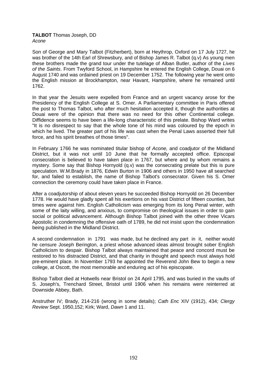## **TALBOT** Thomas Joseph, DD *Acone*

Son of George and Mary Talbot (Fitzherbert), born at Heythrop, Oxford on 17 July 1727, he was brother of the 14th Earl of Shrewsbury, and of Bishop James R. Talbot (q.v) As young men these brothers made the grand tour under the tutelage of Alban Butler, author of the *Lives of the Saints*. From Twyford School, in Hampshire he entered the English College, Douai on 6 August 1740 and was ordained priest on 19 December 1752. The following year he went onto the English mission at Brockhampton, near Havant, Hampshire, where he remained until 1762.

In that year the Jesuits were expelled from France and an urgent vacancy arose for the Presidency of the English College at S. Omer. A Parliamentary committee in Paris offered the post to Thomas Talbot, who after much hesitation accepted it, though the authorities at Douai were of the opinion that there was no need for this other Continental college. Diffidence seems to have been a life-long characteristic of this prelate. Bishop Ward writes "It is no disrespect to say that the whole tone of his mind was coloured by the epoch in which he lived. The greater part of his life was cast when the Penal Laws asserted their full force, and his spirit breathes of those times".

In February 1766 he was nominated titular bishop of *Acone,* and coadjutor of the Midland District, but it was not until 10 June that he formally accepted office. Episcopal consecration is believed to have taken place in 1767, but where and by whom remains a mystery. Some say that Bishop Hornyold (q.v) was the consecrating prelate but this is pure speculation. W.M.Brady in 1876, Edwin Burton in 1906 and others in 1950 have all searched for, and failed to establish, the name of Bishop Talbot's consecrator. Given his S. Omer connection the ceremony could have taken place in France.

After a coadjutorship of about eleven years he succeeded Bishop Hornyold on 26 December 1778. He would have gladly spent all his exertions on his vast District of fifteen counties, but times were against him. English Catholicism was emerging from its long Penal winter, with some of the laity willing, and anxious, to compromise on theological issues in order to gain social or political advancement. Although Bishop Talbot joined with the other three Vicars Apostolic in condemning the offensive oath of 1789, he did not insist upon the condemnation being published in the Midland District.

A second condemnation in 1791 was made, but he declined any part in it, neither would he censure Joseph Berington, a priest whose advanced ideas almost brought sober English Catholicism to despair. Bishop Talbot always maintained that peace and concord must be restored to his distracted District, and that charity in thought and speech must always hold pre-eminent place. In November 1793 he appointed the Reverend John Bew to begin a new college, at Oscott, the most memorable and enduring act of his episcopate.

Bishop Talbot died at Hotwells near Bristol on 24 April 1795, and was buried in the vaults of S. Joseph's, Trenchard Street, Bristol until 1906 when his remains were reinterred at Downside Abbey, Bath.

Anstruther IV; Brady, 214-216 (wrong in some details); *Cath Enc* XIV (1912), 434; *Clergy Review* Sept. 1950,152; Kirk; Ward, *Dawn* 1 and 11.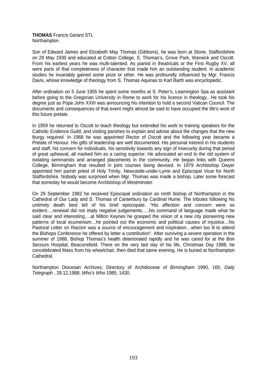### **THOMAS** Francis Gerard STL Northampton

Son of Edward James and Elizabeth May Thomas (Gibbons), he was born at Stone, Staffordshire on 29 May 1930 and educated at Cotton College, S. Thomas's, Grove Park, Warwick and Oscott. From his earliest years he was multi-talented. As pianist in theatricals or the First Rugby XV, all were parts of that completeness of character that made him an outstanding student. In academic studies he invariably gained some prize or other. He was profoundly influenced by Mgr. Francis Davis, whose knowledge of theology from S. Thomas Aquinas to Karl Barth was encyclopedic.

After ordination on 5 June 1955 he spent some months at S. Peter's, Leamington Spa as assistant before going to the Gregorian University in Rome to work for his licence in theology.. He took his degree just as Pope John XXIII was announcing his intention to hold a second Vatican Council. The documents and consequences of that event might almost be said to have occupied the life's work of this future prelate.

In 1959 he returned to Oscott to teach theology but extended his work to training speakers for the Catholic Evidence Guild, and visiting parishes to explain and advise about the changes that the new liturgy required. In 1968 he was appointed Rector of Oscott and the following year became a Prelate of Honour. His gifts of leadership are well documented. His personal interest in his students and staff, his concern for individuals, his sensitivity towards any sign of insecurity during that period of great upheaval, all marked him as a caring superior. He advocated an end to the old system of isolating seminarists and arranged placements in the community. He began links with Queens College, Birmingham that resulted in joint courses being devised. In 1979 Archbishop Dwyer appointed him parish priest of Holy Trinity, Newcastle-under-Lyme and Episcopal Vicar for North Staffordshire. Nobody was surprised when Mgr. Thomas was made a bishop. Later some forecast that someday he would become Archbishop of Westminster.

On 29 September 1982 he received Episcopal ordination as ninth bishop of Northampton in the Cathedral of Our Lady and S. Thomas of Canterbury by Cardinal Hume. The tributes following his untimely death best tell of his brief episcopate. "His affection and concern were so evident....renewal did not imply negative judgements.....his command of language made what he said clear and interesting….at Milton Keynes he grasped the vision of a new city pioneering new patterns of local ecumenism…he pointed out the economic and political causes of injustice…his Pastoral Letter on Racism was a source of encouragement and inspiration...when too ill to attend the Bishops Conference he offered by letter a contribution". After surviving a severe operation in the summer of 1988, Bishop Thomas's health deteriorated rapidly and he was cared for at the Bon Secours Hospital, Beaconsfield. There on the very last day of his life, Christmas Day 1988, he concelebrated Mass from his wheelchair, then died that same evening. He is buried at Northampton Cathedral.

Northampton Diocesan Archives; Directory of Archdiocese of *Birmingham* 1990, 165; *Daily Telegraph* , 28.12.1988; *Who's Who* 1985, 1430.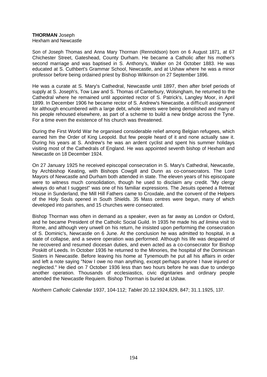# **THORMAN** Joseph

Hexham and Newcastle

Son of Joseph Thomas and Anna Mary Thorman (Rennoldson) born on 6 August 1871, at 67 Chichester Street, Gateshead, County Durham. He became a Catholic after his mother's second marriage and was baptised in S. Anthony's, Walker on 24 October 1883. He was educated at S. Cuthbert's Grammar School, Newcastle, and at Ushaw where he was a minor professor before being ordained priest by Bishop Wilkinson on 27 September 1896.

He was a curate at S. Mary's Cathedral, Newcastle until 1897, then after brief periods of supply at S. Joseph's, Tow Law and S. Thomas of Canterbury, Wolsingham, he returned to the Cathedral where he remained until appointed rector of S. Patrick's, Langley Moor, in April 1899. In December 1906 he became rector of S. Andrew's Newcastle, a difficult assignment for although encumbered with a large debt, whole streets were being demolished and many of his people rehoused elsewhere, as part of a scheme to build a new bridge across the Tyne. For a time even the existence of his church was threatened.

During the First World War he organised considerable relief among Belgian refugees, which earned him the Order of King Leopold. But few people heard of it and none actually saw it. During his years at S. Andrew's he was an ardent cyclist and spent his summer holidays visiting most of the Cathedrals of England. He was appointed seventh bishop of Hexham and Newcastle on 18 December 1924.

On 27 January 1925 he received episcopal consecration in S. Mary's Cathedral, Newcastle, by Archbishop Keating, with Bishops Cowgill and Dunn as co-consecrators. The Lord Mayors of Newcastle and Durham both attended in state. The eleven years of his episcopate were to witness much consolidation, though he used to disclaim any credit. "My clergy always do what I suggest" was one of his familiar expressions. The Jesuits opened a Retreat House in Sunderland, the Mill Hill Fathers came to Croxdale, and the convent of the Helpers of the Holy Souls opened in South Shields. 35 Mass centres were begun, many of which developed into parishes, and 15 churches were consecrated.

Bishop Thorman was often in demand as a speaker, even as far away as London or Oxford, and he became President of the Catholic Social Guild. In 1935 he made his *ad limina* visit to Rome, and although very unwell on his return, he insisted upon performing the consecration of S. Dominic's, Newcastle on 6 June. At the conclusion he was admitted to hospital, in a state of collapse, and a severe operation was performed. Although his life was despaired of he recovered and resumed diocesan duties, and even acted as a co-consecrator for Bishop Poskitt of Leeds. In October 1936 he returned to the Minories, the hospital of the Dominican Sisters in Newcastle. Before leaving his home at Tynemouth he put all his affairs in order and left a note saying "Now I owe no man anything, except perhaps anyone I have injured or neglected." He died on 7 October 1936 less than two hours before he was due to undergo another operation. Thousands of ecclesiastics, civic dignitaries and ordinary people attended the Newcastle Requiem. Bishop Thorman is buried at Ushaw.

*Northern Catholic Calendar* 1937, 104-112; *Tablet* 20.12.1924,829, 847; 31.1.1925, 137.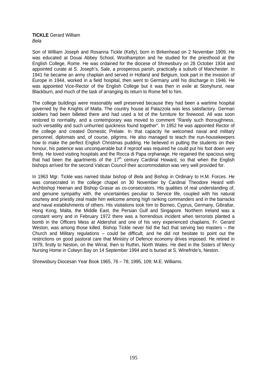#### **TICKLE** Gerard William *Bela*

Son of William Joseph and Rosanna Tickle (Kelly), born in Birkenhead on 2 November 1909. He was educated at Douai Abbey School, Woolhampton and he studied for the priesthood at the English College, Rome. He was ordained for the diocese of Shrewsbury on 28 October 1934 and appointed curate at S. Joseph's, Sale, a prosperous parish, practically a suburb of Manchester. In 1941 he became an army chaplain and served in Holland and Belgium, took part in the invasion of Europe in 1944, worked in a field hospital, then went to Germany until his discharge in 1946. He was appointed Vice-Rector of the English College but it was then in exile at Stonyhurst, near Blackburn, and much of the task of arranging its return to Rome fell to him.

The college buildings were reasonably well preserved because they had been a wartime hospital governed by the Knights of Malta. The country house at Palazzola was less satisfactory. German soldiers had been billeted there and had used a lot of the furniture for firewood. All was soon restored to normality, and a contemporary was moved to comment "Rarely such thoroughness, such versatility and such unhurried quickness found together". In 1952 he was appointed Rector of the college and created Domestic Prelate. In that capacity he welcomed naval and military personnel, diplomats and, of course, pilgrims. He also managed to teach the nun-housekeepers how to make the perfect English Christmas pudding. He believed in putting the students on their honour, his patience was unconquerable but if reproof was required he could put his foot down very firmly. He loved visiting hospitals and the Rocca di Papa orphanage. He regained the spacious wing that had been the apartments of the  $17<sup>th</sup>$  century Cardinal Howard, so that when the English bishops arrived for the second Vatican Council their accommodation was very well provided for.

In 1963 Mgr. Tickle was named titular bishop of *Bela* and Bishop in Ordinary to H.M. Forces. He was consecrated in the college chapel on 30 November by Cardinal Theodore Heard with Archbishop Heenan and Bishop Grasar as co-consecrators. His qualities of real understanding of, and genuine sympathy with, the uncertainties peculiar to Service life, coupled with his natural courtesy and priestly zeal made him welcome among high ranking commanders and in the barracks and naval establishments of others. His visitations took him to Borneo, Cyprus, Germany, Gibraltar, Hong Kong, Malta, the Middle East, the Persian Gulf and Singapore. Northern Ireland was a constant worry and in February 1972 there was a horrendous incident when terrorists planted a bomb in the Officers Mess at Aldershot and one of his very experienced chaplains, Fr. Gerard Weston, was among those killed. Bishop Tickle never hid the fact that serving two masters – the Church and Military regulations – could be difficult, and he did not hesitate to point out the restrictions on good pastoral care that Ministry of Defence economy drives imposed. He retired in 1979, firstly to Neston, on the Wirral, then to Ruthin, North Wales. He died in the Sisters of Mercy Nursing Home in Colwyn Bay on 14 September 1994 and is buried at S. Winefride's, Neston.

Shrewsbury Diocesan Year Book 1965, 76 – 78; 1995, 109; M.E. Williams.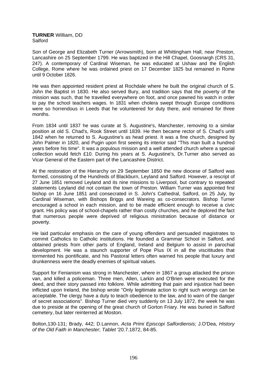**TURNER** William, DD Salford

Son of George and Elizabeth Turner (Arrowsmith), born at Whittingham Hall, near Preston, Lancashire on 25 September 1799. He was baptized in the Hill Chapel, Goosnargh (CRS 31, 247). A contemporary of Cardinal Wiseman, he was educated at Ushaw and the English College, Rome where he was ordained priest on 17 December 1825 but remained in Rome until 9 October 1826.

He was then appointed resident priest at Rochdale where he built the original church of S. John the Baptist in 1830. He also served Bury, and tradition says that the poverty of the mission was such, that he travelled everywhere on foot, and once pawned his watch in order to pay the school teachers wages. In 1831 when cholera swept through Europe conditions were so horrendous in Leeds that he volunteered for duty there, and remained for three months.

From 1834 until 1837 he was curate at S. Augustine's, Manchester, removing to a similar position at old S. Chad's, Rook Street until 1839. He then became rector of S. Chad's until 1842 when he returned to S. Augustine's as head priest. It was a fine church, designed by John Palmer in 1820, and Pugin upon first seeing its interior said "This man built a hundred years before his time". It was a populous mission and a well attended church where a special collection would fetch £10. During his years at S. Augustine's, Dr.Turner also served as Vicar General of the Eastern part of the Lancashire District.

At the restoration of the Hierarchy on 29 September 1850 the new diocese of Salford was formed, consisting of the Hundreds of Blackburn, Leyland and Salford. However, a rescript of 27 June 1851 removed Leyland and its nine missions to Liverpool, but contrary to repeated statements Leyland did not contain the town of Preston. William Turner was appointed first bishop on 16 June 1851 and consecrated in S. John's Cathedral, Salford, on 25 July, by Cardinal Wiseman, with Bishops Briggs and Wareing as co-consecrators. Bishop Turner encouraged a school in each mission, and to be made efficient enough to receive a civic grant. His policy was of school-chapels rather than costly churches, and he deplored the fact that numerous people were deprived of religious ministration because of distance or poverty.

He laid particular emphasis on the care of young offenders and persuaded magistrates to commit Catholics to Catholic institutions. He founded a Grammar School in Salford, and obtained priests from other parts of England, Ireland and Belgium to assist in parochial development. He was a staunch supporter of Pope Pius IX in all the viscititudes that tormented his pontificate, and his Pastoral letters often warned his people that luxury and drunkenness were the deadly enemies of spiritual values.

Support for Fenianism was strong in Manchester, where in 1867 a group attacked the prison van, and killed a policeman. Three men, Allen, Larkin and O'Brien were executed for the deed, and their story passed into folklore. While admitting that pain and injustice had been inflicted upon Ireland, the bishop wrote "Only legitimate action to right such wrongs can be acceptable. The clergy have a duty to teach obedience to the law, and to warn of the danger of secret associations". Bishop Turner died very suddenly on 13 July 1872, the week he was due to preside at the opening of the great church of Gorton Friary. He was buried in Salford cemetery, but later reinterred at Moston.

Bolton,130-131; Brady, 442; D.Lannon, *Acta Primi Episcopi Salfordiensis;* J.O'Dea, *History of the Old Faith in Manchester*; *Tablet* '20.7.1872, 84-85.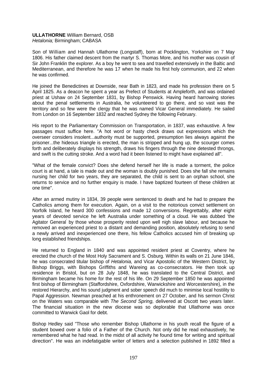#### **ULLATHORNE** William Bernard, OSB *Hetalonia;* Birmingham; CABASA

Son of William and Hannah Ullathorne (Longstaff), born at Pocklington, Yorkshire on 7 May 1806. His father claimed descent from the martyr S. Thomas More, and his mother was cousin of Sir John Franklin the explorer. As a boy he went to sea and travelled extensively in the Baltic and Mediterranean, and therefore he was 17 when he made his first holy communion, and 22 when he was confirmed.

He joined the Benedictines at Downside, near Bath in 1823, and made his profession there on 5 April 1825. As a deacon he spent a year as Prefect of Students at Ampleforth, and was ordained priest at Ushaw on 24 September 1831, by Bishop Penswick. Having heard harrowing stories about the penal settlements in Australia, he volunteered to go there, and so vast was the territory and so few were the clergy that he was named Vicar General immediately. He sailed from London on 16 September 1832 and reached Sydney the following February.

His report to the Parliamentary Commission on Transportation, in 1837, was exhaustive. A few passages must suffice here. "A hot word or hasty check draws out expressions which the overseer considers insolent...authority must be supported, presumption lies always against the prisoner...the hideous triangle is erected, the man is stripped and hung up, the scourger comes forth and deliberately displays his strength, draws his fingers through the nine detested throngs, and swift is the cutting stroke. And a word had it been listened to might have explained all".

"What of the female convict? Does she defend herself her life is made a torment, the police court is at hand, a tale is made out and the woman is doubly punished. Does she fall she remains nursing her child for two years, they are separated, the child is sent to an orphan school, she returns to service and no further enquiry is made. I have baptized fourteen of these children at one time".

After an armed mutiny in 1834, 39 people were sentenced to death and he had to prepare the Catholics among them for execution. Again, on a visit to the notorious convict settlement on Norfolk Island, he heard 300 confessions and made 12 conversions. Regrettably, after eight years of devoted service he left Australia under something of a cloud. He was dubbed 'the Agitator General by those whose prosperity rested upon well nigh slave labour, and because he removed an experienced priest to a distant and demanding position, absolutely refusing to send a newly arrived and inexperienced one there, his fellow Catholics accused him of breaking up long established friendships.

He returned to England in 1840 and was appointed resident priest at Coventry, where he erected the church of the Most Holy Sacrament and S. Osburg. Within its walls on 21 June 1846, he was consecrated titular bishop of *Hetalonia,* and Vicar Apostolic of the Western District, by Bishop Briggs, with Bishops Griffiths and Wareing as co-consecrators. He then took up residence in Bristol, but on 28 July 1848, he was translated to the Central District, and Birmingham became his home for the rest of his life. On 29 September 1850 he was appointed first bishop of Birmingham (Staffordshire, Oxfordshire, Warwickshire and Worcestershire), in the restored Hierarchy, and his sound judgment and sober speech did much to minimise local hostility to Papal Aggression. Newman preached at his enthronement on 27 October, and his sermon Christ on the Waters was comparable with *The Second Spring,* delivered at Oscott two years later. The financial situation in the new diocese was so deplorable that Ullathorne was once committed to Warwick Gaol for debt.

Bishop Hedley said "Those who remember Bishop Ullathorne in his youth recall the figure of a student bowed over a folio of a Father of the Church. Not only did he read exhaustively, he remembered what he had read. In the midst of all activity he found time for writing and spiritual direction". He was an indefatigable writer of letters and a selection published in 1892 filled a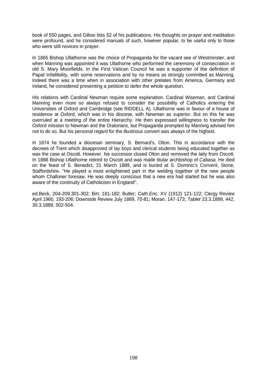book of 550 pages, and Gillow lists 52 of his publications. His thoughts on prayer and meditation were profound, and he considered manuals of such, however popular, to be useful only to those who were still novices in prayer.

In 1865 Bishop Ullathorne was the choice of Propaganda for the vacant see of Westminster, and when Manning was appointed it was Ullathorne who performed the ceremony of consecration in old S. Mary Moorfields. In the First Vatican Council he was a supporter of the definition of Papal Infallibility, with some reservations and by no means as strongly committed as Manning. Indeed there was a time when in association with other prelates from America, Germany and Ireland, he considered presenting a petition to defer the whole question.

His relations with Cardinal Newman require some explanation. Cardinal Wiseman, and Cardinal Manning even more so always refused to consider the possibility of Catholics entering the Universities of Oxford and Cambridge (see RIDDELL A). Ullathorne was in favour of a house of residence at Oxford, which was in his diocese, with Newman as superior. But on this he was overruled at a meeting of the entire Hierarchy. He then expressed willingness to transfer the Oxford mission to Newman and the Oratorians, but Propaganda prompted by Manning advised him not to do so. But his personal regard for the illustrious convert was always of the highest.

In 1874 he founded a diocesan seminary, S. Bernard's, Olton. This in accordance with the decrees of Trent which disapproved of lay boys and clerical students being educated together as was the case at Oscott. However, his successor closed Olton and removed the laity from Oscott. In 1888 Bishop Ullathorne retired to Oscott and was made titular archbishop of *Cabasa.* He died on the feast of S. Benedict, 21 March 1889, and is buried at S. Dominic's Convent, Stone, Staffordshire. "He played a most enlightened part in the welding together of the new people whom Challoner foresaw. He was deeply conscious that a new era had started but he was also aware of the continuity of Catholicism in England".

ed.Beck, 204-209,301-302; Birt, 181-182; Butler; *Cath.Enc.* XV (1912) 121-122; Clergy Review April 1960, 193-206; Downside Review July 1889, 70-81; Moran, 147-173; *Tablet* 23.3.1889, 442, 30.3.1889, 502-504.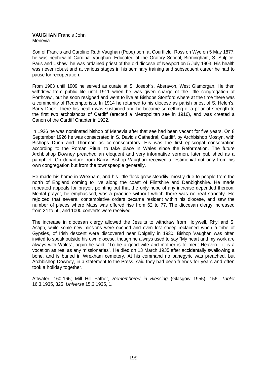#### **VAUGHAN** Francis John Menevia

Son of Francis and Caroline Ruth Vaughan (Pope) born at Courtfield, Ross on Wye on 5 May 1877, he was nephew of Cardinal Vaughan. Educated at the Oratory School, Birmingham, S. Sulpice, Paris and Ushaw, he was ordained priest of the old diocese of Newport on 5 July 1903. His health was never robust and at various stages in his seminary training and subsequent career he had to pause for recuperation.

From 1903 until 1909 he served as curate at S. Joseph's, Aberavon, West Glamorgan. He then withdrew from public life until 1911 when he was given charge of the little congregation at Porthcawl, but he soon resigned and went to live at Bishops Stortford where at the time there was a community of Redemptorists. In 1914 he returned to his diocese as parish priest of S. Helen's, Barry Dock. There his health was sustained and he became something of a pillar of strength to the first two archbishops of Cardiff (erected a Metropolitan see in 1916), and was created a Canon of the Cardiff Chapter in 1922.

In 1926 he was nominated bishop of Menevia after that see had been vacant for five years. On 8 September 1926 he was consecrated in S. David's Cathedral, Cardiff, by Archbishop Mostyn, with Bishops Dunn and Thorman as co-consecrators. His was the first episcopal consecration according to the Roman Ritual to take place in Wales since the Reformation. The future Archbishop Downey preached an eloquent and very informative sermon, later published as a pamphlet. On departure from Barry, Bishop Vaughan received a testimonial not only from his own congregation but from the townspeople generally.

He made his home in Wrexham, and his little flock grew steadily, mostly due to people from the north of England coming to live along the coast of Flintshire and Denbighshire. He made repeated appeals for prayer, pointing out that the only hope of any increase depended thereon. Mental prayer, he emphasised, was a practice without which there was no real sanctity. He rejoiced that several contemplative orders became resident within his diocese, and saw the number of places where Mass was offered rise from 62 to 77. The diocesan clergy increased from 24 to 56, and 1000 converts were received.

The increase in diocesan clergy allowed the Jesuits to withdraw from Holywell, Rhyl and S. Asaph, while some new missions were opened and even lost sheep reclaimed when a tribe of Gypsies, of Irish descent were discovered near Dolgelly in 1930. Bishop Vaughan was often invited to speak outside his own diocese, though he always used to say "My heart and my work are always with Wales", again he said, "To be a good wife and mother is to merit Heaven - it is a vocation as real as any missionaries". He died on 13 March 1935 after accidentally swallowing a bone, and is buried in Wrexham cemetery. At his command no panegyric was preached, but Archbishop Downey, in a statement to the Press, said they had been friends for years and often took a holiday together.

Attwater, 160-166; Mill Hill Father, *Remembered in Blessing* (Glasgow 1955), 156; *Tablet*  16.3.1935, 325; *Universe* 15.3.1935, 1.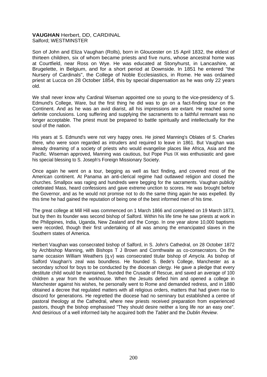## **VAUGHAN** Herbert, DD, CARDINAL Salford; WESTMINSTER

Son of John and Eliza Vaughan (Rolls), born in Gloucester on 15 April 1832, the eldest of thirteen children, six of whom became priests and five nuns, whose ancestral home was at Courtfield, near Ross on Wye. He was educated at Stonyhurst, in Lancashire, at Brugelette, in Belgium, and for a short period at Downside. In 1851 he entered "the Nursery of Cardinals", the College of Noble Ecclesiastics, in Rome. He was ordained priest at Lucca on 28 October 1854, this by special dispensation as he was only 22 years old.

We shall never know why Cardinal Wiseman appointed one so young to the vice-presidency of S. Edmund's College, Ware, but the first thing he did was to go on a fact-finding tour on the Continent. And as he was an avid diarist, all his impressions are extant. He reached some definite conclusions. Long suffering and supplying the sacraments to a faithful remnant was no longer acceptable. The priest must be prepared to battle spiritually and intellectually for the soul of the nation.

His years at S. Edmund's were not very happy ones. He joined Manning's Oblates of S. Charles there, who were soon regarded as intruders and required to leave in 1861. But Vaughan was already dreaming of a society of priests who would evangelise places like Africa, Asia and the Pacific. Wiseman approved, Manning was cautious, but Pope Pius IX was enthusiastic and gave his special blessing to S. Joseph's Foreign Missionary Society.

Once again he went on a tour, begging as well as fact finding, and covered most of the American continent. At Panama an anti-clerical regime had outlawed religion and closed the churches. Smallpox was raging and hundreds were begging for the sacraments. Vaughan publicly celebrated Mass, heard confessions and gave extreme unction to scores. He was brought before the Governor, and as he would not promise not to do the same thing again he was expelled. By this time he had gained the reputation of being one of the best informed men of his time.

The great college at Mill Hill was commenced on 1 March 1866 and completed on 19 March 1873, but by then its founder was second bishop of Salford. Within his life time he saw priests at work in the Philippines, India, Uganda, New Zealand and the Congo. In one year alone 10,000 baptisms were recorded, though their first undertaking of all was among the emancipated slaves in the Southern states of America.

Herbert Vaughan was consecrated bishop of Salford, in S. John's Cathedral, on 28 October 1872 by Archbishop Manning, with Bishops T J Brown and Cornthwaite as co-consecrators. On the same occasion William Weathers (q.v) was consecrated titular bishop of *AmycIa*. As bishop of Salford Vaughan's zeal was boundless. He founded S. Bede's College, Manchester as a secondary school for boys to be conducted by the diocesan clergy. He gave a pledge that every destitute child would be maintained, founded the Crusade of Rescue, and saved an average of 100 children a year from the workhouse. When the Jesuits defied him and opened a college in Manchester against his wishes, he personally went to Rome and demanded redress, and in 1880 obtained a decree that regulated matters with all religious orders, matters that had given rise to discord for generations. He regretted the diocese had no seminary but established a centre of pastoral theology at the Cathedral, where new priests received preparation from experienced pastors, though the bishop emphasised "They should desire neither a long life nor an easy one". And desirious of a well informed laity he acquired both the *Tablet* and the *Dublin Review*.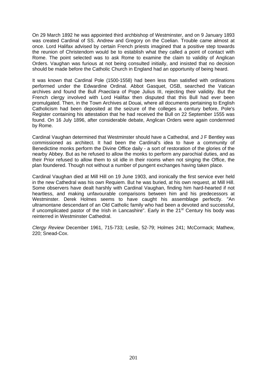On 29 March 1892 he was appointed third archbishop of Westminster, and on 9 January 1893 was created Cardinal of SS. Andrew and Gregory on the Coelian. Trouble came almost at once. Lord Halifax advised by certain French priests imagined that a positive step towards the reunion of Christendom would be to establish what they called a point of contact with Rome. The point selected was to ask Rome to examine the claim to validity of Anglican Orders. Vaughan was furious at not being consulted initially, and insisted that no decision should be made before the Catholic Church in England had an opportunity of being heard.

It was known that Cardinal Pole (1500-1558) had been less than satisfied with ordinations performed under the Edwardine Ordinal. Abbot Gasquet, OSB, searched the Vatican archives and found the Bull *Praeclara* of Pope Julius III, rejecting their validity. But the French clergy involved with Lord Halifax then disputed that this Bull had ever been promulgated. Then, in the Town Archives at Douai, where all documents pertaining to English Catholicism had been deposited at the seizure of the colleges a century before, Pole's Register containing his attestation that he had received the Bull on 22 September 1555 was found. On 16 July 1896, after considerable debate, Anglican Orders were again condemned by Rome.

Cardinal Vaughan determined that Westminster should have a Cathedral, and J F Bentley was commissioned as architect. It had been the Cardinal's idea to have a community of Benedictine monks perform the Divine Office daily - a sort of restoration of the glories of the nearby Abbey. But as he refused to allow the monks to perform any parochial duties, and as their Prior refused to allow them to sit idle in their rooms when not singing the Office, the plan foundered. Though not without a number of pungent exchanges having taken place.

Cardinal Vaughan died at Mill Hill on 19 June 1903, and ironically the first service ever held in the new Cathedral was his own Requiem. But he was buried, at his own request, at Mill Hill. Some observers have dealt harshly with Cardinal Vaughan, finding him hard-hearted if not heartless, and making unfavourable comparisons between him and his predecessors at Westminster. Derek Holmes seems to have caught his assemblage perfectly. "An ultramontane descendant of an Old Catholic family who had been a devoted and successful, if uncomplicated pastor of the Irish in Lancashire". Early in the  $21<sup>st</sup>$  Century his body was reinterred in Westminster Cathedral.

*Clergy Review* December 1961, 715-733; Leslie, 52-79; Holmes 241; McCormack; Mathew, 220; Snead-Cox.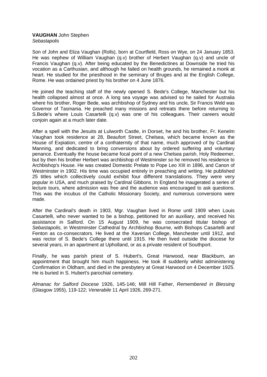# **VAUGHAN** John Stephen

*Sebastapolis* 

Son of John and Eliza Vaughan (Rolls), born at Courtfield, Ross on Wye, on 24 January 1853. He was nephew of William Vaughan (q.v) brother of Herbert Vaughan (q.v) and uncle of Francis Vaughan (q.v). After being educated by the Benedictines at Downside he tried his vocation as a Carthusian, and although he failed on health grounds, he remained a monk at heart. He studied for the priesthood in the seminary of Bruges and at the English College, Rome. He was ordained priest by his brother on 4 June 1876.

He joined the teaching staff of the newly opened S. Bede's College, Manchester but his health collapsed almost at once. A long sea voyage was advised so he sailed for Australia where his brother, Roger Bede, was archbishop of Sydney and his uncle, Sir Francis Weld was Governor of Tasmania. He preached many missions and retreats there before returning to S.Bede's where Louis Casartelli (q.v) was one of his colleagues. Their careers would conjoin again at a much later date.

After a spell with the Jesuits at Lulworth Castle, in Dorset, he and his brother, Fr. Kenelm Vaughan took residence at 28, Beaufort Street, Chelsea, which became known as the House of Expiation, centre of a confraternity of that name, much approved of by Cardinal Manning, and dedicated to bring conversions about by ordered suffering and voluntary penance. Eventually the house became focal point of a new Chelsea parish, Holy Redeemer, but by then his brother Herbert was archbishop of Westminster so he removed his residence to Archbishop's House. He was created Domestic Prelate to Pope Leo XIII in 1896, and Canon of Westminster in 1902. His time was occupied entirely in preaching and writing. He published 25 titles which collectively could exhibit four different translations. They were very popular in USA, and much praised by Cardinal Gibbons. In England he inaugerated a series of lecture tours, where admission was free and the audience was encouraged to ask questions. This was the incubus of the Catholic Missionary Society, and numerous conversions were made.

After the Cardinal's death in 1903, Mgr. Vaughan lived in Rome until 1909 when Louis Casartelli, who never wanted to be a bishop, petitioned for an auxiliary, and received his assistance in Salford. On 15 August 1909, he was consecrated titular bishop of *Sebastapolis,* in Westminster Cathedral by Archbishop Bourne, with Bishops Casartelli and Fenton as co-consecrators. He lived at the Xaverian College, Manchester until 1912, and was rector of S. Bede's College there until 1915. He then lived outside the diocese for several years, in an apartment at Upholland, or as a private resident of Southport.

Finally, he was parish priest of S. Hubert's, Great Harwood, near Blackburn, an appointment that brought him much happiness. He took ill suddenly whilst administering Confirmation in Oldham, and died in the presbytery at Great Harwood on 4 December 1925. He is buried in S. Hubert's parochial cemetery.

*Almanac for Salford Diocese* 1926, 145-146; Mill Hill Father, *Remembered in Blessing* (Glasgow 1955), 119-122; *Venerabile* 11 April 1926, 269-271.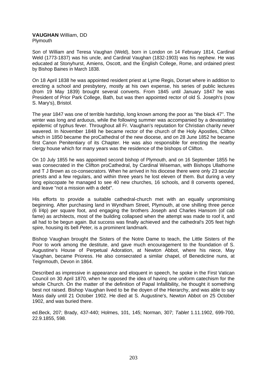#### **VAUGHAN** William, DD Plymouth

Son of William and Teresa Vaughan (Weld), born in London on 14 February 1814, Cardinal Weld (1773-1837) was his uncle, and Cardinal Vaughan (1832-1903) was his nephew. He was educated at Stonyhurst, Amiens, Oscott, and the English College, Rome, and ordained priest by Bishop Baines in March 1838.

On 18 April 1838 he was appointed resident priest at Lyme Regis, Dorset where in addition to erecting a school and presbytery, mostly at his own expense, his series of public lectures (from 19 May 1839) brought several converts. From 1845 until January 1847 he was President of Prior Park College, Bath, but was then appointed rector of old S. Joseph's (now S. Mary's), Bristol.

The year 1847 was one of terrible hardship, long known among the poor as "the black 47". The winter was long and arduous, while the following summer was accompanied by a devastating epidemic of typhus fever. Throughout all Fr. Vaughan's reputation for Christian charity never wavered. In November 1848 he became rector of the church of the Holy Apostles, Clifton which in 1850 became the proCathedral of the new diocese, and on 28 June 1852 he became first Canon Penitentiary of its Chapter. He was also responsible for erecting the nearby clergy house which for many years was the residence of the bishops of Clifton.

On 10 July 1855 he was appointed second bishop of Plymouth, and on 16 September 1855 he was consecrated in the Clifton proCathedral, by Cardinal Wiseman, with Bishops Ullathorne and T J Brown as co-consecrators. When he arrived in his diocese there were only 23 secular priests and a few regulars, and within three years he lost eleven of them. But during a very long episcopate he managed to see 40 new churches, 16 schools, and 8 convents opened, and leave "not a mission with a debt".

His efforts to provide a suitable cathedral-church met with an equally unpromising beginning. After purchasing land in Wyndham Street, Plymouth, at one shilling three pence (6 l/4p) per square foot, and engaging the brothers Joseph and Charles Hansom (of cab fame) as architects, most of the building collapsed when the attempt was made to roof it, and all had to be begun again. But success was finally achieved and the cathedral's 205 feet high spire, housing its bell *Peter,* is a prominent landmark.

Bishop Vaughan brought the Sisters of the Notre Dame to teach, the Little Sisters of the Poor to work among the destitute, and gave much encouragement to the foundation of S. Augustine's House of Perpetual Adoration, at Newton Abbot, where his niece, May Vaughan, became Prioress. He also consecrated a similar chapel, of Benedictine nuns, at Teignmouth, Devon in 1864.

Described as impressive in appearance and eloquent in speech, he spoke in the First Vatican Council on 30 April 1870, when he opposed the idea of having one uniform catechism for the whole Church. On the matter of the definition of Papal Infallibility, he thought it something best not raised. Bishop Vaughan lived to be the doyen of the Hierarchy, and was able to say Mass daily until 21 October 1902. He died at S. Augustine's, Newton Abbot on 25 October 1902, and was buried there.

ed.Beck, 207; Brady, 437-440; Holmes, 101, 145; Norman, 307; *Tablet* 1.11.1902, 699-700, 22.9.1855, 598.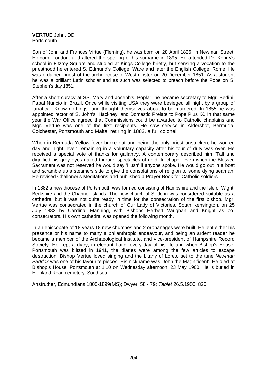**VERTUE** John, DD **Portsmouth** 

Son of John and Frances Virtue (Fleming), he was born on 28 April 1826, in Newman Street, Holborn, London, and altered the spelling of his surname in 1895. He attended Dr. Kenny's school in Fitzroy Square and studied at Kings College briefly, but sensing a vocation to the priesthood he entered S. Edmund's College, Ware and later the English College, Rome. He was ordained priest of the archdiocese of Westminster on 20 December 1851. As a student he was a brilliant Latin scholar and as such was selected to preach before the Pope on S. Stephen's day 1851.

After a short curacy at SS. Mary and Joseph's. Poplar, he became secretary to Mgr. Bedini, Papal Nuncio in Brazil. Once while visiting USA they were besieged all night by a group of fanatical "Know nothings" and thought themselves about to be murdered. In 1855 he was appointed rector of S. John's, Hackney, and Domestic Prelate to Pope Pius IX. In that same year the War Office agreed that Commissions could be awarded to Catholic chaplains and Mgr. Vertue was one of the first recipients. He saw service in Aldershot, Bermuda, Colchester, Portsmouth and Malta, retiring in 1882, a full colonel.

When in Bermuda Yellow fever broke out and being the only priest unstricken, he worked day and night, even remaining in a voluntary capacity after his tour of duty was over. He received a special vote of thanks for gallantry. A contemporary described him "Tall and dignified his grey eyes gazed through spectacles of gold. In chapel, even when the Blessed Sacrament was not reserved he would say 'Hush' if anyone spoke. He would go out in a boat and scramble up a steamers side to give the consolations of religion to some dying seaman. He revised Challoner's Meditations and published a Prayer Book for Catholic soldiers".

In 1882 a new diocese of Portsmouth was formed consisting of Hampshire and the Isle of Wight, Berkshire and the Channel Islands. The new church of S. John was considered suitable as a cathedral but it was not quite ready in time for the consecration of the first bishop. Mgr. Vertue was consecrated in the church of Our Lady of Victories, South Kensington, on 25 July 1882 by Cardinal Manning, with Bishops Herbert Vaughan and Knight as coconsecrators. His own cathedral was opened the following month.

In an episcopate of 18 years 18 new churches and 2 orphanages were built. He lent either his presence or his name to many a philanthropic endeavour, and being an ardent reader he became a member of the Archaeological Institute, and vice-president of Hampshire Record Society. He kept a diary, in elegant Latin, every day of his life and when Bishop's House, Portsmouth was blitzed in 1941, the diaries were among the few articles to escape destruction. Bishop Vertue loved singing and the Litany of Loreto set to the tune *Newman Paddox* was one of his favourite pieces. His nickname was 'John the Magnificent'. He died at Bishop's House, Portsmouth at 1.10 on Wednesday afternoon, 23 May 1900. He is buried in Highland Road cemetery, Southsea.

Anstruther, Edmundians 1800-1899(MS); Dwyer, 58 - 79; *Tablet* 26.5.1900, 820.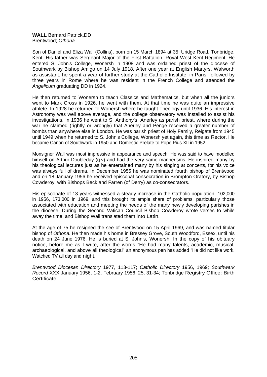#### **WALL** Bernard Patrick,DD Brentwood; *Othona*

Son of Daniel and Eliza Wall (Collins), born on 15 March 1894 at 35, Uridge Road, Tonbridge, Kent. His father was Sergeant Major of the First Battalion, Royal West Kent Regiment. He entered S. John's College, Wonersh in 1908 and was ordained priest of the diocese of Southwark by Bishop Amigo on 14 July 1918. After one year at English Martyrs, Walworth as assistant, he spent a year of further study at the Catholic Institute, in Paris, followed by three years in Rome where he was resident in the French College and attended the *Angelicum* graduating DD in 1924.

He then returned to Wonersh to teach Classics and Mathematics, but when all the juniors went to Mark Cross in 1926, he went with them. At that time he was quite an impressive athlete. In 1928 he returned to Wonersh where he taught Theology until 1936. His interest in Astronomy was well above average, and the college observatory was installed to assist his investigations. In 1936 he went to S. Anthony's, Anerley as parish priest, where during the war he claimed (rightly or wrongly) that Anerley and Penge received a greater number of bombs than anywhere else in London. He was parish priest of Holy Family, Reigate from 1945 until 1949 when he returned to S. John's College, Wonersh yet again, this time as Rector. He became Canon of Southwark in 1950 and Domestic Prelate to Pope Pius XII in 1952.

Monsignor Wall was most impressive in appearance and speech. He was said to have modelled himself on Arthur Doubleday (q.y) and had the very same mannerisms. He inspired many by his theological lectures just as he entertained many by his singing at concerts, for his voice was always full of drama. In December 1955 he was nominated fourth bishop of Brentwood and on 18 January 1956 he received episcopal consecration in Brompton Oratory, by Bishop Cowderoy, with Bishops Beck and Farren (of Derry) as co-consecrators.

His episcopate of 13 years witnessed a steady increase in the Catholic population -102,000 in 1956, 173,000 in 1969, and this brought its ample share of problems, particularly those associated with education and meeting the needs of the many newly developing parishes in the diocese. During the Second Vatican Council Bishop Cowderoy wrote verses to while away the time, and Bishop Wall translated them into Latin.

At the age of 75 he resigned the see of Brentwood on 15 April 1969, and was named titular bishop of *Othona.* He then made his home in Bressey Grove, South Woodford, Essex, until his death on 24 June 1976. He is buried at S. John's, Wonersh. In the copy of his obituary notice, before me as I write, after the words "He had many talents, academic, musical, archaeological, and above all theological" an anonymous pen has added "He did not like work. Watched TV all day and night."

*Brentwood Diocesan Directory* 1977, 113-117; *Catholic Directory* 1956, 1969; *Southwark Record* XXX January 1956, 1-2, February 1956, 25, 31-34; Tonbridge Registry Office: Birth Certificate.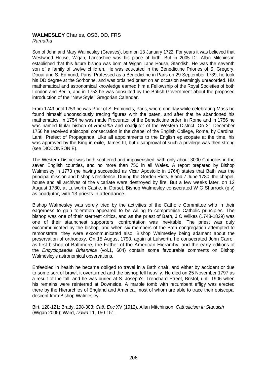#### **WALMESLEY** Charles, OSB, DD, FRS *Ramatha*

Son of John and Mary Walmesley (Greaves), born on 13 January 1722, For years it was believed that Westwood House, Wigan, Lancashire was his place of birth. But in 2005 Dr. Allan Mitchinson established that this future bishop was born at Wigan Lane House, Standish. He was the seventh son of a family of twelve children. He was educated in the Benedictine Priories of S. Gregory, Douai and S. Edmund, Paris. Professed as a Benedictine in Paris on 29 September 1739, he took his DD degree at the Sorbonne, and was ordained priest on an occasion seemingly unrecorded. His mathematical and astronomical knowledge earned him a Fellowship of the Royal Societies of both London and Berlin, and in 1752 he was consulted by the British Government about the proposed introduction of the "New Style" Gregorian Calendar.

From 1749 until 1753 he was Prior of S. Edmund's, Paris, where one day while celebrating Mass he found himself unconsciously tracing figures with the paten, and after that he abandoned his mathematics. In 1754 he was made Procurator of the Benedictine order, in Rome and in 1756 he was named titular bishop of *Ramatha* and coadjutor of the Western District. On 21 December 1756 he received episcopal consecration in the chapel of the English College, Rome, by Cardinal Lanti, Prefect of Propaganda. Like all appointments to the English episcopate at the time, his was approved by the King in exile, James III, but disapproval of such a privilege was then strong (see DICCONSON E).

The Western District was both scattered and impoverished, with only about 3000 Catholics in the seven English counties, and no more than 750 in all Wales. A report prepared by Bishop Walmesley in 1773 (he having succeeded as Vicar Apostolic in 1764) states that Bath was the principal mission and bishop's residence. During the Gordon Riots, 6 and 7 June 1780, the chapel, house and all archives of the vicariate were destroyed by fire. But a few weeks later, on 12 August 1780, at Lulworth Castle, in Dorset, Bishop Walmesley consecrated W G Sharrock (q.v) as coadjutor, with 13 priests in attendance.

Bishop Walmesley was sorely tried by the activities of the Catholic Committee who in their eagerness to gain toleration appeared to be willing to compromise Catholic principles. The bishop was one of their sternest critics, and as the priest of Bath, J C Wilkes (1748-1829) was one of their staunchest supporters, confrontation was inevitable. The priest was duly excommunicated by the bishop, and when six members of the Bath congregation attempted to remonstrate, they were excommunicated also, Bishop Walmesley being adamant about the preservation of orthodoxy. On 15 August 1790, again at Lulworth, he consecrated John Carroll as first bishop of Baltimore, the Father of the American Hierarchy, and the early editions of the *Encyclopaedia Britannica* (vol.1, 604) contain some favourable comments on Bishop Walmesley's astronomical observations.

Enfeebled in health he became obliged to travel in a Bath chair, and either by accident or due to some sort of brawl, it overturned and the bishop fell heavily. He died on 25 November 1797 as a result of the fall, and he was buried at S. Joseph's, Trenchard Street, Bristol, until 1906 when his remains were reinterred at Downside. A marble tomb with recumbent effigy was erected there by the Hierarchies of England and America, most of whom are able to trace their episcopal descent from Bishop Walmesley.

Birt, 120-121; Brady, 298-303; *Cath.Enc* XV (1912). Allan Mitchinson, *Catholicism in Standish*  (Wigan 2005); Ward, *Dawn* 11, 150-151.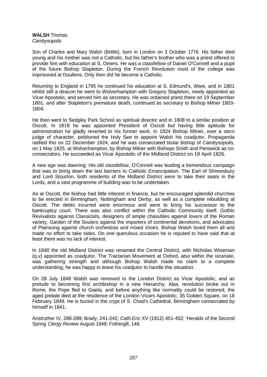# **WALSH** Thomas *Cambysopolis*

Son of Charles and Mary Walsh (Brittle), born in London on 3 October 1776. His father died young and his mother was not a Catholic, but his father's brother who was a priest offered to provide him with education at S. Omers. He was a classfellow of Daniel O'Connell and a pupil of the future Bishop Stapleton. During the French Revolution most of the college was imprisoned at Doullens. Only then did he become a Catholic.

Returning to England in 1795 he continued his education at S. Edmund's, Ware, and in 1801 whilst still a deacon he went to Wolverhampton with Gregory Stapleton, newly appointed as Vicar Apostolic, and served him as secretary. He was ordained priest there on 19 September 1801, and after Stapleton's premature death, continued as secretary to Bishop Milner 1803- 1804.

He then went to Sedgley Park School as spiritual director and in 1808 to a similar position at Oscott. In 1818 he was appointed President of Oscott but having little aptitude for administration he gladly reverted to his former work. In 1824 Bishop Milner, ever a stern judge of character, petitioned the Holy See to appoint Walsh his coadjutor. Propaganda ratified this on 22 December 1824, and he was consecrated titular bishop of *Cambysopolis,* on 1 May 1825, at Wolverhampton, by Bishop Milner with Bishops Smith and Penswick as coconsecrators. He succeeded as Vicar Apostolic of the Midland District on 19 April 1826.

A new age was dawning. His old classfellow, O'Connell was leading *a* tremendous campaign that was to bring down the last barriers to Catholic Emancipation. The Earl of Shrewsbury and Lord Stourton, both residents of the Midland District were to take their seats in the Lords, and a vast programme of building was to be undertaken.

As at Oscott, the bishop had little interest in finance, but he encouraged splendid churches to be erected in Birmingham, Nottingham and Derby, as well as a complete rebuilding at Oscott. The debts incurred were enormous and were to bring his successor to the bankruptcy court. There was also conflict within the Catholic Community itself: Gothic Revivalists against Classicists, designers of ample chasubles against lovers of the Roman variety, Garden of the Soulers against the importers of continental devotions, and advocates of Plainsong against church orchestras and mixed choirs. Bishop Walsh loved them all and made no effort to take sides. On one querulous occasion he is reputed to have said that at least there was no lack of interest.

In 1840 the old Midland District was renamed the Central District, with Nicholas Wiseman (q.v) appointed as coadjutor. The Tractarian Movement at Oxford, also within the vicariate, was gathering strength and although Bishop Walsh made no claim to a complete understanding, he was happy to leave his coadjutor to handle the situation.

On 28 July 1848 Walsh was removed to the London District as Vicar Apostolic, and as prelude to becoming first archbishop in a new Hierarchy. Alas, revolution broke out in Rome, the Pope fled to Gaeta, and before anything like normality could be restored, the aged prelate died at the residence of the London Vicars Apostolic, 35 Golden Square, on 18 February 1849. He is buried in the crypt of S. Chad's Cathedral, Birmingham consecrated by himself in 1841.

Anstruther IV, 288-289; Brady, 241-242; *Cath.Enc* XV (1912) 451-452; 'Heralds of the Second Spring' *Clergy Review* August 1948; Fothergill, 148.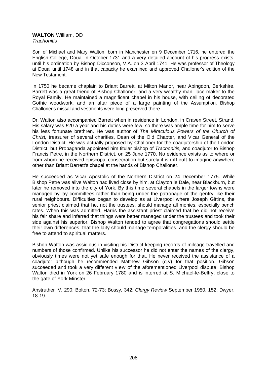#### **WALTON** William, DD *Trachonitis*

Son of Michael and Mary Walton, born in Manchester on 9 December 1716, he entered the English College, Douai in October 1731 and a very detailed account of his progress exists, until his ordination by Bishop Dicconson, V.A. on 3 April 1741. He was professor of Theology at Douai until 1748 and in that capacity he examined and approved Challoner's edition of the New Testament.

In 1750 he became chaplain to Briant Barrett, at Milton Manor, near Abingdon, Berkshire. Barrett was a great friend of Bishop Challoner, and a very wealthy man, lace-maker to the Royal Family. He maintained a magnificent chapel in his house, with ceiling of decorated Gothic woodwork, and an altar piece of a large painting of the Assumption. Bishop Challoner's missal and vestments were long preserved there.

Dr. Walton also accompanied Barrett when in residence in London, in Craven Street, Strand. His salary was £20 a year and his duties were few, so there was ample time for him to serve his less fortunate brethren. He was author of *The Miraculous Powers of the Church of Christ,* treasurer of several charities, Dean of the Old Chapter, and Vicar General of the London District. He was actually proposed by Challoner for the coadjutorship of the London District, but Propaganda appointed him titular bishop of *Trachonitis,* and coadjutor to Bishop Francis Petre, in the Northern District, on 25 June 1770. No evidence exists as to where or from whom he received episcopal consecration but surely it is difficult to imagine anywhere other than Briant Barrett's chapel at the hands of Bishop Challoner.

He succeeded as Vicar Apostolic of the Northern District on 24 December 1775. While Bishop Petre was alive Walton had lived close by him, at Clayton le Dale, near Blackburn, but later he removed into the city of York. By this time several chapels in the larger towns were managed by lay committees rather than being under the patronage of the gentry like their rural neighbours. Difficulties began to develop as at Liverpool where Joseph Gittins, the senior priest claimed that he, not the trustees, should manage all monies, especially bench rates. When this was admitted, Harris the assistant priest claimed that he did not receive his fair share and inferred that things were better managed under the trustees and took their side against his superior. Bishop Walton tended to agree that congregations should settle their own differences, that the laity should manage temporalities, and the clergy should be free to attend to spiritual matters.

Bishop Walton was assidious in visiting his District keeping records of mileage travelled and numbers of those confirmed. Unlike his successor he did not enter the names of the clergy, obviously times were not yet safe enough for that. He never received the assistance of a coadjutor although he recommended Matthew Gibson (q.v) for that position. Gibson succeeded and took a very different view of the aforementioned Liverpool dispute. Bishop Walton died in York on 26 February 1780 and is interred at S. Michael-le-Belfry, close to the gate of York Minster.

Anstruther IV, 290; Bolton, 72-73; Bossy, 342; *Clergy Review* September 1950, 152; Dwyer, 18-19.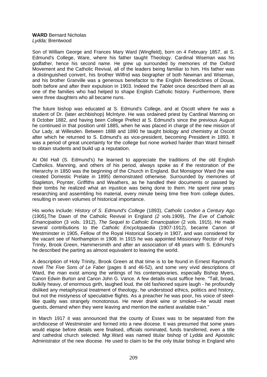#### **WARD** Bernard Nicholas *Lydda;* Brentwood

Son of William George and Frances Mary Ward (Wingfield), born on 4 February 1857, at S. Edmund's College, Ware, where his father taught Theology. Cardinal Wiseman was his godfather, hence his second name. He grew up surrounded by memories of the Oxford Movement and the Catholic Revival, all of the leaders being familiar to him. His father was a distinguished convert, his brother Wilfrid was biographer of both Newman and Wiseman, and his brother Granville was a generous benefactor to the English Benedictines of Douai, both before and after their expulsion in 1903. Indeed the *Tablet* once described them all as one of the families who had helped to shape English Catholic history. Furthermore, there were three daughters who all became nuns.

The future bishop was educated at S. Edmund's College, and at Oscott where he was a student of Dr. (later archbishop) Mclntyre. He was ordained priest by Cardinal Manning on 8 October 1882, and having been College Prefect at S. Edmund's since the previous August he continued in that position until 1885, when he was placed in charge of the new mission of Our Lady, at Willesden. Between 1888 and 1890 he taught biology and chemistry at Oscott after which he returned to S. Edmund's as vice-president, becoming President in 1893. It was a period of great uncertainty for the college but none worked harder than Ward himself to obtain students and build up a reputation.

At Old Hall (S. Edmund's) he learned to appreciate the traditions of the old English Catholics. Manning, and others of his period, always spoke as if the restoration of the Hierarchy in 1850 was the beginning of the Church in England. But Monsignor Ward (he was created Domestic Prelate in 1895) demonstrated otherwise. Surrounded by memories of Stapleton, Poynter, Griffiths and Weathers, as he handled their documents or passed by their tombs he realized what an injustice was being done to them. He spent nine years researching and assembling his material, every minute being time free from college duties, resulting in seven volumes of historical importance.

His works include: *History of S. Edmund's College* (1893), *Catholic London a Century Ago* (1905),The Dawn of the Catholic Revival in England *(2* vols.1909), *The Eve of Catholic Emancipation* (3 vols. 1912), *The Sequel to Catholic Emancipation* (2 vols. 1915). He made several contributions to the *Catholic Encyclopaedia* (1907-1912), became Canon of Westminster in 1905, Fellow of the Royal Historical Society in 1907, and was considered for the vacant see of Northampton in 1908. In 1915 he was appointed Missionary Rector of Holy Trinity, Brook Green, Hammersmith and after an association of 48 years with S. Edmund's he described the parting as almost equivalent to leaving the world.

A description of Holy Trinity, Brook Green at that time is to be found in Ernest Raymond's novel *The Five Sons of Le Faber* (pages 8 and 46-52), and some very vivid descriptions of Ward, the man exist among the writings of his contemporaries, especially Bishop Myers, Canon Edwin Burton and Canon John G. Vance. A few details must suffice here. "Tall, broad, bulkily heavy, of enormous girth, laughed loud, the old fashioned squire laugh - he profoundly disliked any metaphysical treatment of theology, he understood ethics, politics and history, but not the mistyness of speculative flights. As a preacher he was poor, his voice of steellike quality was strangely monotonous. He never drank wine or smoked—he would meet guests, demand when they were leaving and mention the earliest available train."

In March 1917 it was announced that the county of Essex was to be separated from the archdiocese of Westminster and formed into a new diocese. It was presumed that some years would elapse before details were finalised, officials nominated, funds transferred, even a title and cathedral church selected. Mgr.Ward was named titular bishop of *Lydda* and Apostolic Administrator of the new diocese. He used to claim to be the only titular bishop in England who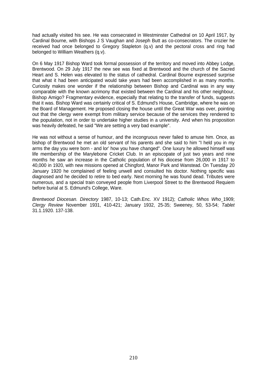had actually visited his see. He was consecrated in Westminster Cathedral on 10 April 1917, by Cardinal Bourne, with Bishops J S Vaughan and Joseph Butt as co-consecrators. The crozier he received had once belonged to Gregory Stapleton (q.v) and the pectoral cross and ring had belonged to William Weathers (q.v).

On 6 May 1917 Bishop Ward took formal possession of the territory and moved into Abbey Lodge, Brentwood. On 29 July 1917 the new see was fixed at Brentwood and the church of the Sacred Heart and S. Helen was elevated to the status of cathedral. Cardinal Bourne expressed surprise that what it had been anticipated would take years had been accomplished in as many months. Curiosity makes one wonder if the relationship between Bishop and Cardinal was in any way comparable with the known acrimony that existed between the Cardinal and his other neighbour, Bishop Amigo? Fragmentary evidence, especially that relating to the transfer of funds, suggests that it was. Bishop Ward was certainly critical of S. Edmund's House, Cambridge, where he was on the Board of Management. He proposed closing the house until the Great War was over, pointing out that the clergy were exempt from military service because of the services they rendered to the population, not in order to undertake higher studies in a university. And when his proposition was heavily defeated, he said "We are setting a very bad example".

He was not without a sense of humour, and the incongruous never failed to amuse him. Once, as bishop of Brentwood he met an old servant of his parents and she said to him "I held you in my arms the day you were born - and lor' how you have changed". One luxury he allowed himself was life membership of the Marylebone Cricket Club. In an episcopate of just two years and nine months he saw an increase in the Catholic population of his diocese from 26,000 in 1917 to 40,000 in 1920, with new missions opened at Chingford, Manor Park and Wanstead. On Tuesday 20 January 1920 he complained of feeling unwell and consulted his doctor. Nothing specific was diagnosed and he decided to retire to bed early. Next morning he was found dead. Tributes were numerous, and a special train conveyed people from Liverpool Street to the Brentwood Requiem before burial at S. Edmund's College, Ware.

*Brentwood Diocesan. Directory* 1987, 10-13; Cath.Enc. XV 1912); *Catholic Whos Who* 1909; *Clergy Review* November 1931, 410-421; January 1932, 25-35; Sweeney, 50, 53-54; *Tablet* 31.1.1920. 137-138.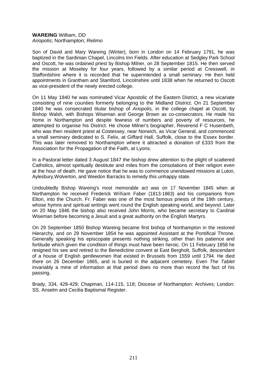# **WAREING** William, DD *Ariopolis;* Northampton; *Retimo*

Son of David and Mary Wareing (Winter), born in London on 14 February 1791, he was baptized in the Sardinian Chapel, Lincolns Inn Fields. After education at Sedgley Park School and Oscott, he was ordained priest by Bishop Milner, on 28 September 1815. He then served the mission at Moseley for four years, followed by a similar period at Cresswell, in Staffordshire where it is recorded that he superintended a small seminary. He then held appointments in Grantham and Stamford, Lincolnshire until 1838 when he returned to Oscott as vice-president of the newly erected college.

On 11 May 1840 he was nominated Vicar Apostolic of the Eastern District, a new vicariate consisting of nine counties formerly belonging to the Midland District. On 21 September 1840 he was consecrated titular bishop of *Ariopolis,* in the college chapel at Oscott, by Bishop Walsh, with Bishops Wiseman and George Brown as co-consecrators. He made his home in Northampton and despite fewness of numbers and poverty of resources, he attempted to organise his District. He chose Milner's biographer, Reverend F C Husenbeth, who was then resident priest at Costessey, near Norwich, as Vicar General, and commenced a small seminary dedicated to S. Felix, at Giffard Hall, Suffolk, close to the Essex border. This was later removed to Northampton where it attracted a donation of £333 from the Association for the Propagation of the Faith, at Lyons.

In a Pastoral letter dated 3 August 1847 the bishop drew attention to the plight of scattered Catholics, almost spiritually destitute and miles from the consolations of their religion even at the hour of death. He gave notice that he was to commence unendowed missions at Luton, Aylesbury,Wolverton, and Weedon Barracks to remedy this unhappy state.

Undoubtedly Bishop Wareing's most memorable act was on 17 November 1845 when at Northampton he received Frederick William Faber (1813-1863) and his companions from Elton, into the Church. Fr. Faber was one of the most famous priests of the 19th century, whose hymns and spiritual writings went round the English speaking world, and beyond. Later on 20 May 1846 the bishop also received John Morris, who became secretary to Cardinal Wiseman before becoming a Jesuit and a great authority on the English Martyrs.

On 29 September 1850 Bishop Wareing became first bishop of Northampton in the restored Hierarchy, and on 29 November 1854 he was appointed Assistant at the Pontifical Throne. Generally speaking his episcopate presents nothing striking, other than his patience and fortitude which given the condition of things must have been heroic. On 11 February 1858 he resigned his see and retired to the Benedictine convent at East Bergholt, Suffolk, descendant of a house of English gentlewomen that existed in Brussels from 1559 until 1794. He died there on 26 December 1865, and is buried in the adjacent cemetery. Even *The Tablet* invariably a mine of information at that period does no more than record the fact of his passing.

Brady, 334, 428-429; Chapman, 114-115, 118; Diocese of Northampton: Archives; London: SS. Anselm and Cecilia Baptismal Register.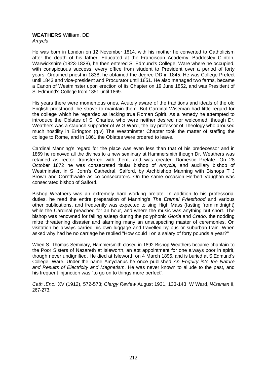# **WEATHERS** William, DD *Amycla*

He was born in London on 12 November 1814, with his mother he converted to Catholicism after the death of his father. Educated at the Franciscan Academy, Baddesley Clinton, Warwickshire (1823-1828), he then entered S. Edmund's College, Ware where he occupied, with conspicuous success, every office from student to President over a period of forty years. Ordained priest in 1838, he obtained the degree DD in 1845. He was College Prefect until 1843 and vice-president and Procurator until 1851. He also managed two farms, became a Canon of Westminster upon erection of its Chapter on 19 June 1852, and was President of S. Edmund's College from 1851 until 1869.

His years there were momentous ones. Acutely aware of the traditions and ideals of the old English priesthood, he strove to maintain them. But Cardinal Wiseman had little regard for the college which he regarded as lacking true Roman Spirit. As a remedy he attempted to introduce the Oblates of S. Charles, who were neither desired nor welcomed, though Dr. Weathers was a staunch supporter of W G Ward, the lay professor of Theology who aroused much hostility in Errington (q.v) The Westminster Chapter took the matter of staffing the college to Rome, and in 1861 the Oblates were ordered to leave.

Cardinal Manning's regard for the place was even less than that of his predecessor and in 1869 he removed all the divines to a new seminary at Hammersmith though Dr. Weathers was retained as rector, transferred with them, and was created Domestic Prelate. On 28 October 1872 he was consecrated titular bishop of *Amycla,* and auxiliary bishop of Westminster, in S. John's Cathedral, Salford, by Archbishop Manning with Bishops T J Brown and Cornthwaite as co-consecrators. On the same occasion Herbert Vaughan was consecrated bishop of Salford.

Bishop Weathers was an extremely hard working prelate. In addition to his professorial duties, he read the entire preparation of Manning's *The Eternal Priesthood* and various other publications, and frequently was expected to sing High Mass (fasting from midnight) while the Cardinal preached for an hour, and where the music was anything but short. The bishop was renowned for falling asleep during the polyphonic *Gloria* and *Credo,* the nodding mitre threatening disaster and alarming many an unsuspecting master of ceremonies. On visitation he always carried his own luggage and travelled by bus or suburban train. When asked why had he no carriage he replied "How could I on a salary of forty pounds a year?"

When S. Thomas Seminary, Hammersmith closed in 1892 Bishop Weathers became chaplain to the Poor Sisters of Nazareth at Isleworth, an apt appointment for one always poor in spirit, though never undignified. He died at Isleworth on 4 March 1895, and is buried at S.Edmund's College, Ware. Under the name Amyclanus he once published *An Enquiry into the Nature and Results of Electricity and Magnetism*. He was never known to allude to the past, and his frequent injunction was "to go on to things more perfect".

*Cath .Enc*.' XV (1912), 572-573; *Clergy Review* August 1931, 133-143; W Ward, *Wiseman* II, 267-273.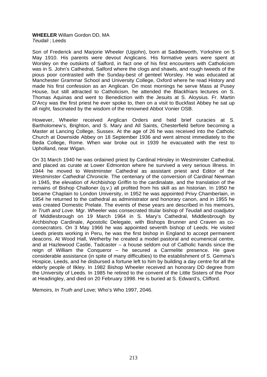# **WHEELER** Willam Gordon DD, MA *Teudali* ; Leeds

Son of Frederick and Marjorie Wheeler (Upjohn), born at Saddleworth, Yorkshire on 5 May 1910. His parents were devout Anglicans. His formative years were spent at Worsley on the outskirts of Salford, in fact one of his first encounters with Catholicism was in S. John's Cathedral, Salford where the clogs and shawls, and rough tweeds of the pious poor contrasted with the Sunday-best of genteel Worsley. He was educated at Manchester Grammar School and University College, Oxford where he read History and made his first confession as an Anglican. On most mornings he serve Mass at Pusey House, but still attracted to Catholicism, he attended the Blackfriars lectures on S. Thomas Aquinas and went to Benediction with the Jesuits at S. Aloysius. Fr. Martin D'Arcy was the first priest he ever spoke to, then on a visit to Buckfast Abbey he sat up all night, fascinated by the wisdom of the renowned Abbot Vonier OSB.

However, Wheeler received Anglican Orders and held brief curacies at S. Bartholomew's, Brighton, and S. Mary and All Saints, Chesterfield before becoming a Master at Lancing College, Sussex. At the age of 26 he was received into the Catholic Church at Downside Abbey on 18 September 1936 and went almost immediately to the Beda College, Rome. When war broke out in 1939 he evacuated with the rest to Upholland, near Wigan.

On 31 March 1940 he was ordained priest by Cardinal Hinsley in Westminster Cathedral, and placed as curate at Lower Edmonton where he survived a very serious illness. In 1944 he moved to Westminster Cathedral as assistant priest and Editor of the *Westminster Cathedral Chronicle.* The centenary of the conversion of Cardinal Newman in 1945, the elevation of Archbishop Griffin to the cardinalate, and the translation of the remains of Bishop Challoner (q.v.) all profited from his skill as an historian. In 1950 he became Chaplain to London University, in 1952 he was appointed Privy Chamberlain, in 1954 he returned to the cathedral as administrator and honorary canon, and in 1955 he was created Domestic Prelate. The events of these years are described in his memoirs, *In Truth and Love.* Mgr. Wheeler was consecrated titular bishop of *Teudali* and coadjutor of Middlesbrough on 19 March 1964 in S. Mary's Cathedral, Middlesbrough by Archbishop Cardinale, Apostolic Delegate, with Bishops Brunner and Craven as coconsecrators. On 3 May 1966 he was appointed seventh bishop of Leeds. He visited Leeds priests working in Peru, he was the first bishop in England to accept permanent deacons. At Wood Hall, Wetherby he created a model pastoral and ecumenical centre, and at Hazlewood Castle, Tadcaster – a house seldom out of Catholic hands since the reign of William the Conqueror – he secured a Carmelite presence. He gave considerable assistance (in spite of many difficulties) to the establishment of S. Gemma's Hospice, Leeds, and he disbursed a fortune left to him by building a day centre for all the elderly people of Ilkley. In 1982 Bishop Wheeler received an honorary DD degree from the University of Leeds. In 1985 he retired to the convent of the Little Sisters of the Poor at Headingley, and died on 20 February 1998. He is buried at S. Edward's, Clifford.

Memoirs, *In Truth and* Love; Who's Who 1997, 2046.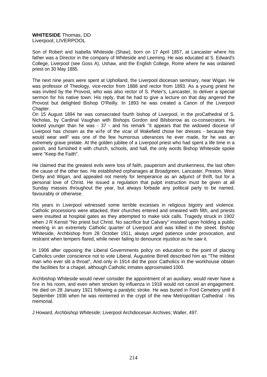# **WHITESIDE** Thomas, DD Liverpool; LIVERPOOL

Son of Robert and Isabella Whiteside (Shaw), born on 17 April 1857, at Lancaster where his father was a Director in the company of Whiteside and Leeming. He was educated at S. Edward's College, Liverpool (see Goss A), Ushaw, and the English College, Rome where he was ordained priest on 30 May 1885.

The next nine years were spent at Upholland, the Liverpool diocesan seminary, near Wigan. He was professor of Theology, vice-rector from 1888 and rector from 1893. As a young priest he was invited by the Provost, who was also rector of S. Peter's, Lancaster, to deliver a special sermon for his native town. His reply, that he had to give a lecture on that day angered the Provost but delighted Bishop O'Reilly. In 1893 he was created a Canon of the Liverpool Chapter.

On 15 August 1894 he was consecrated fourth bishop of Liverpool, in the proCathedral of S. Nicholas, by Cardinal Vaughan with Bishops Gordon and Bilsborrow as co-consecrators. He looked younger than he was - 37 - and his remark "it appears that the widowed diocese of Liverpool has chosen as the wife of the vicar of Wakefield chose her dresses - because they would wear well" was one of the few humorous utterances he ever made, for he was an extremely grave prelate. At the golden jubilee of a Liverpool priest who had spent a life time in a parish, and furnished it with church, schools, and hall, the only words Bishop Whiteside spoke were "Keep the Faith".

He claimed that the greatest evils were loss of faith, pauperism and drunkenness, the last often the cause of the other two. He established orphanages at Broadgreen, Lancaster, Preston, West Derby and Wigan, and appealed not merely for temperance as an adjunct of thrift, but for a personal love of Christ. He issued a regulation that pulpit instruction must be given at all Sunday masses throughout the year, but always forbade any political party to be named, favourably or otherwise.

His years in Liverpool witnessed some terrible excesses in religious bigotry and violence. Catholic processions were attacked, their churches entered and smeared with filth, and priests were insulted at hospital gates as they attempted to make sick calls. Tragedy struck in 1902 when J R Kensit "No priest but Christ. No sacrifice but Calvary" insisted upon holding a public meeting in an extremely Catholic quarter of Liverpool and was killed in the street. Bishop Whiteside, Archbishop from 28 October 1911, always urged patience under provocation, and restraint when tempers flared, while never failing to denounce injustice as he saw it.

In 1906 after opposing the Liberal Governments policy on education to the point of placing Catholics under conscience not to vote Liberal, Augustine Birrell described him as "The mildest man who ever slit a throat", And only in 1914 did the poor Catholics in the workhouse obtain the facilities for a chapel, although Catholic inmates approximated 1000.

Archbishop Whiteside would never consider the appointment of an auxiliary, would never have a fire in his room, and even when stricken by influenza in 1918 would not cancel an engagement. He died on 28 January 1921 following a paralytic stroke. He was buried in Ford Cemetery until 8 September 1936 when he was reinterred in the crypt of the new Metropolitan Cathedral - his memorial.

J Howard, *Archbishop Whiteside*; Liverpool Archdiocesan Archives; Waller, 497.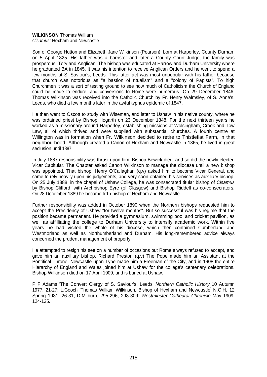# **WILKINSON** Thomas William

*Cisamus;* Hexham and Newcastle

Son of George Hutton and Elizabeth Jane Wilkinson (Pearson), born at Harperley, County Durham on 5 April 1825. His father was a barrister and later a County Court Judge, the family was prosperous, Tory and Anglican. The bishop was educated at Harrow and Durham University where he graduated BA in 1845. It was his intention to receive Anglican Orders and he went to spend a few months at S. Saviour's, Leeds. This latter act was most unpopular with his father because that church was notorious as "a bastion of ritualism" and a "colony of Papists". To high Churchmen it was a sort of testing ground to see how much of Catholicism the Church of England could be made to endure, and conversions to Rome were numerous. On 29 December 1846, Thomas Wilkinson was received into the Catholic Church by Fr. Henry Walmsley, of S. Anne's, Leeds, who died a few months later in the awful typhus epidemic of 1847.

He then went to Oscott to study with Wiseman, and later to Ushaw in his native county, where he was ordained priest by Bishop Hogarth on 23 December 1848. For the next thirteen years he worked as a missionary around Harperley, establishing missions at Wolsingham, Crook and Tow Law, all of which thrived and were supplied with substantial churches. A fourth centre at Willington was in formation when Fr. Wilkinson decided to retire to Thistleflat Farm, in that neighbourhood. Although created a Canon of Hexham and Newcastle in 1865, he lived in great seclusion until 1887.

In July 1887 responsibility was thrust upon him, Bishop Bewick died, and so did the newly elected Vicar Capitular. The Chapter asked Canon Wilkinson to manage the diocese until a new bishop was appointed. That bishop, Henry O'Callaghan (q.v) asked him to become Vicar General, and came to rely heavily upon his judgements, and very soon obtained his services as auxiliary bishop. On 25 July 1888, in the chapel of Ushaw College, he was consecrated titular bishop of *Cisamus*  by Bishop Clifford, with Archbishop Eyre (of Glasgow) and Bishop Riddell as co-consecrators. On 28 December 1889 he became fifth bishop of Hexham and Newcastle.

Further responsibility was added in October 1890 when the Northern bishops requested him to accept the Presidency of Ushaw "for twelve months". But so successful was his regime that the position became permanent. He provided a gymnasium, swimming pool and cricket pavilion, as well as affilliating the college to Durham University to intensify academic work. Within five years he had visited the whole of his diocese, which then contained Cumberland and Westmorland as well as Northumberland and Durham. His long-remembered advice always concerned the prudent management of property.

He attempted to resign his see on a number of occasions but Rome always refused to accept, and gave him an auxiliary bishop, Richard Preston (q.v) The Pope made him an Assistant at the Pontifical Throne, Newcastle upon Tyne made him a Freeman of the City, and in 1908 the entire Hierarchy of England and Wales joined him at Ushaw for the college's centenary celebrations. Bishop Wilkinson died on 17 April 1909, and is buried at Ushaw.

P F Adams 'The Convert Clergy of S. Saviour's. Leeds' *Northern Catholic History* 10 Autumn 1977, 21-27; L.Gooch 'Thomas William Wilkinson, Bishop of Hexham and Newcastle' N.C.H. 12 Spring 1981, 26-31; D.Milburn, 295-296, 298-309; *Westminster Cathedral Chronicle* May 1909, 124-125.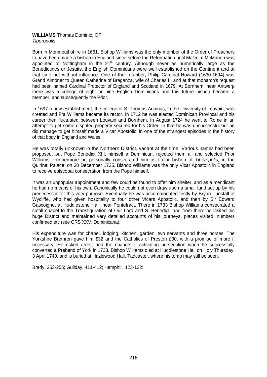### **WILLIAMS** Thomas Dominic, OP *Tiberopolis*

Born in Monmouthshire in 1661, Bishop Williams was the only member of the Order of Preachers to have been made a bishop in England since before the Reformation until Malcolm McMahon was appointed to Nottingham in the  $21<sup>st</sup>$  century. Although never as numerically large as the Benedictines or Jesuits, the English Dominicans were well established on the Continent and at that time not without influence. One of their number, Philip Cardinal Howard (1630-1694) was Grand Almoner to Queen Catherine of Braganza, wife of Charles II, and at that monarch's request had been named Cardinal Protector of England and Scotland in 1679. At Bornhem, near Antwerp there was a college of eight or nine English Dominicans and this future bishop became a member, and subsequently the Prior.

In 1697 a new establishment, the college of S. Thomas Aquinas, in the University of Louvain, was created and Fra Williams became its rector. In 1712 he was elected Dominican Provincal and his career then fluctuated between Louvain and Bornhem. In August 1724 he went to Rome in an attempt to get some disputed property secured for his Order. In that he was unsuccessful but he did manage to get himself made a Vicar Apostolic, in one of the strangest episodes in the history of that body in England and Wales.

He was totally unknown in the Northern District, vacant at the time. Various names had been proposed, but Pope Benedict XIII, himself a Dominican, rejected them all and selected Prior Williams. Furthermore he personally consecrated him as titular bishop of *Tiberopolis,* in the Quirinal Palace, on 30 December 1725. Bishop Williams was the only Vicar Apostolic in England to receive episcopal consecration from the Pope himself.

It was an unpopular appointment and few could be found to offer him shelter, and as a mendicant he had no means of his own. Canonically he could not even draw upon a small fund set up by his predecessor for this very purpose. Eventually he was accommodated firstly by Bryan Tunstall of Wycliffe, who had given hospitality to four other Vicars Apostolic, and then by Sir Edward Gascoigne, at Huddlestone Hall, near Pontefract. There in 1733 Bishop Williams consecrated a small chapel to the Transfiguration of Our Lord and S. Benedict, and from there he visited his huge District and maintained very detailed accounts of his journeys, places visited, numbers confirmed etc (see CRS XXV, Dominicana).

His expenditure was for chapel, lodging, kitchen, garden, two servants and three horses. The Yorkshire Brethren gave him £32 and the Catholics of Preston £30, with a promise of more if necessary. He risked arrest and the chance of activating persecution when he successfully converted a Prebend of York in 1733. Bishop Williams died at Huddlestone Hall on Holy Thursday, 3 April 1740, and is buried at Hazlewood Hall, Tadcaster, where his tomb may still be seen.

Brady, 253-255; Guilday, 411-412; Hemphill, 123-132: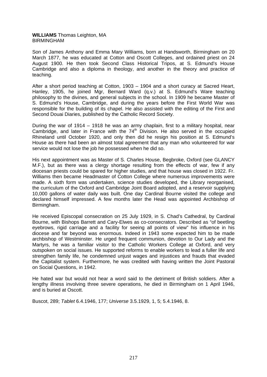# **WILLIAMS** Thomas Leighton, MA BIRMINGHAM

Son of James Anthony and Emma Mary Williams, born at Handsworth, Birmingham on 20 March 1877, he was educated at Cotton and Oscott Colleges, and ordained priest on 24 August 1900. He then took Second Class Historical Tripos, at S. Edmund's House Cambridge and also a diploma in theology, and another in the theory and practice of teaching.

After a short period teaching at Cotton, 1903 – 1904 and a short curacy at Sacred Heart, Hanley, 1905, he joined Mgr, Bernard Ward (q.v.) at S. Edmund's Ware teaching philosophy to the divines, and general subjects in the school. In 1909 he became Master of S. Edmund's House, Cambridge, and during the years before the First World War was responsible for the building of its chapel. He also assisted with the editing of the First and Second Douai Diaries, published by the Catholic Record Society.

During the war of 1914 – 1918 he was an army chaplain, first to a military hospital, near Cambridge, and later in France with the  $74<sup>th</sup>$  Division. He also served in the occupied Rhineland until October 1920, and only then did he resign his position at S. Edmund's House as there had been an almost total agreement that any man who volunteered for war service would not lose the job he possessed when he did so.

His next appointment was as Master of S. Charles House, Begbroke, Oxford (see GLANCY M.F.), but as there was a clergy shortage resulting from the effects of war, few if any diocesan priests could be spared for higher studies, and that house was closed in 1922. Fr. Williams then became Headmaster of Cotton College where numerous improvements were made. A sixth form was undertaken, science studies developed, the Library reorganised, the curriculum of the Oxford and Cambridge Joint Board adopted, and a reservoir supplying 10,000 gallons of water daily was built. One day Cardinal Bourne visited the college and declared himself impressed. A few months later the Head was appointed Archbishop of Birmingham.

He received Episcopal consecration on 25 July 1929, in S. Chad's Cathedral, by Cardinal Bourne, with Bishops Barrett and Cary-Elwes as co-consecrators. Described as "of beetling eyebrows, rigid carriage and a facility for seeing all points of view" his influence in his diocese and far beyond was enormous. Indeed in 1943 some expected him to be made archbishop of Westminster. He urged frequent communion, devotion to Our Lady and the Martyrs, he was a familiar visitor to the Catholic Workers College at Oxford, and very outspoken on social issues. He supported reforms to enable workers to lead a fuller life and strengthen family life, he condemned unjust wages and injustices and frauds that evaded the Capitalist system. Furthermore, he was credited with having written the Joint Pastoral on Social Questions, in 1942.

He hated war but would not hear a word said to the detriment of British soldiers. After a lengthy illness involving three severe operations, he died in Birmingham on 1 April 1946, and is buried at Oscott.

Buscot, 289; *Tablet* 6.4.1946, 177; *Universe* 3.5.1929, 1, 5; 5.4.1946, 8.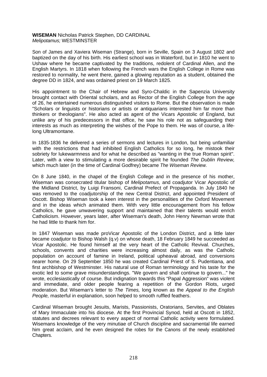# **WISEMAN** Nicholas Patrick Stephen, DD CARDINAL *Melipotamus;* WESTMINSTER

Son of James and Xaviera Wiseman (Strange), born in Seville, Spain on 3 August 1802 and baptized on the day of his birth. His earliest school was in Waterford, but in 1810 he went to Ushaw where he became captivated by the traditions, redolent of Cardinal Allen, and the English Martyrs. In 1818 when following the French wars the English College in Rome was restored to normality, he went there, gained a glowing reputation as a student, obtained the degree DD in 1824, and was ordained priest on 19 March 1825.

His appointment to the Chair of Hebrew and Syro-Chaldic in the Sapenzia University brought contact with Oriental scholars, and as Rector of the English College from the age of 26, he entertained numerous distinguished visitors to Rome. But the observation is made "Scholars or linguists or historians or artists or antiquarians interested him far more than thinkers or theologians". He also acted as agent of the Vicars Apostolic of England, but unlike any of his predecessors in that office, he saw his role not as safeguarding their interests as much as interpreting the wishes of the Pope to them. He was of course, a lifelong Ultramontane.

In 1835-1836 he delivered a series of sermons and lectures in London, but being unfamiliar with the restrictions that had inhibited English Catholics for so long, he mistook their sobriety for lukewarmness and for what he described as "wanting in the true Roman spirit". Later, with a view to stimulating a more desirable spirit he founded *The Dublin Review,* which much later (in the time of Cardinal Godfrey) became *The Wiseman Review.* 

On 8 June 1840, in the chapel of the English College and in the presence of his mother, Wiseman was consecrated titular bishop of *Melipotamus,* and coadjutor Vicar Apostolic of the Midland District, by Luigi Fransoni, Cardinal Prefect of Propaganda. In July 1840 he was removed to the coadjutorship of the new Central District, and appointed President of Oscott. Bishop Wiseman took a keen interest in the personalities of the Oxford Movement and in the ideas which animated them. With very little encouragement from his fellow Catholics, he gave unwavering support and maintained that their talents would enrich Catholicism. However, years later, after Wiseman's death, John Henry Newman wrote that he had little to thank him for.

In 1847 Wiseman was made proVicar Apostolic of the London District, and a little later became coadjutor to Bishop Walsh (q.v) on whose death, 18 February 1849 he succeeded as Vicar Apostolic. He found himself at the very heart of the Catholic Revival. Churches, schools, convents and charities were increasing almost daily, as was the Catholic population on account of famine in Ireland, political upheaval abroad, and conversions nearer home. On 29 September 1850 he was created Cardinal Priest of S. Pudentiana, and first archbishop of Westminster. His natural use of Roman terminology and his taste for the exotic led to some grave misunderstandings. "We govern and shall continue to govern..." he wrote, ecclesiastically of course. But indignation towards this "Papal Aggression" was violent and immediate, and older people fearing a repetition of the Gordon Riots, urged moderation. But Wiseman's letter to *The Times,* long known as the *Appeal to the English People,* masterful in explanation, soon helped to smooth ruffled feathers.

Cardinal Wiseman brought Jesuits, Marists, Passionists, Oratorians, Servites, and Oblates of Mary Immaculate into his diocese. At the first Provincial Synod, held at Oscott in 1852, statutes and decrees relevant to every aspect of normal Catholic activity were formulated. Wisemans knowledge of the very minutiae of Church discipline and sacramental life earned him great acclaim, and he even designed the robes for the Canons of the newly established Chapters.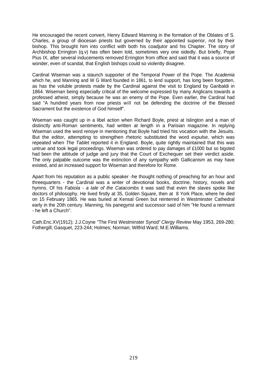He encouraged the recent convert, Henry Edward Manning in the formation of the Oblates of S. Charles, a group of diocesan priests but governed by their appointed superior, not by their bishop. This brought him into conflict with both his coadjutor and his Chapter. The story of Archbishop Errington (q.v) has often been told, sometimes very one sidedly. But briefly, Pope Pius IX, after several inducements removed Errington from office and said that it was a source of wonder, even of scandal, that English bishops could so violently disagree.

Cardinal Wiseman was a staunch supporter of the Temporal Power of the Pope. The *Academia* which he, and Manning and W G Ward founded in 1861, to lend support, has long been forgotten, as has the voluble protests made by the Cardinal against the visit to England by Garibaldi in 1864. Wiseman being especially critical of the welcome expressed by many Anglicans towards a professed atheist, simply because he was an enemy of the Pope. Even earlier, the Cardinal had said "A hundred years from now priests will not be defending the doctrine of the Blessed Sacrament but the existence of God himself".

Wiseman was caught up in a libel action when Richard Boyle, priest at Islington and a man of distinctly anti-Roman sentiments, had written at length in a Parisian magazine. In replying Wiseman used the word *renoye* in mentioning that Boyle had tried his vocation with the Jesuits. But the editor, attempting to strengthen rhetoric substituted the word *expulse,* which was repeated when *The Tablet* reported it in England. Boyle, quite rightly maintained that this was untrue and took legal proceedings. Wiseman was ordered to pay damages of £1000 but so bigoted had been the attitude of judge and jury that the Court of Exchequer set their verdict aside. The only palpable outcome was the extinction of any sympathy with Gallicanism as may have existed, and an increased support for Wiseman and therefore for Rome.

Apart from his reputation as a public speaker -he thought nothing of preaching for an hour and threequarters - the Cardinal was a writer of devotional books, doctrine, history, novels and hymns. Of his *Fabiola - a tale of the Catacombs* it was said that even the slaves spoke like doctors of philosophy. He lived firstly at 35, Golden Square, then at 8 York Place, where he died on 15 February 1865. He was buried at Kensal Green but reinterred in Westminster Cathedral early in the 20th century. Manning, his panegyrist and successor said of him "He found a remnant - he left a Church".

Cath.Enc.XV(1912); J.J.Coyne "The First Westminster Synod" *Clergy Review* May 1953, 269-280; Fothergill; Gasquet, 223-244; Holmes; Norman; Wilfrid Ward; M.E.Williams.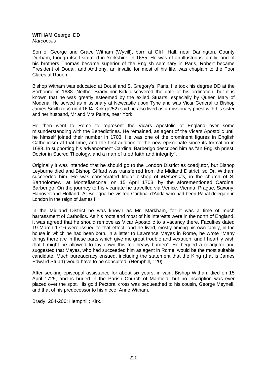#### **WITHAM** George, DD *Marcopolis*

Son of George and Grace Witham (Wyvill), born at Cliff Hall, near Darlington, County Durham, though itself situated in Yorkshire, in 1655. He was of an illustrious family, and of his brothers Thomas became superior of the English seminary in Paris, Robert became President of Douai, and Anthony, an invalid for most of his life, was chaplain to the Poor Clares at Rouen.

Bishop Witham was educated at Douai and S. Gregory's, Paris. He took his degree DD at the Sorbonne in 1688. Neither Brady nor Kirk discovered the date of his ordination, but it is known that he was greatly esteemed by the exiled Stuarts, especially by Queen Mary of Modena. He served as missionary at Newcastle upon Tyne and was Vicar General to Bishop James Smith (q.v) until 1694. Kirk (p252) said he also lived as a missionary priest with his sister and her husband, Mr and Mrs Palms, near York.

He then went to Rome to represent the Vicars Apostolic of England over some misunderstanding with the Benedictines. He remained, as agent of the Vicars Apostolic until he himself joined their number in 1703. He was one of the prominent figures in English Catholicism at that time, and the first addition to the new episcopate since its formation in 1688. In supporting his advancement Cardinal Barberigo described him as "an English priest, Doctor in Sacred Theology, and a man of tried faith and integrity".

Originally it was intended that he should go to the London District as coadjutor, but Bishop Leyburne died and Bishop Giffard was transferred from the Midland District, so Dr. Witham succeeded him. He was consecrated titular bishop of *Marcopolis,* in the church of S. Bartholomew, at Montefiascone, on 15 April 1703, by the aforementioned Cardinal Barberigo. On the journey to his vicariate he travelled via Venice, Vienna, Prague, Saxony, Hanover and Holland. At Bologna he visited Cardinal d'Adda who had been Papal delegate in London in the reign of James II.

In the Midland District he was known as Mr. Markham, for it was a time of much harrassment of Catholics. As his roots and most of his interests were in the north of England, it was agreed that he should remove as Vicar Apostolic to a vacancy there. Faculties dated 19 March 1716 were issued to that effect, and he lived, mostly among his own family, in the house in which he had been born. In a letter to Lawrence Mayes in Rome, he wrote "Many things there are in these parts which give me great trouble and vexation, and I heartily wish that I might be allowed to lay down this too heavy burden". He begged a coadjutor and suggested that Mayes, who had succeeded him as agent in Rome, would be the most suitable candidate. Much bureaucracy ensued, including the statement that the King (that is James Edward Stuart) would have to be consulted. (Hemphill, 120).

After seeking episcopal assistance for about six years, in vain, Bishop Witham died on 15 April 1725, and is buried in the Parish Church of Manfield, but no inscription was ever placed over the spot. His gold Pectoral cross was bequeathed to his cousin, George Meynell, and that of his predecessor to his niece, Anne Witham.

Brady, 204-206; Hemphill; Kirk.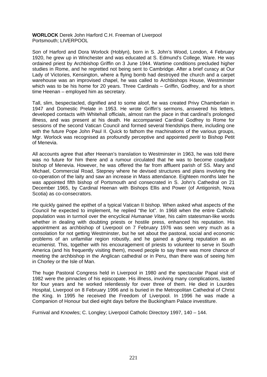**WORLOCK** Derek John Harford C.H. Freeman of Liverpool Portsmouth; LIVERPOOL

Son of Harford and Dora Worlock (Hoblyn), born in S. John's Wood, London, 4 February 1920, he grew up in Winchester and was educated at S. Edmund's College, Ware. He was ordained priest by Archbishop Griffin on 3 June 1944. Wartime conditions precluded higher studies in Rome, and he regretted not being sent to Cambridge. After a brief curacy at Our Lady of Victories, Kensington, where a flying bomb had destroyed the church and a carpet warehouse was an improvised chapel, he was called to Archbishops House, Westminster which was to be his home for 20 years. Three Cardinals – Griffin, Godfrey, and for a short time Heenan – employed him as secretary.

Tall, slim, bespectacled, dignified and to some aloof, he was created Privy Chamberlain in 1947 and Domestic Prelate in 1953. He wrote Griffin's sermons, answered his letters, developed contacts with Whitehall officials, almost ran the place in that cardinal's prolonged illness, and was present at his death. He accompanied Cardinal Godfrey to Rome for sessions of the second Vatican Council and formed several friendships there, including one with the future Pope John Paul II. Quick to fathom the machinations of the various groups, Mgr. Worlock was recognised as profoundly perceptive and appointed *periti* to Bishop Petit of Menevia.

All accounts agree that after Heenan's translation to Westminster in 1963, he was told there was no future for him there and a rumour circulated that he was to become coadjutor bishop of Menevia. However, he was offered the far from affluent parish of SS. Mary and Michael, Commercial Road, Stepney where he devised structures and plans involving the co-operation of the laity and saw an increase in Mass attendance. Eighteen months later he was appointed fifth bishop of Portsmouth and consecrated in S. John's Cathedral on 21 December 1965, by Cardinal Heenan with Bishops Ellis and Power (of Antigonish, Nova Scotia) as co-consecrators.

He quickly gained the epithet of a typical Vatican II bishop. When asked what aspects of the Council he expected to implement, he replied "the lot". In 1968 when the entire Catholic population was in turmoil over the encyclical *Humanae Vitae,* his calm statesman-like words whether in dealing with doubting priests or hostile press, enhanced his reputation. His appointment as archbishop of Liverpool on 7 February 1976 was seen very much as a consolation for not getting Westminster, but he set about the pastoral, social and economic problems of an unfamiliar region robustly, and he gained a glowing reputation as an ecumenist. This, together with his encouragement of priests to volunteer to serve in South America (and his frequently visiting them), moved people to say there was more chance of meeting the archbishop in the Anglican cathedral or in Peru, than there was of seeing him in Chorley or the Isle of Man.

The huge Pastoral Congress held in Liverpool in 1980 and the spectacular Papal visit of 1982 were the pinnacles of his episcopate. His illness, involving many complications, lasted for four years and he worked relentlessly for over three of them. He died in Lourdes Hospital, Liverpool on 8 February 1996 and is buried in the Metropolitan Cathedral of Christ the King. In 1995 he received the Freedom of Liverpool. In 1996 he was made a Companion of Honour but died eight days before the Buckingham Palace investiture.

Furnival and Knowles; C. Longley; Liverpool Catholic Directory 1997, 140 – 144.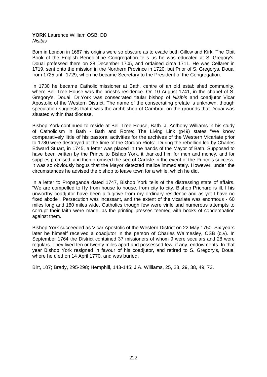# **YORK** Laurence William OSB, DD *Nisibis*

Born in London in 1687 his origins were so obscure as to evade both Gillow and Kirk. The Obit Book of the English Benedictine Congregation tells us he was educated at S. Gregory's, Douai professed there on 28 December 1705, and ordained circa 1711. He was Cellarer in 1719, sent onto the mission in the Northern Province in 1720, but Prior of S. Gregorys, Douai from 1725 until 1729, when he became Secretary to the President of the Congregation.

In 1730 he became Catholic missioner at Bath, centre of an old established community, where Bell-Tree House was the priest's residence. On 10 August 1741, in the chapel of S. Gregory's, Douai, Dr.York was consecrated titular bishop of *Nisibis* and coadjutor Vicar Apostolic of the Western District. The name of the consecrating prelate is unknown, though speculation suggests that it was the archbishop of Cambrai, on the grounds that Douai was situated within that diocese.

Bishop York continued to reside at Bell-Tree House, Bath. J. Anthony Williams in his study of Catholicism in Bath - Bath and Rome: The Living Link (p49) states "We know comparatively little of his pastoral activities for the archives of the Western Vicariate prior to 1780 were destroyed at the time of the Gordon Riots". During the rebellion led by Charles Edward Stuart, in 1745, a letter was placed in the hands of the Mayor of Bath. Supposed to have been written by the Prince to Bishop York, it thanked him for men and money, and for supplies promised, and then promised the see of Carlisle in the event of the Prince's success. It was so obviously bogus that the Mayor detected malice immediately. However, under the circumstances he advised the bishop to leave town for a while, which he did.

In a letter to Propaganda dated 1747, Bishop York tells of the distressing state of affairs. "We are compelled to fly from house to house, from city to city. Bishop Prichard is ill, I his unworthy coadjutor have been a fugitive from my ordinary residence and as yet I have no fixed abode". Persecution was incessant, and the extent of the vicariate was enormous - 60 miles long and 180 miles wide. Catholics though few were virile and numerous attempts to corrupt their faith were made, as the printing presses teemed with books of condemnation against them.

Bishop York succeeded as Vicar Apostolic of the Western District on 22 May 1750. Six years later he himself received a coadjutor in the person of Charles Walmesley, OSB (q.v). In September 1764 the District contained 37 missioners of whom 9 were seculars and 28 were regulars. They lived ten or twenty miles apart and possessed few, if any, endowments. In that year Bishop York resigned in favour of his coadjutor, and retired to S. Gregory's, Douai where he died on 14 April 1770, and was buried.

Birt, 107; Brady, 295-298; Hemphill, 143-145; J.A. Williams, 25, 28, 29, 38, 49, 73.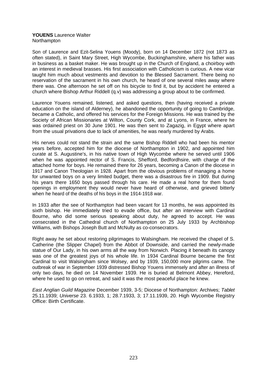## **YOUENS** Laurence Walter **Northampton**

Son of Laurence and Ezit-Selina Youens (Moody), born on 14 December 1872 (not 1873 as often stated), in Saint Mary Street, High Wycombe, Buckinghamshire, where his father was in business as a basket maker. He was brought up in the Church of England, a choirboy with an interest in medieval brasses. His first association with Catholicism is curious. A new vicar taught him much about vestments and devotion to the Blessed Sacrament. There being no reservation of the sacrament in his own church, he heard of one several miles away where there was. One afternoon he set off on his bicycle to find it, but by accident he entered a church where Bishop Arthur RiddelI (q.v) was addressing a group about to be confirmed.

Laurence Youens remained, listened, and asked questions, then (having received a private education on the island of Alderney), he abandoned the opportunity of going to Cambridge, became a Catholic, and offered his services for the Foreign Missions. He was trained by the Society of African Missionaries at Wilton, County Cork, and at Lyons, in France, where he was ordained priest on 30 June 1901. He was then sent to Zagazig, in Egypt where apart from the usual privations due to lack of amenities, he was nearly murdered by Arabs.

His nerves could not stand the strain and the same Bishop Riddell who had been his mentor years before, accepted him for the diocese of Northampton in 1902, and appointed him curate at S. Augustine's, in his native town of High Wycombe where he served until 1906 when he was appointed rector of S. Francis, Shefford, Bedfordhsire, with charge of the attached home for boys. He remained there for 26 years, becoming a Canon of the diocese in 1917 and Canon Theologian in 1928. Apart from the obvious problems of managing a home for unwanted boys on a very limited budget, there was a disastrous fire in 1909. But during his years there 1650 boys passed through his care. He made a real home for them found openings in employment they would never have heard of otherwise, and grieved bitterly when he heard of the deaths of his boys in the 1914-1918 war.

In 1933 after the see of Northampton had been vacant for 13 months, he was appointed its sixth bishop. He immediately tried to evade office, but after an interview with Cardinal Bourne, who did some serious speaking about duty, he agreed to accept. He was consecrated in the Cathedral church of Northampton on 25 July 1933 by Archbishop Williams, with Bishops Joseph Butt and McNulty as co-consecrators.

Right away he set about restoring pilgrimages to Walsingham. He received the chapel of S. Catherine (the Slipper Chapel) from the Abbot of Downside, and carried the newly-made statue of Our Lady, in his own arms all the way from Norwich. Placing it beneath its canopy was one of the greatest joys of his whole life. In 1934 Cardinal Bourne became the first Cardinal to visit Walsingham since Wolsey, and by 1939, 150,000 more pilgrims came. The outbreak of war in September 1939 distressed Bishop Youens immensely and after an illness of only two days, he died on 14 November 1939. He is buried at Belmont Abbey, Hereford, where he used to go on retreat, and said it was the most peaceful place he knew.

*East Anglian Guild Magazine* December 1939, 3-5; Diocese of Northampton: Archives; *Tablet* 25.11.1939; *Universe* 23. 6.1933, 1; 28.7.1933, 3; 17.11.1939, 20. High Wycombe Registry Office: Birth Certificate.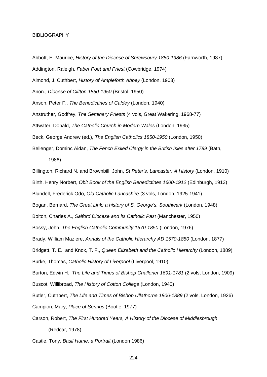#### **BIBLIOGRAPHY**

Abbott, E. Maurice, *History of the Diocese of Shrewsbury 1850-1986* (Farnworth, 1987) Addington, Raleigh, *Faber Poet and Priest* (Cowbridge, 1974) Almond, J. Cuthbert, *History of Ampleforth Abbey* (London, 1903) Anon., *Diocese of Clifton 1850-1950* (Bristol, 1950) Anson, Peter F., *The Benedictines of Caldey* (London, 1940) Anstruther, Godfrey, *The Seminary Priests* (4 vols, Great Wakering, 1968-77) Attwater, Donald, *The Catholic Church in Modern Wales* (London, 1935) Beck, George Andrew (ed.), *The English Catholics 1850-1950* (London, 1950) Bellenger, Dominc Aidan, *The Fench Exiled Clergy in the British Isles after 1789* (Bath,

1986)

Billington, Richard N. and Brownbill, John, *St Peter's, Lancaster: A History* (London, 1910) Birth, Henry Norbert, *Obit Book of the English Benedictines 1600-1912* (Edinburgh, 1913)

Blundell, Frederick Odo, *Old Catholic Lancashire* (3 vols, London, 1925-1941)

Bogan, Bernard, *The Great Link: a history of S. George's, Southwark* (London, 1948)

Bolton, Charles A., *Salford Diocese and its Catholic Past* (Manchester, 1950)

Bossy, John, *The English Catholic Community 1570-1850* (London, 1976)

Brady, William Maziere, *Annals of the Catholic Hierarchy AD 1570-1850* (London, 1877)

Bridgett, T. E. and Knox, T. F., *Queen Elizabeth and the Catholic Hierarchy* (London, 1889) Burke, Thomas, *Catholic History of Liverpool* (Liverpool, 1910)

Burton, Edwin H., *The Life and Times of Bishop Challoner 1691-1781* (2 vols, London, 1909) Buscot, Willibroad, *The History of Cotton College* (London, 1940)

Butler, Cuthbert, *The Life and Times of Bishop Ullathorne 1806-1889* (2 vols, London, 1926) Campion, Mary, *Place of Springs* (Bootle, 1977)

Carson, Robert, *The First Hundred Years, A History of the Diocese of Middlesbrough*  (Redcar, 1978)

Castle, Tony, *Basil Hume, a Portrait* (London 1986)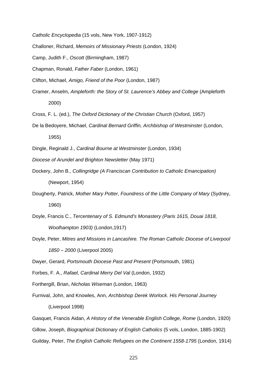*Catholic Encyclopedia* (15 vols, New York, 1907-1912)

Challoner, Richard, *Memoirs of Missionary Priests* (London, 1924)

Camp, Judith F., *Oscott* (Birmingham, 1987)

Chapman, Ronald, *Father Faber* (London, 1961)

Clifton, Michael, *Amigo, Friend of the Poor* (London, 1987)

Cramer, Anselm, *Ampleforth: the Story of St. Laurence's Abbey and College* (Ampleforth 2000)

Cross, F. L. (ed.), *The Oxford Dictionary of the Christian Church* (Oxford, 1957)

De la Bedoyere, Michael, *Cardinal Bernard Griffin, Archbishop of Westminster* (London, 1955)

Dingle, Reginald J., *Cardinal Bourne at Westminster* (London, 1934)

*Diocese of Arundel and Brighton Newsletter* (May 1971)

- Dockery, John B., *Collingridge (A Franciscan Contribution to Catholic Emancipation)*  (Newport, 1954)
- Dougherty, Patrick, *Mother Mary Potter, Foundress of the Little Company of Mary* (Sydney, 1960)
- Doyle, Francis C., *Tercentenary of S. Edmund's Monastery (Paris 1615, Douai 1818, Woolhampton 1903)* (London,1917)
- Doyle, Peter, *Mitres and Missions in Lancashire. The Roman Catholic Diocese of Liverpool 1850 – 2000* (Liverpool 2005)

Dwyer, Gerard, *Portsmouth Diocese Past and Present* (Portsmouth, 1981)

Forbes, F. A., *Rafael, Cardinal Merry Del Val* (London, 1932)

Forthergill, Brian, *Nicholas Wiseman* (London, 1963)

Furnival, John, and Knowles, Ann, *Archbishop Derek Worlock. His Personal Journey*  (Liverpool 1998)

Gasquet, Francis Aidan, *A History of the Venerable English College, Rome* (London, 1920) Gillow, Joseph, *Biographical Dictionary of English Catholics* (5 vols, London, 1885-1902) Guilday, Peter, *The English Catholic Refugees on the Continent 1558-1795* (London, 1914)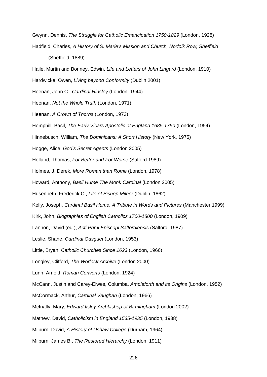Gwynn, Dennis, *The Struggle for Catholic Emancipation 1750-1829* (London, 1928) Hadfield, Charles, *A History of S. Marie's Mission and Church, Norfolk Row, Sheffield*  (Sheffield, 1889)

Haile, Martin and Bonney, Edwin, *Life and Letters of John Lingard* (London, 1910)

Hardwicke, Owen, *Living beyond Conformity* (Dublin 2001)

Heenan, John C., *Cardinal Hinsley* (London, 1944)

Heenan, *Not the Whole Truth* (London, 1971)

Heenan, *A Crown of Thorns* (London, 1973)

Hemphill, Basil, *The Early Vicars Apostolic of England 1685-1750* (London, 1954)

Hinnebusch, William, *The Dominicans: A Short History* (New York, 1975)

Hogge, Alice, *God's Secret Agents* (London 2005)

Holland, Thomas, *For Better and For Worse* (Salford 1989)

Holmes, J. Derek, *More Roman than Rome* (London, 1978)

Howard, Anthony, *Basil Hume The Monk Cardinal* (London 2005)

Husenbeth, Frederick C., *Life of Bishop Milner* (Dublin, 1862)

Kelly, Joseph, *Cardinal Basil Hume. A Tribute in Words and Pictures* (Manchester 1999)

Kirk, John, *Biographies of English Catholics 1700-1800* (London, 1909)

Lannon, David (ed.), *Acti Primi Episcopi Salfordiensis* (Salford, 1987)

Leslie, Shane, *Cardinal Gasguet* (London, 1953)

Little, Bryan, *Catholic Churches Since 1623* (London, 1966)

Longley, Clifford, *The Worlock Archive* (London 2000)

Lunn, Arnold, *Roman Converts* (London, 1924)

McCann, Justin and Carey-Elwes, Columba, *Ampleforth and its Origins* (London, 1952)

McCormack, Arthur, *Cardinal Vaughan* (London, 1966)

McInally, Mary, *Edward Ilsley Archbishop of Birmingham* (London 2002)

Mathew, David, *Catholicism in England 1535-1935* (London, 1938)

Milburn, David, *A History of Ushaw College* (Durham, 1964)

Milburn, James B., *The Restored Hierarchy* (London, 1911)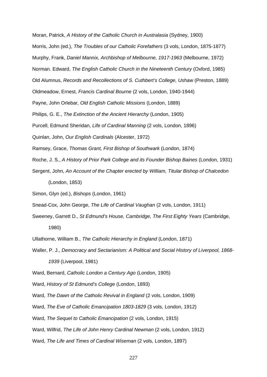Moran, Patrick, *A History of the Catholic Church in Australasia* (Sydney, 1900)

Morris, John (ed.), *The Troubles of our Catholic Forefathers* (3 vols, London, 1875-1877)

Murphy, Frank, *Daniel Mannix, Archbishop of Melbourne, 1917-1963* (Melbourne, 1972)

Norman. Edward, *The English Catholic Church in the Nineteenth Century* (Oxford, 1985)

Old Alumnus, *Records and Recollections of S. Cuthbert's College, Ushaw* (Preston, 1889)

Oldmeadow, Ernest, *Francis Cardinal Bourne* (2 vols, London, 1940-1944)

Payne, John Orlebar, *Old English Catholic Missions* (London, 1889)

Philips, G. E., *The Extinction of the Ancient Hierarchy* (London, 1905)

Purcell, Edmund Sheridan, *Life of Cardinal Manning* (2 vols, London, 1896)

Quinlan, John, *Our English Cardinals* (Alcester, 1972)

Ramsey, Grace, *Thomas Grant, First Bishop of Southwark* (London, 1874)

Roche, J. S., *A History of Prior Park College and its Founder Bishop Baines* (London, 1931)

Sergent, John, *An Account of the Chapter erected by William, Titular Bishop of Chalcedon*  (London, 1853)

Simon, Glyn (ed.), *Bishops* (London, 1961)

Snead-Cox, John George, *The Life of Cardinal Vaughan* (2 vols, London, 1911)

Sweeney, Garrett D., *St Edmund's House, Cambridge, The First Eighty Years* (Cambridge, 1980)

Ullathorne, William B., *The Catholic Hierarchy in England* (London, 1871)

Waller, P. J., *Democracy and Sectarianism: A Political and Social History of Liverpool, 1868- 1939* (Liverpool, 1981)

Ward, Bernard, *Catholic London a Century Ago* (London, 1905)

Ward, *History of St Edmund's College* (London, 1893)

Ward, *The Dawn of the Catholic Revival in England* (2 vols, London, 1909)

Ward, *The Eve of Catholic Emancipation 1803-1829* (3 vols, London, 1912)

Ward, *The Sequel to Catholic Emancipation* (2 vols, London, 1915)

Ward, Wilfrid, *The Life of John Henry Cardinal Newman* (2 vols, London, 1912)

Ward, *The Life and Times of Cardinal Wiseman* (2 vols, London, 1897)